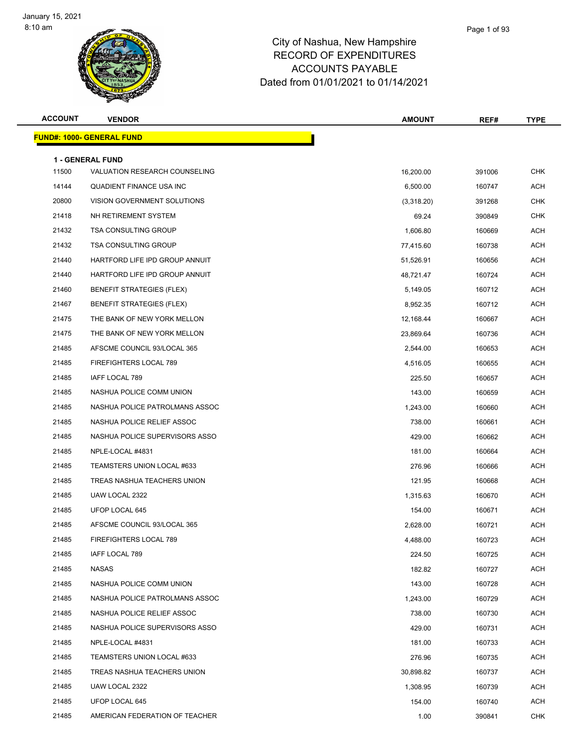

| <b>ACCOUNT</b> | <b>VENDOR</b>                                            | <b>AMOUNT</b> | REF#   | <b>TYPE</b> |
|----------------|----------------------------------------------------------|---------------|--------|-------------|
|                | <b>FUND#: 1000- GENERAL FUND</b>                         |               |        |             |
|                |                                                          |               |        |             |
| 11500          | <b>1 - GENERAL FUND</b><br>VALUATION RESEARCH COUNSELING | 16,200.00     | 391006 | <b>CHK</b>  |
| 14144          | QUADIENT FINANCE USA INC                                 | 6,500.00      | 160747 | ACH         |
| 20800          | VISION GOVERNMENT SOLUTIONS                              | (3,318.20)    | 391268 | <b>CHK</b>  |
| 21418          | NH RETIREMENT SYSTEM                                     | 69.24         | 390849 | <b>CHK</b>  |
| 21432          | <b>TSA CONSULTING GROUP</b>                              | 1,606.80      | 160669 | ACH         |
| 21432          | <b>TSA CONSULTING GROUP</b>                              | 77,415.60     | 160738 | ACH         |
| 21440          | HARTFORD LIFE IPD GROUP ANNUIT                           | 51,526.91     | 160656 | ACH         |
| 21440          | HARTFORD LIFE IPD GROUP ANNUIT                           | 48,721.47     | 160724 | ACH         |
| 21460          | <b>BENEFIT STRATEGIES (FLEX)</b>                         | 5,149.05      | 160712 | <b>ACH</b>  |
| 21467          | <b>BENEFIT STRATEGIES (FLEX)</b>                         | 8,952.35      | 160712 | ACH         |
| 21475          | THE BANK OF NEW YORK MELLON                              | 12,168.44     | 160667 | ACH         |
| 21475          | THE BANK OF NEW YORK MELLON                              | 23,869.64     | 160736 | ACH         |
| 21485          | AFSCME COUNCIL 93/LOCAL 365                              | 2,544.00      | 160653 | ACH         |
| 21485          | FIREFIGHTERS LOCAL 789                                   | 4,516.05      | 160655 | ACH         |
| 21485          | IAFF LOCAL 789                                           | 225.50        | 160657 | ACH         |
| 21485          | NASHUA POLICE COMM UNION                                 | 143.00        | 160659 | ACH         |
| 21485          | NASHUA POLICE PATROLMANS ASSOC                           | 1,243.00      | 160660 | ACH         |
| 21485          | NASHUA POLICE RELIEF ASSOC                               | 738.00        | 160661 | ACH         |
| 21485          | NASHUA POLICE SUPERVISORS ASSO                           | 429.00        | 160662 | ACH         |
| 21485          | NPLE-LOCAL #4831                                         | 181.00        | 160664 | ACH         |
| 21485          | TEAMSTERS UNION LOCAL #633                               | 276.96        | 160666 | ACH         |
| 21485          | TREAS NASHUA TEACHERS UNION                              | 121.95        | 160668 | ACH         |
| 21485          | UAW LOCAL 2322                                           | 1,315.63      | 160670 | ACH         |
| 21485          | UFOP LOCAL 645                                           | 154.00        | 160671 | ACH         |
| 21485          | AFSCME COUNCIL 93/LOCAL 365                              | 2,628.00      | 160721 | ACH         |
| 21485          | FIREFIGHTERS LOCAL 789                                   | 4,488.00      | 160723 | ACH         |
| 21485          | IAFF LOCAL 789                                           | 224.50        | 160725 | ACH         |
| 21485          | NASAS                                                    | 182.82        | 160727 | ACH         |
| 21485          | NASHUA POLICE COMM UNION                                 | 143.00        | 160728 | ACH         |
| 21485          | NASHUA POLICE PATROLMANS ASSOC                           | 1,243.00      | 160729 | ACH         |
| 21485          | NASHUA POLICE RELIEF ASSOC                               | 738.00        | 160730 | ACH         |
| 21485          | NASHUA POLICE SUPERVISORS ASSO                           | 429.00        | 160731 | ACH         |
| 21485          | NPLE-LOCAL #4831                                         | 181.00        | 160733 | ACH         |
| 21485          | TEAMSTERS UNION LOCAL #633                               | 276.96        | 160735 | <b>ACH</b>  |
| 21485          | TREAS NASHUA TEACHERS UNION                              | 30,898.82     | 160737 | ACH         |
| 21485          | UAW LOCAL 2322                                           | 1,308.95      | 160739 | ACH         |
| 21485          | UFOP LOCAL 645                                           | 154.00        | 160740 | ACH         |
| 21485          | AMERICAN FEDERATION OF TEACHER                           | 1.00          | 390841 | <b>CHK</b>  |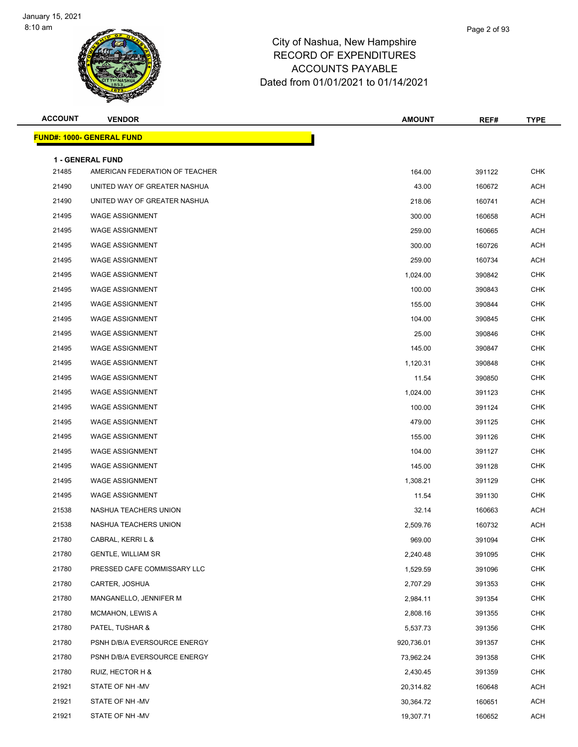

| <b>ACCOUNT</b> | <b>VENDOR</b>                                             | <b>AMOUNT</b> | REF#   | <b>TYPE</b> |
|----------------|-----------------------------------------------------------|---------------|--------|-------------|
|                | <u> FUND#: 1000- GENERAL FUND</u>                         |               |        |             |
|                |                                                           |               |        |             |
| 21485          | <b>1 - GENERAL FUND</b><br>AMERICAN FEDERATION OF TEACHER | 164.00        | 391122 | <b>CHK</b>  |
| 21490          | UNITED WAY OF GREATER NASHUA                              | 43.00         | 160672 | <b>ACH</b>  |
| 21490          | UNITED WAY OF GREATER NASHUA                              | 218.06        | 160741 | <b>ACH</b>  |
| 21495          | <b>WAGE ASSIGNMENT</b>                                    | 300.00        | 160658 | <b>ACH</b>  |
| 21495          | <b>WAGE ASSIGNMENT</b>                                    | 259.00        | 160665 | <b>ACH</b>  |
| 21495          | <b>WAGE ASSIGNMENT</b>                                    | 300.00        | 160726 | <b>ACH</b>  |
| 21495          | <b>WAGE ASSIGNMENT</b>                                    | 259.00        | 160734 | <b>ACH</b>  |
| 21495          | <b>WAGE ASSIGNMENT</b>                                    | 1,024.00      | 390842 | <b>CHK</b>  |
| 21495          | <b>WAGE ASSIGNMENT</b>                                    | 100.00        | 390843 | <b>CHK</b>  |
| 21495          | <b>WAGE ASSIGNMENT</b>                                    | 155.00        | 390844 | <b>CHK</b>  |
| 21495          | <b>WAGE ASSIGNMENT</b>                                    | 104.00        | 390845 | <b>CHK</b>  |
| 21495          | <b>WAGE ASSIGNMENT</b>                                    | 25.00         | 390846 | <b>CHK</b>  |
| 21495          | <b>WAGE ASSIGNMENT</b>                                    | 145.00        | 390847 | <b>CHK</b>  |
| 21495          | <b>WAGE ASSIGNMENT</b>                                    | 1,120.31      | 390848 | <b>CHK</b>  |
| 21495          | <b>WAGE ASSIGNMENT</b>                                    | 11.54         | 390850 | <b>CHK</b>  |
| 21495          | <b>WAGE ASSIGNMENT</b>                                    | 1,024.00      | 391123 | <b>CHK</b>  |
| 21495          | <b>WAGE ASSIGNMENT</b>                                    | 100.00        | 391124 | <b>CHK</b>  |
| 21495          | <b>WAGE ASSIGNMENT</b>                                    | 479.00        | 391125 | <b>CHK</b>  |
| 21495          | WAGE ASSIGNMENT                                           | 155.00        | 391126 | <b>CHK</b>  |
| 21495          | <b>WAGE ASSIGNMENT</b>                                    | 104.00        | 391127 | <b>CHK</b>  |
| 21495          | <b>WAGE ASSIGNMENT</b>                                    | 145.00        | 391128 | <b>CHK</b>  |
| 21495          | <b>WAGE ASSIGNMENT</b>                                    | 1,308.21      | 391129 | <b>CHK</b>  |
| 21495          | <b>WAGE ASSIGNMENT</b>                                    | 11.54         | 391130 | <b>CHK</b>  |
| 21538          | NASHUA TEACHERS UNION                                     | 32.14         | 160663 | <b>ACH</b>  |
| 21538          | NASHUA TEACHERS UNION                                     | 2,509.76      | 160732 | <b>ACH</b>  |
| 21780          | CABRAL, KERRI L &                                         | 969.00        | 391094 | <b>CHK</b>  |
| 21780          | <b>GENTLE, WILLIAM SR</b>                                 | 2,240.48      | 391095 | <b>CHK</b>  |
| 21780          | PRESSED CAFE COMMISSARY LLC                               | 1,529.59      | 391096 | <b>CHK</b>  |
| 21780          | CARTER, JOSHUA                                            | 2,707.29      | 391353 | <b>CHK</b>  |
| 21780          | MANGANELLO, JENNIFER M                                    | 2,984.11      | 391354 | <b>CHK</b>  |
| 21780          | MCMAHON, LEWIS A                                          | 2,808.16      | 391355 | <b>CHK</b>  |
| 21780          | PATEL, TUSHAR &                                           | 5,537.73      | 391356 | <b>CHK</b>  |
| 21780          | PSNH D/B/A EVERSOURCE ENERGY                              | 920,736.01    | 391357 | <b>CHK</b>  |
| 21780          | PSNH D/B/A EVERSOURCE ENERGY                              | 73,962.24     | 391358 | <b>CHK</b>  |
| 21780          | RUIZ, HECTOR H &                                          | 2,430.45      | 391359 | CHK         |
| 21921          | STATE OF NH-MV                                            | 20,314.82     | 160648 | <b>ACH</b>  |
| 21921          | STATE OF NH -MV                                           | 30,364.72     | 160651 | <b>ACH</b>  |
| 21921          | STATE OF NH-MV                                            | 19,307.71     | 160652 | <b>ACH</b>  |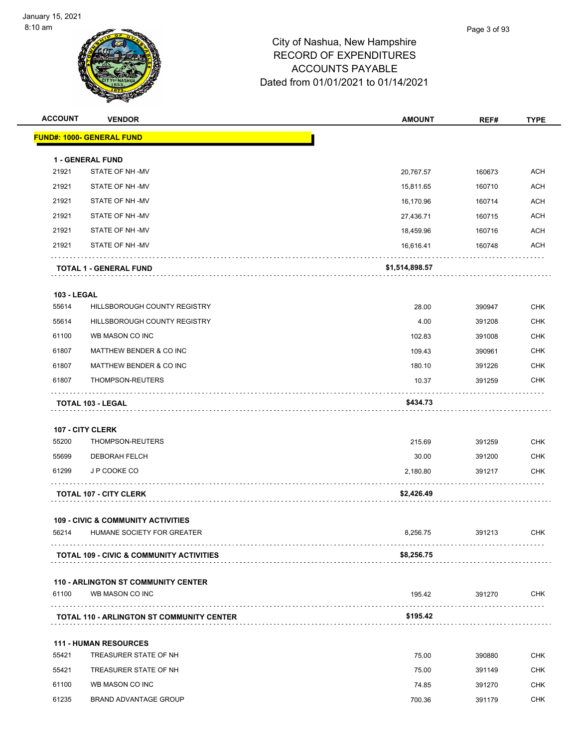| <b>ACCOUNT</b>     | <b>VENDOR</b>                                                               | <b>AMOUNT</b>  | REF#   | <b>TYPE</b> |
|--------------------|-----------------------------------------------------------------------------|----------------|--------|-------------|
|                    | <b>FUND#: 1000- GENERAL FUND</b>                                            |                |        |             |
|                    | 1 - GENERAL FUND                                                            |                |        |             |
| 21921              | STATE OF NH-MV                                                              | 20,767.57      | 160673 | ACH         |
| 21921              | STATE OF NH-MV                                                              | 15,811.65      | 160710 | ACH         |
| 21921              | STATE OF NH-MV                                                              | 16,170.96      | 160714 | <b>ACH</b>  |
| 21921              | STATE OF NH-MV                                                              | 27,436.71      | 160715 | <b>ACH</b>  |
| 21921              | STATE OF NH-MV                                                              | 18,459.96      | 160716 | <b>ACH</b>  |
| 21921              | STATE OF NH-MV                                                              | 16,616.41      | 160748 | <b>ACH</b>  |
|                    | TOTAL 1 - GENERAL FUND                                                      | \$1,514,898.57 |        |             |
| <b>103 - LEGAL</b> |                                                                             |                |        |             |
| 55614              | HILLSBOROUGH COUNTY REGISTRY                                                | 28.00          | 390947 | <b>CHK</b>  |
| 55614              | HILLSBOROUGH COUNTY REGISTRY                                                | 4.00           | 391208 | <b>CHK</b>  |
| 61100              | WB MASON CO INC                                                             | 102.83         | 391008 | <b>CHK</b>  |
| 61807              | MATTHEW BENDER & CO INC                                                     | 109.43         | 390961 | <b>CHK</b>  |
| 61807              | MATTHEW BENDER & CO INC                                                     | 180.10         | 391226 | <b>CHK</b>  |
| 61807              | THOMPSON-REUTERS                                                            | 10.37          | 391259 | CHK         |
|                    | TOTAL 103 - LEGAL                                                           | \$434.73       |        |             |
|                    | 107 - CITY CLERK                                                            |                |        |             |
| 55200              | THOMPSON-REUTERS                                                            | 215.69         | 391259 | <b>CHK</b>  |
| 55699              | DEBORAH FELCH                                                               | 30.00          | 391200 | <b>CHK</b>  |
| 61299              | J P COOKE CO                                                                | 2,180.80       | 391217 | <b>CHK</b>  |
|                    | <b>TOTAL 107 - CITY CLERK</b>                                               | \$2,426.49     |        |             |
|                    |                                                                             |                |        |             |
| 56214              | <b>109 - CIVIC &amp; COMMUNITY ACTIVITIES</b><br>HUMANE SOCIETY FOR GREATER | 8,256.75       | 391213 | <b>CHK</b>  |
|                    |                                                                             |                |        |             |
|                    | <b>TOTAL 109 - CIVIC &amp; COMMUNITY ACTIVITIES</b>                         | \$8,256.75     |        |             |
|                    | <b>110 - ARLINGTON ST COMMUNITY CENTER</b>                                  |                |        |             |
| 61100              | WB MASON CO INC                                                             | 195.42         | 391270 | <b>CHK</b>  |
|                    | <b>TOTAL 110 - ARLINGTON ST COMMUNITY CENTER</b>                            | \$195.42       |        |             |
|                    | <b>111 - HUMAN RESOURCES</b>                                                |                |        |             |
| 55421              | TREASURER STATE OF NH                                                       | 75.00          | 390880 | <b>CHK</b>  |
| 55421              | TREASURER STATE OF NH                                                       | 75.00          | 391149 | <b>CHK</b>  |
| 61100              | WB MASON CO INC                                                             | 74.85          | 391270 | <b>CHK</b>  |
| 61235              | <b>BRAND ADVANTAGE GROUP</b>                                                | 700.36         | 391179 | CHK         |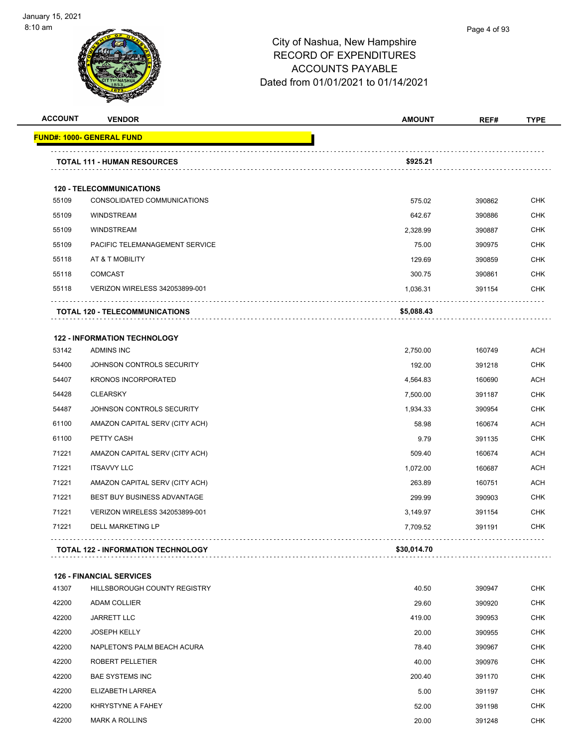

| <b>ACCOUNT</b> | <b>VENDOR</b>                             | <b>AMOUNT</b> | REF#   | <b>TYPE</b> |
|----------------|-------------------------------------------|---------------|--------|-------------|
|                | <b>FUND#: 1000- GENERAL FUND</b>          |               |        |             |
|                | <b>TOTAL 111 - HUMAN RESOURCES</b>        | \$925.21      |        |             |
|                | <b>120 - TELECOMMUNICATIONS</b>           |               |        |             |
| 55109          | CONSOLIDATED COMMUNICATIONS               | 575.02        | 390862 | <b>CHK</b>  |
| 55109          | <b>WINDSTREAM</b>                         | 642.67        | 390886 | <b>CHK</b>  |
| 55109          | <b>WINDSTREAM</b>                         | 2,328.99      | 390887 | <b>CHK</b>  |
| 55109          | PACIFIC TELEMANAGEMENT SERVICE            | 75.00         | 390975 | <b>CHK</b>  |
| 55118          | AT & T MOBILITY                           | 129.69        | 390859 | <b>CHK</b>  |
| 55118          | <b>COMCAST</b>                            | 300.75        | 390861 | <b>CHK</b>  |
| 55118          | VERIZON WIRELESS 342053899-001            | 1,036.31      | 391154 | <b>CHK</b>  |
|                | <b>TOTAL 120 - TELECOMMUNICATIONS</b>     | \$5,088.43    |        |             |
|                | <b>122 - INFORMATION TECHNOLOGY</b>       |               |        |             |
| 53142          | <b>ADMINS INC</b>                         | 2,750.00      | 160749 | <b>ACH</b>  |
| 54400          | JOHNSON CONTROLS SECURITY                 | 192.00        | 391218 | <b>CHK</b>  |
| 54407          | <b>KRONOS INCORPORATED</b>                | 4,564.83      | 160690 | ACH         |
| 54428          | <b>CLEARSKY</b>                           | 7,500.00      | 391187 | CHK         |
| 54487          | JOHNSON CONTROLS SECURITY                 | 1,934.33      | 390954 | <b>CHK</b>  |
| 61100          | AMAZON CAPITAL SERV (CITY ACH)            | 58.98         | 160674 | <b>ACH</b>  |
| 61100          | PETTY CASH                                | 9.79          | 391135 | <b>CHK</b>  |
| 71221          | AMAZON CAPITAL SERV (CITY ACH)            | 509.40        | 160674 | <b>ACH</b>  |
| 71221          | <b>ITSAVVY LLC</b>                        | 1,072.00      | 160687 | <b>ACH</b>  |
| 71221          | AMAZON CAPITAL SERV (CITY ACH)            | 263.89        | 160751 | <b>ACH</b>  |
| 71221          | <b>BEST BUY BUSINESS ADVANTAGE</b>        | 299.99        | 390903 | CHK         |
| 71221          | <b>VERIZON WIRELESS 342053899-001</b>     | 3,149.97      | 391154 | <b>CHK</b>  |
| 71221          | <b>DELL MARKETING LP</b>                  | 7,709.52      | 391191 | <b>CHK</b>  |
|                | <b>TOTAL 122 - INFORMATION TECHNOLOGY</b> | \$30,014.70   |        |             |
|                | <b>126 - FINANCIAL SERVICES</b>           |               |        |             |
| 41307          | HILLSBOROUGH COUNTY REGISTRY              | 40.50         | 390947 | <b>CHK</b>  |
| 42200          | ADAM COLLIER                              | 29.60         | 390920 | <b>CHK</b>  |
| 42200          | <b>JARRETT LLC</b>                        | 419.00        | 390953 | CHK         |
| 42200          | <b>JOSEPH KELLY</b>                       | 20.00         | 390955 | <b>CHK</b>  |
| 42200          | NAPLETON'S PALM BEACH ACURA               | 78.40         | 390967 | <b>CHK</b>  |
| 42200          | ROBERT PELLETIER                          | 40.00         | 390976 | CHK         |
| 42200          | <b>BAE SYSTEMS INC</b>                    | 200.40        | 391170 | <b>CHK</b>  |
| 42200          | ELIZABETH LARREA                          | 5.00          | 391197 | <b>CHK</b>  |
| 42200          | KHRYSTYNE A FAHEY                         | 52.00         | 391198 | <b>CHK</b>  |
| 42200          | <b>MARK A ROLLINS</b>                     | 20.00         | 391248 | <b>CHK</b>  |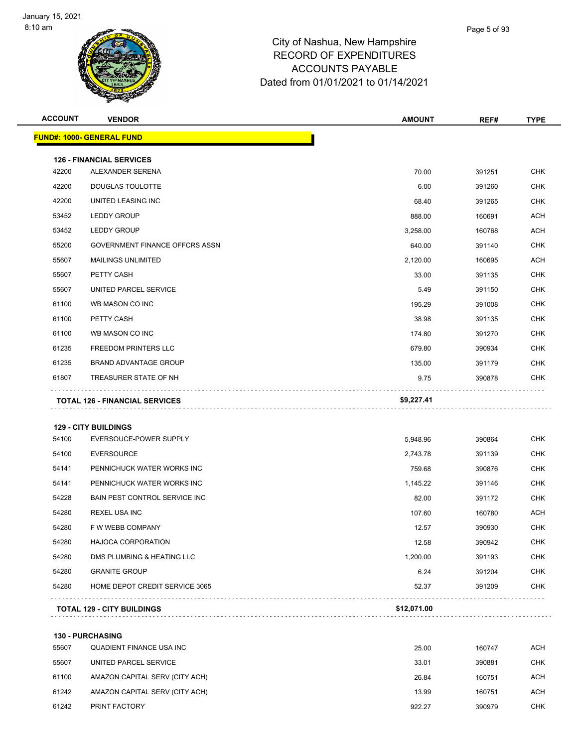| <b>ACCOUNT</b> | <b>VENDOR</b>                         | <b>AMOUNT</b> | REF#   | <b>TYPE</b> |
|----------------|---------------------------------------|---------------|--------|-------------|
|                | FUND#: 1000- GENERAL FUND             |               |        |             |
|                | <b>126 - FINANCIAL SERVICES</b>       |               |        |             |
| 42200          | ALEXANDER SERENA                      | 70.00         | 391251 | <b>CHK</b>  |
| 42200          | DOUGLAS TOULOTTE                      | 6.00          | 391260 | <b>CHK</b>  |
| 42200          | UNITED LEASING INC                    | 68.40         | 391265 | <b>CHK</b>  |
| 53452          | <b>LEDDY GROUP</b>                    | 888.00        | 160691 | <b>ACH</b>  |
| 53452          | <b>LEDDY GROUP</b>                    | 3,258.00      | 160768 | <b>ACH</b>  |
| 55200          | GOVERNMENT FINANCE OFFCRS ASSN        | 640.00        | 391140 | <b>CHK</b>  |
| 55607          | <b>MAILINGS UNLIMITED</b>             | 2,120.00      | 160695 | <b>ACH</b>  |
| 55607          | PETTY CASH                            | 33.00         | 391135 | <b>CHK</b>  |
| 55607          | UNITED PARCEL SERVICE                 | 5.49          | 391150 | <b>CHK</b>  |
| 61100          | WB MASON CO INC                       | 195.29        | 391008 | <b>CHK</b>  |
| 61100          | PETTY CASH                            | 38.98         | 391135 | CHK         |
| 61100          | WB MASON CO INC                       | 174.80        | 391270 | <b>CHK</b>  |
| 61235          | FREEDOM PRINTERS LLC                  | 679.80        | 390934 | <b>CHK</b>  |
| 61235          | <b>BRAND ADVANTAGE GROUP</b>          | 135.00        | 391179 | <b>CHK</b>  |
| 61807          | TREASURER STATE OF NH                 | 9.75          | 390878 | <b>CHK</b>  |
|                | <b>TOTAL 126 - FINANCIAL SERVICES</b> | \$9,227.41    |        |             |
|                | <b>129 - CITY BUILDINGS</b>           |               |        |             |
| 54100          | EVERSOUCE-POWER SUPPLY                | 5,948.96      | 390864 | <b>CHK</b>  |
| 54100          | <b>EVERSOURCE</b>                     | 2,743.78      | 391139 | <b>CHK</b>  |
| 54141          | PENNICHUCK WATER WORKS INC            | 759.68        | 390876 | <b>CHK</b>  |
| 54141          | PENNICHUCK WATER WORKS INC            | 1,145.22      | 391146 | <b>CHK</b>  |
| 54228          | BAIN PEST CONTROL SERVICE INC         | 82.00         | 391172 | <b>CHK</b>  |
| 54280          | REXEL USA INC                         | 107.60        | 160780 | ACH         |
| 54280          | F W WEBB COMPANY                      | 12.57         | 390930 | <b>CHK</b>  |
| 54280          | <b>HAJOCA CORPORATION</b>             | 12.58         | 390942 | <b>CHK</b>  |
| 54280          | DMS PLUMBING & HEATING LLC            | 1,200.00      | 391193 | <b>CHK</b>  |
| 54280          | <b>GRANITE GROUP</b>                  | 6.24          | 391204 | <b>CHK</b>  |
| 54280          | HOME DEPOT CREDIT SERVICE 3065        | 52.37         | 391209 | CHK         |
|                | <b>TOTAL 129 - CITY BUILDINGS</b>     | \$12,071.00   |        |             |
|                | 130 - PURCHASING                      |               |        |             |
| 55607          | QUADIENT FINANCE USA INC              | 25.00         | 160747 | <b>ACH</b>  |
| 55607          | UNITED PARCEL SERVICE                 | 33.01         | 390881 | <b>CHK</b>  |

61100 AMAZON CAPITAL SERV (CITY ACH) **160751** ACH 61242 AMAZON CAPITAL SERV (CITY ACH) 13.99 160751 ACH PRINT FACTORY 922.27 390979 CHK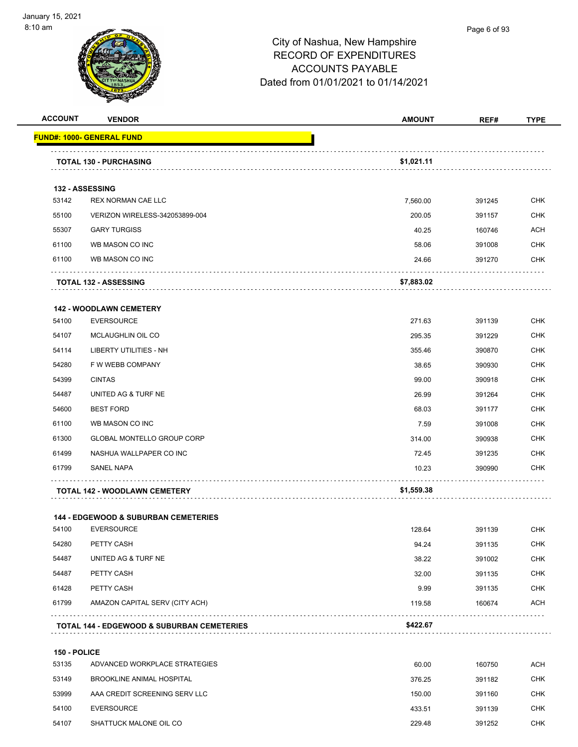

| <b>ACCOUNT</b> | <b>VENDOR</b>                                         | <b>AMOUNT</b> | REF#   | <b>TYPE</b> |
|----------------|-------------------------------------------------------|---------------|--------|-------------|
|                | <u> FUND#: 1000- GENERAL FUND</u>                     |               |        |             |
|                | <b>TOTAL 130 - PURCHASING</b>                         | \$1,021.11    |        |             |
|                | 132 - ASSESSING                                       |               |        |             |
| 53142          | REX NORMAN CAE LLC                                    | 7,560.00      | 391245 | <b>CHK</b>  |
| 55100          | VERIZON WIRELESS-342053899-004                        | 200.05        | 391157 | <b>CHK</b>  |
| 55307          | <b>GARY TURGISS</b>                                   | 40.25         | 160746 | <b>ACH</b>  |
| 61100          | WB MASON CO INC                                       | 58.06         | 391008 | <b>CHK</b>  |
| 61100          | WB MASON CO INC                                       | 24.66         | 391270 | <b>CHK</b>  |
|                | <b>TOTAL 132 - ASSESSING</b>                          | \$7,883.02    |        |             |
|                | <b>142 - WOODLAWN CEMETERY</b>                        |               |        |             |
| 54100          | <b>EVERSOURCE</b>                                     | 271.63        | 391139 | <b>CHK</b>  |
| 54107          | <b>MCLAUGHLIN OIL CO</b>                              | 295.35        | 391229 | <b>CHK</b>  |
| 54114          | <b>LIBERTY UTILITIES - NH</b>                         | 355.46        | 390870 | <b>CHK</b>  |
| 54280          | F W WEBB COMPANY                                      | 38.65         | 390930 | <b>CHK</b>  |
| 54399          | <b>CINTAS</b>                                         | 99.00         | 390918 | <b>CHK</b>  |
| 54487          | UNITED AG & TURF NE                                   | 26.99         | 391264 | <b>CHK</b>  |
| 54600          | <b>BEST FORD</b>                                      | 68.03         | 391177 | <b>CHK</b>  |
| 61100          | WB MASON CO INC                                       | 7.59          | 391008 | <b>CHK</b>  |
| 61300          | GLOBAL MONTELLO GROUP CORP                            | 314.00        | 390938 | <b>CHK</b>  |
| 61499          | NASHUA WALLPAPER CO INC                               | 72.45         | 391235 | <b>CHK</b>  |
| 61799          | <b>SANEL NAPA</b>                                     | 10.23         | 390990 | <b>CHK</b>  |
|                | TOTAL 142 - WOODLAWN CEMETERY                         | \$1,559.38    |        |             |
|                | <b>144 - EDGEWOOD &amp; SUBURBAN CEMETERIES</b>       |               |        |             |
| 54100          | <b>EVERSOURCE</b>                                     | 128.64        | 391139 | <b>CHK</b>  |
| 54280          | PETTY CASH                                            | 94.24         | 391135 | <b>CHK</b>  |
| 54487          | UNITED AG & TURF NE                                   | 38.22         | 391002 | <b>CHK</b>  |
| 54487          | PETTY CASH                                            | 32.00         | 391135 | <b>CHK</b>  |
| 61428          | PETTY CASH                                            | 9.99          | 391135 | <b>CHK</b>  |
| 61799          | AMAZON CAPITAL SERV (CITY ACH)                        | 119.58        | 160674 | <b>ACH</b>  |
|                | <b>TOTAL 144 - EDGEWOOD &amp; SUBURBAN CEMETERIES</b> | \$422.67      |        |             |
| 150 - POLICE   |                                                       |               |        |             |
| 53135          | ADVANCED WORKPLACE STRATEGIES                         | 60.00         | 160750 | ACH         |
| 53149          | <b>BROOKLINE ANIMAL HOSPITAL</b>                      | 376.25        | 391182 | <b>CHK</b>  |
| 53999          | AAA CREDIT SCREENING SERV LLC                         | 150.00        | 391160 | <b>CHK</b>  |
| 54100          | <b>EVERSOURCE</b>                                     | 433.51        | 391139 | <b>CHK</b>  |
| 54107          | SHATTUCK MALONE OIL CO                                | 229.48        | 391252 | <b>CHK</b>  |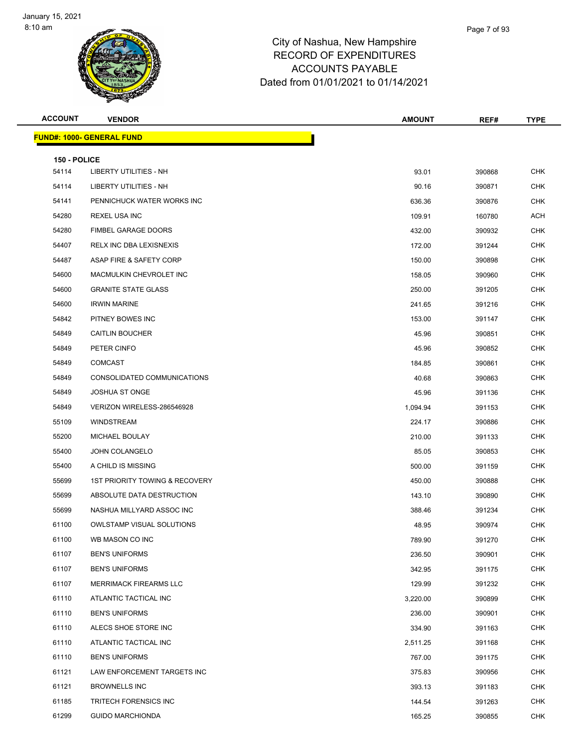| <b>ACCOUNT</b> | <b>VENDOR</b>                    | <b>AMOUNT</b> | REF#   | <b>TYPE</b> |
|----------------|----------------------------------|---------------|--------|-------------|
|                | <b>FUND#: 1000- GENERAL FUND</b> |               |        |             |
| 150 - POLICE   |                                  |               |        |             |
| 54114          | <b>LIBERTY UTILITIES - NH</b>    | 93.01         | 390868 | <b>CHK</b>  |
| 54114          | <b>LIBERTY UTILITIES - NH</b>    | 90.16         | 390871 | <b>CHK</b>  |
| 54141          | PENNICHUCK WATER WORKS INC       | 636.36        | 390876 | <b>CHK</b>  |
| 54280          | REXEL USA INC                    | 109.91        | 160780 | ACH         |
| 54280          | <b>FIMBEL GARAGE DOORS</b>       | 432.00        | 390932 | <b>CHK</b>  |
| 54407          | RELX INC DBA LEXISNEXIS          | 172.00        | 391244 | <b>CHK</b>  |
| 54487          | ASAP FIRE & SAFETY CORP          | 150.00        | 390898 | <b>CHK</b>  |
| 54600          | MACMULKIN CHEVROLET INC          | 158.05        | 390960 | <b>CHK</b>  |
| 54600          | <b>GRANITE STATE GLASS</b>       | 250.00        | 391205 | <b>CHK</b>  |
| 54600          | <b>IRWIN MARINE</b>              | 241.65        | 391216 | <b>CHK</b>  |
| 54842          | PITNEY BOWES INC                 | 153.00        | 391147 | <b>CHK</b>  |
| 54849          | <b>CAITLIN BOUCHER</b>           | 45.96         | 390851 | <b>CHK</b>  |
| 54849          | PETER CINFO                      | 45.96         | 390852 | <b>CHK</b>  |
| 54849          | <b>COMCAST</b>                   | 184.85        | 390861 | <b>CHK</b>  |
| 54849          | CONSOLIDATED COMMUNICATIONS      | 40.68         | 390863 | <b>CHK</b>  |
| 54849          | <b>JOSHUA ST ONGE</b>            | 45.96         | 391136 | <b>CHK</b>  |
| 54849          | VERIZON WIRELESS-286546928       | 1,094.94      | 391153 | <b>CHK</b>  |
| 55109          | <b>WINDSTREAM</b>                | 224.17        | 390886 | <b>CHK</b>  |
| 55200          | MICHAEL BOULAY                   | 210.00        | 391133 | <b>CHK</b>  |
| 55400          | JOHN COLANGELO                   | 85.05         | 390853 | <b>CHK</b>  |
| 55400          | A CHILD IS MISSING               | 500.00        | 391159 | <b>CHK</b>  |
| 55699          | 1ST PRIORITY TOWING & RECOVERY   | 450.00        | 390888 | <b>CHK</b>  |
| 55699          | ABSOLUTE DATA DESTRUCTION        | 143.10        | 390890 | <b>CHK</b>  |
| 55699          | NASHUA MILLYARD ASSOC INC        | 388.46        | 391234 | <b>CHK</b>  |
| 61100          | <b>OWLSTAMP VISUAL SOLUTIONS</b> | 48.95         | 390974 | <b>CHK</b>  |
| 61100          | WB MASON CO INC                  | 789.90        | 391270 | <b>CHK</b>  |
| 61107          | <b>BEN'S UNIFORMS</b>            | 236.50        | 390901 | <b>CHK</b>  |
| 61107          | <b>BEN'S UNIFORMS</b>            | 342.95        | 391175 | <b>CHK</b>  |
| 61107          | <b>MERRIMACK FIREARMS LLC</b>    | 129.99        | 391232 | <b>CHK</b>  |
| 61110          | ATLANTIC TACTICAL INC            | 3,220.00      | 390899 | <b>CHK</b>  |
| 61110          | <b>BEN'S UNIFORMS</b>            | 236.00        | 390901 | CHK         |
| 61110          | ALECS SHOE STORE INC             | 334.90        | 391163 | <b>CHK</b>  |
| 61110          | ATLANTIC TACTICAL INC            | 2,511.25      | 391168 | CHK         |
| 61110          | <b>BEN'S UNIFORMS</b>            | 767.00        | 391175 | <b>CHK</b>  |
| 61121          | LAW ENFORCEMENT TARGETS INC      | 375.83        | 390956 | <b>CHK</b>  |
| 61121          | <b>BROWNELLS INC</b>             | 393.13        | 391183 | <b>CHK</b>  |
| 61185          | TRITECH FORENSICS INC            | 144.54        | 391263 | <b>CHK</b>  |
| 61299          | <b>GUIDO MARCHIONDA</b>          | 165.25        | 390855 | <b>CHK</b>  |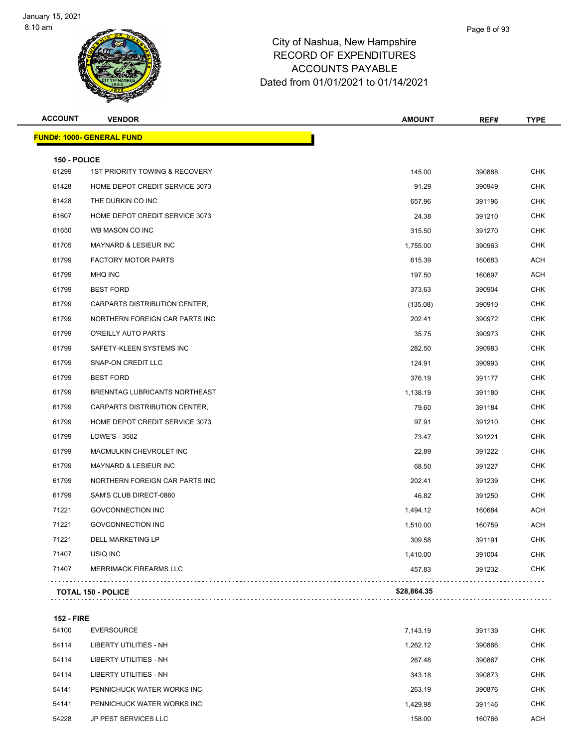

| <b>ACCOUNT</b> | <b>VENDOR</b>                             | <b>AMOUNT</b> | REF#   | <b>TYPE</b> |
|----------------|-------------------------------------------|---------------|--------|-------------|
|                | <u> FUND#: 1000- GENERAL FUND</u>         |               |        |             |
| 150 - POLICE   |                                           |               |        |             |
| 61299          | <b>1ST PRIORITY TOWING &amp; RECOVERY</b> | 145.00        | 390888 | <b>CHK</b>  |
| 61428          | HOME DEPOT CREDIT SERVICE 3073            | 91.29         | 390949 | <b>CHK</b>  |
| 61428          | THE DURKIN CO INC                         | 657.96        | 391196 | <b>CHK</b>  |
| 61607          | HOME DEPOT CREDIT SERVICE 3073            | 24.38         | 391210 | <b>CHK</b>  |
| 61650          | WB MASON CO INC                           | 315.50        | 391270 | <b>CHK</b>  |
| 61705          | <b>MAYNARD &amp; LESIEUR INC</b>          | 1,755.00      | 390963 | <b>CHK</b>  |
| 61799          | FACTORY MOTOR PARTS                       | 615.39        | 160683 | <b>ACH</b>  |
| 61799          | <b>MHQ INC</b>                            | 197.50        | 160697 | <b>ACH</b>  |
| 61799          | <b>BEST FORD</b>                          | 373.63        | 390904 | <b>CHK</b>  |
| 61799          | CARPARTS DISTRIBUTION CENTER,             | (135.08)      | 390910 | <b>CHK</b>  |
| 61799          | NORTHERN FOREIGN CAR PARTS INC            | 202.41        | 390972 | <b>CHK</b>  |
| 61799          | O'REILLY AUTO PARTS                       | 35.75         | 390973 | <b>CHK</b>  |
| 61799          | SAFETY-KLEEN SYSTEMS INC                  | 282.50        | 390983 | <b>CHK</b>  |
| 61799          | SNAP-ON CREDIT LLC                        | 124.91        | 390993 | <b>CHK</b>  |
| 61799          | <b>BEST FORD</b>                          | 376.19        | 391177 | <b>CHK</b>  |
| 61799          | BRENNTAG LUBRICANTS NORTHEAST             | 1,138.19      | 391180 | <b>CHK</b>  |
| 61799          | CARPARTS DISTRIBUTION CENTER,             | 79.60         | 391184 | <b>CHK</b>  |
| 61799          | HOME DEPOT CREDIT SERVICE 3073            | 97.91         | 391210 | <b>CHK</b>  |
| 61799          | LOWE'S - 3502                             | 73.47         | 391221 | <b>CHK</b>  |
| 61799          | MACMULKIN CHEVROLET INC                   | 22.89         | 391222 | <b>CHK</b>  |
| 61799          | <b>MAYNARD &amp; LESIEUR INC</b>          | 68.50         | 391227 | <b>CHK</b>  |
| 61799          | NORTHERN FOREIGN CAR PARTS INC            | 202.41        | 391239 | <b>CHK</b>  |
| 61799          | SAM'S CLUB DIRECT-0860                    | 46.82         | 391250 | <b>CHK</b>  |
| 71221          | <b>GOVCONNECTION INC</b>                  | 1,494.12      | 160684 | <b>ACH</b>  |
| 71221          | <b>GOVCONNECTION INC</b>                  | 1,510.00      | 160759 | <b>ACH</b>  |
| 71221          | <b>DELL MARKETING LP</b>                  | 309.58        | 391191 | <b>CHK</b>  |
| 71407          | USIQ INC                                  | 1,410.00      | 391004 | <b>CHK</b>  |
| 71407          | <b>MERRIMACK FIREARMS LLC</b>             | 457.83        | 391232 | <b>CHK</b>  |
|                | <b>TOTAL 150 - POLICE</b>                 | \$28,864.35   |        |             |
|                |                                           |               |        |             |

#### **152 - FIRE**

| 54100 | <b>EVERSOURCE</b>          | 7.143.19 | 391139 | <b>CHK</b> |
|-------|----------------------------|----------|--------|------------|
| 54114 | LIBERTY UTILITIES - NH     | 1.262.12 | 390866 | <b>CHK</b> |
| 54114 | LIBERTY UTILITIES - NH     | 267.48   | 390867 | <b>CHK</b> |
| 54114 | LIBERTY UTILITIES - NH     | 343.18   | 390873 | <b>CHK</b> |
| 54141 | PENNICHUCK WATER WORKS INC | 263.19   | 390876 | <b>CHK</b> |
| 54141 | PENNICHUCK WATER WORKS INC | 1.429.98 | 391146 | <b>CHK</b> |
| 54228 | JP PEST SERVICES LLC       | 158.00   | 160766 | <b>ACH</b> |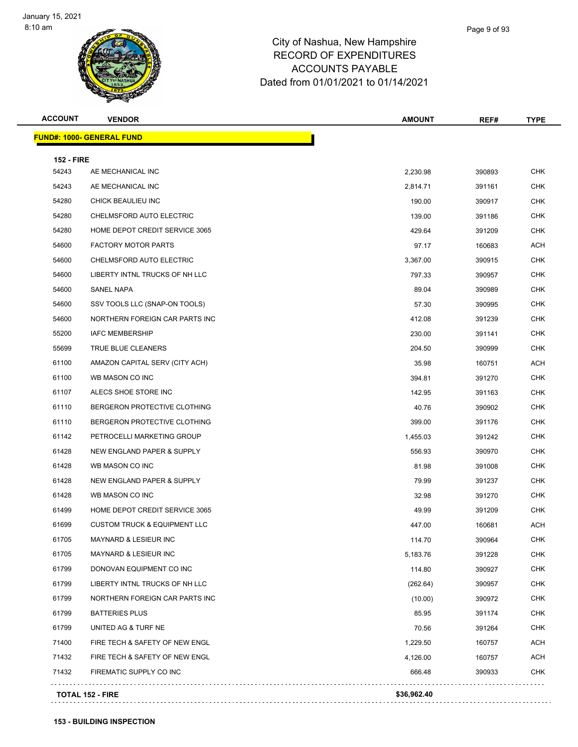| <b>ACCOUNT</b>    | <b>VENDOR</b>                           | <b>AMOUNT</b> | REF#   | <b>TYPE</b> |
|-------------------|-----------------------------------------|---------------|--------|-------------|
|                   | <b>FUND#: 1000- GENERAL FUND</b>        |               |        |             |
| <b>152 - FIRE</b> |                                         |               |        |             |
| 54243             | AE MECHANICAL INC                       | 2,230.98      | 390893 | <b>CHK</b>  |
| 54243             | AE MECHANICAL INC                       | 2,814.71      | 391161 | <b>CHK</b>  |
| 54280             | CHICK BEAULIEU INC                      | 190.00        | 390917 | <b>CHK</b>  |
| 54280             | CHELMSFORD AUTO ELECTRIC                | 139.00        | 391186 | <b>CHK</b>  |
| 54280             | HOME DEPOT CREDIT SERVICE 3065          | 429.64        | 391209 | <b>CHK</b>  |
| 54600             | <b>FACTORY MOTOR PARTS</b>              | 97.17         | 160683 | <b>ACH</b>  |
| 54600             | CHELMSFORD AUTO ELECTRIC                | 3,367.00      | 390915 | <b>CHK</b>  |
| 54600             | LIBERTY INTNL TRUCKS OF NH LLC          | 797.33        | 390957 | <b>CHK</b>  |
| 54600             | SANEL NAPA                              | 89.04         | 390989 | <b>CHK</b>  |
| 54600             | SSV TOOLS LLC (SNAP-ON TOOLS)           | 57.30         | 390995 | <b>CHK</b>  |
| 54600             | NORTHERN FOREIGN CAR PARTS INC          | 412.08        | 391239 | <b>CHK</b>  |
| 55200             | <b>IAFC MEMBERSHIP</b>                  | 230.00        | 391141 | <b>CHK</b>  |
| 55699             | TRUE BLUE CLEANERS                      | 204.50        | 390999 | <b>CHK</b>  |
| 61100             | AMAZON CAPITAL SERV (CITY ACH)          | 35.98         | 160751 | <b>ACH</b>  |
| 61100             | WB MASON CO INC                         | 394.81        | 391270 | <b>CHK</b>  |
| 61107             | ALECS SHOE STORE INC                    | 142.95        | 391163 | <b>CHK</b>  |
| 61110             | BERGERON PROTECTIVE CLOTHING            | 40.76         | 390902 | <b>CHK</b>  |
| 61110             | BERGERON PROTECTIVE CLOTHING            | 399.00        | 391176 | <b>CHK</b>  |
| 61142             | PETROCELLI MARKETING GROUP              | 1,455.03      | 391242 | <b>CHK</b>  |
| 61428             | NEW ENGLAND PAPER & SUPPLY              | 556.93        | 390970 | <b>CHK</b>  |
| 61428             | WB MASON CO INC                         | 81.98         | 391008 | <b>CHK</b>  |
| 61428             | NEW ENGLAND PAPER & SUPPLY              | 79.99         | 391237 | <b>CHK</b>  |
| 61428             | WB MASON CO INC                         | 32.98         | 391270 | <b>CHK</b>  |
| 61499             | HOME DEPOT CREDIT SERVICE 3065          | 49.99         | 391209 | <b>CHK</b>  |
| 61699             | <b>CUSTOM TRUCK &amp; EQUIPMENT LLC</b> | 447.00        | 160681 | <b>ACH</b>  |
| 61705             | MAYNARD & LESIEUR INC                   | 114.70        | 390964 | <b>CHK</b>  |
| 61705             | <b>MAYNARD &amp; LESIEUR INC</b>        | 5,183.76      | 391228 | <b>CHK</b>  |
| 61799             | DONOVAN EQUIPMENT CO INC                | 114.80        | 390927 | <b>CHK</b>  |
| 61799             | LIBERTY INTNL TRUCKS OF NH LLC          | (262.64)      | 390957 | CHK         |
| 61799             | NORTHERN FOREIGN CAR PARTS INC          | (10.00)       | 390972 | <b>CHK</b>  |
| 61799             | <b>BATTERIES PLUS</b>                   | 85.95         | 391174 | <b>CHK</b>  |
| 61799             | UNITED AG & TURF NE                     | 70.56         | 391264 | CHK         |
| 71400             | FIRE TECH & SAFETY OF NEW ENGL          | 1,229.50      | 160757 | <b>ACH</b>  |
| 71432             | FIRE TECH & SAFETY OF NEW ENGL          | 4,126.00      | 160757 | <b>ACH</b>  |
| 71432             | FIREMATIC SUPPLY CO INC                 | 666.48        | 390933 | <b>CHK</b>  |
|                   | <b>TOTAL 152 - FIRE</b>                 | \$36,962.40   |        |             |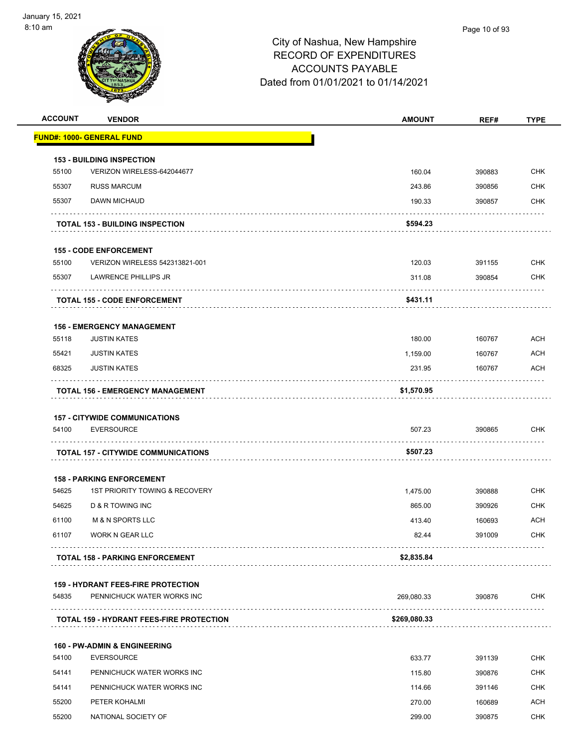| <b>ACCOUNT</b> | <b>VENDOR</b>                                                           | <b>AMOUNT</b> | REF#   | <b>TYPE</b> |
|----------------|-------------------------------------------------------------------------|---------------|--------|-------------|
|                | <b>FUND#: 1000- GENERAL FUND</b>                                        |               |        |             |
|                | <b>153 - BUILDING INSPECTION</b>                                        |               |        |             |
| 55100          | VERIZON WIRELESS-642044677                                              | 160.04        | 390883 | <b>CHK</b>  |
| 55307          | <b>RUSS MARCUM</b>                                                      | 243.86        | 390856 | <b>CHK</b>  |
| 55307          | DAWN MICHAUD                                                            | 190.33        | 390857 | <b>CHK</b>  |
|                | <b>TOTAL 153 - BUILDING INSPECTION</b>                                  | \$594.23      |        |             |
|                | <b>155 - CODE ENFORCEMENT</b>                                           |               |        |             |
| 55100          | VERIZON WIRELESS 542313821-001                                          | 120.03        | 391155 | <b>CHK</b>  |
| 55307          | LAWRENCE PHILLIPS JR                                                    | 311.08        | 390854 | <b>CHK</b>  |
|                | <b>TOTAL 155 - CODE ENFORCEMENT</b>                                     | \$431.11      | .      |             |
|                |                                                                         |               |        |             |
| 55118          | <b>156 - EMERGENCY MANAGEMENT</b><br><b>JUSTIN KATES</b>                | 180.00        | 160767 | <b>ACH</b>  |
| 55421          | <b>JUSTIN KATES</b>                                                     | 1,159.00      | 160767 | ACH         |
| 68325          | <b>JUSTIN KATES</b>                                                     | 231.95        | 160767 | <b>ACH</b>  |
|                | TOTAL 156 - EMERGENCY MANAGEMENT                                        | \$1,570.95    |        |             |
|                |                                                                         |               |        |             |
|                | <b>157 - CITYWIDE COMMUNICATIONS</b>                                    |               |        |             |
| 54100          | <b>EVERSOURCE</b>                                                       | 507.23        | 390865 | <b>CHK</b>  |
|                | <b>TOTAL 157 - CITYWIDE COMMUNICATIONS</b>                              | \$507.23      |        |             |
|                | <b>158 - PARKING ENFORCEMENT</b>                                        |               |        |             |
| 54625          | 1ST PRIORITY TOWING & RECOVERY                                          | 1,475.00      | 390888 | <b>CHK</b>  |
| 54625          | <b>D &amp; R TOWING INC</b>                                             | 865.00        | 390926 | <b>CHK</b>  |
| 61100          | <b>M &amp; N SPORTS LLC</b>                                             | 413.40        | 160693 | ACH         |
| 61107          | WORK N GEAR LLC                                                         | 82.44         | 391009 | CHK         |
|                | <b>TOTAL 158 - PARKING ENFORCEMENT</b>                                  | \$2,835.84    |        |             |
|                |                                                                         |               |        |             |
| 54835          | <b>159 - HYDRANT FEES-FIRE PROTECTION</b><br>PENNICHUCK WATER WORKS INC | 269,080.33    | 390876 | <b>CHK</b>  |
|                | <b>TOTAL 159 - HYDRANT FEES-FIRE PROTECTION</b>                         | \$269,080.33  |        |             |
|                | <b>160 - PW-ADMIN &amp; ENGINEERING</b>                                 |               |        |             |
| 54100          | <b>EVERSOURCE</b>                                                       | 633.77        | 391139 | <b>CHK</b>  |
| 54141          | PENNICHUCK WATER WORKS INC                                              | 115.80        | 390876 | <b>CHK</b>  |
| 54141          | PENNICHUCK WATER WORKS INC                                              | 114.66        | 391146 | <b>CHK</b>  |
| 55200          | PETER KOHALMI                                                           | 270.00        | 160689 | <b>ACH</b>  |
| 55200          | NATIONAL SOCIETY OF                                                     | 299.00        | 390875 | <b>CHK</b>  |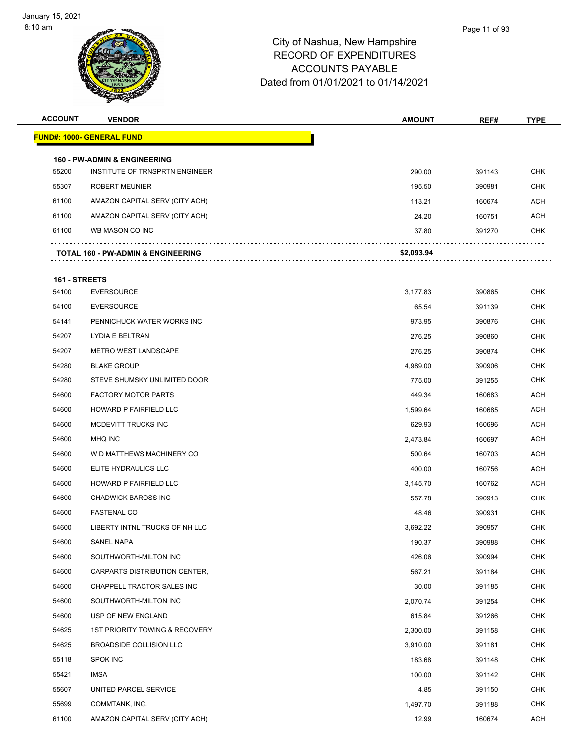

| <b>ACCOUNT</b> | <b>VENDOR</b>                                                             | <b>AMOUNT</b> | REF#   | <b>TYPE</b> |
|----------------|---------------------------------------------------------------------------|---------------|--------|-------------|
|                | <u> FUND#: 1000- GENERAL FUND</u>                                         |               |        |             |
|                |                                                                           |               |        |             |
| 55200          | <b>160 - PW-ADMIN &amp; ENGINEERING</b><br>INSTITUTE OF TRNSPRTN ENGINEER | 290.00        | 391143 | <b>CHK</b>  |
| 55307          | <b>ROBERT MEUNIER</b>                                                     | 195.50        | 390981 | <b>CHK</b>  |
| 61100          | AMAZON CAPITAL SERV (CITY ACH)                                            | 113.21        | 160674 | <b>ACH</b>  |
| 61100          | AMAZON CAPITAL SERV (CITY ACH)                                            | 24.20         | 160751 | ACH         |
| 61100          | WB MASON CO INC                                                           | 37.80         | 391270 | CHK         |
|                |                                                                           |               |        |             |
|                | TOTAL 160 - PW-ADMIN & ENGINEERING                                        | \$2,093.94    |        |             |
| 161 - STREETS  |                                                                           |               |        |             |
| 54100          | <b>EVERSOURCE</b>                                                         | 3,177.83      | 390865 | <b>CHK</b>  |
| 54100          | <b>EVERSOURCE</b>                                                         | 65.54         | 391139 | <b>CHK</b>  |
| 54141          | PENNICHUCK WATER WORKS INC                                                | 973.95        | 390876 | <b>CHK</b>  |
| 54207          | LYDIA E BELTRAN                                                           | 276.25        | 390860 | <b>CHK</b>  |
| 54207          | <b>METRO WEST LANDSCAPE</b>                                               | 276.25        | 390874 | <b>CHK</b>  |
| 54280          | <b>BLAKE GROUP</b>                                                        | 4,989.00      | 390906 | <b>CHK</b>  |
| 54280          | STEVE SHUMSKY UNLIMITED DOOR                                              | 775.00        | 391255 | <b>CHK</b>  |
| 54600          | <b>FACTORY MOTOR PARTS</b>                                                | 449.34        | 160683 | <b>ACH</b>  |
| 54600          | HOWARD P FAIRFIELD LLC                                                    | 1,599.64      | 160685 | ACH         |
| 54600          | MCDEVITT TRUCKS INC                                                       | 629.93        | 160696 | ACH         |
| 54600          | <b>MHQ INC</b>                                                            | 2,473.84      | 160697 | <b>ACH</b>  |
| 54600          | W D MATTHEWS MACHINERY CO                                                 | 500.64        | 160703 | ACH         |
| 54600          | ELITE HYDRAULICS LLC                                                      | 400.00        | 160756 | <b>ACH</b>  |
| 54600          | HOWARD P FAIRFIELD LLC                                                    | 3,145.70      | 160762 | <b>ACH</b>  |
| 54600          | <b>CHADWICK BAROSS INC</b>                                                | 557.78        | 390913 | <b>CHK</b>  |
| 54600          | <b>FASTENAL CO</b>                                                        | 48.46         | 390931 | <b>CHK</b>  |
| 54600          | LIBERTY INTNL TRUCKS OF NH LLC                                            | 3,692.22      | 390957 | <b>CHK</b>  |
| 54600          | SANEL NAPA                                                                | 190.37        | 390988 | <b>CHK</b>  |
| 54600          | SOUTHWORTH-MILTON INC                                                     | 426.06        | 390994 | <b>CHK</b>  |
| 54600          | CARPARTS DISTRIBUTION CENTER,                                             | 567.21        | 391184 | <b>CHK</b>  |
| 54600          | CHAPPELL TRACTOR SALES INC                                                | 30.00         | 391185 | <b>CHK</b>  |
| 54600          | SOUTHWORTH-MILTON INC                                                     | 2,070.74      | 391254 | <b>CHK</b>  |
| 54600          | USP OF NEW ENGLAND                                                        | 615.84        | 391266 | <b>CHK</b>  |
| 54625          | 1ST PRIORITY TOWING & RECOVERY                                            | 2,300.00      | 391158 | <b>CHK</b>  |
| 54625          | BROADSIDE COLLISION LLC                                                   | 3,910.00      | 391181 | <b>CHK</b>  |
| 55118          | <b>SPOK INC</b>                                                           | 183.68        | 391148 | <b>CHK</b>  |
| 55421          | IMSA                                                                      | 100.00        | 391142 | <b>CHK</b>  |
| 55607          | UNITED PARCEL SERVICE                                                     | 4.85          | 391150 | <b>CHK</b>  |
| 55699          | COMMTANK, INC.                                                            | 1,497.70      | 391188 | <b>CHK</b>  |
| 61100          | AMAZON CAPITAL SERV (CITY ACH)                                            | 12.99         | 160674 | ACH         |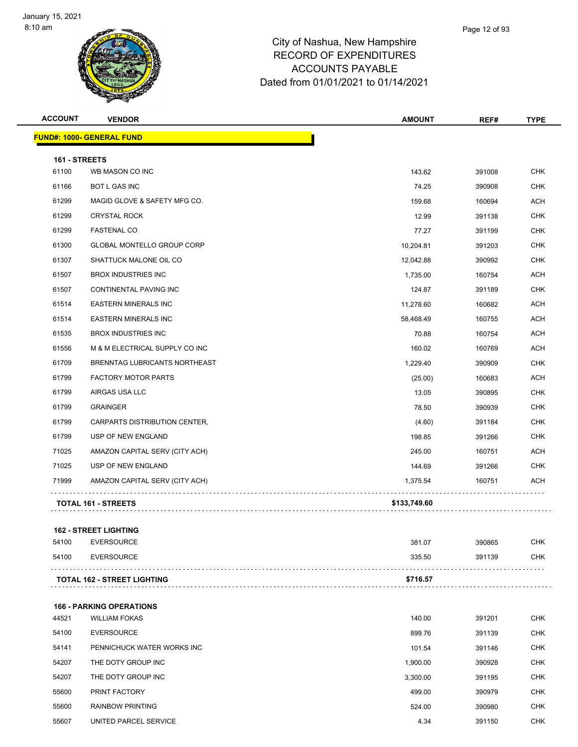

| <b>ACCOUNT</b> | <b>VENDOR</b>                    | AMOUNT       | REF#   | <b>TYPE</b> |
|----------------|----------------------------------|--------------|--------|-------------|
|                | <b>FUND#: 1000- GENERAL FUND</b> |              |        |             |
| 161 - STREETS  |                                  |              |        |             |
| 61100          | WB MASON CO INC                  | 143.62       | 391008 | <b>CHK</b>  |
| 61166          | <b>BOT L GAS INC</b>             | 74.25        | 390908 | <b>CHK</b>  |
| 61299          | MAGID GLOVE & SAFETY MFG CO.     | 159.68       | 160694 | ACH         |
| 61299          | <b>CRYSTAL ROCK</b>              | 12.99        | 391138 | <b>CHK</b>  |
| 61299          | <b>FASTENAL CO</b>               | 77.27        | 391199 | CHK         |
| 61300          | GLOBAL MONTELLO GROUP CORP       | 10,204.81    | 391203 | <b>CHK</b>  |
| 61307          | SHATTUCK MALONE OIL CO           | 12,042.88    | 390992 | <b>CHK</b>  |
| 61507          | <b>BROX INDUSTRIES INC</b>       | 1,735.00     | 160754 | ACH         |
| 61507          | CONTINENTAL PAVING INC           | 124.87       | 391189 | <b>CHK</b>  |
| 61514          | <b>EASTERN MINERALS INC</b>      | 11,278.60    | 160682 | ACH         |
| 61514          | <b>EASTERN MINERALS INC</b>      | 58,468.49    | 160755 | <b>ACH</b>  |
| 61535          | <b>BROX INDUSTRIES INC</b>       | 70.88        | 160754 | <b>ACH</b>  |
| 61556          | M & M ELECTRICAL SUPPLY CO INC   | 160.02       | 160769 | ACH         |
| 61709          | BRENNTAG LUBRICANTS NORTHEAST    | 1,229.40     | 390909 | <b>CHK</b>  |
| 61799          | <b>FACTORY MOTOR PARTS</b>       | (25.00)      | 160683 | ACH         |
| 61799          | AIRGAS USA LLC                   | 13.05        | 390895 | <b>CHK</b>  |
| 61799          | <b>GRAINGER</b>                  | 78.50        | 390939 | <b>CHK</b>  |
| 61799          | CARPARTS DISTRIBUTION CENTER,    | (4.60)       | 391184 | CHK         |
| 61799          | USP OF NEW ENGLAND               | 198.85       | 391266 | <b>CHK</b>  |
| 71025          | AMAZON CAPITAL SERV (CITY ACH)   | 245.00       | 160751 | ACH         |
| 71025          | USP OF NEW ENGLAND               | 144.69       | 391266 | <b>CHK</b>  |
| 71999          | AMAZON CAPITAL SERV (CITY ACH)   | 1,375.54     | 160751 | ACH         |
|                | <b>TOTAL 161 - STREETS</b>       | \$133,749.60 |        |             |
|                |                                  |              |        |             |
|                | <b>162 - STREET LIGHTING</b>     |              |        |             |
| 54100          | <b>EVERSOURCE</b>                | 381.07       | 390865 | <b>CHK</b>  |
| 54100          | <b>EVERSOURCE</b>                | 335.50       | 391139 | <b>CHK</b>  |
|                | TOTAL 162 - STREET LIGHTING      | \$716.57     |        |             |
|                |                                  |              |        |             |
|                | <b>166 - PARKING OPERATIONS</b>  |              |        |             |
| 44521          | <b>WILLIAM FOKAS</b>             | 140.00       | 391201 | CHK         |
| 54100          | <b>EVERSOURCE</b>                | 899.76       | 391139 | CHK         |
| 54141          | PENNICHUCK WATER WORKS INC       | 101.54       | 391146 | <b>CHK</b>  |
| 54207          | THE DOTY GROUP INC               | 1,900.00     | 390928 | CHK         |
| 54207          | THE DOTY GROUP INC               | 3,300.00     | 391195 | <b>CHK</b>  |
| 55600          | PRINT FACTORY                    | 499.00       | 390979 | <b>CHK</b>  |
| 55600          | <b>RAINBOW PRINTING</b>          | 524.00       | 390980 | CHK         |
| 55607          | UNITED PARCEL SERVICE            | 4.34         | 391150 | <b>CHK</b>  |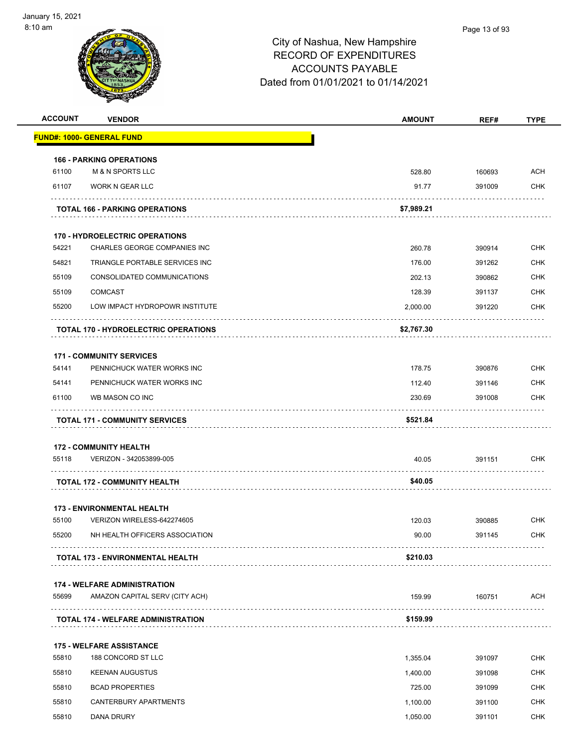| <b>ACCOUNT</b> | <b>VENDOR</b>                                                   | <b>AMOUNT</b> | REF#   | <b>TYPE</b> |
|----------------|-----------------------------------------------------------------|---------------|--------|-------------|
|                | <b>FUND#: 1000- GENERAL FUND</b>                                |               |        |             |
|                | <b>166 - PARKING OPERATIONS</b>                                 |               |        |             |
| 61100          | <b>M &amp; N SPORTS LLC</b>                                     | 528.80        | 160693 | <b>ACH</b>  |
| 61107          | WORK N GEAR LLC                                                 | 91.77         | 391009 | <b>CHK</b>  |
|                | <b>TOTAL 166 - PARKING OPERATIONS</b>                           | \$7,989.21    |        |             |
|                | <b>170 - HYDROELECTRIC OPERATIONS</b>                           |               |        |             |
| 54221          | CHARLES GEORGE COMPANIES INC                                    | 260.78        | 390914 | <b>CHK</b>  |
| 54821          | TRIANGLE PORTABLE SERVICES INC                                  | 176.00        | 391262 | <b>CHK</b>  |
| 55109          | CONSOLIDATED COMMUNICATIONS                                     | 202.13        | 390862 | <b>CHK</b>  |
| 55109          | <b>COMCAST</b>                                                  | 128.39        | 391137 | <b>CHK</b>  |
| 55200          | LOW IMPACT HYDROPOWR INSTITUTE                                  | 2,000.00      | 391220 | CHK         |
|                | <b>TOTAL 170 - HYDROELECTRIC OPERATIONS</b>                     | \$2,767.30    |        |             |
|                | <b>171 - COMMUNITY SERVICES</b>                                 |               |        |             |
| 54141          | PENNICHUCK WATER WORKS INC                                      | 178.75        | 390876 | <b>CHK</b>  |
| 54141          | PENNICHUCK WATER WORKS INC                                      | 112.40        | 391146 | <b>CHK</b>  |
| 61100          | WB MASON CO INC                                                 | 230.69        | 391008 | <b>CHK</b>  |
|                | <b>TOTAL 171 - COMMUNITY SERVICES</b>                           | \$521.84      |        |             |
|                | <b>172 - COMMUNITY HEALTH</b>                                   |               |        |             |
| 55118          | VERIZON - 342053899-005                                         | 40.05         | 391151 | <b>CHK</b>  |
|                | <b>TOTAL 172 - COMMUNITY HEALTH</b>                             | \$40.05       |        |             |
|                |                                                                 |               |        |             |
| 55100          | <b>173 - ENVIRONMENTAL HEALTH</b><br>VERIZON WIRELESS-642274605 | 120.03        | 390885 | <b>CHK</b>  |
| 55200          | NH HEALTH OFFICERS ASSOCIATION                                  | 90.00         | 391145 | <b>CHK</b>  |
|                | <b>TOTAL 173 - ENVIRONMENTAL HEALTH</b>                         | \$210.03      |        |             |
|                |                                                                 |               |        |             |
|                | <b>174 - WELFARE ADMINISTRATION</b>                             |               |        |             |
| 55699          | AMAZON CAPITAL SERV (CITY ACH)                                  | 159.99        | 160751 | <b>ACH</b>  |
|                | <b>TOTAL 174 - WELFARE ADMINISTRATION</b>                       | \$159.99      |        |             |
|                | <b>175 - WELFARE ASSISTANCE</b>                                 |               |        |             |
| 55810          | 188 CONCORD ST LLC                                              | 1,355.04      | 391097 | <b>CHK</b>  |
| 55810          | <b>KEENAN AUGUSTUS</b>                                          | 1,400.00      | 391098 | <b>CHK</b>  |
| 55810          | <b>BCAD PROPERTIES</b>                                          | 725.00        | 391099 | <b>CHK</b>  |
| 55810          | CANTERBURY APARTMENTS                                           | 1,100.00      | 391100 | <b>CHK</b>  |
| 55810          | DANA DRURY                                                      | 1,050.00      | 391101 | <b>CHK</b>  |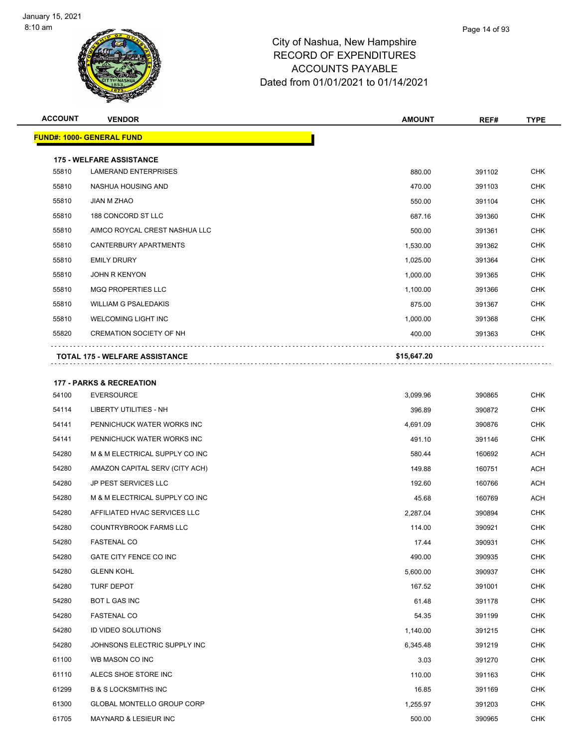| <b>ACCOUNT</b> | <b>VENDOR</b>                       | <b>AMOUNT</b> | REF#   | <b>TYPE</b> |
|----------------|-------------------------------------|---------------|--------|-------------|
|                | <b>FUND#: 1000- GENERAL FUND</b>    |               |        |             |
|                | <b>175 - WELFARE ASSISTANCE</b>     |               |        |             |
| 55810          | <b>LAMERAND ENTERPRISES</b>         | 880.00        | 391102 | <b>CHK</b>  |
| 55810          | NASHUA HOUSING AND                  | 470.00        | 391103 | <b>CHK</b>  |
| 55810          | JIAN M ZHAO                         | 550.00        | 391104 | <b>CHK</b>  |
| 55810          | 188 CONCORD ST LLC                  | 687.16        | 391360 | <b>CHK</b>  |
| 55810          | AIMCO ROYCAL CREST NASHUA LLC       | 500.00        | 391361 | <b>CHK</b>  |
| 55810          | CANTERBURY APARTMENTS               | 1,530.00      | 391362 | <b>CHK</b>  |
| 55810          | <b>EMILY DRURY</b>                  | 1,025.00      | 391364 | <b>CHK</b>  |
| 55810          | <b>JOHN R KENYON</b>                | 1,000.00      | 391365 | <b>CHK</b>  |
| 55810          | <b>MGQ PROPERTIES LLC</b>           | 1,100.00      | 391366 | <b>CHK</b>  |
| 55810          | <b>WILLIAM G PSALEDAKIS</b>         | 875.00        | 391367 | CHK         |
| 55810          | <b>WELCOMING LIGHT INC</b>          | 1,000.00      | 391368 | <b>CHK</b>  |
| 55820          | <b>CREMATION SOCIETY OF NH</b>      | 400.00        | 391363 | <b>CHK</b>  |
|                | TOTAL 175 - WELFARE ASSISTANCE      | \$15,647.20   |        |             |
|                |                                     |               |        |             |
|                | <b>177 - PARKS &amp; RECREATION</b> |               |        |             |
| 54100          | <b>EVERSOURCE</b>                   | 3,099.96      | 390865 | CHK         |
| 54114          | LIBERTY UTILITIES - NH              | 396.89        | 390872 | <b>CHK</b>  |
| 54141          | PENNICHUCK WATER WORKS INC          | 4,691.09      | 390876 | <b>CHK</b>  |
| 54141          | PENNICHUCK WATER WORKS INC          | 491.10        | 391146 | <b>CHK</b>  |
| 54280          | M & M ELECTRICAL SUPPLY CO INC      | 580.44        | 160692 | <b>ACH</b>  |
| 54280          | AMAZON CAPITAL SERV (CITY ACH)      | 149.88        | 160751 | ACH         |
| 54280          | <b>JP PEST SERVICES LLC</b>         | 192.60        | 160766 | <b>ACH</b>  |
| 54280          | M & M ELECTRICAL SUPPLY CO INC      | 45.68         | 160769 | ACH         |
| 54280          | AFFILIATED HVAC SERVICES LLC        | 2,287.04      | 390894 | <b>CHK</b>  |
| 54280          | <b>COUNTRYBROOK FARMS LLC</b>       | 114.00        | 390921 | <b>CHK</b>  |
| 54280          | <b>FASTENAL CO</b>                  | 17.44         | 390931 | <b>CHK</b>  |
| 54280          | GATE CITY FENCE CO INC              | 490.00        | 390935 | <b>CHK</b>  |
| 54280          | <b>GLENN KOHL</b>                   | 5,600.00      | 390937 | <b>CHK</b>  |
| 54280          | TURF DEPOT                          | 167.52        | 391001 | <b>CHK</b>  |
| 54280          | <b>BOT L GAS INC</b>                | 61.48         | 391178 | <b>CHK</b>  |
| 54280          | <b>FASTENAL CO</b>                  | 54.35         | 391199 | <b>CHK</b>  |
| 54280          | ID VIDEO SOLUTIONS                  | 1,140.00      | 391215 | <b>CHK</b>  |
| 54280          | JOHNSONS ELECTRIC SUPPLY INC        | 6,345.48      | 391219 | <b>CHK</b>  |
| 61100          | WB MASON CO INC                     | 3.03          | 391270 | <b>CHK</b>  |
| 61110          | ALECS SHOE STORE INC                | 110.00        | 391163 | <b>CHK</b>  |
| 61299          | <b>B &amp; S LOCKSMITHS INC</b>     | 16.85         | 391169 | <b>CHK</b>  |
| 61300          | GLOBAL MONTELLO GROUP CORP          | 1,255.97      | 391203 | <b>CHK</b>  |
| 61705          | MAYNARD & LESIEUR INC               | 500.00        | 390965 | CHK         |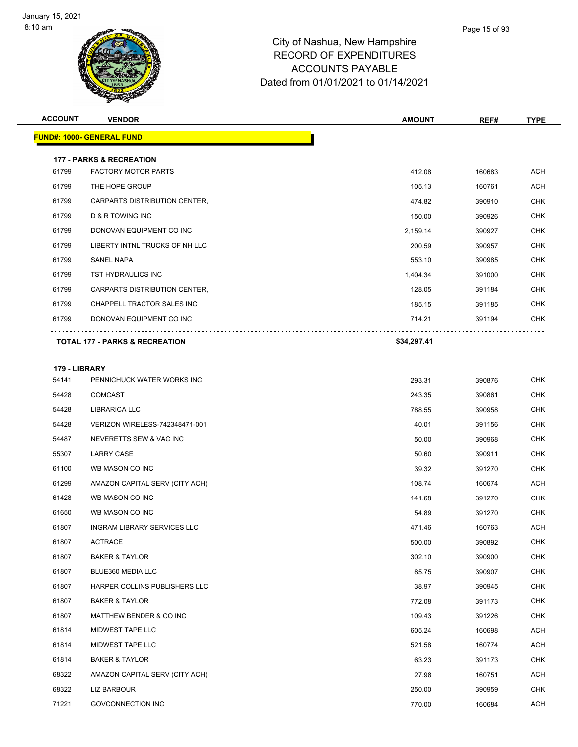

| <b>ACCOUNT</b> | <b>VENDOR</b>                             | <b>AMOUNT</b> | REF#   | <b>TYPE</b> |
|----------------|-------------------------------------------|---------------|--------|-------------|
|                | <b>FUND#: 1000- GENERAL FUND</b>          |               |        |             |
|                | <b>177 - PARKS &amp; RECREATION</b>       |               |        |             |
| 61799          | <b>FACTORY MOTOR PARTS</b>                | 412.08        | 160683 | <b>ACH</b>  |
| 61799          | THE HOPE GROUP                            | 105.13        | 160761 | ACH         |
| 61799          | CARPARTS DISTRIBUTION CENTER,             | 474.82        | 390910 | <b>CHK</b>  |
| 61799          | <b>D &amp; R TOWING INC</b>               | 150.00        | 390926 | <b>CHK</b>  |
| 61799          | DONOVAN EQUIPMENT CO INC                  | 2,159.14      | 390927 | <b>CHK</b>  |
| 61799          | LIBERTY INTNL TRUCKS OF NH LLC            | 200.59        | 390957 | <b>CHK</b>  |
| 61799          | <b>SANEL NAPA</b>                         | 553.10        | 390985 | <b>CHK</b>  |
| 61799          | <b>TST HYDRAULICS INC</b>                 | 1,404.34      | 391000 | <b>CHK</b>  |
| 61799          | CARPARTS DISTRIBUTION CENTER,             | 128.05        | 391184 | <b>CHK</b>  |
| 61799          | <b>CHAPPELL TRACTOR SALES INC</b>         | 185.15        | 391185 | <b>CHK</b>  |
| 61799          | DONOVAN EQUIPMENT CO INC                  | 714.21        | 391194 | <b>CHK</b>  |
|                | <b>TOTAL 177 - PARKS &amp; RECREATION</b> | \$34,297.41   |        |             |
| 179 - LIBRARY  |                                           |               |        |             |
| 54141          | PENNICHUCK WATER WORKS INC                | 293.31        | 390876 | <b>CHK</b>  |

| 54141 | PENNICHUCK WATER WORKS INC         | 293.31 | 390876 | CHK        |
|-------|------------------------------------|--------|--------|------------|
| 54428 | <b>COMCAST</b>                     | 243.35 | 390861 | <b>CHK</b> |
| 54428 | <b>LIBRARICA LLC</b>               | 788.55 | 390958 | <b>CHK</b> |
| 54428 | VERIZON WIRELESS-742348471-001     | 40.01  | 391156 | <b>CHK</b> |
| 54487 | NEVERETTS SEW & VAC INC            | 50.00  | 390968 | <b>CHK</b> |
| 55307 | <b>LARRY CASE</b>                  | 50.60  | 390911 | <b>CHK</b> |
| 61100 | WB MASON CO INC                    | 39.32  | 391270 | <b>CHK</b> |
| 61299 | AMAZON CAPITAL SERV (CITY ACH)     | 108.74 | 160674 | <b>ACH</b> |
| 61428 | WB MASON CO INC                    | 141.68 | 391270 | <b>CHK</b> |
| 61650 | WB MASON CO INC                    | 54.89  | 391270 | <b>CHK</b> |
| 61807 | <b>INGRAM LIBRARY SERVICES LLC</b> | 471.46 | 160763 | <b>ACH</b> |
| 61807 | <b>ACTRACE</b>                     | 500.00 | 390892 | <b>CHK</b> |
| 61807 | <b>BAKER &amp; TAYLOR</b>          | 302.10 | 390900 | <b>CHK</b> |
| 61807 | BLUE360 MEDIA LLC                  | 85.75  | 390907 | <b>CHK</b> |
| 61807 | HARPER COLLINS PUBLISHERS LLC      | 38.97  | 390945 | <b>CHK</b> |
| 61807 | <b>BAKER &amp; TAYLOR</b>          | 772.08 | 391173 | <b>CHK</b> |
| 61807 | MATTHEW BENDER & CO INC            | 109.43 | 391226 | <b>CHK</b> |
| 61814 | MIDWEST TAPE LLC                   | 605.24 | 160698 | <b>ACH</b> |
| 61814 | <b>MIDWEST TAPE LLC</b>            | 521.58 | 160774 | <b>ACH</b> |
| 61814 | <b>BAKER &amp; TAYLOR</b>          | 63.23  | 391173 | <b>CHK</b> |
| 68322 | AMAZON CAPITAL SERV (CITY ACH)     | 27.98  | 160751 | <b>ACH</b> |
| 68322 | <b>LIZ BARBOUR</b>                 | 250.00 | 390959 | <b>CHK</b> |
| 71221 | <b>GOVCONNECTION INC</b>           | 770.00 | 160684 | <b>ACH</b> |
|       |                                    |        |        |            |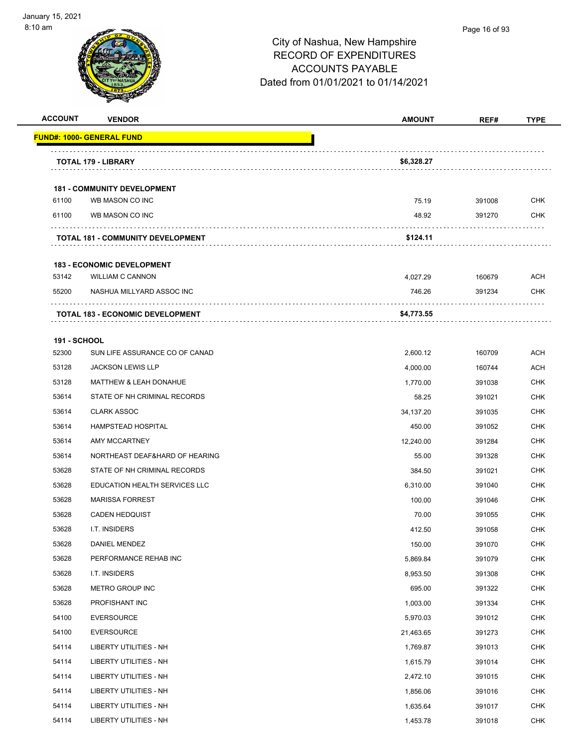

#### Page 16 of 93

| <b>ACCOUNT</b>      | <b>VENDOR</b>                                         | <b>AMOUNT</b> | REF#   | <b>TYPE</b> |
|---------------------|-------------------------------------------------------|---------------|--------|-------------|
|                     | <b>FUND#: 1000- GENERAL FUND</b>                      |               |        |             |
|                     | <b>TOTAL 179 - LIBRARY</b>                            | \$6,328.27    |        |             |
|                     |                                                       |               |        |             |
| 61100               | <b>181 - COMMUNITY DEVELOPMENT</b><br>WB MASON CO INC | 75.19         | 391008 | <b>CHK</b>  |
| 61100               | WB MASON CO INC                                       | 48.92         | 391270 | CHK         |
|                     | <b>TOTAL 181 - COMMUNITY DEVELOPMENT</b>              | \$124.11      |        |             |
|                     | <b>183 - ECONOMIC DEVELOPMENT</b>                     |               |        |             |
| 53142               | <b>WILLIAM C CANNON</b>                               | 4,027.29      | 160679 | ACH         |
| 55200               | NASHUA MILLYARD ASSOC INC                             | 746.26        | 391234 | CHK         |
|                     | <b>TOTAL 183 - ECONOMIC DEVELOPMENT</b>               | \$4,773.55    |        |             |
| <b>191 - SCHOOL</b> |                                                       |               |        |             |
| 52300               | SUN LIFE ASSURANCE CO OF CANAD                        | 2,600.12      | 160709 | <b>ACH</b>  |
| 53128               | <b>JACKSON LEWIS LLP</b>                              | 4,000.00      | 160744 | <b>ACH</b>  |
| 53128               | MATTHEW & LEAH DONAHUE                                | 1,770.00      | 391038 | CHK         |
| 53614               | STATE OF NH CRIMINAL RECORDS                          | 58.25         | 391021 | <b>CHK</b>  |
| 53614               | <b>CLARK ASSOC</b>                                    | 34,137.20     | 391035 | <b>CHK</b>  |
| 53614               | HAMPSTEAD HOSPITAL                                    | 450.00        | 391052 | <b>CHK</b>  |
| 53614               | AMY MCCARTNEY                                         | 12,240.00     | 391284 | <b>CHK</b>  |
| 53614               | NORTHEAST DEAF&HARD OF HEARING                        | 55.00         | 391328 | CHK         |
| 53628               | STATE OF NH CRIMINAL RECORDS                          | 384.50        | 391021 | <b>CHK</b>  |
| 53628               | EDUCATION HEALTH SERVICES LLC                         | 6,310.00      | 391040 | CHK         |
| 53628               | <b>MARISSA FORREST</b>                                | 100.00        | 391046 | <b>CHK</b>  |
| 53628               | <b>CADEN HEDQUIST</b>                                 | 70.00         | 391055 | <b>CHK</b>  |
| 53628               | I.T. INSIDERS                                         | 412.50        | 391058 | CHK         |
| 53628               | DANIEL MENDEZ                                         | 150.00        | 391070 | <b>CHK</b>  |
| 53628               | PERFORMANCE REHAB INC                                 | 5,869.84      | 391079 | <b>CHK</b>  |
| 53628               | I.T. INSIDERS                                         | 8,953.50      | 391308 | <b>CHK</b>  |
| 53628               | METRO GROUP INC                                       | 695.00        | 391322 | <b>CHK</b>  |
| 53628               | PROFISHANT INC                                        | 1,003.00      | 391334 | <b>CHK</b>  |
| 54100               | <b>EVERSOURCE</b>                                     | 5,970.03      | 391012 | <b>CHK</b>  |
| 54100               | <b>EVERSOURCE</b>                                     | 21,463.65     | 391273 | <b>CHK</b>  |
| 54114               | <b>LIBERTY UTILITIES - NH</b>                         | 1,769.87      | 391013 | <b>CHK</b>  |
| 54114               | <b>LIBERTY UTILITIES - NH</b>                         | 1,615.79      | 391014 | <b>CHK</b>  |
| 54114               | LIBERTY UTILITIES - NH                                | 2,472.10      | 391015 | <b>CHK</b>  |
| 54114               | LIBERTY UTILITIES - NH                                | 1,856.06      | 391016 | <b>CHK</b>  |
| 54114               | <b>LIBERTY UTILITIES - NH</b>                         | 1,635.64      | 391017 | <b>CHK</b>  |
| 54114               | LIBERTY UTILITIES - NH                                | 1,453.78      | 391018 | <b>CHK</b>  |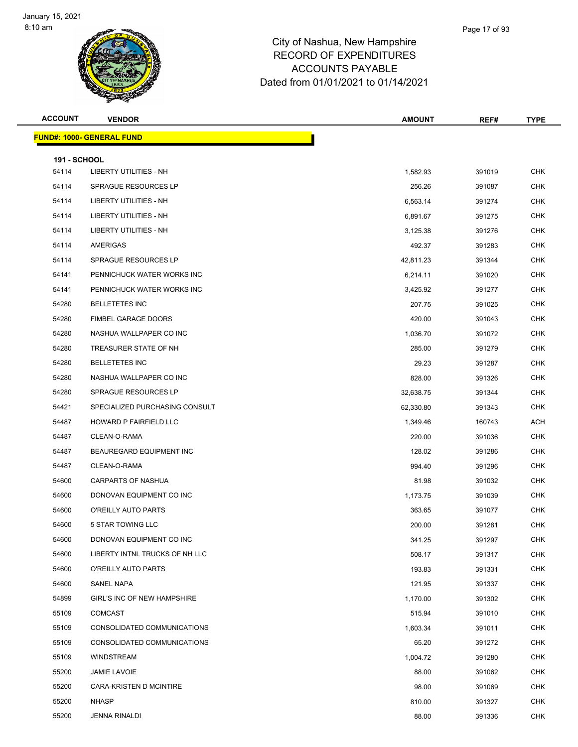| <b>ACCOUNT</b>      | <b>VENDOR</b>                    | <b>AMOUNT</b> | REF#   | <b>TYPE</b> |
|---------------------|----------------------------------|---------------|--------|-------------|
|                     | <b>FUND#: 1000- GENERAL FUND</b> |               |        |             |
| <b>191 - SCHOOL</b> |                                  |               |        |             |
| 54114               | LIBERTY UTILITIES - NH           | 1,582.93      | 391019 | <b>CHK</b>  |
| 54114               | SPRAGUE RESOURCES LP             | 256.26        | 391087 | <b>CHK</b>  |
| 54114               | LIBERTY UTILITIES - NH           | 6,563.14      | 391274 | <b>CHK</b>  |
| 54114               | LIBERTY UTILITIES - NH           | 6,891.67      | 391275 | <b>CHK</b>  |
| 54114               | LIBERTY UTILITIES - NH           | 3,125.38      | 391276 | <b>CHK</b>  |
| 54114               | AMERIGAS                         | 492.37        | 391283 | <b>CHK</b>  |
| 54114               | SPRAGUE RESOURCES LP             | 42,811.23     | 391344 | <b>CHK</b>  |
| 54141               | PENNICHUCK WATER WORKS INC       | 6,214.11      | 391020 | <b>CHK</b>  |
| 54141               | PENNICHUCK WATER WORKS INC       | 3,425.92      | 391277 | <b>CHK</b>  |
| 54280               | <b>BELLETETES INC</b>            | 207.75        | 391025 | <b>CHK</b>  |
| 54280               | <b>FIMBEL GARAGE DOORS</b>       | 420.00        | 391043 | <b>CHK</b>  |
| 54280               | NASHUA WALLPAPER CO INC          | 1,036.70      | 391072 | <b>CHK</b>  |
| 54280               | TREASURER STATE OF NH            | 285.00        | 391279 | <b>CHK</b>  |
| 54280               | <b>BELLETETES INC</b>            | 29.23         | 391287 | <b>CHK</b>  |
| 54280               | NASHUA WALLPAPER CO INC          | 828.00        | 391326 | <b>CHK</b>  |
| 54280               | <b>SPRAGUE RESOURCES LP</b>      | 32,638.75     | 391344 | <b>CHK</b>  |
| 54421               | SPECIALIZED PURCHASING CONSULT   | 62,330.80     | 391343 | <b>CHK</b>  |
| 54487               | HOWARD P FAIRFIELD LLC           | 1,349.46      | 160743 | <b>ACH</b>  |
| 54487               | CLEAN-O-RAMA                     | 220.00        | 391036 | <b>CHK</b>  |
| 54487               | BEAUREGARD EQUIPMENT INC         | 128.02        | 391286 | <b>CHK</b>  |
| 54487               | CLEAN-O-RAMA                     | 994.40        | 391296 | <b>CHK</b>  |
| 54600               | CARPARTS OF NASHUA               | 81.98         | 391032 | <b>CHK</b>  |
| 54600               | DONOVAN EQUIPMENT CO INC         | 1,173.75      | 391039 | <b>CHK</b>  |
| 54600               | O'REILLY AUTO PARTS              | 363.65        | 391077 | <b>CHK</b>  |
| 54600               | <b>5 STAR TOWING LLC</b>         | 200.00        | 391281 | CHK         |
| 54600               | DONOVAN EQUIPMENT CO INC         | 341.25        | 391297 | <b>CHK</b>  |
| 54600               | LIBERTY INTNL TRUCKS OF NH LLC   | 508.17        | 391317 | <b>CHK</b>  |
| 54600               | O'REILLY AUTO PARTS              | 193.83        | 391331 | <b>CHK</b>  |
| 54600               | SANEL NAPA                       | 121.95        | 391337 | CHK         |
| 54899               | GIRL'S INC OF NEW HAMPSHIRE      | 1,170.00      | 391302 | <b>CHK</b>  |
| 55109               | <b>COMCAST</b>                   | 515.94        | 391010 | <b>CHK</b>  |
| 55109               | CONSOLIDATED COMMUNICATIONS      | 1,603.34      | 391011 | CHK         |
| 55109               | CONSOLIDATED COMMUNICATIONS      | 65.20         | 391272 | <b>CHK</b>  |
| 55109               | <b>WINDSTREAM</b>                | 1,004.72      | 391280 | CHK         |
| 55200               | <b>JAMIE LAVOIE</b>              | 88.00         | 391062 | <b>CHK</b>  |
| 55200               | CARA-KRISTEN D MCINTIRE          | 98.00         | 391069 | CHK         |
| 55200               | <b>NHASP</b>                     | 810.00        | 391327 | CHK         |
| 55200               | <b>JENNA RINALDI</b>             | 88.00         | 391336 | <b>CHK</b>  |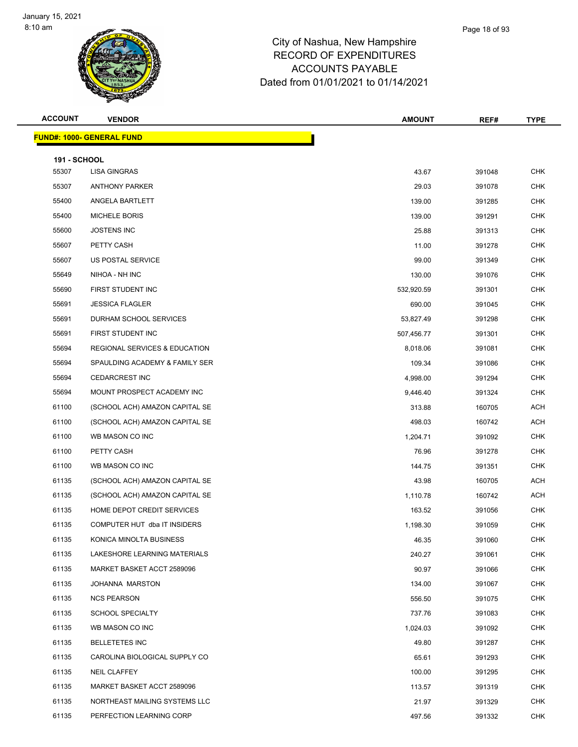Page 18 of 93

| <b>ACCOUNT</b>      | <b>VENDOR</b>                            | <b>AMOUNT</b> | REF#   | <b>TYPE</b> |
|---------------------|------------------------------------------|---------------|--------|-------------|
|                     | <b>FUND#: 1000- GENERAL FUND</b>         |               |        |             |
| <b>191 - SCHOOL</b> |                                          |               |        |             |
| 55307               | <b>LISA GINGRAS</b>                      | 43.67         | 391048 | <b>CHK</b>  |
| 55307               | <b>ANTHONY PARKER</b>                    | 29.03         | 391078 | CHK         |
| 55400               | ANGELA BARTLETT                          | 139.00        | 391285 | <b>CHK</b>  |
| 55400               | <b>MICHELE BORIS</b>                     | 139.00        | 391291 | <b>CHK</b>  |
| 55600               | <b>JOSTENS INC</b>                       | 25.88         | 391313 | <b>CHK</b>  |
| 55607               | PETTY CASH                               | 11.00         | 391278 | <b>CHK</b>  |
| 55607               | US POSTAL SERVICE                        | 99.00         | 391349 | CHK         |
| 55649               | NIHOA - NH INC                           | 130.00        | 391076 | <b>CHK</b>  |
| 55690               | FIRST STUDENT INC                        | 532,920.59    | 391301 | <b>CHK</b>  |
| 55691               | <b>JESSICA FLAGLER</b>                   | 690.00        | 391045 | <b>CHK</b>  |
| 55691               | DURHAM SCHOOL SERVICES                   | 53,827.49     | 391298 | <b>CHK</b>  |
| 55691               | FIRST STUDENT INC                        | 507,456.77    | 391301 | <b>CHK</b>  |
| 55694               | <b>REGIONAL SERVICES &amp; EDUCATION</b> | 8,018.06      | 391081 | <b>CHK</b>  |
| 55694               | SPAULDING ACADEMY & FAMILY SER           | 109.34        | 391086 | <b>CHK</b>  |
| 55694               | <b>CEDARCREST INC</b>                    | 4,998.00      | 391294 | <b>CHK</b>  |
| 55694               | MOUNT PROSPECT ACADEMY INC               | 9,446.40      | 391324 | <b>CHK</b>  |
| 61100               | (SCHOOL ACH) AMAZON CAPITAL SE           | 313.88        | 160705 | <b>ACH</b>  |
| 61100               | (SCHOOL ACH) AMAZON CAPITAL SE           | 498.03        | 160742 | <b>ACH</b>  |
| 61100               | WB MASON CO INC                          | 1,204.71      | 391092 | <b>CHK</b>  |
| 61100               | PETTY CASH                               | 76.96         | 391278 | <b>CHK</b>  |
| 61100               | WB MASON CO INC                          | 144.75        | 391351 | <b>CHK</b>  |
| 61135               | (SCHOOL ACH) AMAZON CAPITAL SE           | 43.98         | 160705 | <b>ACH</b>  |
| 61135               | (SCHOOL ACH) AMAZON CAPITAL SE           | 1,110.78      | 160742 | <b>ACH</b>  |
| 61135               | HOME DEPOT CREDIT SERVICES               | 163.52        | 391056 | CHK         |
| 61135               | COMPUTER HUT dba IT INSIDERS             | 1,198.30      | 391059 | <b>CHK</b>  |
| 61135               | KONICA MINOLTA BUSINESS                  | 46.35         | 391060 | CHK         |
| 61135               | LAKESHORE LEARNING MATERIALS             | 240.27        | 391061 | CHK         |
| 61135               | MARKET BASKET ACCT 2589096               | 90.97         | 391066 | <b>CHK</b>  |
| 61135               | JOHANNA MARSTON                          | 134.00        | 391067 | CHK         |
| 61135               | <b>NCS PEARSON</b>                       | 556.50        | 391075 | <b>CHK</b>  |
| 61135               | SCHOOL SPECIALTY                         | 737.76        | 391083 | CHK         |
| 61135               | WB MASON CO INC                          | 1,024.03      | 391092 | CHK         |
| 61135               | <b>BELLETETES INC</b>                    | 49.80         | 391287 | <b>CHK</b>  |
| 61135               | CAROLINA BIOLOGICAL SUPPLY CO            | 65.61         | 391293 | <b>CHK</b>  |
| 61135               | NEIL CLAFFEY                             | 100.00        | 391295 | <b>CHK</b>  |
| 61135               | MARKET BASKET ACCT 2589096               | 113.57        | 391319 | CHK         |
| 61135               | NORTHEAST MAILING SYSTEMS LLC            | 21.97         | 391329 | CHK         |
| 61135               | PERFECTION LEARNING CORP                 | 497.56        | 391332 | <b>CHK</b>  |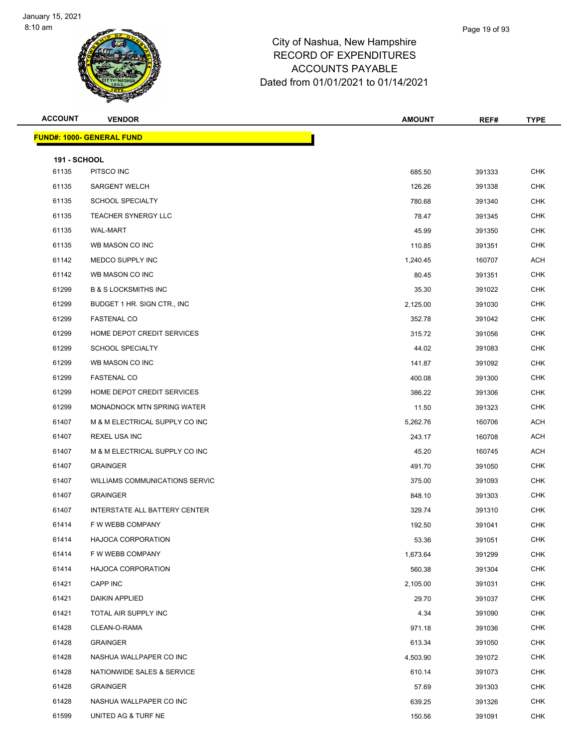| <b>ACCOUNT</b>               | <b>VENDOR</b>                         | <b>AMOUNT</b> | REF#   | <b>TYPE</b> |
|------------------------------|---------------------------------------|---------------|--------|-------------|
|                              | <b>FUND#: 1000- GENERAL FUND</b>      |               |        |             |
|                              |                                       |               |        |             |
| <b>191 - SCHOOL</b><br>61135 | PITSCO INC                            | 685.50        | 391333 | <b>CHK</b>  |
| 61135                        | <b>SARGENT WELCH</b>                  | 126.26        | 391338 | <b>CHK</b>  |
| 61135                        | SCHOOL SPECIALTY                      | 780.68        | 391340 | <b>CHK</b>  |
| 61135                        | <b>TEACHER SYNERGY LLC</b>            | 78.47         | 391345 | <b>CHK</b>  |
| 61135                        | <b>WAL-MART</b>                       | 45.99         | 391350 | <b>CHK</b>  |
| 61135                        | WB MASON CO INC                       | 110.85        | 391351 | CHK         |
| 61142                        | MEDCO SUPPLY INC                      | 1,240.45      | 160707 | ACH         |
| 61142                        | WB MASON CO INC                       | 80.45         | 391351 | <b>CHK</b>  |
| 61299                        | <b>B &amp; S LOCKSMITHS INC</b>       | 35.30         | 391022 | CHK         |
| 61299                        | BUDGET 1 HR. SIGN CTR., INC.          | 2,125.00      | 391030 | <b>CHK</b>  |
| 61299                        | <b>FASTENAL CO</b>                    | 352.78        | 391042 | <b>CHK</b>  |
| 61299                        | HOME DEPOT CREDIT SERVICES            | 315.72        | 391056 | CHK         |
| 61299                        | <b>SCHOOL SPECIALTY</b>               | 44.02         | 391083 | <b>CHK</b>  |
| 61299                        | WB MASON CO INC                       | 141.87        | 391092 | <b>CHK</b>  |
| 61299                        | <b>FASTENAL CO</b>                    | 400.08        | 391300 | <b>CHK</b>  |
| 61299                        | HOME DEPOT CREDIT SERVICES            | 386.22        | 391306 | CHK         |
| 61299                        | MONADNOCK MTN SPRING WATER            | 11.50         | 391323 | CHK         |
| 61407                        | M & M ELECTRICAL SUPPLY CO INC        | 5,262.76      | 160706 | ACH         |
| 61407                        | REXEL USA INC                         | 243.17        | 160708 | ACH         |
| 61407                        | M & M ELECTRICAL SUPPLY CO INC        | 45.20         | 160745 | ACH         |
| 61407                        | <b>GRAINGER</b>                       | 491.70        | 391050 | <b>CHK</b>  |
| 61407                        | <b>WILLIAMS COMMUNICATIONS SERVIC</b> | 375.00        | 391093 | CHK         |
| 61407                        | <b>GRAINGER</b>                       | 848.10        | 391303 | <b>CHK</b>  |
| 61407                        | INTERSTATE ALL BATTERY CENTER         | 329.74        | 391310 | <b>CHK</b>  |
| 61414                        | F W WEBB COMPANY                      | 192.50        | 391041 | <b>CHK</b>  |
| 61414                        | HAJOCA CORPORATION                    | 53.36         | 391051 | CHK         |
| 61414                        | F W WEBB COMPANY                      | 1,673.64      | 391299 | <b>CHK</b>  |
| 61414                        | <b>HAJOCA CORPORATION</b>             | 560.38        | 391304 | <b>CHK</b>  |
| 61421                        | CAPP INC                              | 2,105.00      | 391031 | CHK         |
| 61421                        | DAIKIN APPLIED                        | 29.70         | 391037 | <b>CHK</b>  |
| 61421                        | TOTAL AIR SUPPLY INC                  | 4.34          | 391090 | CHK         |
| 61428                        | CLEAN-O-RAMA                          | 971.18        | 391036 | CHK         |
| 61428                        | <b>GRAINGER</b>                       | 613.34        | 391050 | <b>CHK</b>  |
| 61428                        | NASHUA WALLPAPER CO INC               | 4,503.90      | 391072 | CHK         |
| 61428                        | NATIONWIDE SALES & SERVICE            | 610.14        | 391073 | CHK         |
| 61428                        | <b>GRAINGER</b>                       | 57.69         | 391303 | CHK         |
| 61428                        | NASHUA WALLPAPER CO INC               | 639.25        | 391326 | CHK         |
| 61599                        | UNITED AG & TURF NE                   | 150.56        | 391091 | <b>CHK</b>  |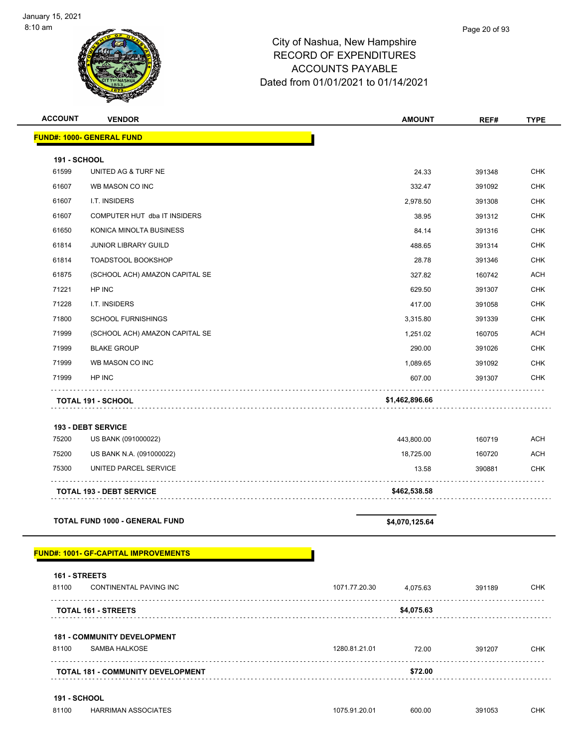| <b>ACCOUNT</b>      | <b>VENDOR</b>                               | <b>AMOUNT</b>                  | REF#   | <b>TYPE</b> |
|---------------------|---------------------------------------------|--------------------------------|--------|-------------|
|                     | <b>FUND#: 1000- GENERAL FUND</b>            |                                |        |             |
| <b>191 - SCHOOL</b> |                                             |                                |        |             |
| 61599               | UNITED AG & TURF NE                         | 24.33                          | 391348 | <b>CHK</b>  |
| 61607               | WB MASON CO INC                             | 332.47                         | 391092 | <b>CHK</b>  |
| 61607               | I.T. INSIDERS                               | 2,978.50                       | 391308 | <b>CHK</b>  |
| 61607               | COMPUTER HUT dba IT INSIDERS                | 38.95                          | 391312 | <b>CHK</b>  |
| 61650               | KONICA MINOLTA BUSINESS                     | 84.14                          | 391316 | <b>CHK</b>  |
| 61814               | <b>JUNIOR LIBRARY GUILD</b>                 | 488.65                         | 391314 | <b>CHK</b>  |
| 61814               | <b>TOADSTOOL BOOKSHOP</b>                   | 28.78                          | 391346 | <b>CHK</b>  |
| 61875               | (SCHOOL ACH) AMAZON CAPITAL SE              | 327.82                         | 160742 | <b>ACH</b>  |
| 71221               | HP INC                                      | 629.50                         | 391307 | <b>CHK</b>  |
| 71228               | I.T. INSIDERS                               | 417.00                         | 391058 | <b>CHK</b>  |
| 71800               | <b>SCHOOL FURNISHINGS</b>                   | 3,315.80                       | 391339 | <b>CHK</b>  |
| 71999               | (SCHOOL ACH) AMAZON CAPITAL SE              | 1,251.02                       | 160705 | <b>ACH</b>  |
| 71999               | <b>BLAKE GROUP</b>                          | 290.00                         | 391026 | <b>CHK</b>  |
| 71999               | WB MASON CO INC                             | 1,089.65                       | 391092 | <b>CHK</b>  |
| 71999               | HP INC                                      | 607.00                         | 391307 | <b>CHK</b>  |
|                     | <b>TOTAL 191 - SCHOOL</b>                   | \$1,462,896.66                 |        |             |
|                     | <b>193 - DEBT SERVICE</b>                   |                                |        |             |
| 75200               | US BANK (091000022)                         | 443,800.00                     | 160719 | <b>ACH</b>  |
| 75200               | US BANK N.A. (091000022)                    | 18,725.00                      | 160720 | <b>ACH</b>  |
| 75300               | UNITED PARCEL SERVICE                       | 13.58                          | 390881 | <b>CHK</b>  |
|                     | <b>TOTAL 193 - DEBT SERVICE</b>             | \$462,538.58                   |        |             |
|                     |                                             |                                |        |             |
|                     | <b>TOTAL FUND 1000 - GENERAL FUND</b>       | \$4,070,125.64                 |        |             |
|                     | <b>FUND#: 1001- GF-CAPITAL IMPROVEMENTS</b> |                                |        |             |
| 161 - STREETS       |                                             |                                |        |             |
| 81100               | CONTINENTAL PAVING INC                      | 1071.77.20.30<br>4,075.63<br>. | 391189 | <b>CHK</b>  |
|                     | <b>TOTAL 161 - STREETS</b>                  | \$4,075.63                     |        |             |
|                     | <b>181 - COMMUNITY DEVELOPMENT</b>          |                                |        |             |
| 81100               | <b>SAMBA HALKOSE</b>                        | 1280.81.21.01<br>72.00         | 391207 | <b>CHK</b>  |
|                     | TOTAL 181 - COMMUNITY DEVELOPMENT           | \$72.00                        |        |             |
| <b>191 - SCHOOL</b> |                                             |                                |        |             |
| 81100               | <b>HARRIMAN ASSOCIATES</b>                  | 1075.91.20.01<br>600.00        | 391053 | <b>CHK</b>  |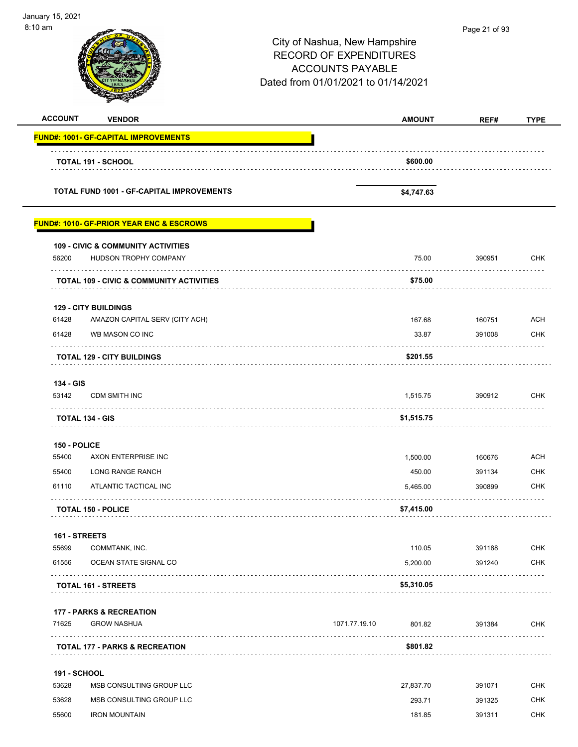| January 15, 2021<br>8:10 am |                                                     | City of Nashua, New Hampshire<br><b>RECORD OF EXPENDITURES</b><br><b>ACCOUNTS PAYABLE</b><br>Dated from 01/01/2021 to 01/14/2021 |               |        |             |
|-----------------------------|-----------------------------------------------------|----------------------------------------------------------------------------------------------------------------------------------|---------------|--------|-------------|
| <b>ACCOUNT</b>              | <b>VENDOR</b>                                       |                                                                                                                                  | <b>AMOUNT</b> | REF#   | <b>TYPE</b> |
|                             | <b>FUND#: 1001- GF-CAPITAL IMPROVEMENTS</b>         |                                                                                                                                  |               |        |             |
|                             | <b>TOTAL 191 - SCHOOL</b>                           |                                                                                                                                  | \$600.00      |        |             |
|                             | <b>TOTAL FUND 1001 - GF-CAPITAL IMPROVEMENTS</b>    |                                                                                                                                  | \$4,747.63    |        |             |
|                             | <b>FUND#: 1010- GF-PRIOR YEAR ENC &amp; ESCROWS</b> |                                                                                                                                  |               |        |             |
|                             | <b>109 - CIVIC &amp; COMMUNITY ACTIVITIES</b>       |                                                                                                                                  |               |        |             |
| 56200                       | HUDSON TROPHY COMPANY                               |                                                                                                                                  | 75.00         | 390951 | <b>CHK</b>  |
|                             | <b>TOTAL 109 - CIVIC &amp; COMMUNITY ACTIVITIES</b> |                                                                                                                                  | \$75.00       |        |             |
|                             | <b>129 - CITY BUILDINGS</b>                         |                                                                                                                                  |               |        |             |
| 61428                       | AMAZON CAPITAL SERV (CITY ACH)<br>WB MASON CO INC   |                                                                                                                                  | 167.68        | 160751 | <b>ACH</b>  |
| 61428                       |                                                     |                                                                                                                                  | 33.87         | 391008 | <b>CHK</b>  |
|                             | <b>TOTAL 129 - CITY BUILDINGS</b>                   |                                                                                                                                  | \$201.55      |        |             |
| 134 - GIS<br>53142          | <b>CDM SMITH INC</b>                                |                                                                                                                                  | 1,515.75      | 390912 | <b>CHK</b>  |
|                             | <b>TOTAL 134 - GIS</b>                              |                                                                                                                                  | \$1,515.75    |        |             |
|                             |                                                     |                                                                                                                                  |               |        |             |
| 150 - POLICE<br>55400       | AXON ENTERPRISE INC                                 |                                                                                                                                  | 1,500.00      | 160676 | <b>ACH</b>  |
| 55400                       | LONG RANGE RANCH                                    |                                                                                                                                  | 450.00        | 391134 | <b>CHK</b>  |
| 61110                       | ATLANTIC TACTICAL INC                               |                                                                                                                                  | 5,465.00      | 390899 | <b>CHK</b>  |
|                             | <b>TOTAL 150 - POLICE</b>                           |                                                                                                                                  | \$7,415.00    |        |             |
| 161 - STREETS               |                                                     |                                                                                                                                  |               |        |             |
| 55699                       | COMMTANK, INC.                                      |                                                                                                                                  | 110.05        | 391188 | <b>CHK</b>  |
| 61556                       | OCEAN STATE SIGNAL CO                               |                                                                                                                                  | 5,200.00      | 391240 | <b>CHK</b>  |
|                             | TOTAL 161 - STREETS                                 |                                                                                                                                  | \$5,310.05    |        |             |
|                             | <b>177 - PARKS &amp; RECREATION</b>                 |                                                                                                                                  |               |        |             |
| 71625                       | <b>GROW NASHUA</b>                                  | 1071.77.19.10                                                                                                                    | 801.82        | 391384 | <b>CHK</b>  |
|                             | <b>TOTAL 177 - PARKS &amp; RECREATION</b>           |                                                                                                                                  | \$801.82      |        |             |
| <b>191 - SCHOOL</b>         |                                                     |                                                                                                                                  |               |        |             |
| 53628                       | MSB CONSULTING GROUP LLC                            |                                                                                                                                  | 27,837.70     | 391071 | <b>CHK</b>  |
| 53628                       | MSB CONSULTING GROUP LLC                            |                                                                                                                                  | 293.71        | 391325 | CHK         |
| 55600                       | <b>IRON MOUNTAIN</b>                                |                                                                                                                                  | 181.85        | 391311 | <b>CHK</b>  |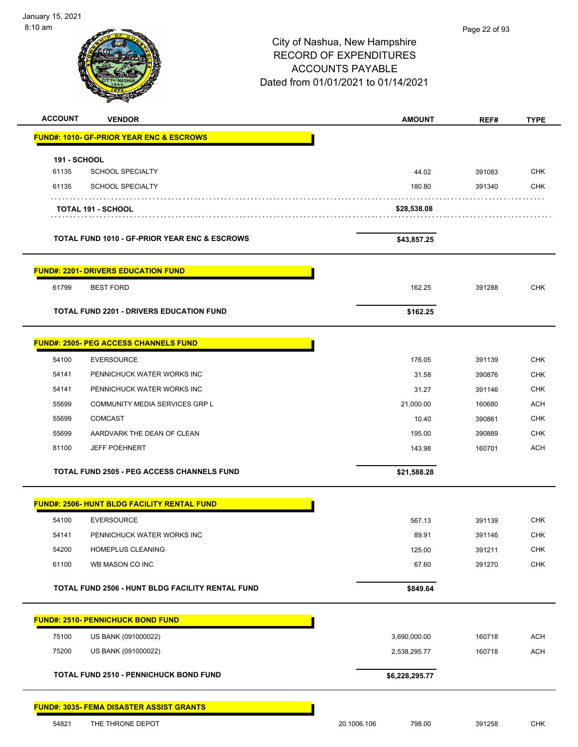e so

|                                                          | City of Nashua, New Hampshire<br><b>RECORD OF EXPENDITURES</b><br><b>ACCOUNTS PAYABLE</b><br>Dated from 01/01/2021 to 01/14/2021 |        |             |
|----------------------------------------------------------|----------------------------------------------------------------------------------------------------------------------------------|--------|-------------|
| <b>ACCOUNT</b><br><b>VENDOR</b>                          | <b>AMOUNT</b>                                                                                                                    | REF#   | <b>TYPE</b> |
| <b>FUND#: 1010- GF-PRIOR YEAR ENC &amp; ESCROWS</b>      |                                                                                                                                  |        |             |
| <b>191 - SCHOOL</b>                                      |                                                                                                                                  |        |             |
| <b>SCHOOL SPECIALTY</b><br>61135                         | 44.02                                                                                                                            | 391083 | <b>CHK</b>  |
| 61135<br><b>SCHOOL SPECIALTY</b>                         | 180.80                                                                                                                           | 391340 | <b>CHK</b>  |
| <b>TOTAL 191 - SCHOOL</b>                                | \$28,538.08                                                                                                                      |        |             |
| <b>TOTAL FUND 1010 - GF-PRIOR YEAR ENC &amp; ESCROWS</b> | \$43,857.25                                                                                                                      |        |             |
| <b>FUND#: 2201- DRIVERS EDUCATION FUND</b>               |                                                                                                                                  |        |             |
| 61799<br><b>BEST FORD</b>                                | 162.25                                                                                                                           | 391288 | <b>CHK</b>  |
| <b>TOTAL FUND 2201 - DRIVERS EDUCATION FUND</b>          | \$162.25                                                                                                                         |        |             |
| <b>FUND#: 2505- PEG ACCESS CHANNELS FUND</b>             |                                                                                                                                  |        |             |
| 54100<br><b>EVERSOURCE</b>                               | 176.05                                                                                                                           | 391139 | <b>CHK</b>  |
| 54141<br>PENNICHUCK WATER WORKS INC                      | 31.58                                                                                                                            | 390876 | <b>CHK</b>  |
| 54141<br>PENNICHUCK WATER WORKS INC                      | 31.27                                                                                                                            | 391146 | <b>CHK</b>  |
| COMMUNITY MEDIA SERVICES GRP L<br>55699                  | 21,000.00                                                                                                                        | 160680 | <b>ACH</b>  |
| 55699<br><b>COMCAST</b>                                  | 10.40                                                                                                                            | 390861 | <b>CHK</b>  |
| 55699<br>AARDVARK THE DEAN OF CLEAN                      | 195.00                                                                                                                           | 390889 | <b>CHK</b>  |
| 81100<br><b>JEFF POEHNERT</b>                            | 143.98                                                                                                                           | 160701 | <b>ACH</b>  |
| <b>TOTAL FUND 2505 - PEG ACCESS CHANNELS FUND</b>        | \$21,588.28                                                                                                                      |        |             |
| <b>FUND#: 2506- HUNT BLDG FACILITY RENTAL FUND</b>       |                                                                                                                                  |        |             |
| 54100<br><b>EVERSOURCE</b>                               | 567.13                                                                                                                           | 391139 | <b>CHK</b>  |
| 54141<br>PENNICHUCK WATER WORKS INC                      | 89.91                                                                                                                            | 391146 | <b>CHK</b>  |
| 54200<br><b>HOMEPLUS CLEANING</b>                        | 125.00                                                                                                                           | 391211 | CHK         |
| 61100<br>WB MASON CO INC                                 | 67.60                                                                                                                            | 391270 | <b>CHK</b>  |
| TOTAL FUND 2506 - HUNT BLDG FACILITY RENTAL FUND         | \$849.64                                                                                                                         |        |             |
| FUND#: 2510- PENNICHUCK BOND FUND                        |                                                                                                                                  |        |             |
| 75100<br>US BANK (091000022)                             | 3,690,000.00                                                                                                                     | 160718 | <b>ACH</b>  |
| 75200<br>US BANK (091000022)                             | 2,538,295.77                                                                                                                     | 160718 | <b>ACH</b>  |
| <b>TOTAL FUND 2510 - PENNICHUCK BOND FUND</b>            | \$6,228,295.77                                                                                                                   |        |             |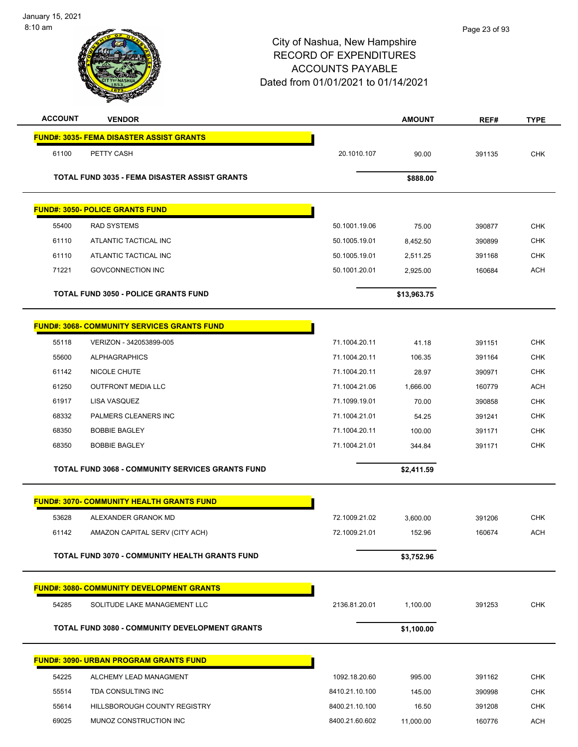| <b>ACCOUNT</b> | <b>VENDOR</b>                                        |                | <b>AMOUNT</b> | REF#   | <b>TYPE</b> |
|----------------|------------------------------------------------------|----------------|---------------|--------|-------------|
|                | <b>FUND#: 3035- FEMA DISASTER ASSIST GRANTS</b>      |                |               |        |             |
| 61100          | PETTY CASH                                           | 20.1010.107    | 90.00         | 391135 | <b>CHK</b>  |
|                | <b>TOTAL FUND 3035 - FEMA DISASTER ASSIST GRANTS</b> |                | \$888.00      |        |             |
|                | <b>FUND#: 3050- POLICE GRANTS FUND</b>               |                |               |        |             |
| 55400          | <b>RAD SYSTEMS</b>                                   | 50.1001.19.06  | 75.00         | 390877 | <b>CHK</b>  |
| 61110          | ATLANTIC TACTICAL INC                                | 50.1005.19.01  | 8,452.50      | 390899 | <b>CHK</b>  |
| 61110          | ATLANTIC TACTICAL INC                                | 50.1005.19.01  | 2,511.25      | 391168 | <b>CHK</b>  |
| 71221          | <b>GOVCONNECTION INC</b>                             | 50.1001.20.01  | 2,925.00      | 160684 | <b>ACH</b>  |
|                | <b>TOTAL FUND 3050 - POLICE GRANTS FUND</b>          |                | \$13,963.75   |        |             |
|                | <b>FUND#: 3068- COMMUNITY SERVICES GRANTS FUND</b>   |                |               |        |             |
| 55118          | VERIZON - 342053899-005                              | 71.1004.20.11  | 41.18         | 391151 | <b>CHK</b>  |
| 55600          | <b>ALPHAGRAPHICS</b>                                 | 71.1004.20.11  | 106.35        | 391164 | <b>CHK</b>  |
| 61142          | <b>NICOLE CHUTE</b>                                  | 71.1004.20.11  | 28.97         | 390971 | <b>CHK</b>  |
| 61250          | <b>OUTFRONT MEDIA LLC</b>                            | 71.1004.21.06  | 1,666.00      | 160779 | <b>ACH</b>  |
| 61917          | LISA VASQUEZ                                         | 71.1099.19.01  | 70.00         | 390858 | <b>CHK</b>  |
| 68332          | PALMERS CLEANERS INC                                 | 71.1004.21.01  | 54.25         | 391241 | <b>CHK</b>  |
| 68350          | <b>BOBBIE BAGLEY</b>                                 | 71.1004.20.11  | 100.00        | 391171 | <b>CHK</b>  |
| 68350          | <b>BOBBIE BAGLEY</b>                                 | 71.1004.21.01  | 344.84        | 391171 | <b>CHK</b>  |
|                | TOTAL FUND 3068 - COMMUNITY SERVICES GRANTS FUND     |                | \$2,411.59    |        |             |
|                | <b>FUND#: 3070- COMMUNITY HEALTH GRANTS FUND</b>     |                |               |        |             |
| 53628          | ALEXANDER GRANOK MD                                  | 72.1009.21.02  | 3,600.00      | 391206 | CHK         |
| 61142          | AMAZON CAPITAL SERV (CITY ACH)                       | 72.1009.21.01  | 152.96        | 160674 | ACH         |
|                | TOTAL FUND 3070 - COMMUNITY HEALTH GRANTS FUND       |                | \$3,752.96    |        |             |
|                | <b>FUND#: 3080- COMMUNITY DEVELOPMENT GRANTS</b>     |                |               |        |             |
| 54285          | SOLITUDE LAKE MANAGEMENT LLC                         | 2136.81.20.01  | 1,100.00      | 391253 | <b>CHK</b>  |
|                | TOTAL FUND 3080 - COMMUNITY DEVELOPMENT GRANTS       |                | \$1,100.00    |        |             |
|                | <b>FUND#: 3090- URBAN PROGRAM GRANTS FUND</b>        |                |               |        |             |
| 54225          | ALCHEMY LEAD MANAGMENT                               | 1092.18.20.60  | 995.00        | 391162 | <b>CHK</b>  |
| 55514          | TDA CONSULTING INC                                   | 8410.21.10.100 | 145.00        | 390998 | CHK         |
| 55614          | HILLSBOROUGH COUNTY REGISTRY                         | 8400.21.10.100 | 16.50         | 391208 | <b>CHK</b>  |
| 69025          | MUNOZ CONSTRUCTION INC                               | 8400.21.60.602 | 11,000.00     | 160776 | <b>ACH</b>  |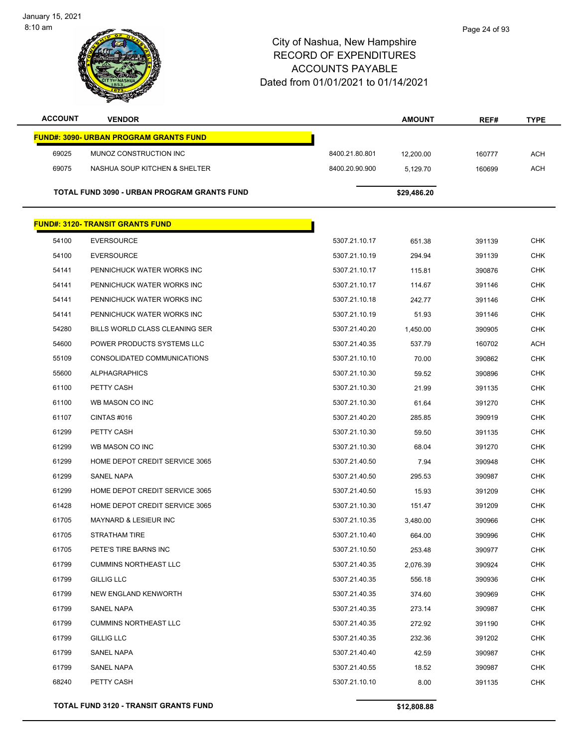| <b>ACCOUNT</b> | <b>VENDOR</b>                                      |                | <b>AMOUNT</b> | REF#   | <b>TYPE</b> |
|----------------|----------------------------------------------------|----------------|---------------|--------|-------------|
|                | <b>FUND#: 3090- URBAN PROGRAM GRANTS FUND</b>      |                |               |        |             |
| 69025          | MUNOZ CONSTRUCTION INC                             | 8400.21.80.801 | 12,200.00     | 160777 | <b>ACH</b>  |
| 69075          | NASHUA SOUP KITCHEN & SHELTER                      | 8400.20.90.900 | 5,129.70      | 160699 | <b>ACH</b>  |
|                |                                                    |                |               |        |             |
|                | <b>TOTAL FUND 3090 - URBAN PROGRAM GRANTS FUND</b> |                | \$29,486.20   |        |             |
|                | <b>FUND#: 3120- TRANSIT GRANTS FUND</b>            |                |               |        |             |
|                |                                                    |                |               |        |             |
| 54100          | <b>EVERSOURCE</b>                                  | 5307.21.10.17  | 651.38        | 391139 | <b>CHK</b>  |
| 54100          | <b>EVERSOURCE</b>                                  | 5307.21.10.19  | 294.94        | 391139 | <b>CHK</b>  |
| 54141          | PENNICHUCK WATER WORKS INC                         | 5307.21.10.17  | 115.81        | 390876 | <b>CHK</b>  |
| 54141          | PENNICHUCK WATER WORKS INC                         | 5307.21.10.17  | 114.67        | 391146 | <b>CHK</b>  |
| 54141          | PENNICHUCK WATER WORKS INC                         | 5307.21.10.18  | 242.77        | 391146 | <b>CHK</b>  |
| 54141          | PENNICHUCK WATER WORKS INC                         | 5307.21.10.19  | 51.93         | 391146 | <b>CHK</b>  |
| 54280          | BILLS WORLD CLASS CLEANING SER                     | 5307.21.40.20  | 1,450.00      | 390905 | <b>CHK</b>  |
| 54600          | POWER PRODUCTS SYSTEMS LLC                         | 5307.21.40.35  | 537.79        | 160702 | <b>ACH</b>  |
| 55109          | CONSOLIDATED COMMUNICATIONS                        | 5307.21.10.10  | 70.00         | 390862 | <b>CHK</b>  |
| 55600          | <b>ALPHAGRAPHICS</b>                               | 5307.21.10.30  | 59.52         | 390896 | <b>CHK</b>  |
| 61100          | PETTY CASH                                         | 5307.21.10.30  | 21.99         | 391135 | <b>CHK</b>  |
| 61100          | WB MASON CO INC                                    | 5307.21.10.30  | 61.64         | 391270 | <b>CHK</b>  |
| 61107          | CINTAS#016                                         | 5307.21.40.20  | 285.85        | 390919 | <b>CHK</b>  |
| 61299          | PETTY CASH                                         | 5307.21.10.30  | 59.50         | 391135 | <b>CHK</b>  |
| 61299          | WB MASON CO INC                                    | 5307.21.10.30  | 68.04         | 391270 | <b>CHK</b>  |
| 61299          | HOME DEPOT CREDIT SERVICE 3065                     | 5307.21.40.50  | 7.94          | 390948 | CHK         |
| 61299          | SANEL NAPA                                         | 5307.21.40.50  | 295.53        | 390987 | <b>CHK</b>  |
| 61299          | HOME DEPOT CREDIT SERVICE 3065                     | 5307.21.40.50  | 15.93         | 391209 | <b>CHK</b>  |
| 61428          | HOME DEPOT CREDIT SERVICE 3065                     | 5307.21.10.30  | 151.47        | 391209 | CHK         |
| 61705          | <b>MAYNARD &amp; LESIEUR INC</b>                   | 5307.21.10.35  | 3,480.00      | 390966 | <b>CHK</b>  |
| 61705          | STRATHAM TIRE                                      | 5307.21.10.40  | 664.00        | 390996 | CHK         |
| 61705          | PETE'S TIRE BARNS INC                              | 5307.21.10.50  | 253.48        | 390977 | <b>CHK</b>  |
| 61799          | <b>CUMMINS NORTHEAST LLC</b>                       | 5307.21.40.35  | 2,076.39      | 390924 | <b>CHK</b>  |
| 61799          | <b>GILLIG LLC</b>                                  | 5307.21.40.35  | 556.18        | 390936 | <b>CHK</b>  |
| 61799          | NEW ENGLAND KENWORTH                               | 5307.21.40.35  | 374.60        | 390969 | <b>CHK</b>  |
| 61799          | SANEL NAPA                                         | 5307.21.40.35  | 273.14        | 390987 | <b>CHK</b>  |
| 61799          | <b>CUMMINS NORTHEAST LLC</b>                       | 5307.21.40.35  | 272.92        | 391190 | <b>CHK</b>  |
| 61799          | GILLIG LLC                                         | 5307.21.40.35  | 232.36        | 391202 | <b>CHK</b>  |
| 61799          | SANEL NAPA                                         | 5307.21.40.40  | 42.59         | 390987 | <b>CHK</b>  |
| 61799          | SANEL NAPA                                         | 5307.21.40.55  | 18.52         | 390987 | <b>CHK</b>  |
| 68240          | PETTY CASH                                         | 5307.21.10.10  | 8.00          | 391135 | <b>CHK</b>  |
|                |                                                    |                |               |        |             |

**TOTAL FUND 3120 - TRANSIT GRANTS FUND \$12,808.88**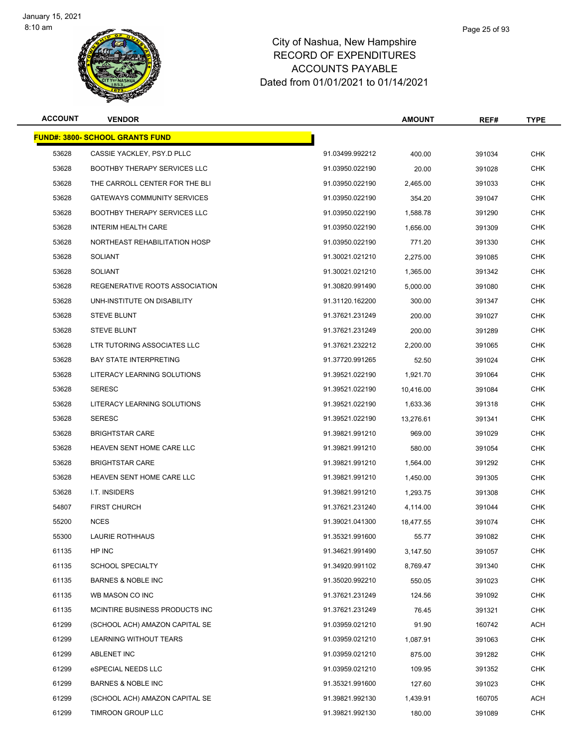

| <b>ACCOUNT</b> | <b>VENDOR</b>                          |                 | <b>AMOUNT</b> | REF#   | <b>TYPE</b> |
|----------------|----------------------------------------|-----------------|---------------|--------|-------------|
|                | <b>FUND#: 3800- SCHOOL GRANTS FUND</b> |                 |               |        |             |
| 53628          | CASSIE YACKLEY, PSY.D PLLC             | 91.03499.992212 | 400.00        | 391034 | <b>CHK</b>  |
| 53628          | <b>BOOTHBY THERAPY SERVICES LLC</b>    | 91.03950.022190 | 20.00         | 391028 | <b>CHK</b>  |
| 53628          | THE CARROLL CENTER FOR THE BLI         | 91.03950.022190 | 2,465.00      | 391033 | <b>CHK</b>  |
| 53628          | <b>GATEWAYS COMMUNITY SERVICES</b>     | 91.03950.022190 | 354.20        | 391047 | CHK         |
| 53628          | <b>BOOTHBY THERAPY SERVICES LLC</b>    | 91.03950.022190 | 1,588.78      | 391290 | <b>CHK</b>  |
| 53628          | INTERIM HEALTH CARE                    | 91.03950.022190 | 1,656.00      | 391309 | <b>CHK</b>  |
| 53628          | NORTHEAST REHABILITATION HOSP          | 91.03950.022190 | 771.20        | 391330 | <b>CHK</b>  |
| 53628          | <b>SOLIANT</b>                         | 91.30021.021210 | 2,275.00      | 391085 | <b>CHK</b>  |
| 53628          | <b>SOLIANT</b>                         | 91.30021.021210 | 1,365.00      | 391342 | CHK         |
| 53628          | REGENERATIVE ROOTS ASSOCIATION         | 91.30820.991490 | 5,000.00      | 391080 | <b>CHK</b>  |
| 53628          | UNH-INSTITUTE ON DISABILITY            | 91.31120.162200 | 300.00        | 391347 | <b>CHK</b>  |
| 53628          | <b>STEVE BLUNT</b>                     | 91.37621.231249 | 200.00        | 391027 | CHK         |
| 53628          | <b>STEVE BLUNT</b>                     | 91.37621.231249 | 200.00        | 391289 | <b>CHK</b>  |
| 53628          | LTR TUTORING ASSOCIATES LLC            | 91.37621.232212 | 2,200.00      | 391065 | <b>CHK</b>  |
| 53628          | <b>BAY STATE INTERPRETING</b>          | 91.37720.991265 | 52.50         | 391024 | <b>CHK</b>  |
| 53628          | LITERACY LEARNING SOLUTIONS            | 91.39521.022190 | 1,921.70      | 391064 | <b>CHK</b>  |
| 53628          | <b>SERESC</b>                          | 91.39521.022190 | 10,416.00     | 391084 | <b>CHK</b>  |
| 53628          | LITERACY LEARNING SOLUTIONS            | 91.39521.022190 | 1,633.36      | 391318 | <b>CHK</b>  |
| 53628          | <b>SERESC</b>                          | 91.39521.022190 | 13,276.61     | 391341 | CHK         |
| 53628          | <b>BRIGHTSTAR CARE</b>                 | 91.39821.991210 | 969.00        | 391029 | <b>CHK</b>  |
| 53628          | HEAVEN SENT HOME CARE LLC              | 91.39821.991210 | 580.00        | 391054 | <b>CHK</b>  |
| 53628          | <b>BRIGHTSTAR CARE</b>                 | 91.39821.991210 | 1,564.00      | 391292 | CHK         |
| 53628          | HEAVEN SENT HOME CARE LLC              | 91.39821.991210 | 1,450.00      | 391305 | <b>CHK</b>  |
| 53628          | I.T. INSIDERS                          | 91.39821.991210 | 1,293.75      | 391308 | CHK         |
| 54807          | <b>FIRST CHURCH</b>                    | 91.37621.231240 | 4,114.00      | 391044 | <b>CHK</b>  |
| 55200          | <b>NCES</b>                            | 91.39021.041300 | 18,477.55     | 391074 | <b>CHK</b>  |
| 55300          | <b>LAURIE ROTHHAUS</b>                 | 91.35321.991600 | 55.77         | 391082 | CHK         |
| 61135          | HP INC                                 | 91.34621.991490 | 3,147.50      | 391057 | <b>CHK</b>  |
| 61135          | <b>SCHOOL SPECIALTY</b>                | 91.34920.991102 | 8.769.47      | 391340 | <b>CHK</b>  |
| 61135          | <b>BARNES &amp; NOBLE INC</b>          | 91.35020.992210 | 550.05        | 391023 | <b>CHK</b>  |
| 61135          | WB MASON CO INC                        | 91.37621.231249 | 124.56        | 391092 | <b>CHK</b>  |
| 61135          | MCINTIRE BUSINESS PRODUCTS INC         | 91.37621.231249 | 76.45         | 391321 | <b>CHK</b>  |
| 61299          | (SCHOOL ACH) AMAZON CAPITAL SE         | 91.03959.021210 | 91.90         | 160742 | <b>ACH</b>  |
| 61299          | LEARNING WITHOUT TEARS                 | 91.03959.021210 | 1,087.91      | 391063 | CHK         |
| 61299          | ABLENET INC                            | 91.03959.021210 | 875.00        | 391282 | <b>CHK</b>  |
| 61299          | eSPECIAL NEEDS LLC                     | 91.03959.021210 | 109.95        | 391352 | <b>CHK</b>  |
| 61299          | <b>BARNES &amp; NOBLE INC</b>          | 91.35321.991600 | 127.60        | 391023 | CHK         |
| 61299          | (SCHOOL ACH) AMAZON CAPITAL SE         | 91.39821.992130 | 1,439.91      | 160705 | <b>ACH</b>  |
| 61299          | TIMROON GROUP LLC                      | 91.39821.992130 | 180.00        | 391089 | <b>CHK</b>  |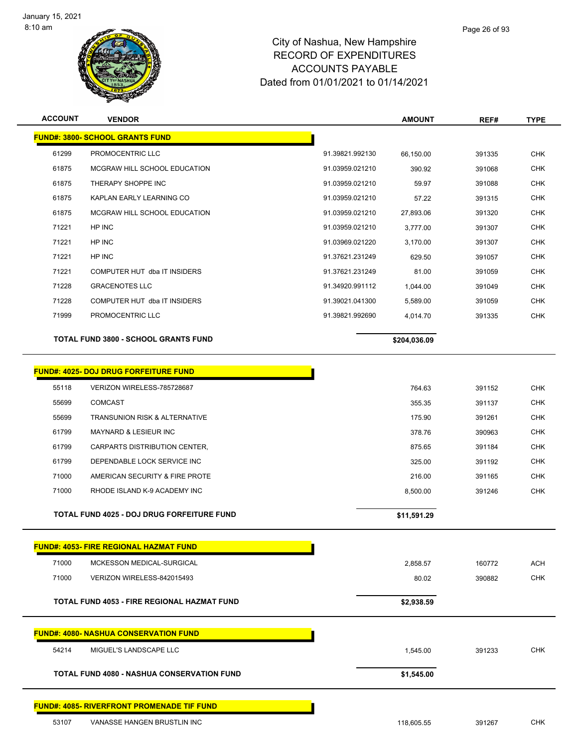

| <b>ACCOUNT</b> | <b>VENDOR</b>                                     |                 | <b>AMOUNT</b> | REF#   | <b>TYPE</b> |
|----------------|---------------------------------------------------|-----------------|---------------|--------|-------------|
|                | <b>FUND#: 3800- SCHOOL GRANTS FUND</b>            |                 |               |        |             |
| 61299          | PROMOCENTRIC LLC                                  | 91.39821.992130 | 66,150.00     | 391335 | <b>CHK</b>  |
| 61875          | MCGRAW HILL SCHOOL EDUCATION                      | 91.03959.021210 | 390.92        | 391068 | <b>CHK</b>  |
| 61875          | THERAPY SHOPPE INC                                | 91.03959.021210 | 59.97         | 391088 | <b>CHK</b>  |
| 61875          | KAPLAN EARLY LEARNING CO                          | 91.03959.021210 | 57.22         | 391315 | <b>CHK</b>  |
| 61875          | MCGRAW HILL SCHOOL EDUCATION                      | 91.03959.021210 | 27,893.06     | 391320 | <b>CHK</b>  |
| 71221          | HP INC                                            | 91.03959.021210 | 3,777.00      | 391307 | <b>CHK</b>  |
| 71221          | HP INC                                            | 91.03969.021220 | 3,170.00      | 391307 | <b>CHK</b>  |
| 71221          | HP INC                                            | 91.37621.231249 | 629.50        | 391057 | <b>CHK</b>  |
| 71221          | COMPUTER HUT dba IT INSIDERS                      | 91.37621.231249 | 81.00         | 391059 | <b>CHK</b>  |
| 71228          | <b>GRACENOTES LLC</b>                             | 91.34920.991112 | 1,044.00      | 391049 | <b>CHK</b>  |
| 71228          | COMPUTER HUT dba IT INSIDERS                      | 91.39021.041300 | 5,589.00      | 391059 | <b>CHK</b>  |
| 71999          | PROMOCENTRIC LLC                                  | 91.39821.992690 | 4,014.70      | 391335 | <b>CHK</b>  |
|                | <b>TOTAL FUND 3800 - SCHOOL GRANTS FUND</b>       |                 |               |        |             |
|                |                                                   |                 | \$204,036.09  |        |             |
|                | <b>FUND#: 4025- DOJ DRUG FORFEITURE FUND</b>      |                 |               |        |             |
| 55118          | VERIZON WIRELESS-785728687                        |                 | 764.63        | 391152 | <b>CHK</b>  |
| 55699          | <b>COMCAST</b>                                    |                 | 355.35        | 391137 | <b>CHK</b>  |
| 55699          | TRANSUNION RISK & ALTERNATIVE                     |                 | 175.90        | 391261 | <b>CHK</b>  |
| 61799          | <b>MAYNARD &amp; LESIEUR INC</b>                  |                 | 378.76        | 390963 | <b>CHK</b>  |
| 61799          | CARPARTS DISTRIBUTION CENTER,                     |                 | 875.65        | 391184 | <b>CHK</b>  |
| 61799          | DEPENDABLE LOCK SERVICE INC                       |                 | 325.00        | 391192 | <b>CHK</b>  |
| 71000          | AMERICAN SECURITY & FIRE PROTE                    |                 | 216.00        | 391165 | <b>CHK</b>  |
| 71000          | RHODE ISLAND K-9 ACADEMY INC                      |                 | 8,500.00      | 391246 | <b>CHK</b>  |
|                |                                                   |                 |               |        |             |
|                | TOTAL FUND 4025 - DOJ DRUG FORFEITURE FUND        |                 | \$11,591.29   |        |             |
|                |                                                   |                 |               |        |             |
|                | <b>FUND#: 4053- FIRE REGIONAL HAZMAT FUND</b>     |                 |               |        |             |
| 71000          | MCKESSON MEDICAL-SURGICAL                         |                 | 2,858.57      | 160772 | <b>ACH</b>  |
| 71000          | VERIZON WIRELESS-842015493                        |                 | 80.02         | 390882 | <b>CHK</b>  |
|                | TOTAL FUND 4053 - FIRE REGIONAL HAZMAT FUND       |                 | \$2,938.59    |        |             |
|                |                                                   |                 |               |        |             |
|                | <b>FUND#: 4080- NASHUA CONSERVATION FUND</b>      |                 |               |        |             |
| 54214          | MIGUEL'S LANDSCAPE LLC                            |                 | 1,545.00      | 391233 | <b>CHK</b>  |
|                | <b>TOTAL FUND 4080 - NASHUA CONSERVATION FUND</b> |                 | \$1,545.00    |        |             |
|                | <b>FUND#: 4085- RIVERFRONT PROMENADE TIF FUND</b> |                 |               |        |             |
| 53107          | VANASSE HANGEN BRUSTLIN INC                       |                 | 118,605.55    | 391267 | <b>CHK</b>  |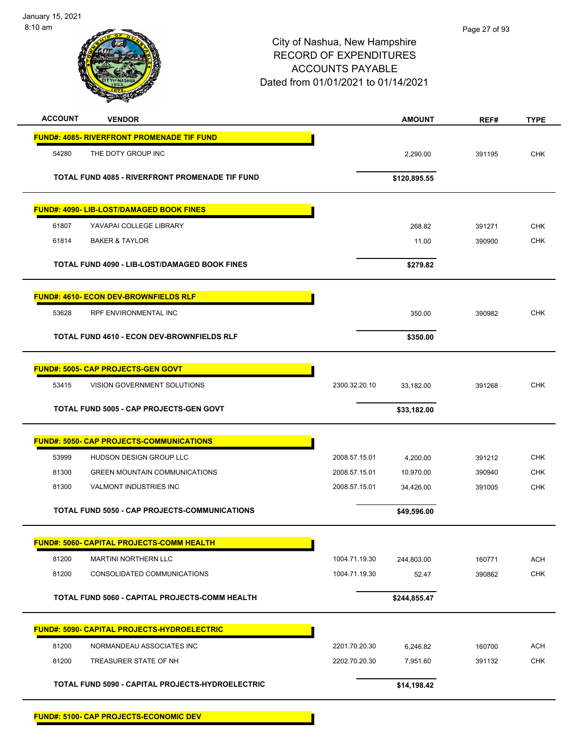



| <b>ACCOUNT</b> | <b>VENDOR</b>                                       |               | <b>AMOUNT</b> | REF#   | <b>TYPE</b> |
|----------------|-----------------------------------------------------|---------------|---------------|--------|-------------|
|                | <b>FUND#: 4085- RIVERFRONT PROMENADE TIF FUND</b>   |               |               |        |             |
| 54280          | THE DOTY GROUP INC                                  |               | 2,290.00      | 391195 | <b>CHK</b>  |
|                | TOTAL FUND 4085 - RIVERFRONT PROMENADE TIF FUND     |               | \$120,895.55  |        |             |
|                | FUND#: 4090- LIB-LOST/DAMAGED BOOK FINES            |               |               |        |             |
| 61807          | YAVAPAI COLLEGE LIBRARY                             |               | 268.82        | 391271 | <b>CHK</b>  |
| 61814          | <b>BAKER &amp; TAYLOR</b>                           |               | 11.00         | 390900 | <b>CHK</b>  |
|                | TOTAL FUND 4090 - LIB-LOST/DAMAGED BOOK FINES       |               | \$279.82      |        |             |
|                | <b>FUND#: 4610- ECON DEV-BROWNFIELDS RLF</b>        |               |               |        |             |
| 53628          | <b>RPF ENVIRONMENTAL INC</b>                        |               | 350.00        | 390982 | <b>CHK</b>  |
|                | <b>TOTAL FUND 4610 - ECON DEV-BROWNFIELDS RLF</b>   |               | \$350.00      |        |             |
|                | <b>FUND#: 5005- CAP PROJECTS-GEN GOVT</b>           |               |               |        |             |
| 53415          | VISION GOVERNMENT SOLUTIONS                         | 2300.32.20.10 | 33,182.00     | 391268 | <b>CHK</b>  |
|                | TOTAL FUND 5005 - CAP PROJECTS-GEN GOVT             |               | \$33,182.00   |        |             |
|                | <b>FUND#: 5050- CAP PROJECTS-COMMUNICATIONS</b>     |               |               |        |             |
| 53999          | HUDSON DESIGN GROUP LLC                             | 2008.57.15.01 | 4,200.00      | 391212 | <b>CHK</b>  |
| 81300          | <b>GREEN MOUNTAIN COMMUNICATIONS</b>                | 2008.57.15.01 | 10,970.00     | 390940 | <b>CHK</b>  |
| 81300          | VALMONT INDUSTRIES INC                              | 2008.57.15.01 | 34,426.00     | 391005 | <b>CHK</b>  |
|                | TOTAL FUND 5050 - CAP PROJECTS-COMMUNICATIONS       |               | \$49,596.00   |        |             |
|                | <b>FUND#: 5060- CAPITAL PROJECTS-COMM HEALTH</b>    |               |               |        |             |
| 81200          | MARTINI NORTHERN LLC                                | 1004.71.19.30 | 244,803.00    | 160771 | <b>ACH</b>  |
| 81200          | CONSOLIDATED COMMUNICATIONS                         | 1004.71.19.30 | 52.47         | 390862 | <b>CHK</b>  |
|                | TOTAL FUND 5060 - CAPITAL PROJECTS-COMM HEALTH      |               | \$244,855.47  |        |             |
|                | <u> FUND#: 5090- CAPITAL PROJECTS-HYDROELECTRIC</u> |               |               |        |             |
| 81200          | NORMANDEAU ASSOCIATES INC                           | 2201.70.20.30 | 6,246.82      | 160700 | <b>ACH</b>  |
| 81200          | TREASURER STATE OF NH                               | 2202.70.20.30 | 7,951.60      | 391132 | <b>CHK</b>  |
|                | TOTAL FUND 5090 - CAPITAL PROJECTS-HYDROELECTRIC    |               | \$14,198.42   |        |             |
|                | <b>FUND#: 5100- CAP PROJECTS-ECONOMIC DEV</b>       |               |               |        |             |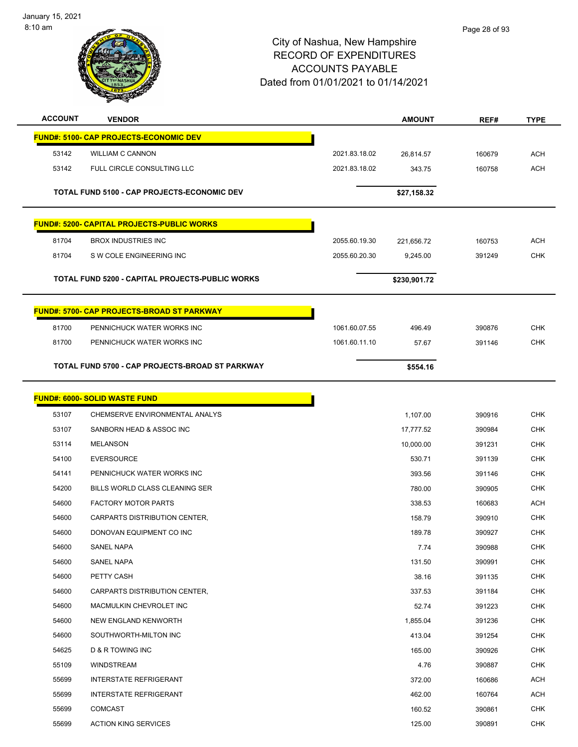

| <b>ACCOUNT</b> | <b>VENDOR</b>                                      |               | <b>AMOUNT</b> | REF#   | <b>TYPE</b> |
|----------------|----------------------------------------------------|---------------|---------------|--------|-------------|
|                | <b>FUND#: 5100- CAP PROJECTS-ECONOMIC DEV</b>      |               |               |        |             |
| 53142          | <b>WILLIAM C CANNON</b>                            | 2021.83.18.02 | 26,814.57     | 160679 | <b>ACH</b>  |
| 53142          | FULL CIRCLE CONSULTING LLC                         | 2021.83.18.02 | 343.75        | 160758 | <b>ACH</b>  |
|                |                                                    |               |               |        |             |
|                | <b>TOTAL FUND 5100 - CAP PROJECTS-ECONOMIC DEV</b> |               | \$27,158.32   |        |             |
|                | <b>FUND#: 5200- CAPITAL PROJECTS-PUBLIC WORKS</b>  |               |               |        |             |
| 81704          | <b>BROX INDUSTRIES INC</b>                         | 2055.60.19.30 | 221,656.72    | 160753 | <b>ACH</b>  |
| 81704          | S W COLE ENGINEERING INC                           | 2055.60.20.30 | 9,245.00      | 391249 | <b>CHK</b>  |
|                |                                                    |               |               |        |             |
|                | TOTAL FUND 5200 - CAPITAL PROJECTS-PUBLIC WORKS    |               | \$230,901.72  |        |             |
|                | FUND#: 5700- CAP PROJECTS-BROAD ST PARKWAY         |               |               |        |             |
| 81700          | PENNICHUCK WATER WORKS INC                         | 1061.60.07.55 | 496.49        | 390876 | <b>CHK</b>  |
| 81700          | PENNICHUCK WATER WORKS INC                         | 1061.60.11.10 | 57.67         | 391146 | <b>CHK</b>  |
|                |                                                    |               |               |        |             |
|                | TOTAL FUND 5700 - CAP PROJECTS-BROAD ST PARKWAY    |               | \$554.16      |        |             |
|                | <b>FUND#: 6000- SOLID WASTE FUND</b>               |               |               |        |             |
| 53107          | CHEMSERVE ENVIRONMENTAL ANALYS                     |               | 1,107.00      | 390916 | <b>CHK</b>  |
| 53107          | SANBORN HEAD & ASSOC INC                           |               | 17,777.52     | 390984 | <b>CHK</b>  |
| 53114          | <b>MELANSON</b>                                    |               | 10,000.00     | 391231 | <b>CHK</b>  |
| 54100          | <b>EVERSOURCE</b>                                  |               | 530.71        | 391139 | CHK         |
| 54141          | PENNICHUCK WATER WORKS INC                         |               | 393.56        | 391146 | <b>CHK</b>  |
| 54200          | BILLS WORLD CLASS CLEANING SER                     |               | 780.00        | 390905 | <b>CHK</b>  |
| 54600          | <b>FACTORY MOTOR PARTS</b>                         |               | 338.53        | 160683 | <b>ACH</b>  |
| 54600          | CARPARTS DISTRIBUTION CENTER,                      |               | 158.79        | 390910 | <b>CHK</b>  |
| 54600          | DONOVAN EQUIPMENT CO INC                           |               | 189.78        | 390927 | <b>CHK</b>  |
| 54600          | SANEL NAPA                                         |               | 7.74          | 390988 | <b>CHK</b>  |
| 54600          | <b>SANEL NAPA</b>                                  |               | 131.50        | 390991 | <b>CHK</b>  |
| 54600          | PETTY CASH                                         |               | 38.16         | 391135 | <b>CHK</b>  |
| 54600          | CARPARTS DISTRIBUTION CENTER,                      |               | 337.53        | 391184 | <b>CHK</b>  |
| 54600          | MACMULKIN CHEVROLET INC                            |               | 52.74         | 391223 | CHK         |
| 54600          | NEW ENGLAND KENWORTH                               |               | 1,855.04      | 391236 | <b>CHK</b>  |
| 54600          | SOUTHWORTH-MILTON INC                              |               | 413.04        | 391254 | <b>CHK</b>  |
| 54625          | D & R TOWING INC                                   |               | 165.00        | 390926 | CHK         |
| 55109          | WINDSTREAM                                         |               | 4.76          | 390887 | <b>CHK</b>  |
| 55699          | <b>INTERSTATE REFRIGERANT</b>                      |               | 372.00        | 160686 | <b>ACH</b>  |
| 55699          | <b>INTERSTATE REFRIGERANT</b>                      |               | 462.00        | 160764 | <b>ACH</b>  |
| 55699          | <b>COMCAST</b>                                     |               | 160.52        | 390861 | <b>CHK</b>  |
| 55699          | <b>ACTION KING SERVICES</b>                        |               | 125.00        | 390891 | <b>CHK</b>  |
|                |                                                    |               |               |        |             |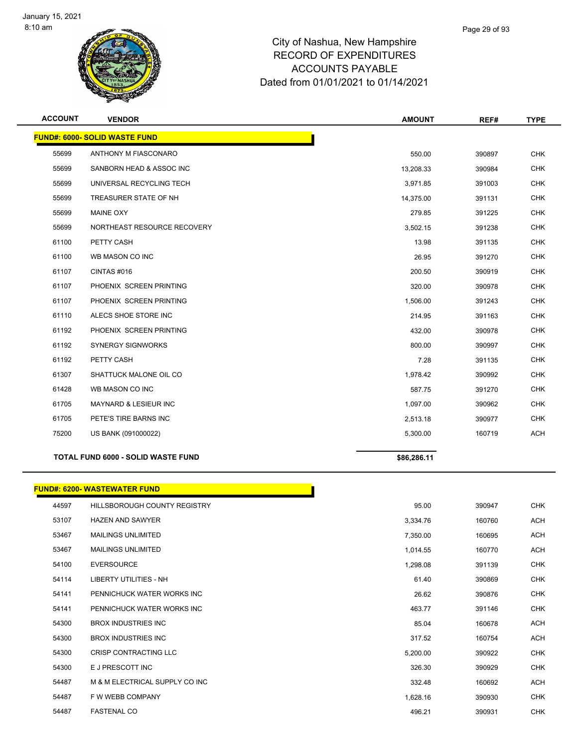

| <b>ACCOUNT</b> | <b>VENDOR</b>                             | <b>AMOUNT</b> | REF#   | <b>TYPE</b> |
|----------------|-------------------------------------------|---------------|--------|-------------|
|                | <b>FUND#: 6000- SOLID WASTE FUND</b>      |               |        |             |
| 55699          | ANTHONY M FIASCONARO                      | 550.00        | 390897 | <b>CHK</b>  |
| 55699          | SANBORN HEAD & ASSOC INC                  | 13,208.33     | 390984 | <b>CHK</b>  |
| 55699          | UNIVERSAL RECYCLING TECH                  | 3,971.85      | 391003 | <b>CHK</b>  |
| 55699          | TREASURER STATE OF NH                     | 14,375.00     | 391131 | <b>CHK</b>  |
| 55699          | <b>MAINE OXY</b>                          | 279.85        | 391225 | <b>CHK</b>  |
| 55699          | NORTHEAST RESOURCE RECOVERY               | 3,502.15      | 391238 | <b>CHK</b>  |
| 61100          | PETTY CASH                                | 13.98         | 391135 | <b>CHK</b>  |
| 61100          | WB MASON CO INC                           | 26.95         | 391270 | <b>CHK</b>  |
| 61107          | <b>CINTAS #016</b>                        | 200.50        | 390919 | <b>CHK</b>  |
| 61107          | PHOENIX SCREEN PRINTING                   | 320.00        | 390978 | <b>CHK</b>  |
| 61107          | PHOENIX SCREEN PRINTING                   | 1,506.00      | 391243 | <b>CHK</b>  |
| 61110          | ALECS SHOE STORE INC                      | 214.95        | 391163 | <b>CHK</b>  |
| 61192          | PHOENIX SCREEN PRINTING                   | 432.00        | 390978 | <b>CHK</b>  |
| 61192          | <b>SYNERGY SIGNWORKS</b>                  | 800.00        | 390997 | <b>CHK</b>  |
| 61192          | PETTY CASH                                | 7.28          | 391135 | <b>CHK</b>  |
| 61307          | SHATTUCK MALONE OIL CO                    | 1,978.42      | 390992 | <b>CHK</b>  |
| 61428          | WB MASON CO INC                           | 587.75        | 391270 | <b>CHK</b>  |
| 61705          | MAYNARD & LESIEUR INC                     | 1,097.00      | 390962 | <b>CHK</b>  |
| 61705          | PETE'S TIRE BARNS INC                     | 2,513.18      | 390977 | <b>CHK</b>  |
| 75200          | US BANK (091000022)                       | 5,300.00      | 160719 | ACH         |
|                | <b>TOTAL FUND 6000 - SOLID WASTE FUND</b> | \$86,286.11   |        |             |
|                |                                           |               |        |             |
|                | <b>FUND#: 6200- WASTEWATER FUND</b>       |               |        |             |
| 44597          | HILLSBOROUGH COUNTY REGISTRY              | 95.00         | 390947 | <b>CHK</b>  |
| 53107          | <b>HAZEN AND SAWYER</b>                   | 3,334.76      | 160760 | <b>ACH</b>  |
| 53467          | <b>MAILINGS UNLIMITED</b>                 | 7,350.00      | 160695 | <b>ACH</b>  |
| 53467          | <b>MAILINGS UNLIMITED</b>                 | 1,014.55      | 160770 | <b>ACH</b>  |

| <b>00.00</b> |                                | 1,01     | ,,,,,  | $\sim$     |
|--------------|--------------------------------|----------|--------|------------|
| 54100        | <b>EVERSOURCE</b>              | 1,298.08 | 391139 | <b>CHK</b> |
| 54114        | LIBERTY UTILITIES - NH         | 61.40    | 390869 | <b>CHK</b> |
| 54141        | PENNICHUCK WATER WORKS INC     | 26.62    | 390876 | <b>CHK</b> |
| 54141        | PENNICHUCK WATER WORKS INC     | 463.77   | 391146 | <b>CHK</b> |
| 54300        | <b>BROX INDUSTRIES INC</b>     | 85.04    | 160678 | <b>ACH</b> |
| 54300        | <b>BROX INDUSTRIES INC</b>     | 317.52   | 160754 | <b>ACH</b> |
| 54300        | <b>CRISP CONTRACTING LLC</b>   | 5,200.00 | 390922 | <b>CHK</b> |
| 54300        | E J PRESCOTT INC               | 326.30   | 390929 | <b>CHK</b> |
| 54487        | M & M ELECTRICAL SUPPLY CO INC | 332.48   | 160692 | <b>ACH</b> |
| 54487        | F W WEBB COMPANY               | 1,628.16 | 390930 | <b>CHK</b> |
| 54487        | <b>FASTENAL CO</b>             | 496.21   | 390931 | <b>CHK</b> |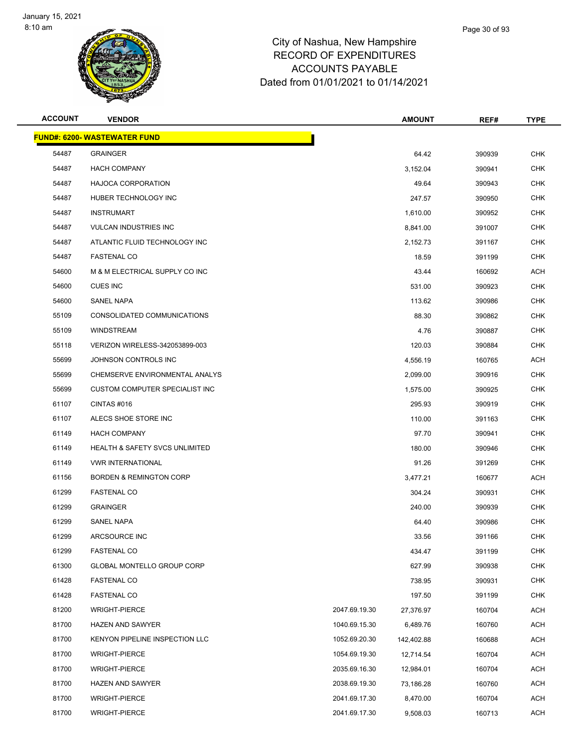

| <b>ACCOUNT</b> | <b>VENDOR</b>                             |               | <b>AMOUNT</b> | REF#   | <b>TYPE</b> |
|----------------|-------------------------------------------|---------------|---------------|--------|-------------|
|                | <b>FUND#: 6200- WASTEWATER FUND</b>       |               |               |        |             |
| 54487          | <b>GRAINGER</b>                           |               | 64.42         | 390939 | <b>CHK</b>  |
| 54487          | <b>HACH COMPANY</b>                       |               | 3,152.04      | 390941 | <b>CHK</b>  |
| 54487          | <b>HAJOCA CORPORATION</b>                 |               | 49.64         | 390943 | <b>CHK</b>  |
| 54487          | HUBER TECHNOLOGY INC                      |               | 247.57        | 390950 | <b>CHK</b>  |
| 54487          | <b>INSTRUMART</b>                         |               | 1,610.00      | 390952 | <b>CHK</b>  |
| 54487          | <b>VULCAN INDUSTRIES INC</b>              |               | 8,841.00      | 391007 | <b>CHK</b>  |
| 54487          | ATLANTIC FLUID TECHNOLOGY INC             |               | 2,152.73      | 391167 | <b>CHK</b>  |
| 54487          | <b>FASTENAL CO</b>                        |               | 18.59         | 391199 | <b>CHK</b>  |
| 54600          | M & M ELECTRICAL SUPPLY CO INC            |               | 43.44         | 160692 | <b>ACH</b>  |
| 54600          | <b>CUES INC</b>                           |               | 531.00        | 390923 | <b>CHK</b>  |
| 54600          | <b>SANEL NAPA</b>                         |               | 113.62        | 390986 | CHK         |
| 55109          | CONSOLIDATED COMMUNICATIONS               |               | 88.30         | 390862 | <b>CHK</b>  |
| 55109          | <b>WINDSTREAM</b>                         |               | 4.76          | 390887 | <b>CHK</b>  |
| 55118          | VERIZON WIRELESS-342053899-003            |               | 120.03        | 390884 | <b>CHK</b>  |
| 55699          | JOHNSON CONTROLS INC                      |               | 4,556.19      | 160765 | <b>ACH</b>  |
| 55699          | CHEMSERVE ENVIRONMENTAL ANALYS            |               | 2,099.00      | 390916 | <b>CHK</b>  |
| 55699          | CUSTOM COMPUTER SPECIALIST INC            |               | 1,575.00      | 390925 | <b>CHK</b>  |
| 61107          | CINTAS#016                                |               | 295.93        | 390919 | <b>CHK</b>  |
| 61107          | ALECS SHOE STORE INC                      |               | 110.00        | 391163 | <b>CHK</b>  |
| 61149          | <b>HACH COMPANY</b>                       |               | 97.70         | 390941 | <b>CHK</b>  |
| 61149          | <b>HEALTH &amp; SAFETY SVCS UNLIMITED</b> |               | 180.00        | 390946 | <b>CHK</b>  |
| 61149          | <b>VWR INTERNATIONAL</b>                  |               | 91.26         | 391269 | <b>CHK</b>  |
| 61156          | <b>BORDEN &amp; REMINGTON CORP</b>        |               | 3,477.21      | 160677 | <b>ACH</b>  |
| 61299          | <b>FASTENAL CO</b>                        |               | 304.24        | 390931 | <b>CHK</b>  |
| 61299          | <b>GRAINGER</b>                           |               | 240.00        | 390939 | <b>CHK</b>  |
| 61299          | <b>SANEL NAPA</b>                         |               | 64.40         | 390986 | CHK         |
| 61299          | ARCSOURCE INC                             |               | 33.56         | 391166 | <b>CHK</b>  |
| 61299          | <b>FASTENAL CO</b>                        |               | 434.47        | 391199 | <b>CHK</b>  |
| 61300          | GLOBAL MONTELLO GROUP CORP                |               | 627.99        | 390938 | <b>CHK</b>  |
| 61428          | <b>FASTENAL CO</b>                        |               | 738.95        | 390931 | <b>CHK</b>  |
| 61428          | <b>FASTENAL CO</b>                        |               | 197.50        | 391199 | <b>CHK</b>  |
| 81200          | <b>WRIGHT-PIERCE</b>                      | 2047.69.19.30 | 27,376.97     | 160704 | <b>ACH</b>  |
| 81700          | <b>HAZEN AND SAWYER</b>                   | 1040.69.15.30 | 6,489.76      | 160760 | <b>ACH</b>  |
| 81700          | KENYON PIPELINE INSPECTION LLC            | 1052.69.20.30 | 142,402.88    | 160688 | <b>ACH</b>  |
| 81700          | <b>WRIGHT-PIERCE</b>                      | 1054.69.19.30 | 12,714.54     | 160704 | <b>ACH</b>  |
| 81700          | <b>WRIGHT-PIERCE</b>                      | 2035.69.16.30 | 12,984.01     | 160704 | <b>ACH</b>  |
| 81700          | HAZEN AND SAWYER                          | 2038.69.19.30 | 73,186.28     | 160760 | <b>ACH</b>  |
| 81700          | <b>WRIGHT-PIERCE</b>                      | 2041.69.17.30 | 8,470.00      | 160704 | <b>ACH</b>  |
| 81700          | <b>WRIGHT-PIERCE</b>                      | 2041.69.17.30 | 9,508.03      | 160713 | <b>ACH</b>  |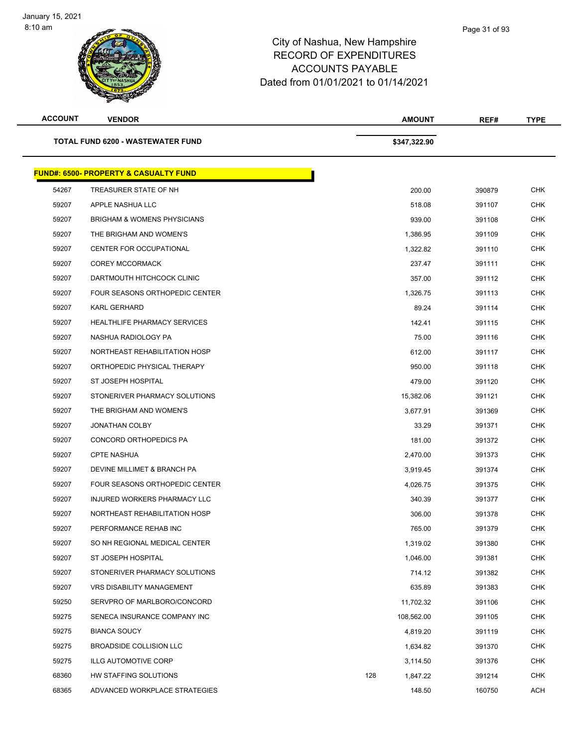| <b>ACCOUNT</b> | <b>VENDOR</b>                                    | <b>AMOUNT</b>   | REF#   | TYPE       |
|----------------|--------------------------------------------------|-----------------|--------|------------|
|                | <b>TOTAL FUND 6200 - WASTEWATER FUND</b>         | \$347,322.90    |        |            |
|                | <b>FUND#: 6500- PROPERTY &amp; CASUALTY FUND</b> |                 |        |            |
| 54267          | TREASURER STATE OF NH                            | 200.00          | 390879 | <b>CHK</b> |
| 59207          | APPLE NASHUA LLC                                 | 518.08          | 391107 | CHK        |
| 59207          | <b>BRIGHAM &amp; WOMENS PHYSICIANS</b>           | 939.00          | 391108 | <b>CHK</b> |
| 59207          | THE BRIGHAM AND WOMEN'S                          | 1,386.95        | 391109 | <b>CHK</b> |
| 59207          | <b>CENTER FOR OCCUPATIONAL</b>                   | 1,322.82        | 391110 | <b>CHK</b> |
| 59207          | <b>COREY MCCORMACK</b>                           | 237.47          | 391111 | <b>CHK</b> |
| 59207          | DARTMOUTH HITCHCOCK CLINIC                       | 357.00          | 391112 | CHK        |
| 59207          | FOUR SEASONS ORTHOPEDIC CENTER                   | 1,326.75        | 391113 | <b>CHK</b> |
| 59207          | <b>KARL GERHARD</b>                              | 89.24           | 391114 | <b>CHK</b> |
| 59207          | <b>HEALTHLIFE PHARMACY SERVICES</b>              | 142.41          | 391115 | <b>CHK</b> |
| 59207          | NASHUA RADIOLOGY PA                              | 75.00           | 391116 | <b>CHK</b> |
| 59207          | NORTHEAST REHABILITATION HOSP                    | 612.00          | 391117 | <b>CHK</b> |
| 59207          | ORTHOPEDIC PHYSICAL THERAPY                      | 950.00          | 391118 | <b>CHK</b> |
| 59207          | ST JOSEPH HOSPITAL                               | 479.00          | 391120 | <b>CHK</b> |
| 59207          | STONERIVER PHARMACY SOLUTIONS                    | 15,382.06       | 391121 | <b>CHK</b> |
| 59207          | THE BRIGHAM AND WOMEN'S                          | 3,677.91        | 391369 | <b>CHK</b> |
| 59207          | <b>JONATHAN COLBY</b>                            | 33.29           | 391371 | <b>CHK</b> |
| 59207          | CONCORD ORTHOPEDICS PA                           | 181.00          | 391372 | <b>CHK</b> |
| 59207          | <b>CPTE NASHUA</b>                               | 2,470.00        | 391373 | <b>CHK</b> |
| 59207          | DEVINE MILLIMET & BRANCH PA                      | 3,919.45        | 391374 | <b>CHK</b> |
| 59207          | <b>FOUR SEASONS ORTHOPEDIC CENTER</b>            | 4,026.75        | 391375 | <b>CHK</b> |
| 59207          | INJURED WORKERS PHARMACY LLC                     | 340.39          | 391377 | <b>CHK</b> |
| 59207          | NORTHEAST REHABILITATION HOSP                    | 306.00          | 391378 | <b>CHK</b> |
| 59207          | PERFORMANCE REHAB INC                            | 765.00          | 391379 | <b>CHK</b> |
| 59207          | SO NH REGIONAL MEDICAL CENTER                    | 1,319.02        | 391380 | <b>CHK</b> |
| 59207          | ST JOSEPH HOSPITAL                               | 1,046.00        | 391381 | <b>CHK</b> |
| 59207          | STONERIVER PHARMACY SOLUTIONS                    | 714.12          | 391382 | CHK        |
| 59207          | VRS DISABILITY MANAGEMENT                        | 635.89          | 391383 | <b>CHK</b> |
| 59250          | SERVPRO OF MARLBORO/CONCORD                      | 11,702.32       | 391106 | <b>CHK</b> |
| 59275          | SENECA INSURANCE COMPANY INC                     | 108,562.00      | 391105 | <b>CHK</b> |
| 59275          | <b>BIANCA SOUCY</b>                              | 4,819.20        | 391119 | <b>CHK</b> |
| 59275          | <b>BROADSIDE COLLISION LLC</b>                   | 1,634.82        | 391370 | CHK        |
| 59275          | <b>ILLG AUTOMOTIVE CORP</b>                      | 3,114.50        | 391376 | <b>CHK</b> |
| 68360          | HW STAFFING SOLUTIONS                            | 128<br>1,847.22 | 391214 | <b>CHK</b> |
| 68365          | ADVANCED WORKPLACE STRATEGIES                    | 148.50          | 160750 | ACH        |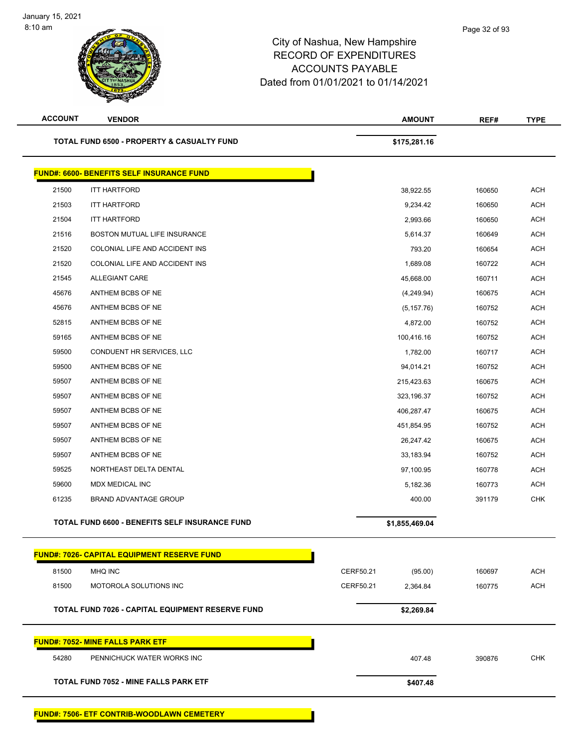| <b>ACCOUNT</b> | <b>VENDOR</b>                                           | <b>AMOUNT</b>         |  | REF#   | <b>TYPE</b> |
|----------------|---------------------------------------------------------|-----------------------|--|--------|-------------|
|                | <b>TOTAL FUND 6500 - PROPERTY &amp; CASUALTY FUND</b>   | \$175,281.16          |  |        |             |
|                | <b>FUND#: 6600- BENEFITS SELF INSURANCE FUND</b>        |                       |  |        |             |
| 21500          | <b>ITT HARTFORD</b>                                     | 38,922.55             |  | 160650 | <b>ACH</b>  |
| 21503          | <b>ITT HARTFORD</b>                                     | 9,234.42              |  | 160650 | <b>ACH</b>  |
| 21504          | <b>ITT HARTFORD</b>                                     | 2,993.66              |  | 160650 | <b>ACH</b>  |
| 21516          | BOSTON MUTUAL LIFE INSURANCE                            | 5,614.37              |  | 160649 | ACH         |
| 21520          | COLONIAL LIFE AND ACCIDENT INS                          | 793.20                |  | 160654 | <b>ACH</b>  |
| 21520          | COLONIAL LIFE AND ACCIDENT INS                          | 1,689.08              |  | 160722 | <b>ACH</b>  |
| 21545          | <b>ALLEGIANT CARE</b>                                   | 45,668.00             |  | 160711 | <b>ACH</b>  |
| 45676          | ANTHEM BCBS OF NE                                       | (4,249.94)            |  | 160675 | <b>ACH</b>  |
| 45676          | ANTHEM BCBS OF NE                                       | (5, 157.76)           |  | 160752 | <b>ACH</b>  |
| 52815          | ANTHEM BCBS OF NE                                       | 4,872.00              |  | 160752 | <b>ACH</b>  |
| 59165          | ANTHEM BCBS OF NE                                       | 100,416.16            |  | 160752 | <b>ACH</b>  |
| 59500          | CONDUENT HR SERVICES, LLC                               | 1,782.00              |  | 160717 | <b>ACH</b>  |
| 59500          | ANTHEM BCBS OF NE                                       | 94,014.21             |  | 160752 | <b>ACH</b>  |
| 59507          | ANTHEM BCBS OF NE                                       | 215,423.63            |  | 160675 | ACH         |
| 59507          | ANTHEM BCBS OF NE                                       | 323,196.37            |  | 160752 | <b>ACH</b>  |
| 59507          | ANTHEM BCBS OF NE                                       | 406,287.47            |  | 160675 | <b>ACH</b>  |
| 59507          | ANTHEM BCBS OF NE                                       | 451,854.95            |  | 160752 | <b>ACH</b>  |
| 59507          | ANTHEM BCBS OF NE                                       | 26,247.42             |  | 160675 | <b>ACH</b>  |
| 59507          | ANTHEM BCBS OF NE                                       | 33,183.94             |  | 160752 | <b>ACH</b>  |
| 59525          | NORTHEAST DELTA DENTAL                                  | 97,100.95             |  | 160778 | <b>ACH</b>  |
| 59600          | MDX MEDICAL INC                                         | 5,182.36              |  | 160773 | <b>ACH</b>  |
| 61235          | <b>BRAND ADVANTAGE GROUP</b>                            | 400.00                |  | 391179 | <b>CHK</b>  |
|                | TOTAL FUND 6600 - BENEFITS SELF INSURANCE FUND          | \$1,855,469.04        |  |        |             |
|                | <b>FUND#: 7026- CAPITAL EQUIPMENT RESERVE FUND</b>      |                       |  |        |             |
| 81500          | <b>MHQ INC</b>                                          | CERF50.21<br>(95.00)  |  | 160697 | <b>ACH</b>  |
| 81500          | <b>MOTOROLA SOLUTIONS INC</b>                           | CERF50.21<br>2,364.84 |  | 160775 | ACH         |
|                | <b>TOTAL FUND 7026 - CAPITAL EQUIPMENT RESERVE FUND</b> | \$2,269.84            |  |        |             |
|                | <b>FUND#: 7052- MINE FALLS PARK ETF</b>                 |                       |  |        |             |
| 54280          | PENNICHUCK WATER WORKS INC                              | 407.48                |  | 390876 | <b>CHK</b>  |
|                | <b>TOTAL FUND 7052 - MINE FALLS PARK ETF</b>            | \$407.48              |  |        |             |
|                | FUND#: 7506- ETF CONTRIB-WOODLAWN CEMETERY              |                       |  |        |             |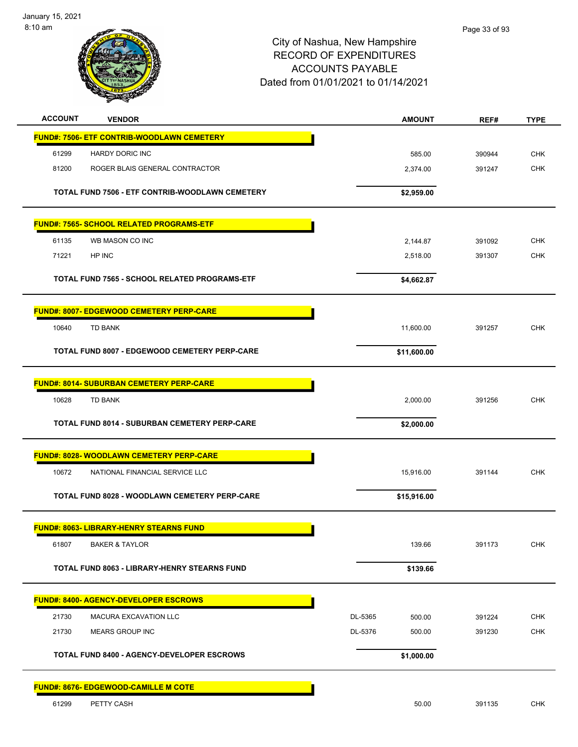

| <b>ACCOUNT</b> | <b>VENDOR</b>                                        |         | <b>AMOUNT</b> | REF#   | <b>TYPE</b> |
|----------------|------------------------------------------------------|---------|---------------|--------|-------------|
|                | <b>FUND#: 7506- ETF CONTRIB-WOODLAWN CEMETERY</b>    |         |               |        |             |
| 61299          | <b>HARDY DORIC INC</b>                               |         | 585.00        | 390944 | <b>CHK</b>  |
| 81200          | ROGER BLAIS GENERAL CONTRACTOR                       |         | 2,374.00      | 391247 | <b>CHK</b>  |
|                | TOTAL FUND 7506 - ETF CONTRIB-WOODLAWN CEMETERY      |         | \$2,959.00    |        |             |
|                | <b>FUND#: 7565- SCHOOL RELATED PROGRAMS-ETF</b>      |         |               |        |             |
| 61135          | WB MASON CO INC                                      |         | 2,144.87      | 391092 | <b>CHK</b>  |
| 71221          | HP INC                                               |         | 2,518.00      | 391307 | <b>CHK</b>  |
|                | <b>TOTAL FUND 7565 - SCHOOL RELATED PROGRAMS-ETF</b> |         | \$4,662.87    |        |             |
|                | <b>FUND#: 8007- EDGEWOOD CEMETERY PERP-CARE</b>      |         |               |        |             |
| 10640          | TD BANK                                              |         | 11,600.00     | 391257 | <b>CHK</b>  |
|                | <b>TOTAL FUND 8007 - EDGEWOOD CEMETERY PERP-CARE</b> |         | \$11,600.00   |        |             |
|                | <b>FUND#: 8014- SUBURBAN CEMETERY PERP-CARE</b>      |         |               |        |             |
| 10628          | TD BANK                                              |         | 2,000.00      | 391256 | <b>CHK</b>  |
|                | <b>TOTAL FUND 8014 - SUBURBAN CEMETERY PERP-CARE</b> |         | \$2,000.00    |        |             |
|                | <b>FUND#: 8028- WOODLAWN CEMETERY PERP-CARE</b>      |         |               |        |             |
| 10672          | NATIONAL FINANCIAL SERVICE LLC                       |         | 15,916.00     | 391144 | <b>CHK</b>  |
|                | TOTAL FUND 8028 - WOODLAWN CEMETERY PERP-CARE        |         | \$15,916.00   |        |             |
|                | <b>FUND#: 8063- LIBRARY-HENRY STEARNS FUND</b>       |         |               |        |             |
| 61807          | <b>BAKER &amp; TAYLOR</b>                            |         | 139.66        | 391173 | <b>CHK</b>  |
|                | TOTAL FUND 8063 - LIBRARY-HENRY STEARNS FUND         |         | \$139.66      |        |             |
|                | <b>FUND#: 8400- AGENCY-DEVELOPER ESCROWS</b>         |         |               |        |             |
| 21730          | MACURA EXCAVATION LLC                                | DL-5365 | 500.00        | 391224 | <b>CHK</b>  |
| 21730          | <b>MEARS GROUP INC</b>                               | DL-5376 | 500.00        | 391230 | <b>CHK</b>  |
|                | <b>TOTAL FUND 8400 - AGENCY-DEVELOPER ESCROWS</b>    |         | \$1,000.00    |        |             |
|                | <u>FUND#: 8676- EDGEWOOD-CAMILLE M COTE</u>          |         |               |        |             |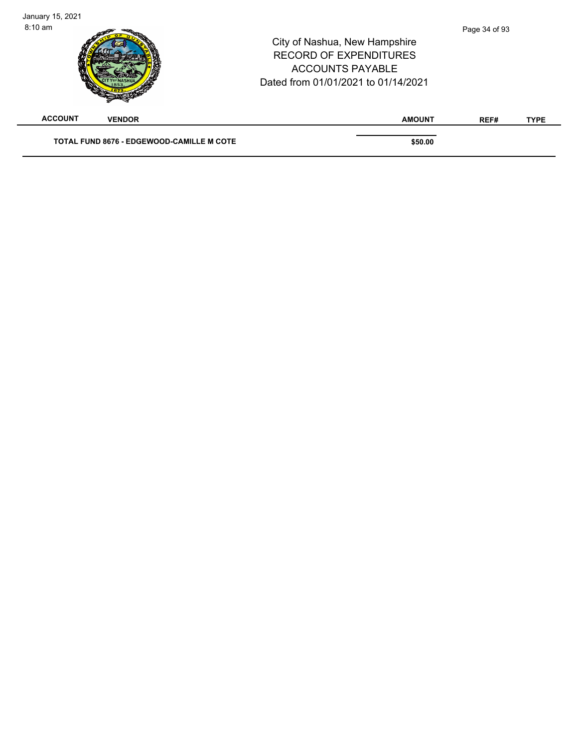| January 15, 2021<br>$8:10 \text{ am}$ |                                                  | City of Nashua, New Hampshire<br><b>RECORD OF EXPENDITURES</b><br><b>ACCOUNTS PAYABLE</b><br>Dated from 01/01/2021 to 01/14/2021 | Page 34 of 93 |             |
|---------------------------------------|--------------------------------------------------|----------------------------------------------------------------------------------------------------------------------------------|---------------|-------------|
| <b>ACCOUNT</b>                        | <b>VENDOR</b>                                    | <b>AMOUNT</b>                                                                                                                    | REF#          | <b>TYPE</b> |
|                                       | <b>TOTAL FUND 8676 - EDGEWOOD-CAMILLE M COTE</b> | \$50.00                                                                                                                          |               |             |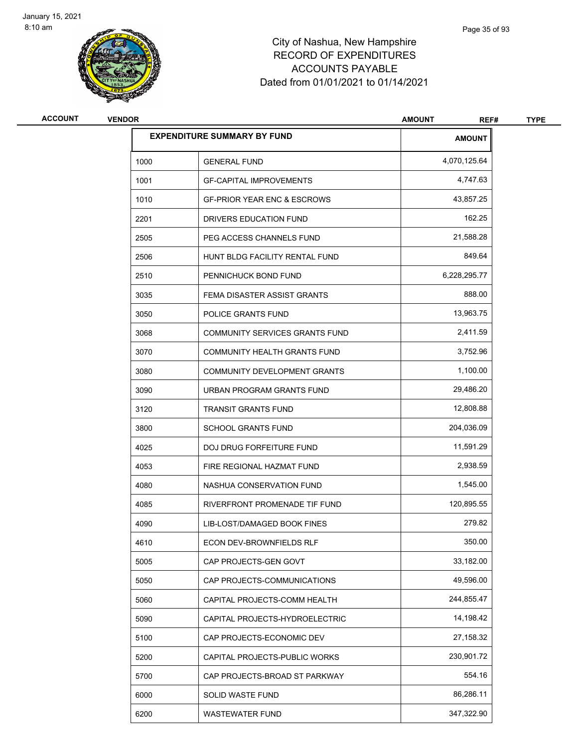

| <b>ACCOUNT</b> | <b>VENDOR</b> |                                        | <b>AMOUNT</b><br>REF# | <b>TYPE</b> |
|----------------|---------------|----------------------------------------|-----------------------|-------------|
|                |               | <b>EXPENDITURE SUMMARY BY FUND</b>     | <b>AMOUNT</b>         |             |
|                | 1000          | <b>GENERAL FUND</b>                    | 4,070,125.64          |             |
|                | 1001          | <b>GF-CAPITAL IMPROVEMENTS</b>         | 4,747.63              |             |
|                | 1010          | <b>GF-PRIOR YEAR ENC &amp; ESCROWS</b> | 43,857.25             |             |
|                | 2201          | DRIVERS EDUCATION FUND                 | 162.25                |             |
|                | 2505          | PEG ACCESS CHANNELS FUND               | 21,588.28             |             |
|                | 2506          | HUNT BLDG FACILITY RENTAL FUND         | 849.64                |             |
|                | 2510          | PENNICHUCK BOND FUND                   | 6,228,295.77          |             |
|                | 3035          | FEMA DISASTER ASSIST GRANTS            | 888.00                |             |
|                | 3050          | POLICE GRANTS FUND                     | 13,963.75             |             |
|                | 3068          | COMMUNITY SERVICES GRANTS FUND         | 2,411.59              |             |
|                | 3070          | <b>COMMUNITY HEALTH GRANTS FUND</b>    | 3,752.96              |             |
|                | 3080          | COMMUNITY DEVELOPMENT GRANTS           | 1,100.00              |             |
|                | 3090          | URBAN PROGRAM GRANTS FUND              | 29,486.20             |             |
|                | 3120          | <b>TRANSIT GRANTS FUND</b>             | 12,808.88             |             |
|                | 3800          | <b>SCHOOL GRANTS FUND</b>              | 204,036.09            |             |
|                | 4025          | DOJ DRUG FORFEITURE FUND               | 11,591.29             |             |
|                | 4053          | FIRE REGIONAL HAZMAT FUND              | 2,938.59              |             |
|                | 4080          | NASHUA CONSERVATION FUND               | 1,545.00              |             |
|                | 4085          | RIVERFRONT PROMENADE TIF FUND          | 120,895.55            |             |
|                | 4090          | LIB-LOST/DAMAGED BOOK FINES            | 279.82                |             |
|                | 4610          | ECON DEV-BROWNFIELDS RLF               | 350.00                |             |
|                | 5005          | CAP PROJECTS-GEN GOVT                  | 33,182.00             |             |
|                | 5050          | CAP PROJECTS-COMMUNICATIONS            | 49,596.00             |             |
|                | 5060          | CAPITAL PROJECTS-COMM HEALTH           | 244,855.47            |             |
|                | 5090          | CAPITAL PROJECTS-HYDROELECTRIC         | 14,198.42             |             |
|                | 5100          | CAP PROJECTS-ECONOMIC DEV              | 27,158.32             |             |
|                | 5200          | CAPITAL PROJECTS-PUBLIC WORKS          | 230,901.72            |             |
|                | 5700          | CAP PROJECTS-BROAD ST PARKWAY          | 554.16                |             |
|                | 6000          | SOLID WASTE FUND                       | 86,286.11             |             |
|                | 6200          | WASTEWATER FUND                        | 347,322.90            |             |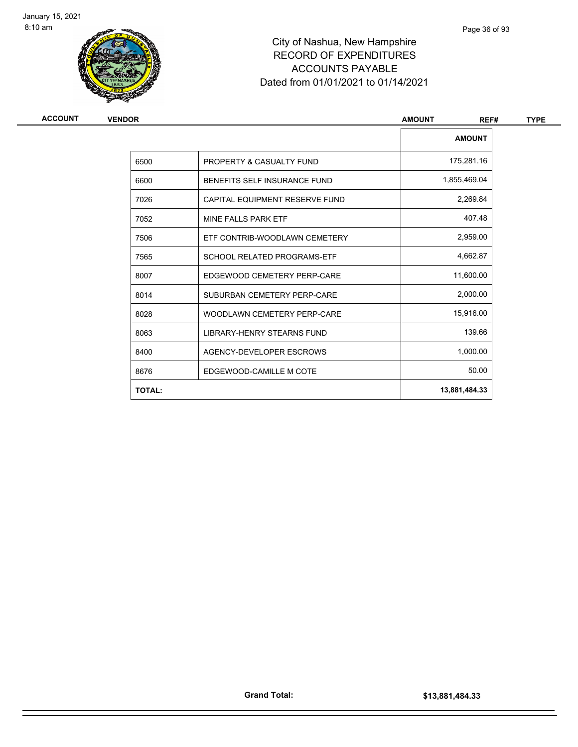

| ACCOUNT | <b>VENDOR</b> |                                    | <b>AMOUNT</b><br>REF# | <b>TYPE</b> |
|---------|---------------|------------------------------------|-----------------------|-------------|
|         |               |                                    | <b>AMOUNT</b>         |             |
|         | 6500          | PROPERTY & CASUALTY FUND           | 175,281.16            |             |
|         | 6600          | BENEFITS SELF INSURANCE FUND       | 1,855,469.04          |             |
|         | 7026          | CAPITAL EQUIPMENT RESERVE FUND     | 2,269.84              |             |
|         | 7052          | MINE FALLS PARK ETF                | 407.48                |             |
|         | 7506          | ETF CONTRIB-WOODLAWN CEMETERY      | 2,959.00              |             |
|         | 7565          | <b>SCHOOL RELATED PROGRAMS-ETF</b> | 4,662.87              |             |
|         | 8007          | EDGEWOOD CEMETERY PERP-CARE        | 11,600.00             |             |
|         | 8014          | SUBURBAN CEMETERY PERP-CARE        | 2,000.00              |             |
|         | 8028          | WOODLAWN CEMETERY PERP-CARE        | 15,916.00             |             |
|         | 8063          | <b>LIBRARY-HENRY STEARNS FUND</b>  | 139.66                |             |
|         | 8400          | AGENCY-DEVELOPER ESCROWS           | 1,000.00              |             |
|         | 8676          | EDGEWOOD-CAMILLE M COTE            | 50.00                 |             |
|         | <b>TOTAL:</b> |                                    | 13,881,484.33         |             |
|         |               |                                    |                       |             |

Page 36 of 93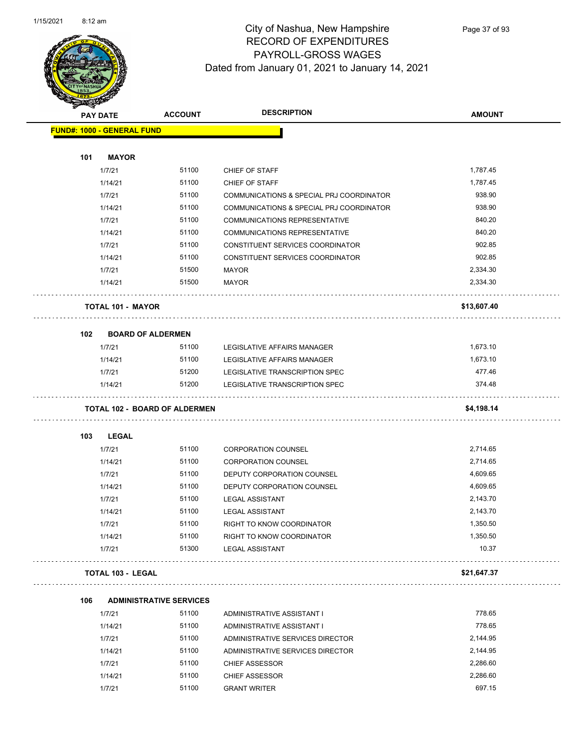

Page 37 of 93

| <b>RESERVE</b> |                                      |                                |                                          |               |
|----------------|--------------------------------------|--------------------------------|------------------------------------------|---------------|
|                | <b>PAY DATE</b>                      | <b>ACCOUNT</b>                 | <b>DESCRIPTION</b>                       | <b>AMOUNT</b> |
|                | <b>FUND#: 1000 - GENERAL FUND</b>    |                                |                                          |               |
|                |                                      |                                |                                          |               |
| 101            | <b>MAYOR</b>                         |                                |                                          |               |
|                | 1/7/21                               | 51100                          | CHIEF OF STAFF                           | 1,787.45      |
|                | 1/14/21                              | 51100                          | CHIEF OF STAFF                           | 1,787.45      |
|                | 1/7/21                               | 51100                          | COMMUNICATIONS & SPECIAL PRJ COORDINATOR | 938.90        |
|                | 1/14/21                              | 51100                          | COMMUNICATIONS & SPECIAL PRJ COORDINATOR | 938.90        |
|                | 1/7/21                               | 51100                          | <b>COMMUNICATIONS REPRESENTATIVE</b>     | 840.20        |
|                | 1/14/21                              | 51100                          | <b>COMMUNICATIONS REPRESENTATIVE</b>     | 840.20        |
|                | 1/7/21                               | 51100                          | CONSTITUENT SERVICES COORDINATOR         | 902.85        |
|                | 1/14/21                              | 51100                          | CONSTITUENT SERVICES COORDINATOR         | 902.85        |
|                | 1/7/21                               | 51500                          | <b>MAYOR</b>                             | 2,334.30      |
|                | 1/14/21                              | 51500                          | <b>MAYOR</b>                             | 2,334.30      |
|                | <b>TOTAL 101 - MAYOR</b>             |                                |                                          | \$13,607.40   |
| 102            | <b>BOARD OF ALDERMEN</b>             |                                |                                          |               |
|                | 1/7/21                               | 51100                          | LEGISLATIVE AFFAIRS MANAGER              | 1,673.10      |
|                | 1/14/21                              | 51100                          | LEGISLATIVE AFFAIRS MANAGER              | 1,673.10      |
|                | 1/7/21                               | 51200                          | LEGISLATIVE TRANSCRIPTION SPEC           | 477.46        |
|                | 1/14/21                              | 51200                          | LEGISLATIVE TRANSCRIPTION SPEC           | 374.48        |
|                | <b>TOTAL 102 - BOARD OF ALDERMEN</b> |                                |                                          | \$4,198.14    |
| 103            | LEGAL                                |                                |                                          |               |
|                | 1/7/21                               | 51100                          | <b>CORPORATION COUNSEL</b>               | 2,714.65      |
|                | 1/14/21                              | 51100                          | <b>CORPORATION COUNSEL</b>               | 2,714.65      |
|                | 1/7/21                               | 51100                          | DEPUTY CORPORATION COUNSEL               | 4,609.65      |
|                | 1/14/21                              | 51100                          | DEPUTY CORPORATION COUNSEL               | 4,609.65      |
|                | 1/7/21                               | 51100                          | <b>LEGAL ASSISTANT</b>                   | 2,143.70      |
|                | 1/14/21                              | 51100                          | <b>LEGAL ASSISTANT</b>                   | 2,143.70      |
|                | 1/7/21                               | 51100                          | RIGHT TO KNOW COORDINATOR                | 1,350.50      |
|                | 1/14/21                              | 51100                          | RIGHT TO KNOW COORDINATOR                | 1,350.50      |
|                | 1/7/21                               | 51300                          | <b>LEGAL ASSISTANT</b>                   | 10.37         |
|                | <b>TOTAL 103 - LEGAL</b>             |                                |                                          | \$21,647.37   |
|                |                                      |                                |                                          |               |
| 106            |                                      | <b>ADMINISTRATIVE SERVICES</b> |                                          |               |
|                | 1/7/21                               | 51100                          | ADMINISTRATIVE ASSISTANT I               | 778.65        |
|                | 1/14/21                              | 51100                          | ADMINISTRATIVE ASSISTANT I               | 778.65        |
|                | 1/7/21                               | 51100                          | ADMINISTRATIVE SERVICES DIRECTOR         | 2,144.95      |
|                | 1/14/21                              | 51100                          | ADMINISTRATIVE SERVICES DIRECTOR         | 2,144.95      |
|                | 1/7/21                               | 51100                          | <b>CHIEF ASSESSOR</b>                    | 2,286.60      |
|                | 1/14/21                              | 51100                          | CHIEF ASSESSOR                           | 2,286.60      |
|                | 1/7/21                               | 51100                          | <b>GRANT WRITER</b>                      | 697.15        |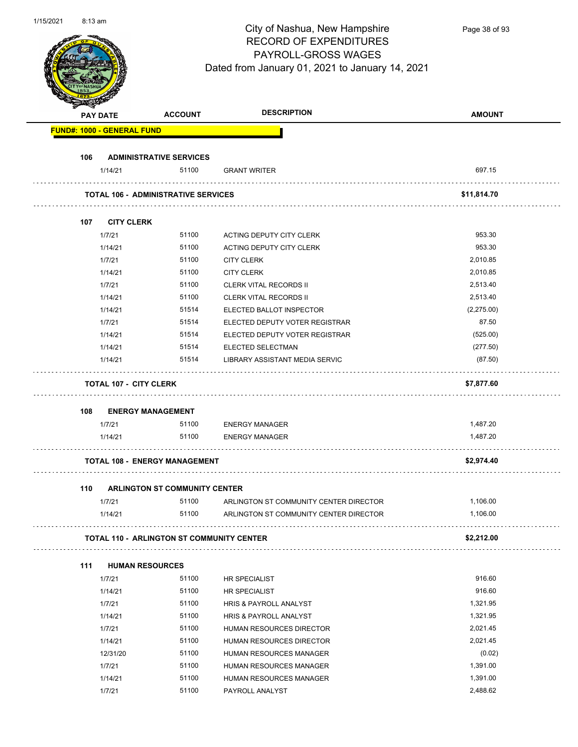| 1/15/2021 | $8:13$ am |                                   |                                                  | City of Nashua, New Hampshire<br><b>RECORD OF EXPENDITURES</b><br>PAYROLL-GROSS WAGES<br>Dated from January 01, 2021 to January 14, 2021 | Page 38 of 93        |
|-----------|-----------|-----------------------------------|--------------------------------------------------|------------------------------------------------------------------------------------------------------------------------------------------|----------------------|
|           |           | <b>PAY DATE</b>                   | <b>ACCOUNT</b>                                   | <b>DESCRIPTION</b>                                                                                                                       | <b>AMOUNT</b>        |
|           |           | <b>FUND#: 1000 - GENERAL FUND</b> |                                                  |                                                                                                                                          |                      |
|           |           |                                   |                                                  |                                                                                                                                          |                      |
|           | 106       |                                   | <b>ADMINISTRATIVE SERVICES</b>                   |                                                                                                                                          |                      |
|           |           | 1/14/21                           | 51100                                            | <b>GRANT WRITER</b>                                                                                                                      | 697.15               |
|           |           |                                   | <b>TOTAL 106 - ADMINISTRATIVE SERVICES</b>       |                                                                                                                                          | \$11,814.70          |
|           |           |                                   |                                                  |                                                                                                                                          |                      |
|           | 107       | <b>CITY CLERK</b>                 |                                                  |                                                                                                                                          |                      |
|           |           | 1/7/21                            | 51100                                            | ACTING DEPUTY CITY CLERK                                                                                                                 | 953.30               |
|           |           | 1/14/21                           | 51100                                            | ACTING DEPUTY CITY CLERK                                                                                                                 | 953.30               |
|           |           | 1/7/21                            | 51100                                            | <b>CITY CLERK</b>                                                                                                                        | 2,010.85             |
|           |           | 1/14/21                           | 51100                                            | <b>CITY CLERK</b>                                                                                                                        | 2,010.85             |
|           |           | 1/7/21                            | 51100                                            | <b>CLERK VITAL RECORDS II</b>                                                                                                            | 2,513.40             |
|           |           | 1/14/21                           | 51100                                            | <b>CLERK VITAL RECORDS II</b>                                                                                                            | 2,513.40             |
|           |           | 1/14/21                           | 51514                                            | ELECTED BALLOT INSPECTOR                                                                                                                 | (2,275.00)           |
|           |           | 1/7/21<br>1/14/21                 | 51514<br>51514                                   | ELECTED DEPUTY VOTER REGISTRAR                                                                                                           | 87.50                |
|           |           | 1/14/21                           | 51514                                            | ELECTED DEPUTY VOTER REGISTRAR<br>ELECTED SELECTMAN                                                                                      | (525.00)<br>(277.50) |
|           |           | 1/14/21                           | 51514                                            | LIBRARY ASSISTANT MEDIA SERVIC                                                                                                           | (87.50)              |
|           |           |                                   |                                                  |                                                                                                                                          |                      |
|           |           | <b>TOTAL 107 - CITY CLERK</b>     |                                                  |                                                                                                                                          | \$7,877.60           |
|           | 108       | <b>ENERGY MANAGEMENT</b>          |                                                  |                                                                                                                                          |                      |
|           |           | 1/7/21                            | 51100                                            | <b>ENERGY MANAGER</b>                                                                                                                    | 1,487.20             |
|           |           | 1/14/21                           | 51100                                            | <b>ENERGY MANAGER</b>                                                                                                                    | 1,487.20             |
|           |           |                                   |                                                  |                                                                                                                                          |                      |
|           |           |                                   | <b>TOTAL 108 - ENERGY MANAGEMENT</b>             |                                                                                                                                          | \$2,974.40           |
|           | 110       |                                   | <b>ARLINGTON ST COMMUNITY CENTER</b>             |                                                                                                                                          |                      |
|           |           | 1/7/21                            | 51100                                            | ARLINGTON ST COMMUNITY CENTER DIRECTOR                                                                                                   | 1,106.00             |
|           |           | 1/14/21                           | 51100                                            | ARLINGTON ST COMMUNITY CENTER DIRECTOR                                                                                                   | 1,106.00             |
|           |           |                                   | <b>TOTAL 110 - ARLINGTON ST COMMUNITY CENTER</b> |                                                                                                                                          | .<br>\$2,212.00      |
|           |           |                                   |                                                  |                                                                                                                                          |                      |
|           | 111       | <b>HUMAN RESOURCES</b>            |                                                  |                                                                                                                                          |                      |
|           |           | 1/7/21                            | 51100                                            | HR SPECIALIST                                                                                                                            | 916.60               |
|           |           | 1/14/21                           | 51100                                            | <b>HR SPECIALIST</b>                                                                                                                     | 916.60               |
|           |           | 1/7/21                            | 51100                                            | <b>HRIS &amp; PAYROLL ANALYST</b>                                                                                                        | 1,321.95             |
|           |           | 1/14/21                           | 51100                                            | HRIS & PAYROLL ANALYST                                                                                                                   | 1,321.95             |
|           |           | 1/7/21                            | 51100                                            | HUMAN RESOURCES DIRECTOR                                                                                                                 | 2,021.45             |
|           |           | 1/14/21                           | 51100                                            | HUMAN RESOURCES DIRECTOR                                                                                                                 | 2,021.45             |
|           |           | 12/31/20                          | 51100                                            | HUMAN RESOURCES MANAGER                                                                                                                  | (0.02)               |
|           |           | 1/7/21                            | 51100                                            | HUMAN RESOURCES MANAGER                                                                                                                  | 1,391.00             |
|           |           | 1/14/21                           | 51100                                            | HUMAN RESOURCES MANAGER                                                                                                                  | 1,391.00             |
|           |           | 1/7/21                            | 51100                                            | PAYROLL ANALYST                                                                                                                          | 2,488.62             |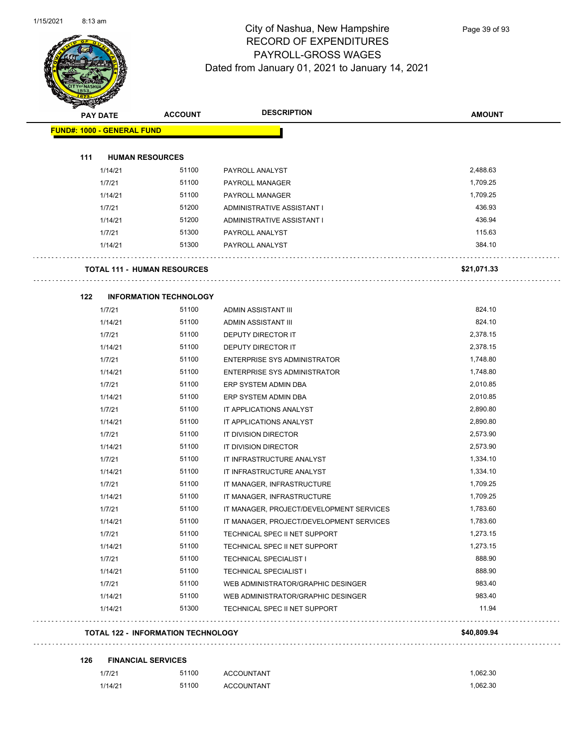

Page 39 of 93

| <b>FUND#: 1000 - GENERAL FUND</b> |                                           |                                          |             |
|-----------------------------------|-------------------------------------------|------------------------------------------|-------------|
|                                   |                                           |                                          |             |
| 111                               | <b>HUMAN RESOURCES</b>                    |                                          |             |
| 1/14/21                           | 51100                                     | PAYROLL ANALYST                          | 2,488.63    |
| 1/7/21                            | 51100                                     | PAYROLL MANAGER                          | 1,709.25    |
| 1/14/21                           | 51100                                     | PAYROLL MANAGER                          | 1,709.25    |
| 1/7/21                            | 51200                                     | ADMINISTRATIVE ASSISTANT I               | 436.93      |
| 1/14/21                           | 51200                                     | ADMINISTRATIVE ASSISTANT I               | 436.94      |
| 1/7/21                            | 51300                                     | PAYROLL ANALYST                          | 115.63      |
| 1/14/21                           | 51300                                     | PAYROLL ANALYST                          | 384.10      |
|                                   | <b>TOTAL 111 - HUMAN RESOURCES</b>        |                                          | \$21,071.33 |
| 122                               | <b>INFORMATION TECHNOLOGY</b>             |                                          |             |
| 1/7/21                            | 51100                                     | ADMIN ASSISTANT III                      | 824.10      |
| 1/14/21                           | 51100                                     | ADMIN ASSISTANT III                      | 824.10      |
| 1/7/21                            | 51100                                     | DEPUTY DIRECTOR IT                       | 2,378.15    |
| 1/14/21                           | 51100                                     | DEPUTY DIRECTOR IT                       | 2,378.15    |
| 1/7/21                            | 51100                                     | <b>ENTERPRISE SYS ADMINISTRATOR</b>      | 1,748.80    |
| 1/14/21                           | 51100                                     | <b>ENTERPRISE SYS ADMINISTRATOR</b>      | 1,748.80    |
| 1/7/21                            | 51100                                     | ERP SYSTEM ADMIN DBA                     | 2,010.85    |
| 1/14/21                           | 51100                                     | ERP SYSTEM ADMIN DBA                     | 2,010.85    |
| 1/7/21                            | 51100                                     | IT APPLICATIONS ANALYST                  | 2,890.80    |
| 1/14/21                           | 51100                                     | IT APPLICATIONS ANALYST                  | 2,890.80    |
| 1/7/21                            | 51100                                     | IT DIVISION DIRECTOR                     | 2,573.90    |
| 1/14/21                           | 51100                                     | IT DIVISION DIRECTOR                     | 2,573.90    |
| 1/7/21                            | 51100                                     | IT INFRASTRUCTURE ANALYST                | 1,334.10    |
| 1/14/21                           | 51100                                     | IT INFRASTRUCTURE ANALYST                | 1,334.10    |
| 1/7/21                            | 51100                                     | IT MANAGER, INFRASTRUCTURE               | 1,709.25    |
| 1/14/21                           | 51100                                     | IT MANAGER, INFRASTRUCTURE               | 1,709.25    |
| 1/7/21                            | 51100                                     | IT MANAGER, PROJECT/DEVELOPMENT SERVICES | 1,783.60    |
| 1/14/21                           | 51100                                     | IT MANAGER, PROJECT/DEVELOPMENT SERVICES | 1,783.60    |
| 1/7/21                            | 51100                                     | TECHNICAL SPEC II NET SUPPORT            | 1,273.15    |
| 1/14/21                           | 51100                                     | TECHNICAL SPEC II NET SUPPORT            | 1,273.15    |
| 1/7/21                            | 51100                                     | <b>TECHNICAL SPECIALIST I</b>            | 888.90      |
| 1/14/21                           | 51100                                     | <b>TECHNICAL SPECIALIST I</b>            | 888.90      |
| 1/7/21                            | 51100                                     | WEB ADMINISTRATOR/GRAPHIC DESINGER       | 983.40      |
| 1/14/21                           | 51100                                     | WEB ADMINISTRATOR/GRAPHIC DESINGER       | 983.40      |
| 1/14/21                           | 51300                                     | TECHNICAL SPEC II NET SUPPORT            | 11.94       |
|                                   | <b>TOTAL 122 - INFORMATION TECHNOLOGY</b> |                                          | \$40,809.94 |

| 126 | <b>FINANCIAL SERVICES</b> |       |                   |          |
|-----|---------------------------|-------|-------------------|----------|
|     | 1/7/21                    | 51100 | <b>ACCOUNTANT</b> | 1.062.30 |
|     | 1/14/21                   | 51100 | ACCOUNTANT        | 1.062.30 |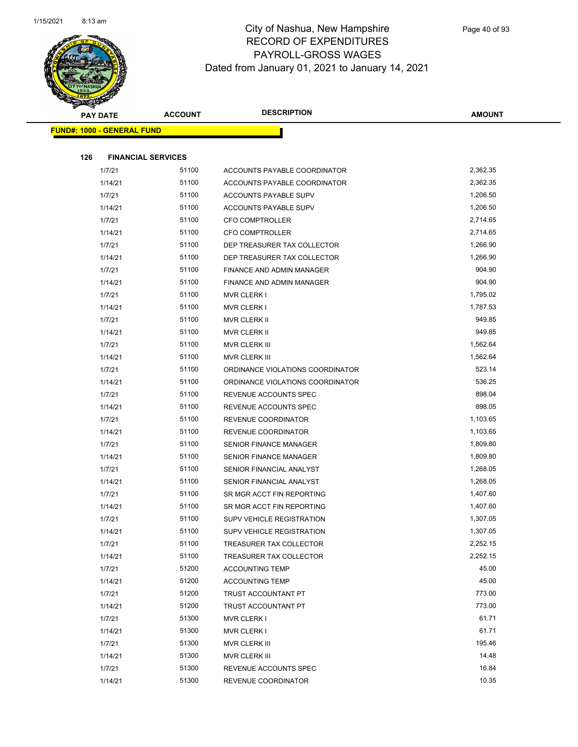

|     | <b>PAY DATE</b>                   | <b>ACCOUNT</b> | <b>DESCRIPTION</b>               | <b>AMOUNT</b> |
|-----|-----------------------------------|----------------|----------------------------------|---------------|
|     | <b>FUND#: 1000 - GENERAL FUND</b> |                |                                  |               |
|     |                                   |                |                                  |               |
| 126 | <b>FINANCIAL SERVICES</b>         |                |                                  |               |
|     | 1/7/21                            | 51100          | ACCOUNTS PAYABLE COORDINATOR     | 2,362.35      |
|     | 1/14/21                           | 51100          | ACCOUNTS PAYABLE COORDINATOR     | 2,362.35      |
|     | 1/7/21                            | 51100          | ACCOUNTS PAYABLE SUPV            | 1,206.50      |
|     | 1/14/21                           | 51100          | ACCOUNTS PAYABLE SUPV            | 1,206.50      |
|     | 1/7/21                            | 51100          | CFO COMPTROLLER                  | 2,714.65      |
|     | 1/14/21                           | 51100          | CFO COMPTROLLER                  | 2,714.65      |
|     | 1/7/21                            | 51100          | DEP TREASURER TAX COLLECTOR      | 1,266.90      |
|     | 1/14/21                           | 51100          | DEP TREASURER TAX COLLECTOR      | 1,266.90      |
|     | 1/7/21                            | 51100          | FINANCE AND ADMIN MANAGER        | 904.90        |
|     | 1/14/21                           | 51100          | FINANCE AND ADMIN MANAGER        | 904.90        |
|     | 1/7/21                            | 51100          | <b>MVR CLERK I</b>               | 1,795.02      |
|     | 1/14/21                           | 51100          | MVR CLERK I                      | 1,787.53      |
|     | 1/7/21                            | 51100          | MVR CLERK II                     | 949.85        |
|     | 1/14/21                           | 51100          | MVR CLERK II                     | 949.85        |
|     | 1/7/21                            | 51100          | MVR CLERK III                    | 1,562.64      |
|     | 1/14/21                           | 51100          | <b>MVR CLERK III</b>             | 1,562.64      |
|     | 1/7/21                            | 51100          | ORDINANCE VIOLATIONS COORDINATOR | 523.14        |
|     | 1/14/21                           | 51100          | ORDINANCE VIOLATIONS COORDINATOR | 536.25        |
|     | 1/7/21                            | 51100          | REVENUE ACCOUNTS SPEC            | 898.04        |
|     | 1/14/21                           | 51100          | REVENUE ACCOUNTS SPEC            | 898.05        |
|     | 1/7/21                            | 51100          | REVENUE COORDINATOR              | 1,103.65      |
|     | 1/14/21                           | 51100          | REVENUE COORDINATOR              | 1,103.65      |
|     | 1/7/21                            | 51100          | SENIOR FINANCE MANAGER           | 1,809.80      |
|     | 1/14/21                           | 51100          | SENIOR FINANCE MANAGER           | 1,809.80      |
|     | 1/7/21                            | 51100          | SENIOR FINANCIAL ANALYST         | 1,268.05      |
|     | 1/14/21                           | 51100          | SENIOR FINANCIAL ANALYST         | 1,268.05      |
|     | 1/7/21                            | 51100          | SR MGR ACCT FIN REPORTING        | 1,407.60      |
|     | 1/14/21                           | 51100          | SR MGR ACCT FIN REPORTING        | 1,407.60      |
|     | 1/7/21                            | 51100          | <b>SUPV VEHICLE REGISTRATION</b> | 1,307.05      |
|     | 1/14/21                           | 51100          | SUPV VEHICLE REGISTRATION        | 1,307.05      |
|     | 1/7/21                            | 51100          | TREASURER TAX COLLECTOR          | 2,252.15      |
|     | 1/14/21                           | 51100          | TREASURER TAX COLLECTOR          | 2,252.15      |
|     | 1/7/21                            | 51200          | <b>ACCOUNTING TEMP</b>           | 45.00         |
|     | 1/14/21                           | 51200          | <b>ACCOUNTING TEMP</b>           | 45.00         |
|     | 1/7/21                            | 51200          | TRUST ACCOUNTANT PT              | 773.00        |
|     | 1/14/21                           | 51200          | TRUST ACCOUNTANT PT              | 773.00        |
|     | 1/7/21                            | 51300          | <b>MVR CLERK I</b>               | 61.71         |
|     | 1/14/21                           | 51300          | <b>MVR CLERK I</b>               | 61.71         |
|     | 1/7/21                            | 51300          | MVR CLERK III                    | 195.46        |
|     | 1/14/21                           | 51300          | MVR CLERK III                    | 14.48         |
|     | 1/7/21                            | 51300          | REVENUE ACCOUNTS SPEC            | 16.84         |
|     | 1/14/21                           | 51300          | REVENUE COORDINATOR              | 10.35         |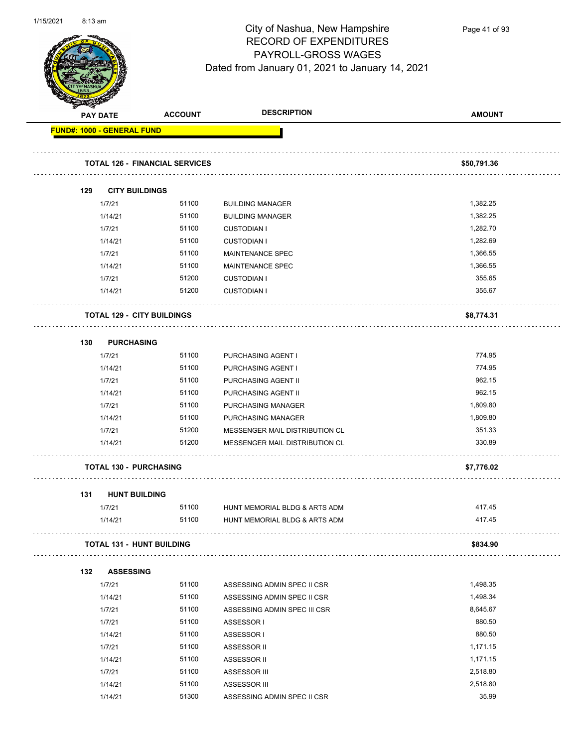

Page 41 of 93

|     | <b>PAY DATE</b>                   | <b>ACCOUNT</b>                        | <b>DESCRIPTION</b>             | <b>AMOUNT</b> |
|-----|-----------------------------------|---------------------------------------|--------------------------------|---------------|
|     | <b>FUND#: 1000 - GENERAL FUND</b> |                                       |                                |               |
|     |                                   | <b>TOTAL 126 - FINANCIAL SERVICES</b> |                                | \$50,791.36   |
| 129 |                                   | <b>CITY BUILDINGS</b>                 |                                |               |
|     | 1/7/21                            | 51100                                 | <b>BUILDING MANAGER</b>        | 1,382.25      |
|     | 1/14/21                           | 51100                                 | <b>BUILDING MANAGER</b>        | 1,382.25      |
|     | 1/7/21                            | 51100                                 | <b>CUSTODIAN I</b>             | 1,282.70      |
|     | 1/14/21                           | 51100                                 | <b>CUSTODIAN I</b>             | 1,282.69      |
|     | 1/7/21                            | 51100                                 | MAINTENANCE SPEC               | 1,366.55      |
|     | 1/14/21                           | 51100                                 | <b>MAINTENANCE SPEC</b>        | 1,366.55      |
|     | 1/7/21                            | 51200                                 | <b>CUSTODIAN I</b>             | 355.65        |
|     | 1/14/21                           | 51200                                 | <b>CUSTODIAN I</b>             | 355.67        |
|     |                                   | <b>TOTAL 129 - CITY BUILDINGS</b>     |                                | \$8,774.31    |
| 130 |                                   | <b>PURCHASING</b>                     |                                |               |
|     | 1/7/21                            | 51100                                 | PURCHASING AGENT I             | 774.95        |
|     | 1/14/21                           | 51100                                 | PURCHASING AGENT I             | 774.95        |
|     | 1/7/21                            | 51100                                 | PURCHASING AGENT II            | 962.15        |
|     | 1/14/21                           | 51100                                 | PURCHASING AGENT II            | 962.15        |
|     | 1/7/21                            | 51100                                 | PURCHASING MANAGER             | 1,809.80      |
|     | 1/14/21                           | 51100                                 | PURCHASING MANAGER             | 1,809.80      |
|     | 1/7/21                            | 51200                                 | MESSENGER MAIL DISTRIBUTION CL | 351.33        |
|     | 1/14/21                           | 51200                                 | MESSENGER MAIL DISTRIBUTION CL | 330.89        |
|     |                                   | <b>TOTAL 130 - PURCHASING</b>         |                                | \$7,776.02    |
| 131 |                                   | <b>HUNT BUILDING</b>                  |                                |               |
|     | 1/7/21                            | 51100                                 | HUNT MEMORIAL BLDG & ARTS ADM  | 417.45        |
|     | 1/14/21                           | 51100                                 | HUNT MEMORIAL BLDG & ARTS ADM  | 417.45        |
|     |                                   | <b>TOTAL 131 - HUNT BUILDING</b>      |                                | \$834.90      |
| 132 | <b>ASSESSING</b>                  |                                       |                                |               |
|     | 1/7/21                            | 51100                                 | ASSESSING ADMIN SPEC II CSR    | 1,498.35      |
|     | 1/14/21                           | 51100                                 | ASSESSING ADMIN SPEC II CSR    | 1,498.34      |
|     | 1/7/21                            | 51100                                 | ASSESSING ADMIN SPEC III CSR   | 8,645.67      |
|     | 1/7/21                            | 51100                                 | ASSESSOR I                     | 880.50        |
|     | 1/14/21                           | 51100                                 | ASSESSOR I                     | 880.50        |
|     | 1/7/21                            | 51100                                 | ASSESSOR II                    | 1,171.15      |
|     | 1/14/21                           | 51100                                 | ASSESSOR II                    | 1,171.15      |
|     | 1/7/21                            | 51100                                 | ASSESSOR III                   | 2,518.80      |
|     | 1/14/21                           | 51100                                 | ASSESSOR III                   | 2,518.80      |
|     | 1/14/21                           | 51300                                 | ASSESSING ADMIN SPEC II CSR    | 35.99         |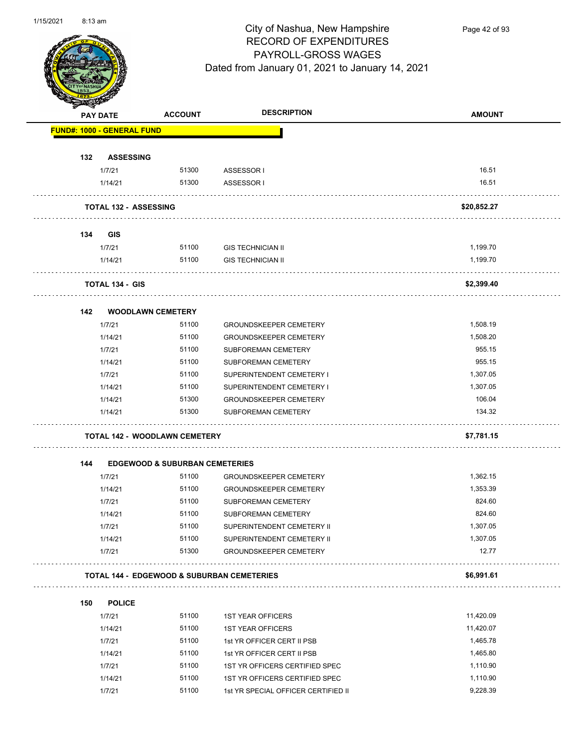

Page 42 of 93

| <b>FUND#: 1000 - GENERAL FUND</b><br>132<br><b>ASSESSING</b><br>51300<br>1/7/21<br>ASSESSOR I<br>51300<br>1/14/21<br>ASSESSOR I<br><b>TOTAL 132 - ASSESSING</b><br>134<br><b>GIS</b><br>51100<br>1/7/21<br><b>GIS TECHNICIAN II</b><br>51100<br><b>GIS TECHNICIAN II</b><br>1/14/21<br><b>TOTAL 134 - GIS</b><br>142<br><b>WOODLAWN CEMETERY</b><br>1/7/21<br>51100<br><b>GROUNDSKEEPER CEMETERY</b><br>51100<br>1/14/21<br><b>GROUNDSKEEPER CEMETERY</b><br>51100<br>1/7/21<br><b>SUBFOREMAN CEMETERY</b><br>51100<br>1/14/21<br><b>SUBFOREMAN CEMETERY</b><br>1/7/21<br>51100<br>SUPERINTENDENT CEMETERY I<br>51100<br>1/14/21<br>SUPERINTENDENT CEMETERY I<br>51300<br>1/14/21<br><b>GROUNDSKEEPER CEMETERY</b><br>51300<br>1/14/21<br><b>SUBFOREMAN CEMETERY</b><br><b>TOTAL 142 - WOODLAWN CEMETERY</b><br>144<br><b>EDGEWOOD &amp; SUBURBAN CEMETERIES</b><br>51100<br>1/7/21<br><b>GROUNDSKEEPER CEMETERY</b><br>51100<br>1/14/21<br><b>GROUNDSKEEPER CEMETERY</b><br>1/7/21<br>51100<br>SUBFOREMAN CEMETERY<br>51100<br>1/14/21<br><b>SUBFOREMAN CEMETERY</b><br>51100<br>1/7/21<br>SUPERINTENDENT CEMETERY II<br>51100<br>1/14/21<br>SUPERINTENDENT CEMETERY II<br>51300<br>1/7/21<br><b>GROUNDSKEEPER CEMETERY</b><br><b>TOTAL 144 - EDGEWOOD &amp; SUBURBAN CEMETERIES</b><br><b>POLICE</b><br>150<br>51100<br>1/7/21<br><b>1ST YEAR OFFICERS</b> | PAY DATE | <b>ACCOUNT</b> | <b>DESCRIPTION</b> | <b>AMOUNT</b> |
|--------------------------------------------------------------------------------------------------------------------------------------------------------------------------------------------------------------------------------------------------------------------------------------------------------------------------------------------------------------------------------------------------------------------------------------------------------------------------------------------------------------------------------------------------------------------------------------------------------------------------------------------------------------------------------------------------------------------------------------------------------------------------------------------------------------------------------------------------------------------------------------------------------------------------------------------------------------------------------------------------------------------------------------------------------------------------------------------------------------------------------------------------------------------------------------------------------------------------------------------------------------------------------------------------------------------------------------------------------------|----------|----------------|--------------------|---------------|
|                                                                                                                                                                                                                                                                                                                                                                                                                                                                                                                                                                                                                                                                                                                                                                                                                                                                                                                                                                                                                                                                                                                                                                                                                                                                                                                                                              |          |                |                    |               |
|                                                                                                                                                                                                                                                                                                                                                                                                                                                                                                                                                                                                                                                                                                                                                                                                                                                                                                                                                                                                                                                                                                                                                                                                                                                                                                                                                              |          |                |                    |               |
|                                                                                                                                                                                                                                                                                                                                                                                                                                                                                                                                                                                                                                                                                                                                                                                                                                                                                                                                                                                                                                                                                                                                                                                                                                                                                                                                                              |          |                |                    | 16.51         |
|                                                                                                                                                                                                                                                                                                                                                                                                                                                                                                                                                                                                                                                                                                                                                                                                                                                                                                                                                                                                                                                                                                                                                                                                                                                                                                                                                              |          |                |                    | 16.51         |
|                                                                                                                                                                                                                                                                                                                                                                                                                                                                                                                                                                                                                                                                                                                                                                                                                                                                                                                                                                                                                                                                                                                                                                                                                                                                                                                                                              |          |                |                    | \$20,852.27   |
|                                                                                                                                                                                                                                                                                                                                                                                                                                                                                                                                                                                                                                                                                                                                                                                                                                                                                                                                                                                                                                                                                                                                                                                                                                                                                                                                                              |          |                |                    |               |
|                                                                                                                                                                                                                                                                                                                                                                                                                                                                                                                                                                                                                                                                                                                                                                                                                                                                                                                                                                                                                                                                                                                                                                                                                                                                                                                                                              |          |                |                    | 1,199.70      |
|                                                                                                                                                                                                                                                                                                                                                                                                                                                                                                                                                                                                                                                                                                                                                                                                                                                                                                                                                                                                                                                                                                                                                                                                                                                                                                                                                              |          |                |                    | 1,199.70      |
|                                                                                                                                                                                                                                                                                                                                                                                                                                                                                                                                                                                                                                                                                                                                                                                                                                                                                                                                                                                                                                                                                                                                                                                                                                                                                                                                                              |          |                |                    |               |
|                                                                                                                                                                                                                                                                                                                                                                                                                                                                                                                                                                                                                                                                                                                                                                                                                                                                                                                                                                                                                                                                                                                                                                                                                                                                                                                                                              |          |                |                    | \$2,399.40    |
|                                                                                                                                                                                                                                                                                                                                                                                                                                                                                                                                                                                                                                                                                                                                                                                                                                                                                                                                                                                                                                                                                                                                                                                                                                                                                                                                                              |          |                |                    |               |
|                                                                                                                                                                                                                                                                                                                                                                                                                                                                                                                                                                                                                                                                                                                                                                                                                                                                                                                                                                                                                                                                                                                                                                                                                                                                                                                                                              |          |                |                    | 1,508.19      |
|                                                                                                                                                                                                                                                                                                                                                                                                                                                                                                                                                                                                                                                                                                                                                                                                                                                                                                                                                                                                                                                                                                                                                                                                                                                                                                                                                              |          |                |                    | 1,508.20      |
|                                                                                                                                                                                                                                                                                                                                                                                                                                                                                                                                                                                                                                                                                                                                                                                                                                                                                                                                                                                                                                                                                                                                                                                                                                                                                                                                                              |          |                |                    | 955.15        |
|                                                                                                                                                                                                                                                                                                                                                                                                                                                                                                                                                                                                                                                                                                                                                                                                                                                                                                                                                                                                                                                                                                                                                                                                                                                                                                                                                              |          |                |                    | 955.15        |
|                                                                                                                                                                                                                                                                                                                                                                                                                                                                                                                                                                                                                                                                                                                                                                                                                                                                                                                                                                                                                                                                                                                                                                                                                                                                                                                                                              |          |                |                    | 1,307.05      |
|                                                                                                                                                                                                                                                                                                                                                                                                                                                                                                                                                                                                                                                                                                                                                                                                                                                                                                                                                                                                                                                                                                                                                                                                                                                                                                                                                              |          |                |                    | 1,307.05      |
|                                                                                                                                                                                                                                                                                                                                                                                                                                                                                                                                                                                                                                                                                                                                                                                                                                                                                                                                                                                                                                                                                                                                                                                                                                                                                                                                                              |          |                |                    | 106.04        |
|                                                                                                                                                                                                                                                                                                                                                                                                                                                                                                                                                                                                                                                                                                                                                                                                                                                                                                                                                                                                                                                                                                                                                                                                                                                                                                                                                              |          |                |                    | 134.32        |
|                                                                                                                                                                                                                                                                                                                                                                                                                                                                                                                                                                                                                                                                                                                                                                                                                                                                                                                                                                                                                                                                                                                                                                                                                                                                                                                                                              |          |                |                    | \$7,781.15    |
|                                                                                                                                                                                                                                                                                                                                                                                                                                                                                                                                                                                                                                                                                                                                                                                                                                                                                                                                                                                                                                                                                                                                                                                                                                                                                                                                                              |          |                |                    |               |
|                                                                                                                                                                                                                                                                                                                                                                                                                                                                                                                                                                                                                                                                                                                                                                                                                                                                                                                                                                                                                                                                                                                                                                                                                                                                                                                                                              |          |                |                    | 1,362.15      |
|                                                                                                                                                                                                                                                                                                                                                                                                                                                                                                                                                                                                                                                                                                                                                                                                                                                                                                                                                                                                                                                                                                                                                                                                                                                                                                                                                              |          |                |                    | 1,353.39      |
|                                                                                                                                                                                                                                                                                                                                                                                                                                                                                                                                                                                                                                                                                                                                                                                                                                                                                                                                                                                                                                                                                                                                                                                                                                                                                                                                                              |          |                |                    | 824.60        |
|                                                                                                                                                                                                                                                                                                                                                                                                                                                                                                                                                                                                                                                                                                                                                                                                                                                                                                                                                                                                                                                                                                                                                                                                                                                                                                                                                              |          |                |                    | 824.60        |
|                                                                                                                                                                                                                                                                                                                                                                                                                                                                                                                                                                                                                                                                                                                                                                                                                                                                                                                                                                                                                                                                                                                                                                                                                                                                                                                                                              |          |                |                    | 1,307.05      |
|                                                                                                                                                                                                                                                                                                                                                                                                                                                                                                                                                                                                                                                                                                                                                                                                                                                                                                                                                                                                                                                                                                                                                                                                                                                                                                                                                              |          |                |                    | 1,307.05      |
|                                                                                                                                                                                                                                                                                                                                                                                                                                                                                                                                                                                                                                                                                                                                                                                                                                                                                                                                                                                                                                                                                                                                                                                                                                                                                                                                                              |          |                |                    | 12.77         |
|                                                                                                                                                                                                                                                                                                                                                                                                                                                                                                                                                                                                                                                                                                                                                                                                                                                                                                                                                                                                                                                                                                                                                                                                                                                                                                                                                              |          |                |                    | \$6,991.61    |
|                                                                                                                                                                                                                                                                                                                                                                                                                                                                                                                                                                                                                                                                                                                                                                                                                                                                                                                                                                                                                                                                                                                                                                                                                                                                                                                                                              |          |                |                    |               |
|                                                                                                                                                                                                                                                                                                                                                                                                                                                                                                                                                                                                                                                                                                                                                                                                                                                                                                                                                                                                                                                                                                                                                                                                                                                                                                                                                              |          |                |                    | 11,420.09     |
| 1/14/21<br><b>1ST YEAR OFFICERS</b>                                                                                                                                                                                                                                                                                                                                                                                                                                                                                                                                                                                                                                                                                                                                                                                                                                                                                                                                                                                                                                                                                                                                                                                                                                                                                                                          |          | 51100          |                    | 11,420.07     |
| 1/7/21<br>51100<br>1st YR OFFICER CERT II PSB                                                                                                                                                                                                                                                                                                                                                                                                                                                                                                                                                                                                                                                                                                                                                                                                                                                                                                                                                                                                                                                                                                                                                                                                                                                                                                                |          |                |                    | 1,465.78      |
| 51100<br>1/14/21<br>1st YR OFFICER CERT II PSB                                                                                                                                                                                                                                                                                                                                                                                                                                                                                                                                                                                                                                                                                                                                                                                                                                                                                                                                                                                                                                                                                                                                                                                                                                                                                                               |          |                |                    | 1,465.80      |
| 51100<br>1/7/21<br>1ST YR OFFICERS CERTIFIED SPEC                                                                                                                                                                                                                                                                                                                                                                                                                                                                                                                                                                                                                                                                                                                                                                                                                                                                                                                                                                                                                                                                                                                                                                                                                                                                                                            |          |                |                    | 1,110.90      |
| 51100<br>1/14/21<br>1ST YR OFFICERS CERTIFIED SPEC                                                                                                                                                                                                                                                                                                                                                                                                                                                                                                                                                                                                                                                                                                                                                                                                                                                                                                                                                                                                                                                                                                                                                                                                                                                                                                           |          |                |                    | 1,110.90      |
| 51100<br>1/7/21<br>1st YR SPECIAL OFFICER CERTIFIED II                                                                                                                                                                                                                                                                                                                                                                                                                                                                                                                                                                                                                                                                                                                                                                                                                                                                                                                                                                                                                                                                                                                                                                                                                                                                                                       |          |                |                    | 9,228.39      |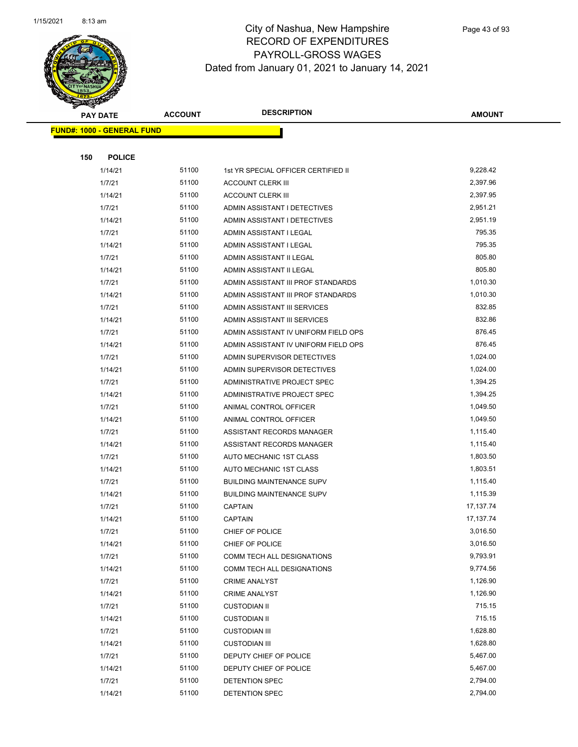

|     | <b>PAY DATE</b>                   | <b>ACCOUNT</b> | <b>DESCRIPTION</b>                                          | <b>AMOUNT</b>        |
|-----|-----------------------------------|----------------|-------------------------------------------------------------|----------------------|
|     | <b>FUND#: 1000 - GENERAL FUND</b> |                |                                                             |                      |
|     |                                   |                |                                                             |                      |
| 150 | <b>POLICE</b>                     |                |                                                             |                      |
|     | 1/14/21                           | 51100          | 1st YR SPECIAL OFFICER CERTIFIED II                         | 9,228.42             |
|     | 1/7/21                            | 51100          | <b>ACCOUNT CLERK III</b>                                    | 2,397.96             |
|     | 1/14/21                           | 51100          | <b>ACCOUNT CLERK III</b>                                    | 2,397.95             |
|     | 1/7/21                            | 51100          | ADMIN ASSISTANT I DETECTIVES                                | 2,951.21             |
|     | 1/14/21                           | 51100          | ADMIN ASSISTANT I DETECTIVES                                | 2,951.19             |
|     | 1/7/21                            | 51100          | ADMIN ASSISTANT I LEGAL                                     | 795.35               |
|     | 1/14/21                           | 51100          | ADMIN ASSISTANT I LEGAL                                     | 795.35               |
|     | 1/7/21                            | 51100          | ADMIN ASSISTANT II LEGAL                                    | 805.80               |
|     | 1/14/21                           | 51100          | ADMIN ASSISTANT II LEGAL                                    | 805.80               |
|     | 1/7/21                            | 51100          | ADMIN ASSISTANT III PROF STANDARDS                          | 1,010.30             |
|     | 1/14/21                           | 51100          | ADMIN ASSISTANT III PROF STANDARDS                          | 1,010.30             |
|     | 1/7/21                            | 51100          | ADMIN ASSISTANT III SERVICES                                | 832.85               |
|     | 1/14/21                           | 51100          | ADMIN ASSISTANT III SERVICES                                | 832.86               |
|     | 1/7/21                            | 51100          | ADMIN ASSISTANT IV UNIFORM FIELD OPS                        | 876.45               |
|     | 1/14/21                           | 51100          | ADMIN ASSISTANT IV UNIFORM FIELD OPS                        | 876.45               |
|     | 1/7/21                            | 51100          | ADMIN SUPERVISOR DETECTIVES                                 | 1,024.00             |
|     | 1/14/21                           | 51100          | ADMIN SUPERVISOR DETECTIVES                                 | 1,024.00             |
|     | 1/7/21                            | 51100          | ADMINISTRATIVE PROJECT SPEC                                 | 1,394.25             |
|     | 1/14/21                           | 51100          | ADMINISTRATIVE PROJECT SPEC                                 | 1,394.25             |
|     | 1/7/21                            | 51100          | ANIMAL CONTROL OFFICER                                      | 1,049.50             |
|     | 1/14/21                           | 51100          | ANIMAL CONTROL OFFICER                                      | 1,049.50             |
|     | 1/7/21                            | 51100          | ASSISTANT RECORDS MANAGER                                   | 1,115.40             |
|     | 1/14/21                           | 51100          | ASSISTANT RECORDS MANAGER                                   | 1,115.40             |
|     | 1/7/21                            | 51100<br>51100 | AUTO MECHANIC 1ST CLASS                                     | 1,803.50<br>1,803.51 |
|     | 1/14/21<br>1/7/21                 | 51100          | AUTO MECHANIC 1ST CLASS<br><b>BUILDING MAINTENANCE SUPV</b> | 1,115.40             |
|     | 1/14/21                           | 51100          | <b>BUILDING MAINTENANCE SUPV</b>                            | 1,115.39             |
|     | 1/7/21                            | 51100          | <b>CAPTAIN</b>                                              | 17, 137. 74          |
|     | 1/14/21                           | 51100          | <b>CAPTAIN</b>                                              | 17, 137. 74          |
|     | 1/7/21                            | 51100          | CHIEF OF POLICE                                             | 3,016.50             |
|     | 1/14/21                           | 51100          | CHIEF OF POLICE                                             | 3,016.50             |
|     | 1/7/21                            | 51100          | COMM TECH ALL DESIGNATIONS                                  | 9,793.91             |
|     | 1/14/21                           | 51100          | COMM TECH ALL DESIGNATIONS                                  | 9,774.56             |
|     | 1/7/21                            | 51100          | <b>CRIME ANALYST</b>                                        | 1,126.90             |
|     | 1/14/21                           | 51100          | <b>CRIME ANALYST</b>                                        | 1,126.90             |
|     | 1/7/21                            | 51100          | <b>CUSTODIAN II</b>                                         | 715.15               |
|     | 1/14/21                           | 51100          | <b>CUSTODIAN II</b>                                         | 715.15               |
|     | 1/7/21                            | 51100          | <b>CUSTODIAN III</b>                                        | 1,628.80             |
|     | 1/14/21                           | 51100          | <b>CUSTODIAN III</b>                                        | 1,628.80             |
|     | 1/7/21                            | 51100          | DEPUTY CHIEF OF POLICE                                      | 5,467.00             |
|     | 1/14/21                           | 51100          | DEPUTY CHIEF OF POLICE                                      | 5,467.00             |
|     | 1/7/21                            | 51100          | DETENTION SPEC                                              | 2,794.00             |
|     | 1/14/21                           | 51100          | DETENTION SPEC                                              | 2,794.00             |
|     |                                   |                |                                                             |                      |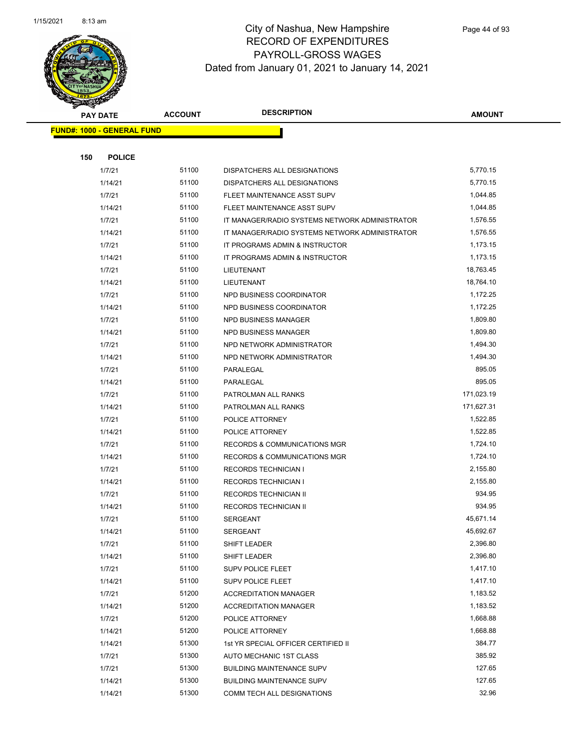

|     | <b>PAY DATE</b>                   | <b>ACCOUNT</b> | <b>DESCRIPTION</b>                             | <b>AMOUNT</b> |  |
|-----|-----------------------------------|----------------|------------------------------------------------|---------------|--|
|     | <b>FUND#: 1000 - GENERAL FUND</b> |                |                                                |               |  |
|     |                                   |                |                                                |               |  |
| 150 | <b>POLICE</b>                     |                |                                                |               |  |
|     | 1/7/21                            | 51100          | DISPATCHERS ALL DESIGNATIONS                   | 5,770.15      |  |
|     | 1/14/21                           | 51100          | DISPATCHERS ALL DESIGNATIONS                   | 5,770.15      |  |
|     | 1/7/21                            | 51100          | FLEET MAINTENANCE ASST SUPV                    | 1,044.85      |  |
|     | 1/14/21                           | 51100          | FLEET MAINTENANCE ASST SUPV                    | 1,044.85      |  |
|     | 1/7/21                            | 51100          | IT MANAGER/RADIO SYSTEMS NETWORK ADMINISTRATOR | 1,576.55      |  |
|     | 1/14/21                           | 51100          | IT MANAGER/RADIO SYSTEMS NETWORK ADMINISTRATOR | 1,576.55      |  |
|     | 1/7/21                            | 51100          | IT PROGRAMS ADMIN & INSTRUCTOR                 | 1,173.15      |  |
|     | 1/14/21                           | 51100          | IT PROGRAMS ADMIN & INSTRUCTOR                 | 1,173.15      |  |
|     | 1/7/21                            | 51100          | LIEUTENANT                                     | 18,763.45     |  |
|     | 1/14/21                           | 51100          | LIEUTENANT                                     | 18,764.10     |  |
|     | 1/7/21                            | 51100          | NPD BUSINESS COORDINATOR                       | 1,172.25      |  |
|     | 1/14/21                           | 51100          | NPD BUSINESS COORDINATOR                       | 1,172.25      |  |
|     | 1/7/21                            | 51100          | <b>NPD BUSINESS MANAGER</b>                    | 1,809.80      |  |
|     | 1/14/21                           | 51100          | NPD BUSINESS MANAGER                           | 1,809.80      |  |
|     | 1/7/21                            | 51100          | NPD NETWORK ADMINISTRATOR                      | 1,494.30      |  |
|     | 1/14/21                           | 51100          | NPD NETWORK ADMINISTRATOR                      | 1,494.30      |  |
|     | 1/7/21                            | 51100          | PARALEGAL                                      | 895.05        |  |
|     | 1/14/21                           | 51100          | PARALEGAL                                      | 895.05        |  |
|     | 1/7/21                            | 51100          | PATROLMAN ALL RANKS                            | 171,023.19    |  |
|     | 1/14/21                           | 51100          | PATROLMAN ALL RANKS                            | 171,627.31    |  |
|     | 1/7/21                            | 51100          | POLICE ATTORNEY                                | 1,522.85      |  |
|     | 1/14/21                           | 51100          | POLICE ATTORNEY                                | 1,522.85      |  |
|     | 1/7/21                            | 51100          | <b>RECORDS &amp; COMMUNICATIONS MGR</b>        | 1,724.10      |  |
|     | 1/14/21                           | 51100          | RECORDS & COMMUNICATIONS MGR                   | 1,724.10      |  |
|     | 1/7/21                            | 51100          | RECORDS TECHNICIAN I                           | 2,155.80      |  |
|     | 1/14/21                           | 51100          | <b>RECORDS TECHNICIAN I</b>                    | 2,155.80      |  |
|     | 1/7/21                            | 51100          | RECORDS TECHNICIAN II                          | 934.95        |  |
|     | 1/14/21                           | 51100          | RECORDS TECHNICIAN II                          | 934.95        |  |
|     | 1/7/21                            | 51100          | <b>SERGEANT</b>                                | 45,671.14     |  |
|     | 1/14/21                           | 51100          | <b>SERGEANT</b>                                | 45,692.67     |  |
|     | 1/7/21                            | 51100          | SHIFT LEADER                                   | 2,396.80      |  |
|     | 1/14/21                           | 51100          | SHIFT LEADER                                   | 2,396.80      |  |
|     | 1/7/21                            | 51100          | <b>SUPV POLICE FLEET</b>                       | 1,417.10      |  |
|     | 1/14/21                           | 51100          | <b>SUPV POLICE FLEET</b>                       | 1,417.10      |  |
|     | 1/7/21                            | 51200          | <b>ACCREDITATION MANAGER</b>                   | 1,183.52      |  |
|     | 1/14/21                           | 51200          | <b>ACCREDITATION MANAGER</b>                   | 1,183.52      |  |
|     | 1/7/21                            | 51200          | POLICE ATTORNEY                                | 1,668.88      |  |
|     | 1/14/21                           | 51200          | POLICE ATTORNEY                                | 1,668.88      |  |
|     | 1/14/21                           | 51300          | 1st YR SPECIAL OFFICER CERTIFIED II            | 384.77        |  |
|     | 1/7/21                            | 51300          | AUTO MECHANIC 1ST CLASS                        | 385.92        |  |
|     | 1/7/21                            | 51300          | <b>BUILDING MAINTENANCE SUPV</b>               | 127.65        |  |
|     | 1/14/21                           | 51300          | <b>BUILDING MAINTENANCE SUPV</b>               | 127.65        |  |
|     | 1/14/21                           | 51300          | COMM TECH ALL DESIGNATIONS                     | 32.96         |  |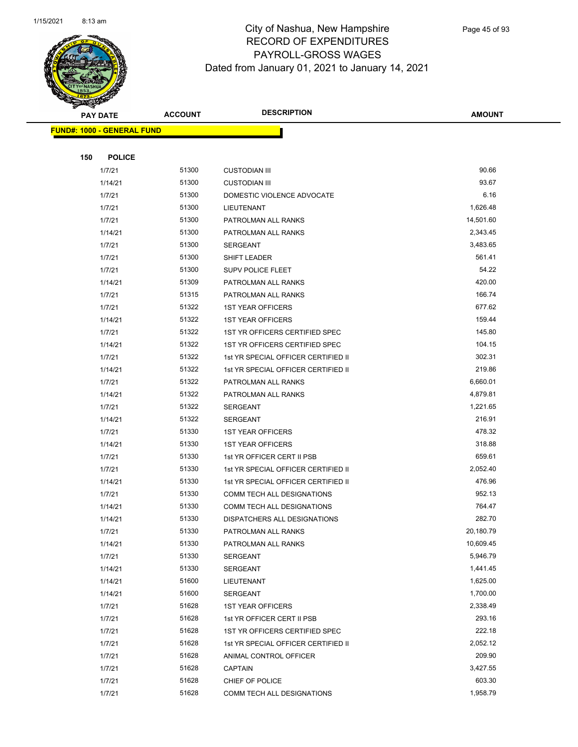

|     | <b>PAY DATE</b>                   | <b>ACCOUNT</b> | <b>DESCRIPTION</b>                  | <b>AMOUNT</b> |
|-----|-----------------------------------|----------------|-------------------------------------|---------------|
|     | <b>FUND#: 1000 - GENERAL FUND</b> |                |                                     |               |
|     |                                   |                |                                     |               |
| 150 | <b>POLICE</b>                     |                |                                     |               |
|     | 1/7/21                            | 51300          | <b>CUSTODIAN III</b>                | 90.66         |
|     | 1/14/21                           | 51300          | <b>CUSTODIAN III</b>                | 93.67         |
|     | 1/7/21                            | 51300          | DOMESTIC VIOLENCE ADVOCATE          | 6.16          |
|     | 1/7/21                            | 51300          | LIEUTENANT                          | 1,626.48      |
|     | 1/7/21                            | 51300          | PATROLMAN ALL RANKS                 | 14,501.60     |
|     | 1/14/21                           | 51300          | PATROLMAN ALL RANKS                 | 2,343.45      |
|     | 1/7/21                            | 51300          | <b>SERGEANT</b>                     | 3,483.65      |
|     | 1/7/21                            | 51300          | SHIFT LEADER                        | 561.41        |
|     | 1/7/21                            | 51300          | SUPV POLICE FLEET                   | 54.22         |
|     | 1/14/21                           | 51309          | PATROLMAN ALL RANKS                 | 420.00        |
|     | 1/7/21                            | 51315          | PATROLMAN ALL RANKS                 | 166.74        |
|     | 1/7/21                            | 51322          | <b>1ST YEAR OFFICERS</b>            | 677.62        |
|     | 1/14/21                           | 51322          | <b>1ST YEAR OFFICERS</b>            | 159.44        |
|     | 1/7/21                            | 51322          | 1ST YR OFFICERS CERTIFIED SPEC      | 145.80        |
|     | 1/14/21                           | 51322          | 1ST YR OFFICERS CERTIFIED SPEC      | 104.15        |
|     | 1/7/21                            | 51322          | 1st YR SPECIAL OFFICER CERTIFIED II | 302.31        |
|     | 1/14/21                           | 51322          | 1st YR SPECIAL OFFICER CERTIFIED II | 219.86        |
|     | 1/7/21                            | 51322          | PATROLMAN ALL RANKS                 | 6,660.01      |
|     | 1/14/21                           | 51322          | PATROLMAN ALL RANKS                 | 4,879.81      |
|     | 1/7/21                            | 51322          | SERGEANT                            | 1,221.65      |
|     | 1/14/21                           | 51322          | <b>SERGEANT</b>                     | 216.91        |
|     | 1/7/21                            | 51330          | <b>1ST YEAR OFFICERS</b>            | 478.32        |
|     | 1/14/21                           | 51330          | <b>1ST YEAR OFFICERS</b>            | 318.88        |
|     | 1/7/21                            | 51330          | 1st YR OFFICER CERT II PSB          | 659.61        |
|     | 1/7/21                            | 51330          | 1st YR SPECIAL OFFICER CERTIFIED II | 2,052.40      |
|     | 1/14/21                           | 51330          | 1st YR SPECIAL OFFICER CERTIFIED II | 476.96        |
|     | 1/7/21                            | 51330          | COMM TECH ALL DESIGNATIONS          | 952.13        |
|     | 1/14/21                           | 51330          | COMM TECH ALL DESIGNATIONS          | 764.47        |
|     | 1/14/21                           | 51330          | DISPATCHERS ALL DESIGNATIONS        | 282.70        |
|     | 1/7/21                            | 51330          | PATROLMAN ALL RANKS                 | 20,180.79     |
|     | 1/14/21                           | 51330          | PATROLMAN ALL RANKS                 | 10,609.45     |
|     | 1/7/21                            | 51330          | <b>SERGEANT</b>                     | 5,946.79      |
|     | 1/14/21                           | 51330          | SERGEANT                            | 1,441.45      |
|     | 1/14/21                           | 51600          | LIEUTENANT                          | 1,625.00      |
|     | 1/14/21                           | 51600          | <b>SERGEANT</b>                     | 1,700.00      |
|     | 1/7/21                            | 51628          | <b>1ST YEAR OFFICERS</b>            | 2,338.49      |
|     | 1/7/21                            | 51628          | 1st YR OFFICER CERT II PSB          | 293.16        |
|     | 1/7/21                            | 51628          | 1ST YR OFFICERS CERTIFIED SPEC      | 222.18        |
|     | 1/7/21                            | 51628          | 1st YR SPECIAL OFFICER CERTIFIED II | 2,052.12      |
|     | 1/7/21                            | 51628          | ANIMAL CONTROL OFFICER              | 209.90        |
|     | 1/7/21                            | 51628          | <b>CAPTAIN</b>                      | 3,427.55      |
|     | 1/7/21                            | 51628          | CHIEF OF POLICE                     | 603.30        |
|     | 1/7/21                            | 51628          | COMM TECH ALL DESIGNATIONS          | 1,958.79      |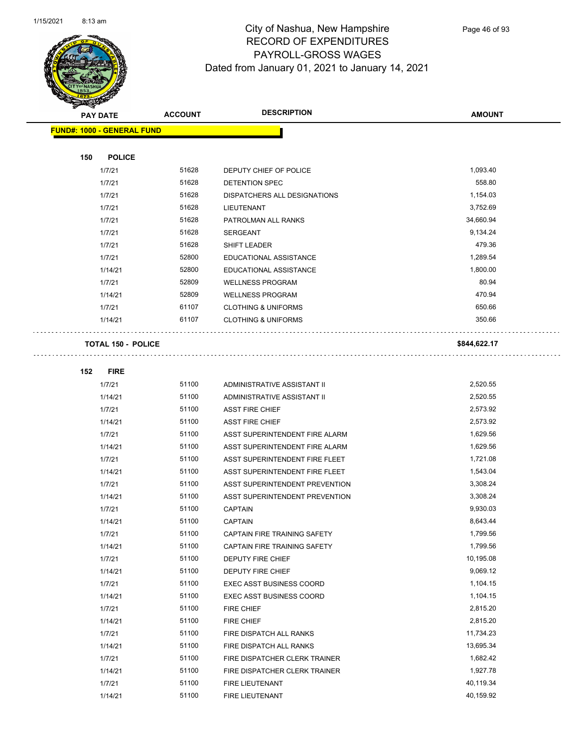

Page 46 of 93

| <b>PAY DATE</b>                   | <b>ACCOUNT</b> | <b>DESCRIPTION</b>              | <b>AMOUNT</b> |
|-----------------------------------|----------------|---------------------------------|---------------|
| <b>FUND#: 1000 - GENERAL FUND</b> |                |                                 |               |
|                                   |                |                                 |               |
| <b>POLICE</b><br>150              |                |                                 |               |
| 1/7/21                            | 51628          | DEPUTY CHIEF OF POLICE          | 1,093.40      |
| 1/7/21                            | 51628          | DETENTION SPEC                  | 558.80        |
| 1/7/21                            | 51628          | DISPATCHERS ALL DESIGNATIONS    | 1,154.03      |
| 1/7/21                            | 51628          | LIEUTENANT                      | 3,752.69      |
| 1/7/21                            | 51628          | PATROLMAN ALL RANKS             | 34,660.94     |
| 1/7/21                            | 51628          | <b>SERGEANT</b>                 | 9,134.24      |
| 1/7/21                            | 51628          | SHIFT LEADER                    | 479.36        |
| 1/7/21                            | 52800          | EDUCATIONAL ASSISTANCE          | 1,289.54      |
| 1/14/21                           | 52800          | EDUCATIONAL ASSISTANCE          | 1,800.00      |
| 1/7/21                            | 52809          | <b>WELLNESS PROGRAM</b>         | 80.94         |
| 1/14/21                           | 52809          | <b>WELLNESS PROGRAM</b>         | 470.94        |
| 1/7/21                            | 61107          | <b>CLOTHING &amp; UNIFORMS</b>  | 650.66        |
| 1/14/21                           | 61107          | <b>CLOTHING &amp; UNIFORMS</b>  | 350.66        |
| <b>TOTAL 150 - POLICE</b>         |                |                                 | \$844,622.17  |
| <b>FIRE</b><br>152                |                |                                 |               |
| 1/7/21                            | 51100          | ADMINISTRATIVE ASSISTANT II     | 2,520.55      |
| 1/14/21                           | 51100          | ADMINISTRATIVE ASSISTANT II     | 2,520.55      |
| 1/7/21                            | 51100          | <b>ASST FIRE CHIEF</b>          | 2,573.92      |
| 1/14/21                           | 51100          | <b>ASST FIRE CHIEF</b>          | 2,573.92      |
| 1/7/21                            | 51100          | ASST SUPERINTENDENT FIRE ALARM  | 1,629.56      |
| 1/14/21                           | 51100          | ASST SUPERINTENDENT FIRE ALARM  | 1,629.56      |
| 1/7/21                            | 51100          | ASST SUPERINTENDENT FIRE FLEET  | 1,721.08      |
| 1/14/21                           | 51100          | ASST SUPERINTENDENT FIRE FLEET  | 1,543.04      |
| 1/7/21                            | 51100          | ASST SUPERINTENDENT PREVENTION  | 3,308.24      |
| 1/14/21                           | 51100          | ASST SUPERINTENDENT PREVENTION  | 3,308.24      |
| 1/7/21                            | 51100          | <b>CAPTAIN</b>                  | 9,930.03      |
| 1/14/21                           | 51100          | <b>CAPTAIN</b>                  | 8,643.44      |
| 1/7/21                            | 51100          | CAPTAIN FIRE TRAINING SAFETY    | 1,799.56      |
| 1/14/21                           | 51100          | CAPTAIN FIRE TRAINING SAFETY    | 1,799.56      |
| 1/7/21                            | 51100          | DEPUTY FIRE CHIEF               | 10,195.08     |
| 1/14/21                           | 51100          | DEPUTY FIRE CHIEF               | 9,069.12      |
| 1/7/21                            | 51100          | <b>EXEC ASST BUSINESS COORD</b> | 1,104.15      |
| 1/14/21                           | 51100          | <b>EXEC ASST BUSINESS COORD</b> | 1,104.15      |
| 1/7/21                            | 51100          | FIRE CHIEF                      | 2,815.20      |
| 1/14/21                           | 51100          | FIRE CHIEF                      | 2,815.20      |
| 1/7/21                            | 51100          | FIRE DISPATCH ALL RANKS         | 11,734.23     |
| 1/14/21                           | 51100          | FIRE DISPATCH ALL RANKS         | 13,695.34     |
| 1/7/21                            | 51100          | FIRE DISPATCHER CLERK TRAINER   | 1,682.42      |
| 1/14/21                           | 51100          | FIRE DISPATCHER CLERK TRAINER   | 1,927.78      |
| 1/7/21                            | 51100          | FIRE LIEUTENANT                 | 40,119.34     |

1/14/21 51100 FIRE LIEUTENANT 40,159.92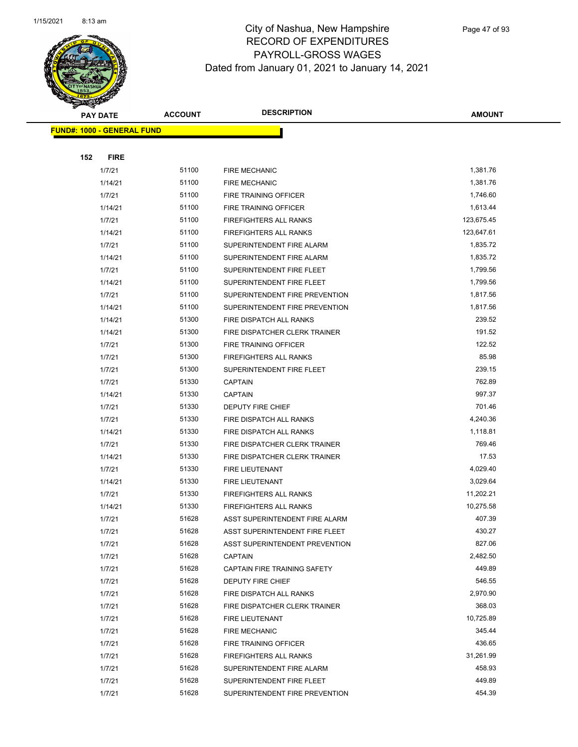

| <b>PAY DATE</b>                   | <b>ACCOUNT</b> | <b>DESCRIPTION</b>                                               | <b>AMOUNT</b>         |
|-----------------------------------|----------------|------------------------------------------------------------------|-----------------------|
| <b>FUND#: 1000 - GENERAL FUND</b> |                |                                                                  |                       |
|                                   |                |                                                                  |                       |
| 152<br><b>FIRE</b>                |                |                                                                  |                       |
| 1/7/21                            | 51100          | <b>FIRE MECHANIC</b>                                             | 1,381.76              |
| 1/14/21                           | 51100          | <b>FIRE MECHANIC</b>                                             | 1,381.76              |
| 1/7/21                            | 51100          | FIRE TRAINING OFFICER                                            | 1,746.60              |
| 1/14/21                           | 51100          | FIRE TRAINING OFFICER                                            | 1,613.44              |
| 1/7/21                            | 51100          | <b>FIREFIGHTERS ALL RANKS</b>                                    | 123,675.45            |
| 1/14/21                           | 51100          | <b>FIREFIGHTERS ALL RANKS</b>                                    | 123,647.61            |
| 1/7/21                            | 51100          | SUPERINTENDENT FIRE ALARM                                        | 1,835.72              |
| 1/14/21                           | 51100          | SUPERINTENDENT FIRE ALARM                                        | 1,835.72              |
| 1/7/21                            | 51100          | SUPERINTENDENT FIRE FLEET                                        | 1,799.56              |
| 1/14/21                           | 51100          | SUPERINTENDENT FIRE FLEET                                        | 1,799.56              |
| 1/7/21                            | 51100          | SUPERINTENDENT FIRE PREVENTION                                   | 1,817.56              |
| 1/14/21                           | 51100          | SUPERINTENDENT FIRE PREVENTION                                   | 1,817.56              |
| 1/14/21                           | 51300          | FIRE DISPATCH ALL RANKS                                          | 239.52                |
| 1/14/21                           | 51300          | FIRE DISPATCHER CLERK TRAINER                                    | 191.52                |
| 1/7/21                            | 51300          | FIRE TRAINING OFFICER                                            | 122.52                |
| 1/7/21                            | 51300          | FIREFIGHTERS ALL RANKS                                           | 85.98                 |
| 1/7/21                            | 51300          | SUPERINTENDENT FIRE FLEET                                        | 239.15                |
| 1/7/21                            | 51330          | <b>CAPTAIN</b>                                                   | 762.89                |
| 1/14/21                           | 51330          | <b>CAPTAIN</b>                                                   | 997.37                |
| 1/7/21                            | 51330          | <b>DEPUTY FIRE CHIEF</b>                                         | 701.46                |
| 1/7/21                            | 51330          | FIRE DISPATCH ALL RANKS                                          | 4,240.36              |
| 1/14/21                           | 51330          | FIRE DISPATCH ALL RANKS                                          | 1,118.81              |
| 1/7/21                            | 51330          | FIRE DISPATCHER CLERK TRAINER                                    | 769.46                |
| 1/14/21                           | 51330          | FIRE DISPATCHER CLERK TRAINER                                    | 17.53                 |
| 1/7/21                            | 51330          | FIRE LIEUTENANT                                                  | 4,029.40              |
| 1/14/21                           | 51330          | FIRE LIEUTENANT                                                  | 3,029.64<br>11,202.21 |
| 1/7/21                            | 51330          | FIREFIGHTERS ALL RANKS                                           |                       |
| 1/14/21                           | 51330<br>51628 | <b>FIREFIGHTERS ALL RANKS</b><br>ASST SUPERINTENDENT FIRE ALARM  | 10,275.58<br>407.39   |
| 1/7/21                            | 51628          |                                                                  | 430.27                |
| 1/7/21<br>1/7/21                  | 51628          | ASST SUPERINTENDENT FIRE FLEET<br>ASST SUPERINTENDENT PREVENTION | 827.06                |
| 1/7/21                            | 51628          | <b>CAPTAIN</b>                                                   | 2,482.50              |
| 1/7/21                            | 51628          | CAPTAIN FIRE TRAINING SAFETY                                     | 449.89                |
| 1/7/21                            | 51628          | DEPUTY FIRE CHIEF                                                | 546.55                |
| 1/7/21                            | 51628          | FIRE DISPATCH ALL RANKS                                          | 2,970.90              |
| 1/7/21                            | 51628          | FIRE DISPATCHER CLERK TRAINER                                    | 368.03                |
| 1/7/21                            | 51628          | <b>FIRE LIEUTENANT</b>                                           | 10,725.89             |
| 1/7/21                            | 51628          | <b>FIRE MECHANIC</b>                                             | 345.44                |
| 1/7/21                            | 51628          | FIRE TRAINING OFFICER                                            | 436.65                |
| 1/7/21                            | 51628          | FIREFIGHTERS ALL RANKS                                           | 31,261.99             |
| 1/7/21                            | 51628          | SUPERINTENDENT FIRE ALARM                                        | 458.93                |
| 1/7/21                            | 51628          | SUPERINTENDENT FIRE FLEET                                        | 449.89                |
| 1/7/21                            | 51628          | SUPERINTENDENT FIRE PREVENTION                                   | 454.39                |
|                                   |                |                                                                  |                       |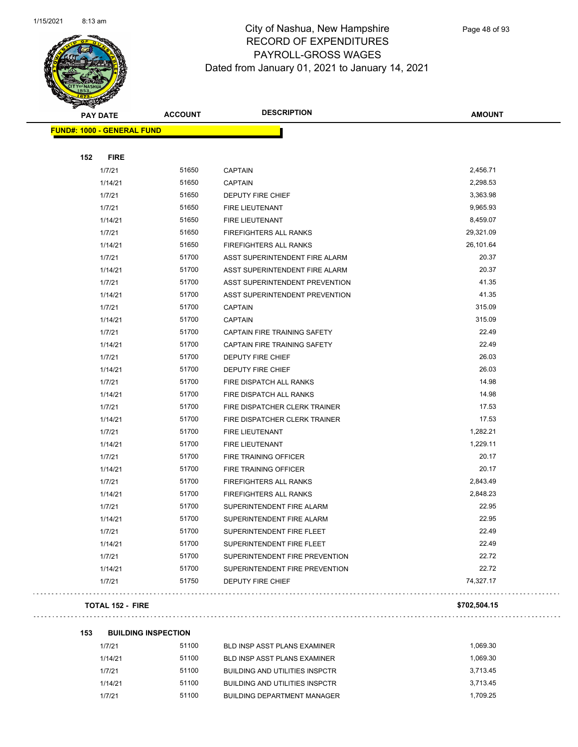

Page 48 of 93

| <b>FUND#: 1000 - GENERAL FUND</b>                       |           |
|---------------------------------------------------------|-----------|
|                                                         |           |
|                                                         |           |
| 152<br><b>FIRE</b>                                      |           |
| 1/7/21<br>51650<br><b>CAPTAIN</b>                       | 2,456.71  |
| 51650<br>1/14/21<br><b>CAPTAIN</b>                      | 2,298.53  |
| 1/7/21<br>51650<br>DEPUTY FIRE CHIEF                    | 3,363.98  |
| 1/7/21<br>51650<br>FIRE LIEUTENANT                      | 9,965.93  |
| 51650<br>1/14/21<br>FIRE LIEUTENANT                     | 8,459.07  |
| 51650<br>1/7/21<br><b>FIREFIGHTERS ALL RANKS</b>        | 29,321.09 |
| 51650<br>1/14/21<br>FIREFIGHTERS ALL RANKS              | 26,101.64 |
| 51700<br>1/7/21<br>ASST SUPERINTENDENT FIRE ALARM       | 20.37     |
| 51700<br>1/14/21<br>ASST SUPERINTENDENT FIRE ALARM      | 20.37     |
| 51700<br>1/7/21<br>ASST SUPERINTENDENT PREVENTION       | 41.35     |
| 51700<br>1/14/21<br>ASST SUPERINTENDENT PREVENTION      | 41.35     |
| 51700<br>1/7/21<br><b>CAPTAIN</b>                       | 315.09    |
| 51700<br>1/14/21<br><b>CAPTAIN</b>                      | 315.09    |
| 51700<br>1/7/21<br>CAPTAIN FIRE TRAINING SAFETY         | 22.49     |
| 51700<br>1/14/21<br><b>CAPTAIN FIRE TRAINING SAFETY</b> | 22.49     |
| 51700<br>1/7/21<br>DEPUTY FIRE CHIEF                    | 26.03     |
| 51700<br>1/14/21<br>DEPUTY FIRE CHIEF                   | 26.03     |
| 1/7/21<br>51700<br>FIRE DISPATCH ALL RANKS              | 14.98     |
| 51700<br>1/14/21<br>FIRE DISPATCH ALL RANKS             | 14.98     |
| 51700<br>1/7/21<br>FIRE DISPATCHER CLERK TRAINER        | 17.53     |
| 51700<br>1/14/21<br>FIRE DISPATCHER CLERK TRAINER       | 17.53     |
| 51700<br>1/7/21<br>FIRE LIEUTENANT                      | 1,282.21  |
| 51700<br>1/14/21<br>FIRE LIEUTENANT                     | 1,229.11  |
| 1/7/21<br>51700<br>FIRE TRAINING OFFICER                | 20.17     |
| 51700<br>1/14/21<br>FIRE TRAINING OFFICER               | 20.17     |
| 51700<br>1/7/21<br><b>FIREFIGHTERS ALL RANKS</b>        | 2,843.49  |
| 51700<br>1/14/21<br><b>FIREFIGHTERS ALL RANKS</b>       | 2,848.23  |
| 1/7/21<br>51700<br>SUPERINTENDENT FIRE ALARM            | 22.95     |
| 51700<br>1/14/21<br>SUPERINTENDENT FIRE ALARM           | 22.95     |
| 51700<br>1/7/21<br>SUPERINTENDENT FIRE FLEET            | 22.49     |
| 51700<br>1/14/21<br>SUPERINTENDENT FIRE FLEET           | 22.49     |
| 51700<br>1/7/21<br>SUPERINTENDENT FIRE PREVENTION       | 22.72     |
| 1/14/21<br>51700<br>SUPERINTENDENT FIRE PREVENTION      | 22.72     |
| 1/7/21<br>51750<br><b>DEPUTY FIRE CHIEF</b>             | 74,327.17 |

#### **TOTAL 152 - FIRE \$702,504.15**

 $\ldots$  .

| 153 | <b>BUILDING INSPECTION</b> |       |                                       |          |
|-----|----------------------------|-------|---------------------------------------|----------|
|     | 1/7/21                     | 51100 | BLD INSP ASST PLANS EXAMINER          | 1.069.30 |
|     | 1/14/21                    | 51100 | BLD INSP ASST PLANS EXAMINER          | 1.069.30 |
|     | 1/7/21                     | 51100 | <b>BUILDING AND UTILITIES INSPCTR</b> | 3.713.45 |
|     | 1/14/21                    | 51100 | <b>BUILDING AND UTILITIES INSPCTR</b> | 3.713.45 |
|     | 1/7/21                     | 51100 | <b>BUILDING DEPARTMENT MANAGER</b>    | 1.709.25 |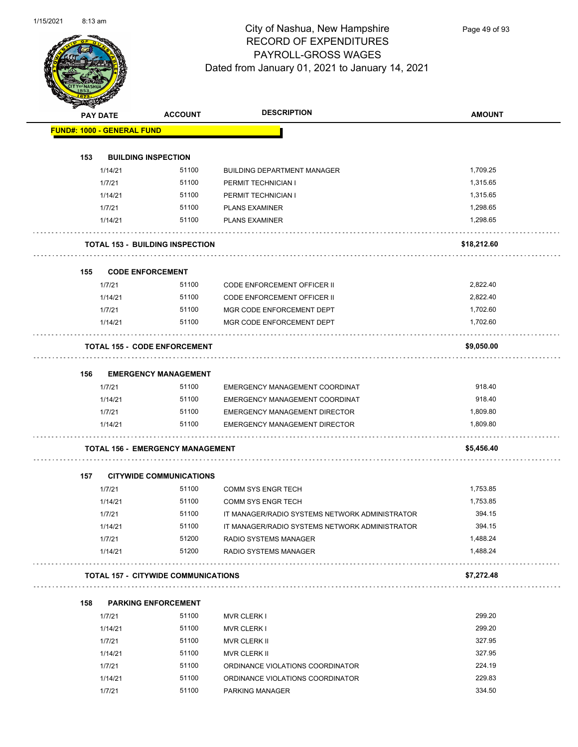

Page 49 of 93

| <b>SANGRA</b>                     |                 |                                            |                                                |               |
|-----------------------------------|-----------------|--------------------------------------------|------------------------------------------------|---------------|
|                                   | <b>PAY DATE</b> | <b>ACCOUNT</b>                             | <b>DESCRIPTION</b>                             | <b>AMOUNT</b> |
| <b>FUND#: 1000 - GENERAL FUND</b> |                 |                                            |                                                |               |
|                                   |                 |                                            |                                                |               |
| 153                               |                 | <b>BUILDING INSPECTION</b>                 |                                                |               |
|                                   | 1/14/21         | 51100                                      | <b>BUILDING DEPARTMENT MANAGER</b>             | 1,709.25      |
|                                   | 1/7/21          | 51100                                      | PERMIT TECHNICIAN I                            | 1,315.65      |
|                                   | 1/14/21         | 51100                                      | PERMIT TECHNICIAN I                            | 1,315.65      |
|                                   | 1/7/21          | 51100                                      | <b>PLANS EXAMINER</b>                          | 1,298.65      |
|                                   | 1/14/21         | 51100                                      | <b>PLANS EXAMINER</b>                          | 1,298.65      |
|                                   |                 | <b>TOTAL 153 - BUILDING INSPECTION</b>     |                                                | \$18,212.60   |
| 155                               |                 | <b>CODE ENFORCEMENT</b>                    |                                                |               |
|                                   | 1/7/21          | 51100                                      | <b>CODE ENFORCEMENT OFFICER II</b>             | 2,822.40      |
|                                   | 1/14/21         | 51100                                      | <b>CODE ENFORCEMENT OFFICER II</b>             | 2,822.40      |
|                                   | 1/7/21          | 51100                                      | MGR CODE ENFORCEMENT DEPT                      | 1,702.60      |
|                                   | 1/14/21         | 51100                                      | MGR CODE ENFORCEMENT DEPT                      | 1,702.60      |
|                                   |                 | <b>TOTAL 155 - CODE ENFORCEMENT</b>        |                                                | \$9,050.00    |
| 156                               |                 | <b>EMERGENCY MANAGEMENT</b>                |                                                |               |
|                                   | 1/7/21          | 51100                                      | EMERGENCY MANAGEMENT COORDINAT                 | 918.40        |
|                                   | 1/14/21         | 51100                                      | EMERGENCY MANAGEMENT COORDINAT                 | 918.40        |
|                                   | 1/7/21          | 51100                                      | <b>EMERGENCY MANAGEMENT DIRECTOR</b>           | 1,809.80      |
|                                   | 1/14/21         | 51100                                      | <b>EMERGENCY MANAGEMENT DIRECTOR</b>           | 1,809.80      |
|                                   |                 | <b>TOTAL 156 - EMERGENCY MANAGEMENT</b>    |                                                | \$5,456.40    |
| 157                               |                 | <b>CITYWIDE COMMUNICATIONS</b>             |                                                |               |
|                                   | 1/7/21          | 51100                                      | <b>COMM SYS ENGR TECH</b>                      | 1,753.85      |
|                                   | 1/14/21         | 51100                                      | <b>COMM SYS ENGR TECH</b>                      | 1,753.85      |
|                                   | 1/7/21          | 51100                                      | IT MANAGER/RADIO SYSTEMS NETWORK ADMINISTRATOR | 394.15        |
|                                   | 1/14/21         | 51100                                      | IT MANAGER/RADIO SYSTEMS NETWORK ADMINISTRATOR | 394.15        |
|                                   | 1/7/21          | 51200                                      | RADIO SYSTEMS MANAGER                          | 1,488.24      |
|                                   | 1/14/21         | 51200                                      | RADIO SYSTEMS MANAGER                          | 1,488.24      |
|                                   |                 | <b>TOTAL 157 - CITYWIDE COMMUNICATIONS</b> |                                                | \$7,272.48    |
| 158                               |                 | <b>PARKING ENFORCEMENT</b>                 |                                                |               |
|                                   | 1/7/21          | 51100                                      | <b>MVR CLERK I</b>                             | 299.20        |
|                                   | 1/14/21         | 51100                                      | <b>MVR CLERK I</b>                             | 299.20        |
|                                   | 1/7/21          | 51100                                      | <b>MVR CLERK II</b>                            | 327.95        |
|                                   | 1/14/21         | 51100                                      | MVR CLERK II                                   | 327.95        |
|                                   | 1/7/21          | 51100                                      | ORDINANCE VIOLATIONS COORDINATOR               | 224.19        |
|                                   | 1/14/21         | 51100                                      | ORDINANCE VIOLATIONS COORDINATOR               | 229.83        |
|                                   | 1/7/21          | 51100                                      | PARKING MANAGER                                | 334.50        |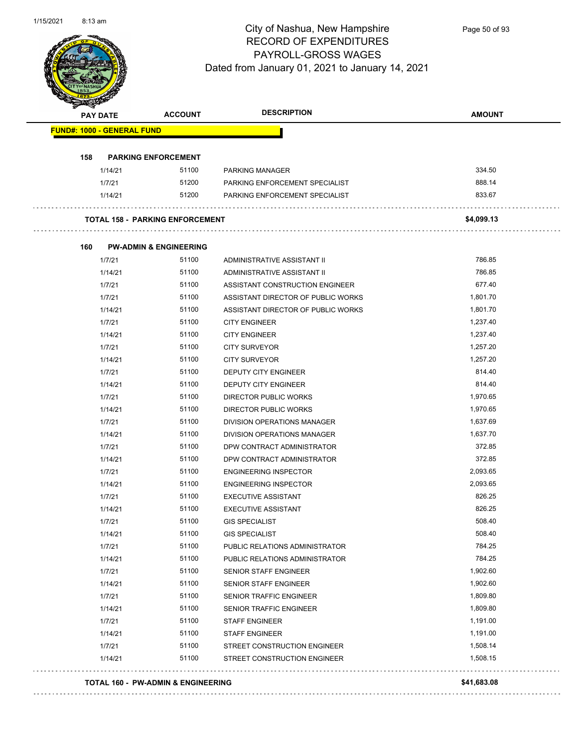

Page 50 of 93

|     | <b>PAY DATE</b>                   | <b>ACCOUNT</b>                         | <b>DESCRIPTION</b>                 | <b>AMOUNT</b> |
|-----|-----------------------------------|----------------------------------------|------------------------------------|---------------|
|     | <b>FUND#: 1000 - GENERAL FUND</b> |                                        |                                    |               |
| 158 |                                   | <b>PARKING ENFORCEMENT</b>             |                                    |               |
|     | 1/14/21                           | 51100                                  | <b>PARKING MANAGER</b>             | 334.50        |
|     | 1/7/21                            | 51200                                  | PARKING ENFORCEMENT SPECIALIST     | 888.14        |
|     | 1/14/21                           | 51200                                  | PARKING ENFORCEMENT SPECIALIST     | 833.67        |
|     |                                   | <b>TOTAL 158 - PARKING ENFORCEMENT</b> |                                    | \$4,099.13    |
| 160 |                                   | <b>PW-ADMIN &amp; ENGINEERING</b>      |                                    |               |
|     | 1/7/21                            | 51100                                  | ADMINISTRATIVE ASSISTANT II        | 786.85        |
|     | 1/14/21                           | 51100                                  | ADMINISTRATIVE ASSISTANT II        | 786.85        |
|     | 1/7/21                            | 51100                                  | ASSISTANT CONSTRUCTION ENGINEER    | 677.40        |
|     | 1/7/21                            | 51100                                  | ASSISTANT DIRECTOR OF PUBLIC WORKS | 1.801.70      |
|     | 1/14/21                           | 51100                                  | ASSISTANT DIRECTOR OF PUBLIC WORKS | 1,801.70      |
|     | 1/7/21                            | 51100                                  | <b>CITY ENGINEER</b>               | 1,237.40      |
|     | 1/14/21                           | 51100                                  | <b>CITY ENGINEER</b>               | 1,237.40      |
|     | 1/7/21                            | 51100                                  | <b>CITY SURVEYOR</b>               | 1,257.20      |
|     | 1/14/21                           | 51100                                  | <b>CITY SURVEYOR</b>               | 1,257.20      |
|     | 1/7/21                            | 51100                                  | DEPUTY CITY ENGINEER               | 814.40        |
|     | 1/14/21                           | 51100                                  | DEPUTY CITY ENGINEER               | 814.40        |
|     | 1/7/21                            | 51100                                  | DIRECTOR PUBLIC WORKS              | 1,970.65      |
|     | 1/14/21                           | 51100                                  | <b>DIRECTOR PUBLIC WORKS</b>       | 1,970.65      |
|     | 1/7/21                            | 51100                                  | DIVISION OPERATIONS MANAGER        | 1,637.69      |
|     | 1/14/21                           | 51100                                  | DIVISION OPERATIONS MANAGER        | 1,637.70      |
|     | 1/7/21                            | 51100                                  | DPW CONTRACT ADMINISTRATOR         | 372.85        |
|     | 1/14/21                           | 51100                                  | DPW CONTRACT ADMINISTRATOR         | 372.85        |
|     | 1/7/21                            | 51100                                  | <b>ENGINEERING INSPECTOR</b>       | 2,093.65      |
|     | 1/14/21                           | 51100                                  | <b>ENGINEERING INSPECTOR</b>       | 2,093.65      |
|     | 1/7/21                            | 51100                                  | <b>EXECUTIVE ASSISTANT</b>         | 826.25        |
|     | 1/14/21                           | 51100                                  | <b>EXECUTIVE ASSISTANT</b>         | 826.25        |
|     | 1/7/21                            | 51100                                  | <b>GIS SPECIALIST</b>              | 508.40        |
|     | 1/14/21                           | 51100                                  | <b>GIS SPECIALIST</b>              | 508.40        |
|     | 1/7/21                            | 51100                                  | PUBLIC RELATIONS ADMINISTRATOR     | 784.25        |
|     | 1/14/21                           | 51100                                  | PUBLIC RELATIONS ADMINISTRATOR     | 784.25        |
|     | 1/7/21                            | 51100                                  | SENIOR STAFF ENGINEER              | 1,902.60      |
|     | 1/14/21                           | 51100                                  | <b>SENIOR STAFF ENGINEER</b>       | 1,902.60      |
|     | 1/7/21                            | 51100                                  | SENIOR TRAFFIC ENGINEER            | 1,809.80      |
|     | 1/14/21                           | 51100                                  | SENIOR TRAFFIC ENGINEER            | 1,809.80      |
|     | 1/7/21                            | 51100                                  | <b>STAFF ENGINEER</b>              | 1,191.00      |
|     | 1/14/21                           | 51100                                  | <b>STAFF ENGINEER</b>              | 1,191.00      |
|     | 1/7/21                            | 51100                                  | STREET CONSTRUCTION ENGINEER       | 1,508.14      |
|     | 1/14/21                           | 51100                                  | STREET CONSTRUCTION ENGINEER       | 1,508.15      |

#### **TOTAL 160 - PW-ADMIN & ENGINEERING \$41,683.08**

####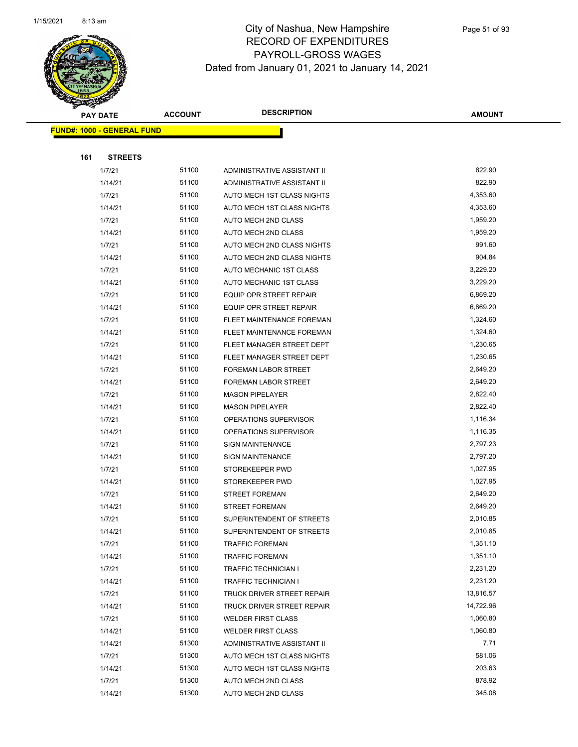

| <b>PAY DATE</b>                   | <b>ACCOUNT</b> | <b>DESCRIPTION</b>          | <b>AMOUNT</b> |
|-----------------------------------|----------------|-----------------------------|---------------|
| <b>FUND#: 1000 - GENERAL FUND</b> |                |                             |               |
|                                   |                |                             |               |
| 161<br><b>STREETS</b>             |                |                             |               |
| 1/7/21                            | 51100          | ADMINISTRATIVE ASSISTANT II | 822.90        |
| 1/14/21                           | 51100          | ADMINISTRATIVE ASSISTANT II | 822.90        |
| 1/7/21                            | 51100          | AUTO MECH 1ST CLASS NIGHTS  | 4,353.60      |
| 1/14/21                           | 51100          | AUTO MECH 1ST CLASS NIGHTS  | 4,353.60      |
| 1/7/21                            | 51100          | <b>AUTO MECH 2ND CLASS</b>  | 1,959.20      |
| 1/14/21                           | 51100          | <b>AUTO MECH 2ND CLASS</b>  | 1,959.20      |
| 1/7/21                            | 51100          | AUTO MECH 2ND CLASS NIGHTS  | 991.60        |
| 1/14/21                           | 51100          | AUTO MECH 2ND CLASS NIGHTS  | 904.84        |
| 1/7/21                            | 51100          | AUTO MECHANIC 1ST CLASS     | 3,229.20      |
| 1/14/21                           | 51100          | AUTO MECHANIC 1ST CLASS     | 3,229.20      |
| 1/7/21                            | 51100          | EQUIP OPR STREET REPAIR     | 6,869.20      |
| 1/14/21                           | 51100          | EQUIP OPR STREET REPAIR     | 6,869.20      |
| 1/7/21                            | 51100          | FLEET MAINTENANCE FOREMAN   | 1,324.60      |
| 1/14/21                           | 51100          | FLEET MAINTENANCE FOREMAN   | 1,324.60      |
| 1/7/21                            | 51100          | FLEET MANAGER STREET DEPT   | 1,230.65      |
| 1/14/21                           | 51100          | FLEET MANAGER STREET DEPT   | 1,230.65      |
| 1/7/21                            | 51100          | FOREMAN LABOR STREET        | 2,649.20      |
| 1/14/21                           | 51100          | FOREMAN LABOR STREET        | 2,649.20      |
| 1/7/21                            | 51100          | <b>MASON PIPELAYER</b>      | 2,822.40      |
| 1/14/21                           | 51100          | <b>MASON PIPELAYER</b>      | 2,822.40      |
| 1/7/21                            | 51100          | OPERATIONS SUPERVISOR       | 1,116.34      |
| 1/14/21                           | 51100          | OPERATIONS SUPERVISOR       | 1,116.35      |
| 1/7/21                            | 51100          | <b>SIGN MAINTENANCE</b>     | 2,797.23      |
| 1/14/21                           | 51100          | <b>SIGN MAINTENANCE</b>     | 2,797.20      |
| 1/7/21                            | 51100          | STOREKEEPER PWD             | 1,027.95      |
| 1/14/21                           | 51100          | STOREKEEPER PWD             | 1,027.95      |
| 1/7/21                            | 51100          | <b>STREET FOREMAN</b>       | 2,649.20      |
| 1/14/21                           | 51100          | <b>STREET FOREMAN</b>       | 2,649.20      |
| 1/7/21                            | 51100          | SUPERINTENDENT OF STREETS   | 2,010.85      |
| 1/14/21                           | 51100          | SUPERINTENDENT OF STREETS   | 2,010.85      |
| 1/7/21                            | 51100          | <b>TRAFFIC FOREMAN</b>      | 1,351.10      |
| 1/14/21                           | 51100          | <b>TRAFFIC FOREMAN</b>      | 1,351.10      |
| 1/7/21                            | 51100          | <b>TRAFFIC TECHNICIAN I</b> | 2,231.20      |
| 1/14/21                           | 51100          | <b>TRAFFIC TECHNICIAN I</b> | 2,231.20      |
| 1/7/21                            | 51100          | TRUCK DRIVER STREET REPAIR  | 13,816.57     |
| 1/14/21                           | 51100          | TRUCK DRIVER STREET REPAIR  | 14,722.96     |
| 1/7/21                            | 51100          | <b>WELDER FIRST CLASS</b>   | 1,060.80      |
| 1/14/21                           | 51100          | <b>WELDER FIRST CLASS</b>   | 1,060.80      |
| 1/14/21                           | 51300          | ADMINISTRATIVE ASSISTANT II | 7.71          |
| 1/7/21                            | 51300          | AUTO MECH 1ST CLASS NIGHTS  | 581.06        |
| 1/14/21                           | 51300          | AUTO MECH 1ST CLASS NIGHTS  | 203.63        |
| 1/7/21                            | 51300          | AUTO MECH 2ND CLASS         | 878.92        |
| 1/14/21                           | 51300          | AUTO MECH 2ND CLASS         | 345.08        |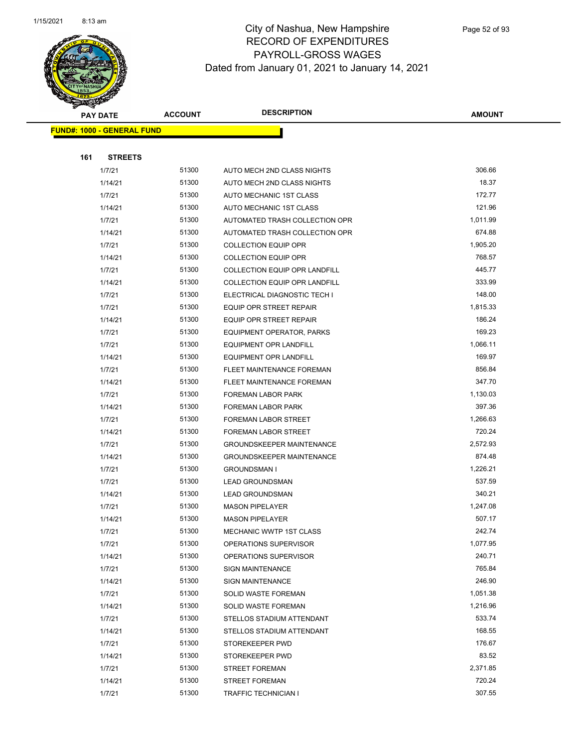

|     | <b>PAY DATE</b>                    | <b>ACCOUNT</b> | <b>DESCRIPTION</b>                   | <b>AMOUNT</b> |
|-----|------------------------------------|----------------|--------------------------------------|---------------|
|     | <u> FUND#: 1000 - GENERAL FUND</u> |                |                                      |               |
|     |                                    |                |                                      |               |
| 161 | <b>STREETS</b>                     |                |                                      |               |
|     | 1/7/21                             | 51300          | AUTO MECH 2ND CLASS NIGHTS           | 306.66        |
|     | 1/14/21                            | 51300          | AUTO MECH 2ND CLASS NIGHTS           | 18.37         |
|     | 1/7/21                             | 51300          | AUTO MECHANIC 1ST CLASS              | 172.77        |
|     | 1/14/21                            | 51300          | AUTO MECHANIC 1ST CLASS              | 121.96        |
|     | 1/7/21                             | 51300          | AUTOMATED TRASH COLLECTION OPR       | 1,011.99      |
|     | 1/14/21                            | 51300          | AUTOMATED TRASH COLLECTION OPR       | 674.88        |
|     | 1/7/21                             | 51300          | <b>COLLECTION EQUIP OPR</b>          | 1,905.20      |
|     | 1/14/21                            | 51300          | <b>COLLECTION EQUIP OPR</b>          | 768.57        |
|     | 1/7/21                             | 51300          | <b>COLLECTION EQUIP OPR LANDFILL</b> | 445.77        |
|     | 1/14/21                            | 51300          | COLLECTION EQUIP OPR LANDFILL        | 333.99        |
|     | 1/7/21                             | 51300          | ELECTRICAL DIAGNOSTIC TECH I         | 148.00        |
|     | 1/7/21                             | 51300          | EQUIP OPR STREET REPAIR              | 1,815.33      |
|     | 1/14/21                            | 51300          | EQUIP OPR STREET REPAIR              | 186.24        |
|     | 1/7/21                             | 51300          | EQUIPMENT OPERATOR, PARKS            | 169.23        |
|     | 1/7/21                             | 51300          | <b>EQUIPMENT OPR LANDFILL</b>        | 1,066.11      |
|     | 1/14/21                            | 51300          | <b>EQUIPMENT OPR LANDFILL</b>        | 169.97        |
|     | 1/7/21                             | 51300          | FLEET MAINTENANCE FOREMAN            | 856.84        |
|     | 1/14/21                            | 51300          | FLEET MAINTENANCE FOREMAN            | 347.70        |
|     | 1/7/21                             | 51300          | FOREMAN LABOR PARK                   | 1,130.03      |
|     | 1/14/21                            | 51300          | FOREMAN LABOR PARK                   | 397.36        |
|     | 1/7/21                             | 51300          | FOREMAN LABOR STREET                 | 1,266.63      |
|     | 1/14/21                            | 51300          | FOREMAN LABOR STREET                 | 720.24        |
|     | 1/7/21                             | 51300          | <b>GROUNDSKEEPER MAINTENANCE</b>     | 2,572.93      |
|     | 1/14/21                            | 51300          | <b>GROUNDSKEEPER MAINTENANCE</b>     | 874.48        |
|     | 1/7/21                             | 51300          | <b>GROUNDSMAN I</b>                  | 1,226.21      |
|     | 1/7/21                             | 51300          | <b>LEAD GROUNDSMAN</b>               | 537.59        |
|     | 1/14/21                            | 51300          | <b>LEAD GROUNDSMAN</b>               | 340.21        |
|     | 1/7/21                             | 51300          | <b>MASON PIPELAYER</b>               | 1,247.08      |
|     | 1/14/21                            | 51300          | <b>MASON PIPELAYER</b>               | 507.17        |
|     | 1/7/21                             | 51300          | MECHANIC WWTP 1ST CLASS              | 242.74        |
|     | 1/7/21                             | 51300          | OPERATIONS SUPERVISOR                | 1,077.95      |
|     | 1/14/21                            | 51300          | OPERATIONS SUPERVISOR                | 240.71        |
|     | 1/7/21                             | 51300          | <b>SIGN MAINTENANCE</b>              | 765.84        |
|     | 1/14/21                            | 51300          | <b>SIGN MAINTENANCE</b>              | 246.90        |
|     | 1/7/21                             | 51300          | SOLID WASTE FOREMAN                  | 1,051.38      |
|     | 1/14/21                            | 51300          | SOLID WASTE FOREMAN                  | 1,216.96      |
|     | 1/7/21                             | 51300          | STELLOS STADIUM ATTENDANT            | 533.74        |
|     | 1/14/21                            | 51300          | STELLOS STADIUM ATTENDANT            | 168.55        |
|     | 1/7/21                             | 51300          | STOREKEEPER PWD                      | 176.67        |
|     | 1/14/21                            | 51300          | STOREKEEPER PWD                      | 83.52         |
|     | 1/7/21                             | 51300          | <b>STREET FOREMAN</b>                | 2,371.85      |
|     | 1/14/21                            | 51300          | <b>STREET FOREMAN</b>                | 720.24        |
|     | 1/7/21                             | 51300          | TRAFFIC TECHNICIAN I                 | 307.55        |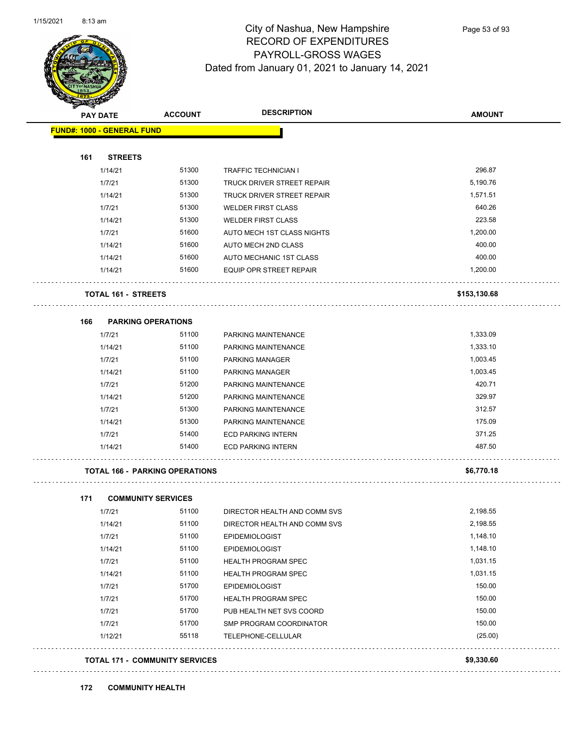

Page 53 of 93

| <b>PAY DATE</b>                   | <b>ACCOUNT</b>                        | <b>DESCRIPTION</b>                | <b>AMOUNT</b> |
|-----------------------------------|---------------------------------------|-----------------------------------|---------------|
| <b>FUND#: 1000 - GENERAL FUND</b> |                                       |                                   |               |
| 161<br><b>STREETS</b>             |                                       |                                   |               |
| 1/14/21                           | 51300                                 | <b>TRAFFIC TECHNICIAN I</b>       | 296.87        |
| 1/7/21                            | 51300                                 | <b>TRUCK DRIVER STREET REPAIR</b> | 5,190.76      |
| 1/14/21                           | 51300                                 | TRUCK DRIVER STREET REPAIR        | 1,571.51      |
| 1/7/21                            | 51300                                 | <b>WELDER FIRST CLASS</b>         | 640.26        |
| 1/14/21                           | 51300                                 | <b>WELDER FIRST CLASS</b>         | 223.58        |
| 1/7/21                            | 51600                                 | AUTO MECH 1ST CLASS NIGHTS        | 1,200.00      |
| 1/14/21                           | 51600                                 | AUTO MECH 2ND CLASS               | 400.00        |
| 1/14/21                           | 51600                                 | AUTO MECHANIC 1ST CLASS           | 400.00        |
| 1/14/21                           | 51600                                 | EQUIP OPR STREET REPAIR           | 1,200.00      |
| <b>TOTAL 161 - STREETS</b>        |                                       |                                   | \$153,130.68  |
| 166                               | <b>PARKING OPERATIONS</b>             |                                   |               |
| 1/7/21                            | 51100                                 | PARKING MAINTENANCE               | 1,333.09      |
| 1/14/21                           | 51100                                 | PARKING MAINTENANCE               | 1,333.10      |
| 1/7/21                            | 51100                                 | <b>PARKING MANAGER</b>            | 1,003.45      |
| 1/14/21                           | 51100                                 | <b>PARKING MANAGER</b>            | 1,003.45      |
| 1/7/21                            | 51200                                 | PARKING MAINTENANCE               | 420.71        |
| 1/14/21                           | 51200                                 | PARKING MAINTENANCE               | 329.97        |
| 1/7/21                            | 51300                                 | PARKING MAINTENANCE               | 312.57        |
| 1/14/21                           | 51300                                 | PARKING MAINTENANCE               | 175.09        |
| 1/7/21                            | 51400                                 | <b>ECD PARKING INTERN</b>         | 371.25        |
| 1/14/21                           | 51400                                 | <b>ECD PARKING INTERN</b>         | 487.50        |
|                                   | <b>TOTAL 166 - PARKING OPERATIONS</b> |                                   | \$6,770.18    |
| 171                               | <b>COMMUNITY SERVICES</b>             |                                   |               |
| 1/7/21                            | 51100                                 | DIRECTOR HEALTH AND COMM SVS      | 2,198.55      |
| 1/14/21                           | 51100                                 | DIRECTOR HEALTH AND COMM SVS      | 2,198.55      |
| 1/7/21                            | 51100                                 | <b>EPIDEMIOLOGIST</b>             | 1,148.10      |
| 1/14/21                           | 51100                                 | <b>EPIDEMIOLOGIST</b>             | 1,148.10      |
| 1/7/21                            | 51100                                 | <b>HEALTH PROGRAM SPEC</b>        | 1,031.15      |
| 1/14/21                           | 51100                                 | <b>HEALTH PROGRAM SPEC</b>        | 1,031.15      |
| 1/7/21                            | 51700                                 | <b>EPIDEMIOLOGIST</b>             | 150.00        |
| 1/7/21                            | 51700                                 | HEALTH PROGRAM SPEC               | 150.00        |
| 1/7/21                            | 51700                                 | PUB HEALTH NET SVS COORD          | 150.00        |
| 1/7/21                            | 51700                                 | SMP PROGRAM COORDINATOR           | 150.00        |
| 1/12/21                           | 55118                                 | TELEPHONE-CELLULAR                | (25.00)       |
|                                   |                                       |                                   |               |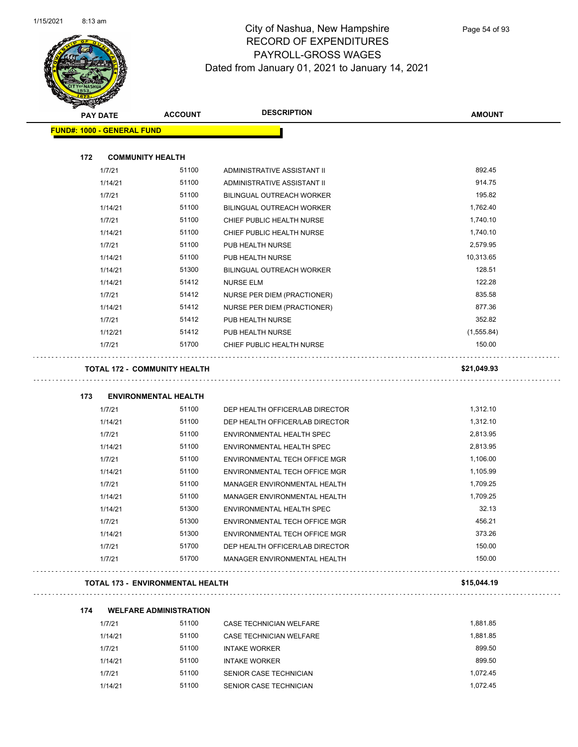$\overline{\phantom{0}}$ 



| <b>SANGRA</b>                     |                                  |                                    |               |
|-----------------------------------|----------------------------------|------------------------------------|---------------|
| <b>PAY DATE</b>                   | <b>ACCOUNT</b>                   | <b>DESCRIPTION</b>                 | <b>AMOUNT</b> |
| <b>FUND#: 1000 - GENERAL FUND</b> |                                  |                                    |               |
| 172                               | <b>COMMUNITY HEALTH</b>          |                                    |               |
| 1/7/21                            | 51100                            | ADMINISTRATIVE ASSISTANT II        | 892.45        |
| 1/14/21                           | 51100                            | ADMINISTRATIVE ASSISTANT II        | 914.75        |
| 1/7/21                            | 51100                            | <b>BILINGUAL OUTREACH WORKER</b>   | 195.82        |
| 1/14/21                           | 51100                            | <b>BILINGUAL OUTREACH WORKER</b>   | 1,762.40      |
| 1/7/21                            | 51100                            | CHIEF PUBLIC HEALTH NURSE          | 1,740.10      |
| 1/14/21                           | 51100                            | CHIEF PUBLIC HEALTH NURSE          | 1,740.10      |
| 1/7/21                            | 51100                            | PUB HEALTH NURSE                   | 2,579.95      |
| 1/14/21                           | 51100                            | PUB HEALTH NURSE                   | 10,313.65     |
| 1/14/21                           | 51300                            | BILINGUAL OUTREACH WORKER          | 128.51        |
| 1/14/21                           | 51412                            | <b>NURSE ELM</b>                   | 122.28        |
| 1/7/21                            | 51412                            | NURSE PER DIEM (PRACTIONER)        | 835.58        |
| 1/14/21                           | 51412                            | <b>NURSE PER DIEM (PRACTIONER)</b> | 877.36        |
| 1/7/21                            | 51412                            | PUB HEALTH NURSE                   | 352.82        |
| 1/12/21                           | 51412                            | PUB HEALTH NURSE                   | (1,555.84)    |
| 1/7/21                            | 51700                            | CHIEF PUBLIC HEALTH NURSE          | 150.00        |
| 173                               | <b>ENVIRONMENTAL HEALTH</b>      |                                    |               |
| 1/7/21                            | 51100                            | DEP HEALTH OFFICER/LAB DIRECTOR    | 1,312.10      |
| 1/14/21                           | 51100                            | DEP HEALTH OFFICER/LAB DIRECTOR    | 1,312.10      |
| 1/7/21                            | 51100                            | ENVIRONMENTAL HEALTH SPEC          | 2,813.95      |
| 1/14/21                           | 51100                            | ENVIRONMENTAL HEALTH SPEC          | 2,813.95      |
| 1/7/21                            | 51100                            | ENVIRONMENTAL TECH OFFICE MGR      | 1,106.00      |
| 1/14/21                           | 51100                            | ENVIRONMENTAL TECH OFFICE MGR      | 1,105.99      |
| 1/7/21                            | 51100                            | MANAGER ENVIRONMENTAL HEALTH       | 1,709.25      |
| 1/14/21                           | 51100                            | MANAGER ENVIRONMENTAL HEALTH       | 1,709.25      |
| 1/14/21                           | 51300                            | ENVIRONMENTAL HEALTH SPEC          | 32.13         |
| 1/7/21                            | 51300                            | ENVIRONMENTAL TECH OFFICE MGR      | 456.21        |
| 1/14/21                           | 51300                            | ENVIRONMENTAL TECH OFFICE MGR      | 373.26        |
| 1/7/21                            | 51700                            | DEP HEALTH OFFICER/LAB DIRECTOR    | 150.00        |
| 1/7/21                            | 51700                            | MANAGER ENVIRONMENTAL HEALTH       | 150.00        |
|                                   | TOTAL 173 - ENVIRONMENTAL HEALTH |                                    | \$15,044.19   |
| 174                               | <b>WELFARE ADMINISTRATION</b>    |                                    |               |
| 1/7/21                            | 51100                            | CASE TECHNICIAN WELFARE            | 1,881.85      |
| 1/14/21                           | 51100                            | CASE TECHNICIAN WELFARE            | 188185        |

| 1///21  | 51100 | CASE TECHNICIAN WELFARE | 1.881.85 |
|---------|-------|-------------------------|----------|
| 1/14/21 | 51100 | CASE TECHNICIAN WELFARE | 1.881.85 |
| 1/7/21  | 51100 | <b>INTAKE WORKER</b>    | 899.50   |
| 1/14/21 | 51100 | <b>INTAKE WORKER</b>    | 899.50   |
| 1/7/21  | 51100 | SENIOR CASE TECHNICIAN  | 1.072.45 |
| 1/14/21 | 51100 | SENIOR CASE TECHNICIAN  | 1.072.45 |
|         |       |                         |          |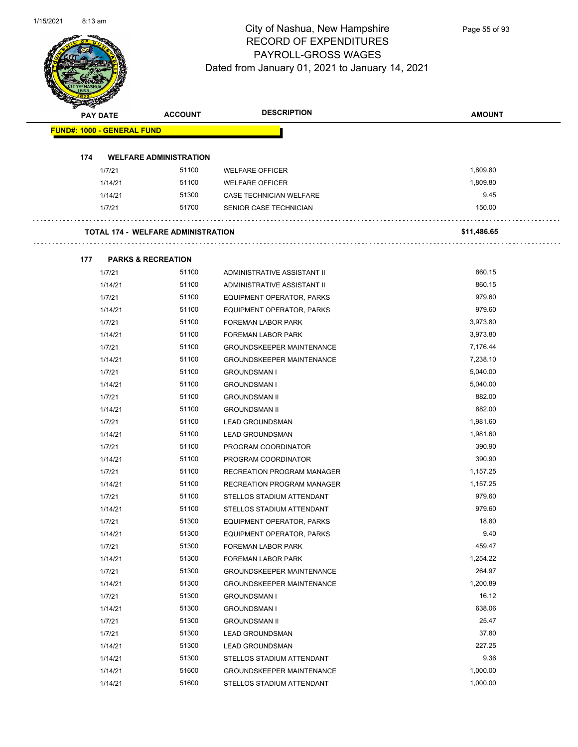

Page 55 of 93

| B.  | <b>PAY DATE</b>                   | <b>ACCOUNT</b>                            | <b>DESCRIPTION</b>                | <b>AMOUNT</b> |  |
|-----|-----------------------------------|-------------------------------------------|-----------------------------------|---------------|--|
|     | <b>FUND#: 1000 - GENERAL FUND</b> |                                           |                                   |               |  |
|     |                                   |                                           |                                   |               |  |
| 174 |                                   | <b>WELFARE ADMINISTRATION</b>             |                                   |               |  |
|     | 1/7/21                            | 51100                                     | <b>WELFARE OFFICER</b>            | 1,809.80      |  |
|     | 1/14/21                           | 51100                                     | <b>WELFARE OFFICER</b>            | 1,809.80      |  |
|     | 1/14/21                           | 51300                                     | CASE TECHNICIAN WELFARE           | 9.45          |  |
|     | 1/7/21                            | 51700                                     | SENIOR CASE TECHNICIAN            | 150.00        |  |
|     |                                   | <b>TOTAL 174 - WELFARE ADMINISTRATION</b> |                                   | \$11,486.65   |  |
|     |                                   |                                           |                                   |               |  |
| 177 |                                   | <b>PARKS &amp; RECREATION</b>             |                                   |               |  |
|     | 1/7/21                            | 51100                                     | ADMINISTRATIVE ASSISTANT II       | 860.15        |  |
|     | 1/14/21                           | 51100                                     | ADMINISTRATIVE ASSISTANT II       | 860.15        |  |
|     | 1/7/21                            | 51100                                     | EQUIPMENT OPERATOR, PARKS         | 979.60        |  |
|     | 1/14/21                           | 51100                                     | EQUIPMENT OPERATOR, PARKS         | 979.60        |  |
|     | 1/7/21                            | 51100                                     | FOREMAN LABOR PARK                | 3,973.80      |  |
|     | 1/14/21                           | 51100                                     | FOREMAN LABOR PARK                | 3,973.80      |  |
|     | 1/7/21                            | 51100                                     | <b>GROUNDSKEEPER MAINTENANCE</b>  | 7,176.44      |  |
|     | 1/14/21                           | 51100                                     | <b>GROUNDSKEEPER MAINTENANCE</b>  | 7,238.10      |  |
|     | 1/7/21                            | 51100                                     | <b>GROUNDSMAN I</b>               | 5,040.00      |  |
|     | 1/14/21                           | 51100                                     | <b>GROUNDSMAN I</b>               | 5,040.00      |  |
|     | 1/7/21                            | 51100                                     | <b>GROUNDSMAN II</b>              | 882.00        |  |
|     | 1/14/21                           | 51100                                     | <b>GROUNDSMAN II</b>              | 882.00        |  |
|     | 1/7/21                            | 51100                                     | <b>LEAD GROUNDSMAN</b>            | 1,981.60      |  |
|     | 1/14/21                           | 51100                                     | <b>LEAD GROUNDSMAN</b>            | 1,981.60      |  |
|     | 1/7/21                            | 51100                                     | PROGRAM COORDINATOR               | 390.90        |  |
|     | 1/14/21                           | 51100                                     | PROGRAM COORDINATOR               | 390.90        |  |
|     | 1/7/21                            | 51100                                     | <b>RECREATION PROGRAM MANAGER</b> | 1,157.25      |  |
|     | 1/14/21                           | 51100                                     | RECREATION PROGRAM MANAGER        | 1,157.25      |  |
|     | 1/7/21                            | 51100                                     | STELLOS STADIUM ATTENDANT         | 979.60        |  |
|     | 1/14/21                           | 51100                                     | STELLOS STADIUM ATTENDANT         | 979.60        |  |
|     | 1/7/21                            | 51300                                     | EQUIPMENT OPERATOR, PARKS         | 18.80         |  |
|     | 1/14/21                           | 51300                                     | EQUIPMENT OPERATOR, PARKS         | 9.40          |  |
|     | 1/7/21                            | 51300                                     | FOREMAN LABOR PARK                | 459.47        |  |
|     | 1/14/21                           | 51300                                     | FOREMAN LABOR PARK                | 1,254.22      |  |
|     | 1/7/21                            | 51300                                     | <b>GROUNDSKEEPER MAINTENANCE</b>  | 264.97        |  |
|     | 1/14/21                           | 51300                                     | <b>GROUNDSKEEPER MAINTENANCE</b>  | 1,200.89      |  |
|     | 1/7/21                            | 51300                                     | <b>GROUNDSMAN I</b>               | 16.12         |  |
|     | 1/14/21                           | 51300                                     | <b>GROUNDSMAN I</b>               | 638.06        |  |
|     | 1/7/21                            | 51300                                     | <b>GROUNDSMAN II</b>              | 25.47         |  |
|     | 1/7/21                            | 51300                                     | LEAD GROUNDSMAN                   | 37.80         |  |
|     | 1/14/21                           | 51300                                     | <b>LEAD GROUNDSMAN</b>            | 227.25        |  |
|     | 1/14/21                           | 51300                                     | STELLOS STADIUM ATTENDANT         | 9.36          |  |
|     | 1/14/21                           | 51600                                     | <b>GROUNDSKEEPER MAINTENANCE</b>  | 1,000.00      |  |
|     | 1/14/21                           | 51600                                     | STELLOS STADIUM ATTENDANT         | 1,000.00      |  |
|     |                                   |                                           |                                   |               |  |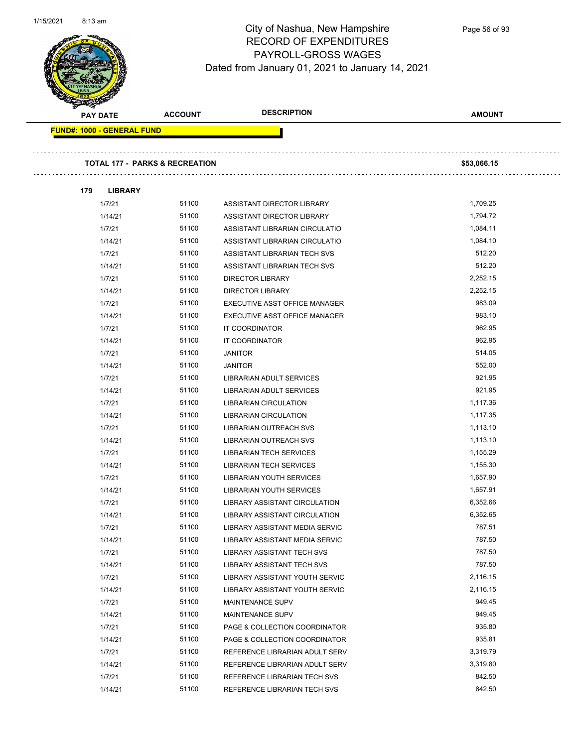

| <b>PAY DATE</b>            | <b>ACCOUNT</b>                            | <b>DESCRIPTION</b>              | <b>AMOUNT</b> |
|----------------------------|-------------------------------------------|---------------------------------|---------------|
| FUND#: 1000 - GENERAL FUND |                                           |                                 |               |
|                            |                                           |                                 |               |
|                            | <b>TOTAL 177 - PARKS &amp; RECREATION</b> |                                 | \$53,066.15   |
|                            |                                           |                                 |               |
| 179<br><b>LIBRARY</b>      |                                           |                                 |               |
| 1/7/21                     | 51100                                     | ASSISTANT DIRECTOR LIBRARY      | 1,709.25      |
| 1/14/21                    | 51100                                     | ASSISTANT DIRECTOR LIBRARY      | 1,794.72      |
| 1/7/21                     | 51100                                     | ASSISTANT LIBRARIAN CIRCULATIO  | 1,084.11      |
| 1/14/21                    | 51100                                     | ASSISTANT LIBRARIAN CIRCULATIO  | 1,084.10      |
| 1/7/21                     | 51100                                     | ASSISTANT LIBRARIAN TECH SVS    | 512.20        |
| 1/14/21                    | 51100                                     | ASSISTANT LIBRARIAN TECH SVS    | 512.20        |
| 1/7/21                     | 51100                                     | <b>DIRECTOR LIBRARY</b>         | 2,252.15      |
| 1/14/21                    | 51100                                     | <b>DIRECTOR LIBRARY</b>         | 2,252.15      |
| 1/7/21                     | 51100                                     | EXECUTIVE ASST OFFICE MANAGER   | 983.09        |
| 1/14/21                    | 51100                                     | EXECUTIVE ASST OFFICE MANAGER   | 983.10        |
| 1/7/21                     | 51100                                     | IT COORDINATOR                  | 962.95        |
| 1/14/21                    | 51100                                     | IT COORDINATOR                  | 962.95        |
| 1/7/21                     | 51100                                     | <b>JANITOR</b>                  | 514.05        |
| 1/14/21                    | 51100                                     | <b>JANITOR</b>                  | 552.00        |
| 1/7/21                     | 51100                                     | LIBRARIAN ADULT SERVICES        | 921.95        |
| 1/14/21                    | 51100                                     | LIBRARIAN ADULT SERVICES        | 921.95        |
| 1/7/21                     | 51100                                     | <b>LIBRARIAN CIRCULATION</b>    | 1,117.36      |
| 1/14/21                    | 51100                                     | <b>LIBRARIAN CIRCULATION</b>    | 1,117.35      |
| 1/7/21                     | 51100                                     | LIBRARIAN OUTREACH SVS          | 1,113.10      |
| 1/14/21                    | 51100                                     | LIBRARIAN OUTREACH SVS          | 1,113.10      |
| 1/7/21                     | 51100                                     | <b>LIBRARIAN TECH SERVICES</b>  | 1,155.29      |
| 1/14/21                    | 51100                                     | <b>LIBRARIAN TECH SERVICES</b>  | 1,155.30      |
| 1/7/21                     | 51100                                     | <b>LIBRARIAN YOUTH SERVICES</b> | 1,657.90      |
| 1/14/21                    | 51100                                     | <b>LIBRARIAN YOUTH SERVICES</b> | 1,657.91      |
| 1/7/21                     | 51100                                     | LIBRARY ASSISTANT CIRCULATION   | 6,352.66      |
| 1/14/21                    | 51100                                     | LIBRARY ASSISTANT CIRCULATION   | 6,352.65      |
| 1/7/21                     | 51100                                     | LIBRARY ASSISTANT MEDIA SERVIC  | 787.51        |
| 1/14/21                    | 51100                                     | LIBRARY ASSISTANT MEDIA SERVIC  | 787.50        |
| 1/7/21                     | 51100                                     | LIBRARY ASSISTANT TECH SVS      | 787.50        |
| 1/14/21                    | 51100                                     | LIBRARY ASSISTANT TECH SVS      | 787.50        |
| 1/7/21                     | 51100                                     | LIBRARY ASSISTANT YOUTH SERVIC  | 2,116.15      |
| 1/14/21                    | 51100                                     | LIBRARY ASSISTANT YOUTH SERVIC  | 2,116.15      |
| 1/7/21                     | 51100                                     | MAINTENANCE SUPV                | 949.45        |
| 1/14/21                    | 51100                                     | MAINTENANCE SUPV                | 949.45        |
| 1/7/21                     | 51100                                     | PAGE & COLLECTION COORDINATOR   | 935.80        |
| 1/14/21                    | 51100                                     | PAGE & COLLECTION COORDINATOR   | 935.81        |
| 1/7/21                     | 51100                                     | REFERENCE LIBRARIAN ADULT SERV  | 3,319.79      |
| 1/14/21                    | 51100                                     | REFERENCE LIBRARIAN ADULT SERV  | 3,319.80      |
| 1/7/21                     | 51100                                     | REFERENCE LIBRARIAN TECH SVS    | 842.50        |
| 1/14/21                    | 51100                                     | REFERENCE LIBRARIAN TECH SVS    | 842.50        |
|                            |                                           |                                 |               |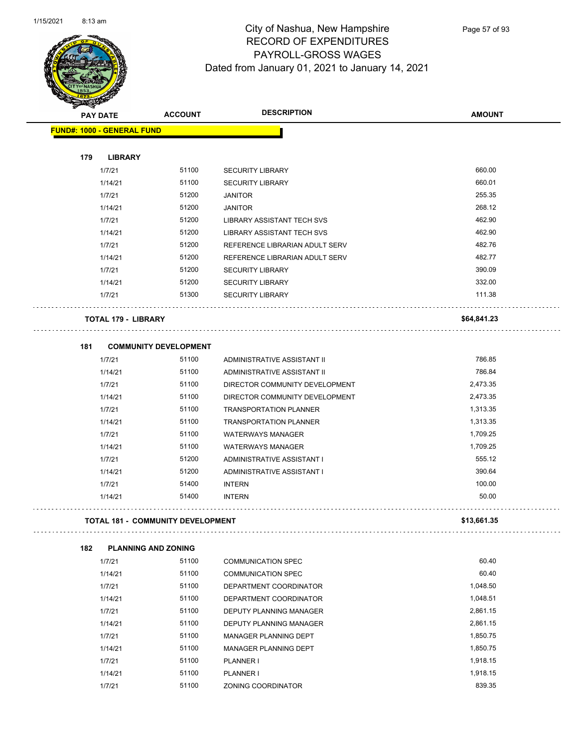

| <b>SANGRA</b> |                                          |                |                                                    |               |
|---------------|------------------------------------------|----------------|----------------------------------------------------|---------------|
|               | <b>PAY DATE</b>                          | <b>ACCOUNT</b> | <b>DESCRIPTION</b>                                 | <b>AMOUNT</b> |
|               | <b>FUND#: 1000 - GENERAL FUND</b>        |                |                                                    |               |
|               |                                          |                |                                                    |               |
| 179           | <b>LIBRARY</b><br>1/7/21                 | 51100          |                                                    | 660.00        |
|               | 1/14/21                                  | 51100          | <b>SECURITY LIBRARY</b><br><b>SECURITY LIBRARY</b> | 660.01        |
|               | 1/7/21                                   | 51200          | <b>JANITOR</b>                                     | 255.35        |
|               | 1/14/21                                  | 51200          | <b>JANITOR</b>                                     | 268.12        |
|               | 1/7/21                                   | 51200          | <b>LIBRARY ASSISTANT TECH SVS</b>                  | 462.90        |
|               | 1/14/21                                  | 51200          | LIBRARY ASSISTANT TECH SVS                         | 462.90        |
|               | 1/7/21                                   | 51200          | REFERENCE LIBRARIAN ADULT SERV                     | 482.76        |
|               | 1/14/21                                  | 51200          | REFERENCE LIBRARIAN ADULT SERV                     | 482.77        |
|               | 1/7/21                                   | 51200          | <b>SECURITY LIBRARY</b>                            | 390.09        |
|               |                                          | 51200          |                                                    | 332.00        |
|               | 1/14/21                                  |                | <b>SECURITY LIBRARY</b>                            |               |
|               | 1/7/21                                   | 51300          | <b>SECURITY LIBRARY</b>                            | 111.38        |
|               | <b>TOTAL 179 - LIBRARY</b>               |                |                                                    | \$64,841.23   |
| 181           | <b>COMMUNITY DEVELOPMENT</b>             |                |                                                    |               |
|               | 1/7/21                                   | 51100          | ADMINISTRATIVE ASSISTANT II                        | 786.85        |
|               | 1/14/21                                  | 51100          | ADMINISTRATIVE ASSISTANT II                        | 786.84        |
|               | 1/7/21                                   | 51100          | DIRECTOR COMMUNITY DEVELOPMENT                     | 2,473.35      |
|               | 1/14/21                                  | 51100          | DIRECTOR COMMUNITY DEVELOPMENT                     | 2,473.35      |
|               | 1/7/21                                   | 51100          | <b>TRANSPORTATION PLANNER</b>                      | 1,313.35      |
|               | 1/14/21                                  | 51100          | <b>TRANSPORTATION PLANNER</b>                      | 1,313.35      |
|               | 1/7/21                                   | 51100          | <b>WATERWAYS MANAGER</b>                           | 1,709.25      |
|               | 1/14/21                                  | 51100          | <b>WATERWAYS MANAGER</b>                           | 1,709.25      |
|               | 1/7/21                                   | 51200          | ADMINISTRATIVE ASSISTANT I                         | 555.12        |
|               | 1/14/21                                  | 51200          | ADMINISTRATIVE ASSISTANT I                         | 390.64        |
|               | 1/7/21                                   | 51400          | <b>INTERN</b>                                      | 100.00        |
|               | 1/14/21                                  | 51400          | <b>INTERN</b>                                      | 50.00         |
|               | <b>TOTAL 181 - COMMUNITY DEVELOPMENT</b> |                |                                                    | \$13,661.35   |
|               |                                          |                |                                                    |               |
| 182           | <b>PLANNING AND ZONING</b>               |                |                                                    |               |
|               | 1/7/21                                   | 51100          | <b>COMMUNICATION SPEC</b>                          | 60.40         |
|               | 1/14/21                                  | 51100          | <b>COMMUNICATION SPEC</b>                          | 60.40         |
|               | 1/7/21                                   | 51100          | DEPARTMENT COORDINATOR                             | 1,048.50      |
|               | 1/14/21                                  | 51100          | DEPARTMENT COORDINATOR                             | 1,048.51      |
|               | 1/7/21                                   | 51100          | <b>DEPUTY PLANNING MANAGER</b>                     | 2,861.15      |
|               | 1/14/21                                  | 51100          | DEPUTY PLANNING MANAGER                            | 2,861.15      |
|               | 1/7/21                                   | 51100          | MANAGER PLANNING DEPT                              | 1,850.75      |
|               | 1/14/21                                  | 51100          | MANAGER PLANNING DEPT                              | 1,850.75      |
|               | 1/7/21                                   | 51100          | PLANNER I                                          | 1,918.15      |
|               | 1/14/21                                  | 51100          | PLANNER I                                          | 1,918.15      |

1/7/21 51100 ZONING COORDINATOR 51100 51100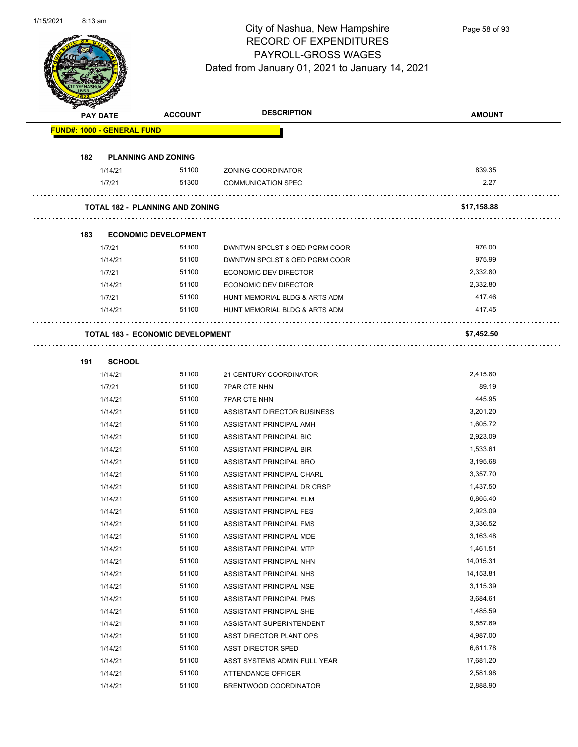

Page 58 of 93

|     | <b>PAY DATE</b>                   | <b>ACCOUNT</b>                          | <b>DESCRIPTION</b>            | <b>AMOUNT</b> |
|-----|-----------------------------------|-----------------------------------------|-------------------------------|---------------|
|     | <b>FUND#: 1000 - GENERAL FUND</b> |                                         |                               |               |
| 182 | <b>PLANNING AND ZONING</b>        |                                         |                               |               |
|     | 1/14/21                           | 51100                                   | ZONING COORDINATOR            | 839.35        |
|     | 1/7/21                            | 51300                                   | <b>COMMUNICATION SPEC</b>     | 2.27          |
|     |                                   | <b>TOTAL 182 - PLANNING AND ZONING</b>  |                               | \$17,158.88   |
| 183 |                                   | <b>ECONOMIC DEVELOPMENT</b>             |                               |               |
|     | 1/7/21                            | 51100                                   | DWNTWN SPCLST & OED PGRM COOR | 976.00        |
|     | 1/14/21                           | 51100                                   | DWNTWN SPCLST & OED PGRM COOR | 975.99        |
|     | 1/7/21                            | 51100                                   | ECONOMIC DEV DIRECTOR         | 2,332.80      |
|     | 1/14/21                           | 51100                                   | ECONOMIC DEV DIRECTOR         | 2,332.80      |
|     | 1/7/21                            | 51100                                   | HUNT MEMORIAL BLDG & ARTS ADM | 417.46        |
|     | 1/14/21                           | 51100                                   | HUNT MEMORIAL BLDG & ARTS ADM | 417.45        |
|     |                                   | <b>TOTAL 183 - ECONOMIC DEVELOPMENT</b> |                               | \$7,452.50    |
| 191 | <b>SCHOOL</b>                     |                                         |                               |               |
|     | 1/14/21                           | 51100                                   | 21 CENTURY COORDINATOR        | 2,415.80      |
|     | 1/7/21                            | 51100                                   | <b>7PAR CTE NHN</b>           | 89.19         |
|     | 1/14/21                           | 51100                                   | <b>7PAR CTE NHN</b>           | 445.95        |
|     | 1/14/21                           | 51100                                   | ASSISTANT DIRECTOR BUSINESS   | 3,201.20      |
|     | 1/14/21                           | 51100                                   | ASSISTANT PRINCIPAL AMH       | 1,605.72      |
|     | 1/14/21                           | 51100                                   | ASSISTANT PRINCIPAL BIC       | 2,923.09      |
|     | 1/14/21                           | 51100                                   | ASSISTANT PRINCIPAL BIR       | 1,533.61      |
|     | 1/14/21                           | 51100                                   | ASSISTANT PRINCIPAL BRO       | 3,195.68      |
|     | 1/14/21                           | 51100                                   | ASSISTANT PRINCIPAL CHARL     | 3,357.70      |
|     | 1/14/21                           | 51100                                   | ASSISTANT PRINCIPAL DR CRSP   | 1,437.50      |
|     | 1/14/21                           | 51100                                   | ASSISTANT PRINCIPAL ELM       | 6,865.40      |
|     | 1/14/21                           | 51100                                   | ASSISTANT PRINCIPAL FES       | 2,923.09      |
|     | 1/14/21                           | 51100                                   | ASSISTANT PRINCIPAL FMS       | 3,336.52      |
|     | 1/14/21                           | 51100                                   | ASSISTANT PRINCIPAL MDE       | 3,163.48      |
|     | 1/14/21                           | 51100                                   | ASSISTANT PRINCIPAL MTP       | 1,461.51      |
|     | 1/14/21                           | 51100                                   | ASSISTANT PRINCIPAL NHN       | 14,015.31     |
|     | 1/14/21                           | 51100                                   | ASSISTANT PRINCIPAL NHS       | 14,153.81     |
|     | 1/14/21                           | 51100                                   | ASSISTANT PRINCIPAL NSE       | 3,115.39      |
|     | 1/14/21                           | 51100                                   | ASSISTANT PRINCIPAL PMS       | 3,684.61      |
|     | 1/14/21                           | 51100                                   | ASSISTANT PRINCIPAL SHE       | 1,485.59      |
|     | 1/14/21                           | 51100                                   | ASSISTANT SUPERINTENDENT      | 9,557.69      |
|     | 1/14/21                           | 51100                                   | ASST DIRECTOR PLANT OPS       | 4,987.00      |
|     | 1/14/21                           | 51100                                   | <b>ASST DIRECTOR SPED</b>     | 6,611.78      |
|     | 1/14/21                           | 51100                                   | ASST SYSTEMS ADMIN FULL YEAR  | 17,681.20     |
|     | 1/14/21                           | 51100                                   | <b>ATTENDANCE OFFICER</b>     | 2,581.98      |
|     | 1/14/21                           | 51100                                   | BRENTWOOD COORDINATOR         | 2,888.90      |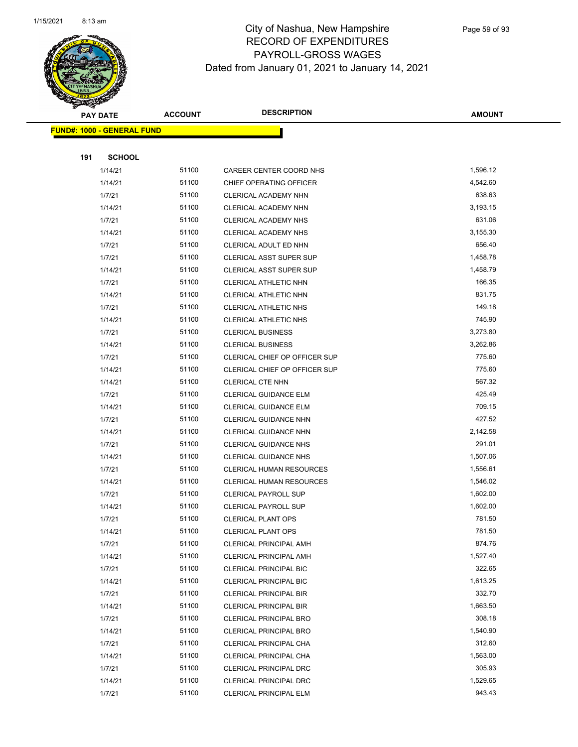

Page 59 of 93

|     | <b>PAY DATE</b>                   | <b>ACCOUNT</b> | <b>DESCRIPTION</b>             | <b>AMOUNT</b> |
|-----|-----------------------------------|----------------|--------------------------------|---------------|
|     | <b>FUND#: 1000 - GENERAL FUND</b> |                |                                |               |
|     |                                   |                |                                |               |
| 191 | <b>SCHOOL</b>                     |                |                                |               |
|     | 1/14/21                           | 51100          | CAREER CENTER COORD NHS        | 1,596.12      |
|     | 1/14/21                           | 51100          | CHIEF OPERATING OFFICER        | 4,542.60      |
|     | 1/7/21                            | 51100          | CLERICAL ACADEMY NHN           | 638.63        |
|     | 1/14/21                           | 51100          | CLERICAL ACADEMY NHN           | 3,193.15      |
|     | 1/7/21                            | 51100          | CLERICAL ACADEMY NHS           | 631.06        |
|     | 1/14/21                           | 51100          | CLERICAL ACADEMY NHS           | 3,155.30      |
|     | 1/7/21                            | 51100          | CLERICAL ADULT ED NHN          | 656.40        |
|     | 1/7/21                            | 51100          | <b>CLERICAL ASST SUPER SUP</b> | 1,458.78      |
|     | 1/14/21                           | 51100          | CLERICAL ASST SUPER SUP        | 1,458.79      |
|     | 1/7/21                            | 51100          | CLERICAL ATHLETIC NHN          | 166.35        |
|     | 1/14/21                           | 51100          | CLERICAL ATHLETIC NHN          | 831.75        |
|     | 1/7/21                            | 51100          | CLERICAL ATHLETIC NHS          | 149.18        |
|     | 1/14/21                           | 51100          | CLERICAL ATHLETIC NHS          | 745.90        |
|     | 1/7/21                            | 51100          | <b>CLERICAL BUSINESS</b>       | 3,273.80      |
|     | 1/14/21                           | 51100          | <b>CLERICAL BUSINESS</b>       | 3,262.86      |
|     | 1/7/21                            | 51100          | CLERICAL CHIEF OP OFFICER SUP  | 775.60        |
|     | 1/14/21                           | 51100          | CLERICAL CHIEF OP OFFICER SUP  | 775.60        |
|     | 1/14/21                           | 51100          | CLERICAL CTE NHN               | 567.32        |
|     | 1/7/21                            | 51100          | <b>CLERICAL GUIDANCE ELM</b>   | 425.49        |
|     | 1/14/21                           | 51100          | <b>CLERICAL GUIDANCE ELM</b>   | 709.15        |
|     | 1/7/21                            | 51100          | CLERICAL GUIDANCE NHN          | 427.52        |
|     | 1/14/21                           | 51100          | <b>CLERICAL GUIDANCE NHN</b>   | 2,142.58      |
|     | 1/7/21                            | 51100          | <b>CLERICAL GUIDANCE NHS</b>   | 291.01        |
|     | 1/14/21                           | 51100          | <b>CLERICAL GUIDANCE NHS</b>   | 1,507.06      |
|     | 1/7/21                            | 51100          | CLERICAL HUMAN RESOURCES       | 1,556.61      |
|     | 1/14/21                           | 51100          | CLERICAL HUMAN RESOURCES       | 1,546.02      |
|     | 1/7/21                            | 51100          | <b>CLERICAL PAYROLL SUP</b>    | 1,602.00      |
|     | 1/14/21                           | 51100          | <b>CLERICAL PAYROLL SUP</b>    | 1,602.00      |
|     | 1/7/21                            | 51100          | <b>CLERICAL PLANT OPS</b>      | 781.50        |
|     | 1/14/21                           | 51100          | <b>CLERICAL PLANT OPS</b>      | 781.50        |
|     | 1/7/21                            | 51100          | CLERICAL PRINCIPAL AMH         | 874.76        |
|     | 1/14/21                           | 51100          | <b>CLERICAL PRINCIPAL AMH</b>  | 1,527.40      |
|     | 1/7/21                            | 51100          | <b>CLERICAL PRINCIPAL BIC</b>  | 322.65        |
|     | 1/14/21                           | 51100          | CLERICAL PRINCIPAL BIC         | 1,613.25      |
|     | 1/7/21                            | 51100          | <b>CLERICAL PRINCIPAL BIR</b>  | 332.70        |
|     | 1/14/21                           | 51100          | CLERICAL PRINCIPAL BIR         | 1,663.50      |
|     | 1/7/21                            | 51100          | <b>CLERICAL PRINCIPAL BRO</b>  | 308.18        |
|     | 1/14/21                           | 51100          | <b>CLERICAL PRINCIPAL BRO</b>  | 1,540.90      |
|     | 1/7/21                            | 51100          | CLERICAL PRINCIPAL CHA         | 312.60        |
|     | 1/14/21                           | 51100          | CLERICAL PRINCIPAL CHA         | 1,563.00      |
|     | 1/7/21                            | 51100          | CLERICAL PRINCIPAL DRC         | 305.93        |
|     | 1/14/21                           | 51100          | CLERICAL PRINCIPAL DRC         | 1,529.65      |
|     | 1/7/21                            | 51100          | <b>CLERICAL PRINCIPAL ELM</b>  | 943.43        |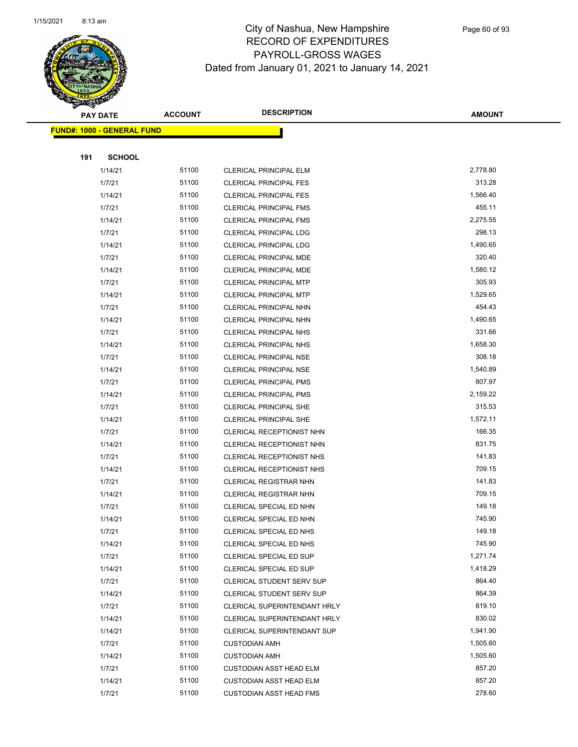

Page 60 of 93

|     | <b>PAY DATE</b>                   | <b>ACCOUNT</b> | <b>DESCRIPTION</b>               | <b>AMOUNT</b> |
|-----|-----------------------------------|----------------|----------------------------------|---------------|
|     | <b>FUND#: 1000 - GENERAL FUND</b> |                |                                  |               |
|     |                                   |                |                                  |               |
| 191 | <b>SCHOOL</b>                     |                |                                  |               |
|     | 1/14/21                           | 51100          | CLERICAL PRINCIPAL ELM           | 2,778.80      |
|     | 1/7/21                            | 51100          | <b>CLERICAL PRINCIPAL FES</b>    | 313.28        |
|     | 1/14/21                           | 51100          | <b>CLERICAL PRINCIPAL FES</b>    | 1,566.40      |
|     | 1/7/21                            | 51100          | <b>CLERICAL PRINCIPAL FMS</b>    | 455.11        |
|     | 1/14/21                           | 51100          | <b>CLERICAL PRINCIPAL FMS</b>    | 2,275.55      |
|     | 1/7/21                            | 51100          | <b>CLERICAL PRINCIPAL LDG</b>    | 298.13        |
|     | 1/14/21                           | 51100          | <b>CLERICAL PRINCIPAL LDG</b>    | 1,490.65      |
|     | 1/7/21                            | 51100          | CLERICAL PRINCIPAL MDE           | 320.40        |
|     | 1/14/21                           | 51100          | CLERICAL PRINCIPAL MDE           | 1,580.12      |
|     | 1/7/21                            | 51100          | <b>CLERICAL PRINCIPAL MTP</b>    | 305.93        |
|     | 1/14/21                           | 51100          | <b>CLERICAL PRINCIPAL MTP</b>    | 1,529.65      |
|     | 1/7/21                            | 51100          | <b>CLERICAL PRINCIPAL NHN</b>    | 454.43        |
|     | 1/14/21                           | 51100          | CLERICAL PRINCIPAL NHN           | 1,490.65      |
|     | 1/7/21                            | 51100          | <b>CLERICAL PRINCIPAL NHS</b>    | 331.66        |
|     | 1/14/21                           | 51100          | <b>CLERICAL PRINCIPAL NHS</b>    | 1,658.30      |
|     | 1/7/21                            | 51100          | <b>CLERICAL PRINCIPAL NSE</b>    | 308.18        |
|     | 1/14/21                           | 51100          | <b>CLERICAL PRINCIPAL NSE</b>    | 1,540.89      |
|     | 1/7/21                            | 51100          | <b>CLERICAL PRINCIPAL PMS</b>    | 807.97        |
|     | 1/14/21                           | 51100          | <b>CLERICAL PRINCIPAL PMS</b>    | 2,159.22      |
|     | 1/7/21                            | 51100          | CLERICAL PRINCIPAL SHE           | 315.53        |
|     | 1/14/21                           | 51100          | <b>CLERICAL PRINCIPAL SHE</b>    | 1,572.11      |
|     | 1/7/21                            | 51100          | CLERICAL RECEPTIONIST NHN        | 166.35        |
|     | 1/14/21                           | 51100          | CLERICAL RECEPTIONIST NHN        | 831.75        |
|     | 1/7/21                            | 51100          | CLERICAL RECEPTIONIST NHS        | 141.83        |
|     | 1/14/21                           | 51100          | CLERICAL RECEPTIONIST NHS        | 709.15        |
|     | 1/7/21                            | 51100          | <b>CLERICAL REGISTRAR NHN</b>    | 141.83        |
|     | 1/14/21                           | 51100          | <b>CLERICAL REGISTRAR NHN</b>    | 709.15        |
|     | 1/7/21                            | 51100          | CLERICAL SPECIAL ED NHN          | 149.18        |
|     | 1/14/21                           | 51100          | CLERICAL SPECIAL ED NHN          | 745.90        |
|     | 1/7/21                            | 51100          | CLERICAL SPECIAL ED NHS          | 149.18        |
|     | 1/14/21                           | 51100          | CLERICAL SPECIAL ED NHS          | 745.90        |
|     | 1/7/21                            | 51100          | CLERICAL SPECIAL ED SUP          | 1,271.74      |
|     | 1/14/21                           | 51100          | CLERICAL SPECIAL ED SUP          | 1,418.29      |
|     | 1/7/21                            | 51100          | <b>CLERICAL STUDENT SERV SUP</b> | 864.40        |
|     | 1/14/21                           | 51100          | CLERICAL STUDENT SERV SUP        | 864.39        |
|     | 1/7/21                            | 51100          | CLERICAL SUPERINTENDANT HRLY     | 819.10        |
|     | 1/14/21                           | 51100          | CLERICAL SUPERINTENDANT HRLY     | 830.02        |
|     | 1/14/21                           | 51100          | CLERICAL SUPERINTENDANT SUP      | 1,941.90      |
|     | 1/7/21                            | 51100          | <b>CUSTODIAN AMH</b>             | 1,505.60      |
|     | 1/14/21                           | 51100          | <b>CUSTODIAN AMH</b>             | 1,505.60      |
|     | 1/7/21                            | 51100          | <b>CUSTODIAN ASST HEAD ELM</b>   | 857.20        |
|     | 1/14/21                           | 51100          | <b>CUSTODIAN ASST HEAD ELM</b>   | 857.20        |
|     | 1/7/21                            | 51100          | <b>CUSTODIAN ASST HEAD FMS</b>   | 278.60        |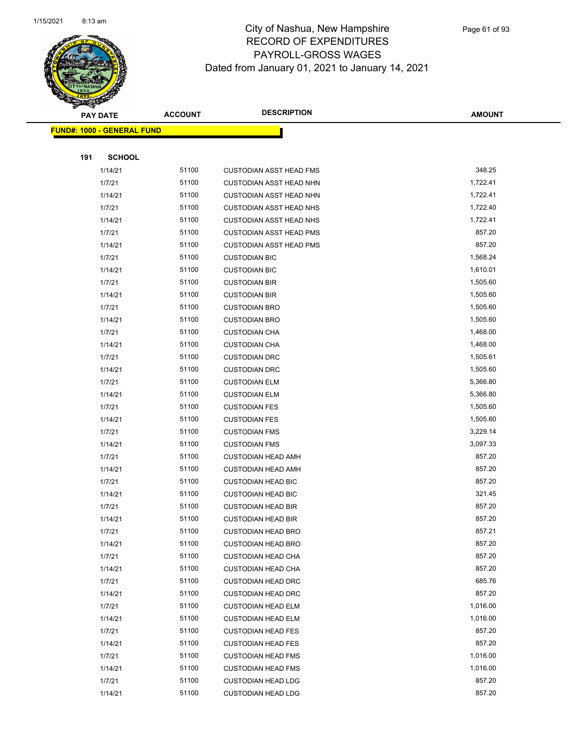

|     | <b>PAY DATE</b>                    | <b>ACCOUNT</b> | <b>DESCRIPTION</b>                                     | <b>AMOUNT</b>    |  |
|-----|------------------------------------|----------------|--------------------------------------------------------|------------------|--|
|     | <u> FUND#: 1000 - GENERAL FUND</u> |                |                                                        |                  |  |
|     |                                    |                |                                                        |                  |  |
| 191 | <b>SCHOOL</b>                      |                |                                                        |                  |  |
|     | 1/14/21                            | 51100          | <b>CUSTODIAN ASST HEAD FMS</b>                         | 348.25           |  |
|     | 1/7/21                             | 51100          | CUSTODIAN ASST HEAD NHN                                | 1,722.41         |  |
|     | 1/14/21                            | 51100          | <b>CUSTODIAN ASST HEAD NHN</b>                         | 1,722.41         |  |
|     | 1/7/21                             | 51100          | <b>CUSTODIAN ASST HEAD NHS</b>                         | 1,722.40         |  |
|     | 1/14/21                            | 51100          | <b>CUSTODIAN ASST HEAD NHS</b>                         | 1,722.41         |  |
|     | 1/7/21                             | 51100          | <b>CUSTODIAN ASST HEAD PMS</b>                         | 857.20           |  |
|     | 1/14/21                            | 51100          | <b>CUSTODIAN ASST HEAD PMS</b>                         | 857.20           |  |
|     | 1/7/21                             | 51100          | <b>CUSTODIAN BIC</b>                                   | 1,568.24         |  |
|     | 1/14/21                            | 51100          | <b>CUSTODIAN BIC</b>                                   | 1,610.01         |  |
|     | 1/7/21                             | 51100          | <b>CUSTODIAN BIR</b>                                   | 1,505.60         |  |
|     | 1/14/21                            | 51100          | <b>CUSTODIAN BIR</b>                                   | 1,505.60         |  |
|     | 1/7/21                             | 51100          | <b>CUSTODIAN BRO</b>                                   | 1,505.60         |  |
|     | 1/14/21                            | 51100          | <b>CUSTODIAN BRO</b>                                   | 1,505.60         |  |
|     | 1/7/21                             | 51100          | <b>CUSTODIAN CHA</b>                                   | 1,468.00         |  |
|     | 1/14/21                            | 51100          | <b>CUSTODIAN CHA</b>                                   | 1,468.00         |  |
|     | 1/7/21                             | 51100          | <b>CUSTODIAN DRC</b>                                   | 1,505.61         |  |
|     | 1/14/21                            | 51100          | <b>CUSTODIAN DRC</b>                                   | 1,505.60         |  |
|     | 1/7/21                             | 51100          | <b>CUSTODIAN ELM</b>                                   | 5,366.80         |  |
|     | 1/14/21                            | 51100          | <b>CUSTODIAN ELM</b>                                   | 5,366.80         |  |
|     | 1/7/21                             | 51100          | <b>CUSTODIAN FES</b>                                   | 1,505.60         |  |
|     | 1/14/21                            | 51100          | <b>CUSTODIAN FES</b>                                   | 1,505.60         |  |
|     | 1/7/21                             | 51100          | <b>CUSTODIAN FMS</b>                                   | 3,229.14         |  |
|     | 1/14/21                            | 51100          | <b>CUSTODIAN FMS</b>                                   | 3,097.33         |  |
|     | 1/7/21                             | 51100          | <b>CUSTODIAN HEAD AMH</b>                              | 857.20           |  |
|     | 1/14/21                            | 51100          | <b>CUSTODIAN HEAD AMH</b>                              | 857.20           |  |
|     | 1/7/21                             | 51100          | <b>CUSTODIAN HEAD BIC</b>                              | 857.20           |  |
|     | 1/14/21                            | 51100          | <b>CUSTODIAN HEAD BIC</b>                              | 321.45           |  |
|     | 1/7/21<br>1/14/21                  | 51100<br>51100 | <b>CUSTODIAN HEAD BIR</b><br><b>CUSTODIAN HEAD BIR</b> | 857.20<br>857.20 |  |
|     | 1/7/21                             | 51100          | <b>CUSTODIAN HEAD BRO</b>                              | 857.21           |  |
|     | 1/14/21                            | 51100          | <b>CUSTODIAN HEAD BRO</b>                              | 857.20           |  |
|     | 1/7/21                             | 51100          | <b>CUSTODIAN HEAD CHA</b>                              | 857.20           |  |
|     | 1/14/21                            | 51100          | <b>CUSTODIAN HEAD CHA</b>                              | 857.20           |  |
|     | 1/7/21                             | 51100          | <b>CUSTODIAN HEAD DRC</b>                              | 685.76           |  |
|     | 1/14/21                            | 51100          | <b>CUSTODIAN HEAD DRC</b>                              | 857.20           |  |
|     | 1/7/21                             | 51100          | <b>CUSTODIAN HEAD ELM</b>                              | 1,016.00         |  |
|     | 1/14/21                            | 51100          | <b>CUSTODIAN HEAD ELM</b>                              | 1,016.00         |  |
|     | 1/7/21                             | 51100          | <b>CUSTODIAN HEAD FES</b>                              | 857.20           |  |
|     | 1/14/21                            | 51100          | <b>CUSTODIAN HEAD FES</b>                              | 857.20           |  |
|     | 1/7/21                             | 51100          | <b>CUSTODIAN HEAD FMS</b>                              | 1,016.00         |  |
|     | 1/14/21                            | 51100          | <b>CUSTODIAN HEAD FMS</b>                              | 1,016.00         |  |
|     | 1/7/21                             | 51100          | <b>CUSTODIAN HEAD LDG</b>                              | 857.20           |  |
|     | 1/14/21                            | 51100          | <b>CUSTODIAN HEAD LDG</b>                              | 857.20           |  |
|     |                                    |                |                                                        |                  |  |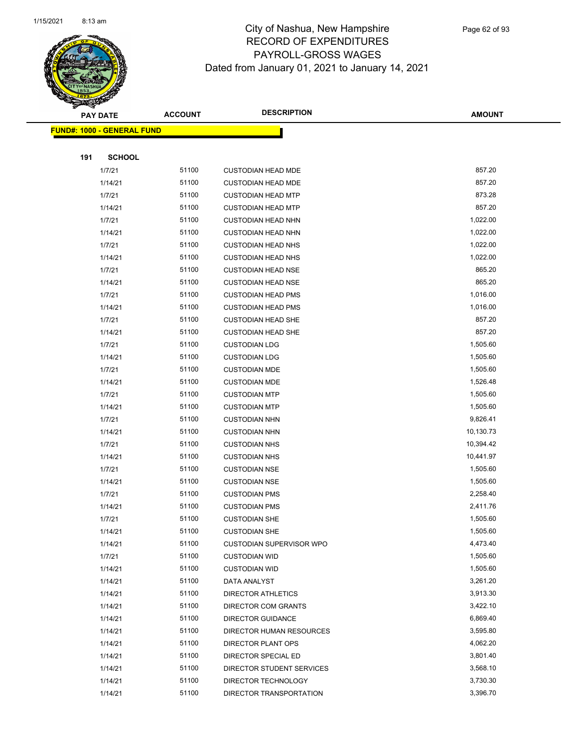

Page 62 of 93

|     | <b>PAY DATE</b>                   | <b>ACCOUNT</b> | <b>DESCRIPTION</b>                           | <b>AMOUNT</b>        |
|-----|-----------------------------------|----------------|----------------------------------------------|----------------------|
|     | <b>FUND#: 1000 - GENERAL FUND</b> |                |                                              |                      |
|     |                                   |                |                                              |                      |
| 191 | <b>SCHOOL</b>                     |                |                                              |                      |
|     | 1/7/21                            | 51100          | <b>CUSTODIAN HEAD MDE</b>                    | 857.20               |
|     | 1/14/21                           | 51100          | <b>CUSTODIAN HEAD MDE</b>                    | 857.20               |
|     | 1/7/21                            | 51100          | <b>CUSTODIAN HEAD MTP</b>                    | 873.28               |
|     | 1/14/21                           | 51100          | <b>CUSTODIAN HEAD MTP</b>                    | 857.20               |
|     | 1/7/21                            | 51100          | <b>CUSTODIAN HEAD NHN</b>                    | 1,022.00             |
|     | 1/14/21                           | 51100          | <b>CUSTODIAN HEAD NHN</b>                    | 1,022.00             |
|     | 1/7/21                            | 51100          | <b>CUSTODIAN HEAD NHS</b>                    | 1,022.00             |
|     | 1/14/21                           | 51100          | <b>CUSTODIAN HEAD NHS</b>                    | 1,022.00             |
|     | 1/7/21                            | 51100          | <b>CUSTODIAN HEAD NSE</b>                    | 865.20               |
|     | 1/14/21                           | 51100          | <b>CUSTODIAN HEAD NSE</b>                    | 865.20               |
|     | 1/7/21                            | 51100          | <b>CUSTODIAN HEAD PMS</b>                    | 1,016.00             |
|     | 1/14/21                           | 51100          | <b>CUSTODIAN HEAD PMS</b>                    | 1,016.00             |
|     | 1/7/21                            | 51100          | <b>CUSTODIAN HEAD SHE</b>                    | 857.20               |
|     | 1/14/21                           | 51100          | <b>CUSTODIAN HEAD SHE</b>                    | 857.20               |
|     | 1/7/21                            | 51100          | <b>CUSTODIAN LDG</b>                         | 1,505.60             |
|     | 1/14/21                           | 51100          | <b>CUSTODIAN LDG</b>                         | 1,505.60             |
|     | 1/7/21                            | 51100          | <b>CUSTODIAN MDE</b>                         | 1,505.60             |
|     | 1/14/21                           | 51100          | <b>CUSTODIAN MDE</b>                         | 1,526.48             |
|     | 1/7/21                            | 51100          | <b>CUSTODIAN MTP</b>                         | 1,505.60             |
|     | 1/14/21                           | 51100          | <b>CUSTODIAN MTP</b>                         | 1,505.60             |
|     | 1/7/21                            | 51100          | <b>CUSTODIAN NHN</b>                         | 9,826.41             |
|     | 1/14/21                           | 51100          | <b>CUSTODIAN NHN</b>                         | 10,130.73            |
|     | 1/7/21                            | 51100          | <b>CUSTODIAN NHS</b>                         | 10,394.42            |
|     | 1/14/21                           | 51100          | <b>CUSTODIAN NHS</b>                         | 10,441.97            |
|     | 1/7/21                            | 51100          | <b>CUSTODIAN NSE</b>                         | 1,505.60             |
|     | 1/14/21                           | 51100<br>51100 | <b>CUSTODIAN NSE</b>                         | 1,505.60<br>2,258.40 |
|     | 1/7/21                            | 51100          | <b>CUSTODIAN PMS</b>                         | 2,411.76             |
|     | 1/14/21<br>1/7/21                 | 51100          | <b>CUSTODIAN PMS</b><br><b>CUSTODIAN SHE</b> | 1,505.60             |
|     | 1/14/21                           | 51100          | <b>CUSTODIAN SHE</b>                         | 1,505.60             |
|     | 1/14/21                           | 51100          | <b>CUSTODIAN SUPERVISOR WPO</b>              | 4,473.40             |
|     | 1/7/21                            | 51100          | <b>CUSTODIAN WID</b>                         | 1,505.60             |
|     | 1/14/21                           | 51100          | <b>CUSTODIAN WID</b>                         | 1,505.60             |
|     | 1/14/21                           | 51100          | DATA ANALYST                                 | 3,261.20             |
|     | 1/14/21                           | 51100          | <b>DIRECTOR ATHLETICS</b>                    | 3,913.30             |
|     | 1/14/21                           | 51100          | DIRECTOR COM GRANTS                          | 3,422.10             |
|     | 1/14/21                           | 51100          | DIRECTOR GUIDANCE                            | 6,869.40             |
|     | 1/14/21                           | 51100          | DIRECTOR HUMAN RESOURCES                     | 3,595.80             |
|     | 1/14/21                           | 51100          | DIRECTOR PLANT OPS                           | 4,062.20             |
|     | 1/14/21                           | 51100          | DIRECTOR SPECIAL ED                          | 3,801.40             |
|     | 1/14/21                           | 51100          | DIRECTOR STUDENT SERVICES                    | 3,568.10             |
|     | 1/14/21                           | 51100          | DIRECTOR TECHNOLOGY                          | 3,730.30             |
|     | 1/14/21                           | 51100          | DIRECTOR TRANSPORTATION                      | 3,396.70             |
|     |                                   |                |                                              |                      |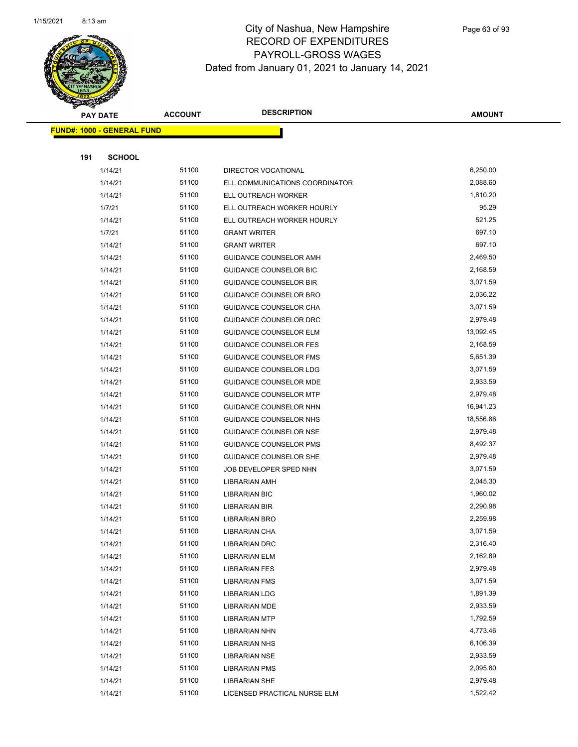

|     | <b>PAY DATE</b>                    | <b>ACCOUNT</b> | <b>DESCRIPTION</b>                                             | <b>AMOUNT</b>        |
|-----|------------------------------------|----------------|----------------------------------------------------------------|----------------------|
|     | <u> FUND#: 1000 - GENERAL FUND</u> |                |                                                                |                      |
|     |                                    |                |                                                                |                      |
| 191 | <b>SCHOOL</b>                      |                |                                                                |                      |
|     | 1/14/21                            | 51100          | DIRECTOR VOCATIONAL                                            | 6,250.00             |
|     | 1/14/21                            | 51100          | ELL COMMUNICATIONS COORDINATOR                                 | 2,088.60             |
|     | 1/14/21                            | 51100          | ELL OUTREACH WORKER                                            | 1,810.20             |
|     | 1/7/21                             | 51100          | ELL OUTREACH WORKER HOURLY                                     | 95.29                |
|     | 1/14/21                            | 51100          | ELL OUTREACH WORKER HOURLY                                     | 521.25               |
|     | 1/7/21                             | 51100          | <b>GRANT WRITER</b>                                            | 697.10               |
|     | 1/14/21                            | 51100          | <b>GRANT WRITER</b>                                            | 697.10               |
|     | 1/14/21                            | 51100          | GUIDANCE COUNSELOR AMH                                         | 2,469.50             |
|     | 1/14/21                            | 51100          | <b>GUIDANCE COUNSELOR BIC</b>                                  | 2,168.59             |
|     | 1/14/21                            | 51100          | <b>GUIDANCE COUNSELOR BIR</b>                                  | 3,071.59             |
|     | 1/14/21                            | 51100          | <b>GUIDANCE COUNSELOR BRO</b>                                  | 2,036.22             |
|     | 1/14/21                            | 51100          | GUIDANCE COUNSELOR CHA                                         | 3,071.59             |
|     | 1/14/21                            | 51100          | GUIDANCE COUNSELOR DRC                                         | 2,979.48             |
|     | 1/14/21                            | 51100          | <b>GUIDANCE COUNSELOR ELM</b>                                  | 13,092.45            |
|     | 1/14/21                            | 51100          | <b>GUIDANCE COUNSELOR FES</b>                                  | 2,168.59             |
|     | 1/14/21                            | 51100          | <b>GUIDANCE COUNSELOR FMS</b>                                  | 5,651.39             |
|     | 1/14/21                            | 51100          | GUIDANCE COUNSELOR LDG                                         | 3,071.59             |
|     | 1/14/21                            | 51100          | GUIDANCE COUNSELOR MDE                                         | 2,933.59             |
|     | 1/14/21                            | 51100          | <b>GUIDANCE COUNSELOR MTP</b>                                  | 2,979.48             |
|     | 1/14/21                            | 51100          | GUIDANCE COUNSELOR NHN                                         | 16,941.23            |
|     | 1/14/21                            | 51100          | GUIDANCE COUNSELOR NHS                                         | 18,556.86            |
|     | 1/14/21                            | 51100          | <b>GUIDANCE COUNSELOR NSE</b>                                  | 2,979.48             |
|     | 1/14/21<br>1/14/21                 | 51100<br>51100 | <b>GUIDANCE COUNSELOR PMS</b><br><b>GUIDANCE COUNSELOR SHE</b> | 8,492.37<br>2,979.48 |
|     | 1/14/21                            | 51100          | JOB DEVELOPER SPED NHN                                         | 3,071.59             |
|     | 1/14/21                            | 51100          | LIBRARIAN AMH                                                  | 2,045.30             |
|     | 1/14/21                            | 51100          | <b>LIBRARIAN BIC</b>                                           | 1,960.02             |
|     | 1/14/21                            | 51100          | LIBRARIAN BIR                                                  | 2,290.98             |
|     | 1/14/21                            | 51100          | LIBRARIAN BRO                                                  | 2,259.98             |
|     | 1/14/21                            | 51100          | LIBRARIAN CHA                                                  | 3,071.59             |
|     | 1/14/21                            | 51100          | LIBRARIAN DRC                                                  | 2,316.40             |
|     | 1/14/21                            | 51100          | LIBRARIAN ELM                                                  | 2,162.89             |
|     | 1/14/21                            | 51100          | <b>LIBRARIAN FES</b>                                           | 2,979.48             |
|     | 1/14/21                            | 51100          | <b>LIBRARIAN FMS</b>                                           | 3,071.59             |
|     | 1/14/21                            | 51100          | <b>LIBRARIAN LDG</b>                                           | 1,891.39             |
|     | 1/14/21                            | 51100          | LIBRARIAN MDE                                                  | 2,933.59             |
|     | 1/14/21                            | 51100          | <b>LIBRARIAN MTP</b>                                           | 1,792.59             |
|     | 1/14/21                            | 51100          | LIBRARIAN NHN                                                  | 4,773.46             |
|     | 1/14/21                            | 51100          | <b>LIBRARIAN NHS</b>                                           | 6,106.39             |
|     | 1/14/21                            | 51100          | <b>LIBRARIAN NSE</b>                                           | 2,933.59             |
|     | 1/14/21                            | 51100          | <b>LIBRARIAN PMS</b>                                           | 2,095.80             |
|     | 1/14/21                            | 51100          | <b>LIBRARIAN SHE</b>                                           | 2,979.48             |
|     | 1/14/21                            | 51100          | LICENSED PRACTICAL NURSE ELM                                   | 1,522.42             |
|     |                                    |                |                                                                |                      |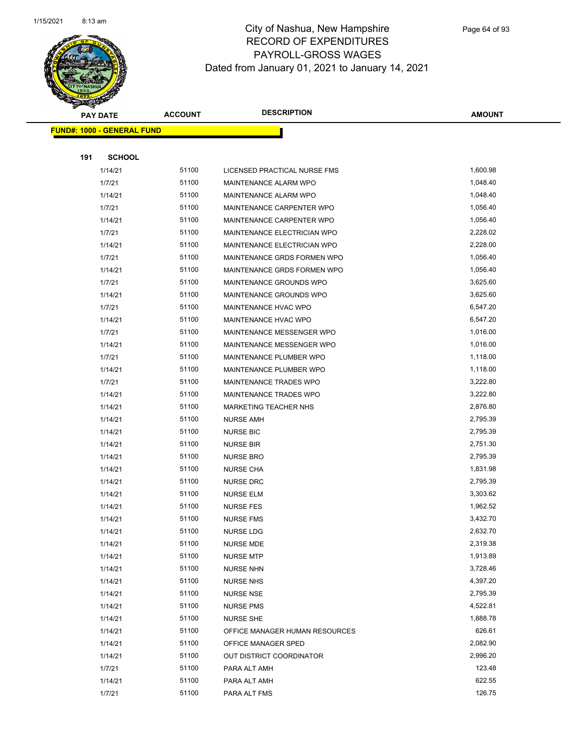

|     | <b>PAY DATE</b>                   | <b>ACCOUNT</b> | <b>DESCRIPTION</b>                 | <b>AMOUNT</b> |  |
|-----|-----------------------------------|----------------|------------------------------------|---------------|--|
|     | <b>FUND#: 1000 - GENERAL FUND</b> |                |                                    |               |  |
|     |                                   |                |                                    |               |  |
| 191 | <b>SCHOOL</b>                     |                |                                    |               |  |
|     | 1/14/21                           | 51100          | LICENSED PRACTICAL NURSE FMS       | 1,600.98      |  |
|     | 1/7/21                            | 51100          | MAINTENANCE ALARM WPO              | 1,048.40      |  |
|     | 1/14/21                           | 51100          | MAINTENANCE ALARM WPO              | 1,048.40      |  |
|     | 1/7/21                            | 51100          | MAINTENANCE CARPENTER WPO          | 1,056.40      |  |
|     | 1/14/21                           | 51100          | MAINTENANCE CARPENTER WPO          | 1,056.40      |  |
|     | 1/7/21                            | 51100          | <b>MAINTENANCE ELECTRICIAN WPO</b> | 2,228.02      |  |
|     | 1/14/21                           | 51100          | MAINTENANCE ELECTRICIAN WPO        | 2,228.00      |  |
|     | 1/7/21                            | 51100          | MAINTENANCE GRDS FORMEN WPO        | 1,056.40      |  |
|     | 1/14/21                           | 51100          | MAINTENANCE GRDS FORMEN WPO        | 1,056.40      |  |
|     | 1/7/21                            | 51100          | MAINTENANCE GROUNDS WPO            | 3,625.60      |  |
|     | 1/14/21                           | 51100          | MAINTENANCE GROUNDS WPO            | 3,625.60      |  |
|     | 1/7/21                            | 51100          | <b>MAINTENANCE HVAC WPO</b>        | 6,547.20      |  |
|     | 1/14/21                           | 51100          | MAINTENANCE HVAC WPO               | 6,547.20      |  |
|     | 1/7/21                            | 51100          | MAINTENANCE MESSENGER WPO          | 1,016.00      |  |
|     | 1/14/21                           | 51100          | MAINTENANCE MESSENGER WPO          | 1,016.00      |  |
|     | 1/7/21                            | 51100          | MAINTENANCE PLUMBER WPO            | 1,118.00      |  |
|     | 1/14/21                           | 51100          | MAINTENANCE PLUMBER WPO            | 1,118.00      |  |
|     | 1/7/21                            | 51100          | MAINTENANCE TRADES WPO             | 3,222.80      |  |
|     | 1/14/21                           | 51100          | MAINTENANCE TRADES WPO             | 3,222.80      |  |
|     | 1/14/21                           | 51100          | <b>MARKETING TEACHER NHS</b>       | 2,876.80      |  |
|     | 1/14/21                           | 51100          | <b>NURSE AMH</b>                   | 2,795.39      |  |
|     | 1/14/21                           | 51100          | <b>NURSE BIC</b>                   | 2,795.39      |  |
|     | 1/14/21                           | 51100          | <b>NURSE BIR</b>                   | 2,751.30      |  |
|     | 1/14/21                           | 51100          | <b>NURSE BRO</b>                   | 2,795.39      |  |
|     | 1/14/21                           | 51100          | <b>NURSE CHA</b>                   | 1,831.98      |  |
|     | 1/14/21                           | 51100          | <b>NURSE DRC</b>                   | 2,795.39      |  |
|     | 1/14/21                           | 51100          | <b>NURSE ELM</b>                   | 3,303.62      |  |
|     | 1/14/21                           | 51100          | <b>NURSE FES</b>                   | 1,962.52      |  |
|     | 1/14/21                           | 51100          | <b>NURSE FMS</b>                   | 3,432.70      |  |
|     | 1/14/21                           | 51100          | NURSE LDG                          | 2,632.70      |  |
|     | 1/14/21                           | 51100          | <b>NURSE MDE</b>                   | 2,319.38      |  |
|     | 1/14/21                           | 51100          | <b>NURSE MTP</b>                   | 1,913.89      |  |
|     | 1/14/21                           | 51100          | <b>NURSE NHN</b>                   | 3,728.46      |  |
|     | 1/14/21                           | 51100          | <b>NURSE NHS</b>                   | 4,397.20      |  |
|     | 1/14/21                           | 51100          | <b>NURSE NSE</b>                   | 2,795.39      |  |
|     | 1/14/21                           | 51100          | <b>NURSE PMS</b>                   | 4,522.81      |  |
|     | 1/14/21                           | 51100          | <b>NURSE SHE</b>                   | 1,888.78      |  |
|     | 1/14/21                           | 51100          | OFFICE MANAGER HUMAN RESOURCES     | 626.61        |  |
|     | 1/14/21                           | 51100          | OFFICE MANAGER SPED                | 2,082.90      |  |
|     | 1/14/21                           | 51100          | OUT DISTRICT COORDINATOR           | 2,996.20      |  |
|     | 1/7/21                            | 51100          | PARA ALT AMH                       | 123.48        |  |
|     | 1/14/21                           | 51100          | PARA ALT AMH                       | 622.55        |  |
|     | 1/7/21                            | 51100          | PARA ALT FMS                       | 126.75        |  |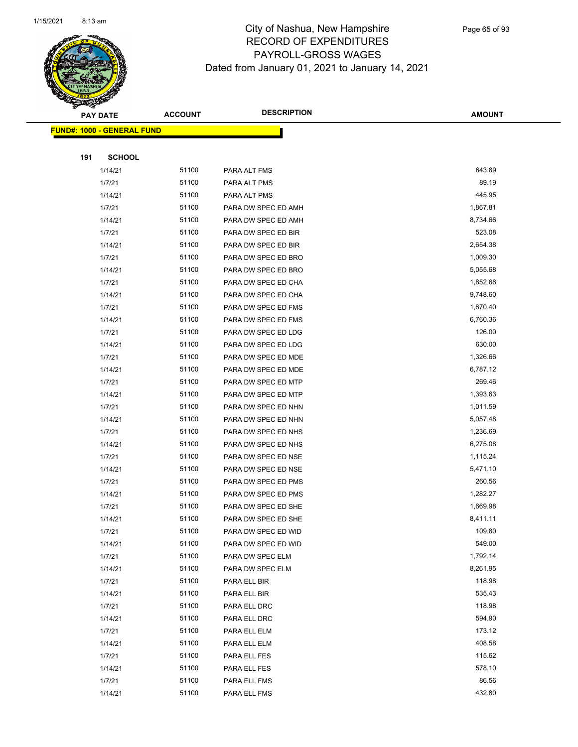

Page 65 of 93

|     | <b>PAY DATE</b>                   | <b>ACCOUNT</b> | <b>DESCRIPTION</b>  | <b>AMOUNT</b> |
|-----|-----------------------------------|----------------|---------------------|---------------|
|     | <b>FUND#: 1000 - GENERAL FUND</b> |                |                     |               |
|     |                                   |                |                     |               |
| 191 | <b>SCHOOL</b>                     |                |                     |               |
|     | 1/14/21                           | 51100          | PARA ALT FMS        | 643.89        |
|     | 1/7/21                            | 51100          | PARA ALT PMS        | 89.19         |
|     | 1/14/21                           | 51100          | PARA ALT PMS        | 445.95        |
|     | 1/7/21                            | 51100          | PARA DW SPEC ED AMH | 1,867.81      |
|     | 1/14/21                           | 51100          | PARA DW SPEC ED AMH | 8,734.66      |
|     | 1/7/21                            | 51100          | PARA DW SPEC ED BIR | 523.08        |
|     | 1/14/21                           | 51100          | PARA DW SPEC ED BIR | 2,654.38      |
|     | 1/7/21                            | 51100          | PARA DW SPEC ED BRO | 1,009.30      |
|     | 1/14/21                           | 51100          | PARA DW SPEC ED BRO | 5,055.68      |
|     | 1/7/21                            | 51100          | PARA DW SPEC ED CHA | 1,852.66      |
|     | 1/14/21                           | 51100          | PARA DW SPEC ED CHA | 9,748.60      |
|     | 1/7/21                            | 51100          | PARA DW SPEC ED FMS | 1,670.40      |
|     | 1/14/21                           | 51100          | PARA DW SPEC ED FMS | 6,760.36      |
|     | 1/7/21                            | 51100          | PARA DW SPEC ED LDG | 126.00        |
|     | 1/14/21                           | 51100          | PARA DW SPEC ED LDG | 630.00        |
|     | 1/7/21                            | 51100          | PARA DW SPEC ED MDE | 1,326.66      |
|     | 1/14/21                           | 51100          | PARA DW SPEC ED MDE | 6,787.12      |
|     | 1/7/21                            | 51100          | PARA DW SPEC ED MTP | 269.46        |
|     | 1/14/21                           | 51100          | PARA DW SPEC ED MTP | 1,393.63      |
|     | 1/7/21                            | 51100          | PARA DW SPEC ED NHN | 1,011.59      |
|     | 1/14/21                           | 51100          | PARA DW SPEC ED NHN | 5,057.48      |
|     | 1/7/21                            | 51100          | PARA DW SPEC ED NHS | 1,236.69      |
|     | 1/14/21                           | 51100          | PARA DW SPEC ED NHS | 6,275.08      |
|     | 1/7/21                            | 51100          | PARA DW SPEC ED NSE | 1,115.24      |
|     | 1/14/21                           | 51100          | PARA DW SPEC ED NSE | 5,471.10      |
|     | 1/7/21                            | 51100          | PARA DW SPEC ED PMS | 260.56        |
|     | 1/14/21                           | 51100          | PARA DW SPEC ED PMS | 1,282.27      |
|     | 1/7/21                            | 51100          | PARA DW SPEC ED SHE | 1,669.98      |
|     | 1/14/21                           | 51100          | PARA DW SPEC ED SHE | 8,411.11      |
|     | 1/7/21                            | 51100          | PARA DW SPEC ED WID | 109.80        |
|     | 1/14/21                           | 51100          | PARA DW SPEC ED WID | 549.00        |
|     | 1/7/21                            | 51100          | PARA DW SPEC ELM    | 1,792.14      |
|     | 1/14/21                           | 51100          | PARA DW SPEC ELM    | 8,261.95      |
|     | 1/7/21                            | 51100          | PARA ELL BIR        | 118.98        |
|     | 1/14/21                           | 51100          | PARA ELL BIR        | 535.43        |
|     | 1/7/21                            | 51100          | PARA ELL DRC        | 118.98        |
|     | 1/14/21                           | 51100          | PARA ELL DRC        | 594.90        |
|     | 1/7/21                            | 51100          | PARA ELL ELM        | 173.12        |
|     | 1/14/21                           | 51100          | PARA ELL ELM        | 408.58        |
|     | 1/7/21                            | 51100          | PARA ELL FES        | 115.62        |
|     | 1/14/21                           | 51100          | PARA ELL FES        | 578.10        |
|     | 1/7/21                            | 51100          | PARA ELL FMS        | 86.56         |
|     | 1/14/21                           | 51100          | PARA ELL FMS        | 432.80        |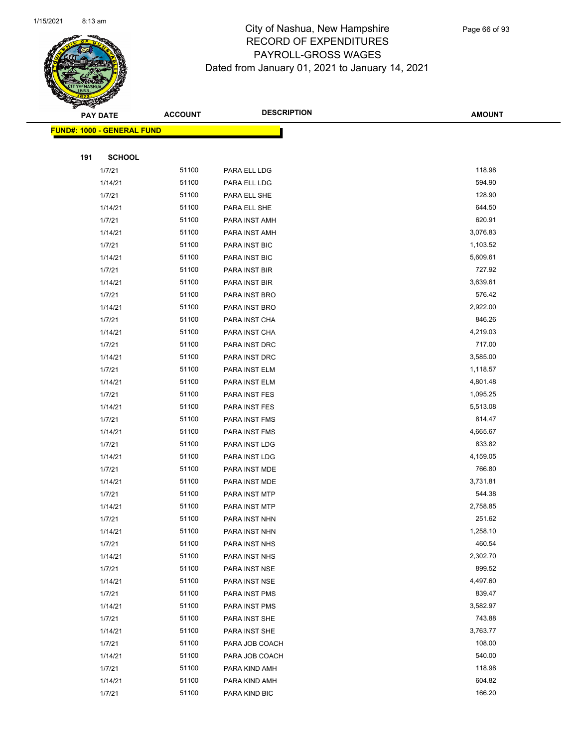

Page 66 of 93

|     | <b>PAY DATE</b>                   | <b>ACCOUNT</b> | <b>DESCRIPTION</b>             | <b>AMOUNT</b>      |
|-----|-----------------------------------|----------------|--------------------------------|--------------------|
|     | <b>FUND#: 1000 - GENERAL FUND</b> |                |                                |                    |
|     |                                   |                |                                |                    |
| 191 | <b>SCHOOL</b>                     |                |                                |                    |
|     | 1/7/21                            | 51100          | PARA ELL LDG                   | 118.98             |
|     | 1/14/21                           | 51100          | PARA ELL LDG                   | 594.90             |
|     | 1/7/21                            | 51100          | PARA ELL SHE                   | 128.90             |
|     | 1/14/21                           | 51100          | PARA ELL SHE                   | 644.50             |
|     | 1/7/21                            | 51100          | PARA INST AMH                  | 620.91             |
|     | 1/14/21                           | 51100          | PARA INST AMH                  | 3,076.83           |
|     | 1/7/21                            | 51100          | PARA INST BIC                  | 1,103.52           |
|     | 1/14/21                           | 51100          | <b>PARA INST BIC</b>           | 5,609.61           |
|     | 1/7/21                            | 51100          | PARA INST BIR                  | 727.92             |
|     | 1/14/21                           | 51100          | PARA INST BIR                  | 3,639.61           |
|     | 1/7/21                            | 51100          | PARA INST BRO                  | 576.42             |
|     | 1/14/21                           | 51100          | PARA INST BRO                  | 2,922.00           |
|     | 1/7/21                            | 51100          | PARA INST CHA                  | 846.26             |
|     | 1/14/21                           | 51100          | PARA INST CHA                  | 4,219.03           |
|     | 1/7/21                            | 51100          | PARA INST DRC                  | 717.00             |
|     | 1/14/21                           | 51100          | PARA INST DRC                  | 3,585.00           |
|     | 1/7/21                            | 51100          | PARA INST ELM                  | 1,118.57           |
|     | 1/14/21                           | 51100          | PARA INST ELM                  | 4,801.48           |
|     | 1/7/21                            | 51100          | PARA INST FES                  | 1,095.25           |
|     | 1/14/21                           | 51100          | PARA INST FES                  | 5,513.08           |
|     | 1/7/21                            | 51100          | PARA INST FMS                  | 814.47             |
|     | 1/14/21                           | 51100          | PARA INST FMS                  | 4,665.67           |
|     | 1/7/21                            | 51100          | PARA INST LDG                  | 833.82             |
|     | 1/14/21                           | 51100          | PARA INST LDG                  | 4,159.05           |
|     | 1/7/21                            | 51100          | PARA INST MDE                  | 766.80             |
|     | 1/14/21                           | 51100          | PARA INST MDE                  | 3,731.81           |
|     | 1/7/21                            | 51100          | PARA INST MTP                  | 544.38             |
|     | 1/14/21                           | 51100          | PARA INST MTP                  | 2,758.85<br>251.62 |
|     | 1/7/21<br>1/14/21                 | 51100<br>51100 | PARA INST NHN                  | 1,258.10           |
|     |                                   | 51100          | PARA INST NHN<br>PARA INST NHS | 460.54             |
|     | 1/7/21<br>1/14/21                 | 51100          | PARA INST NHS                  | 2,302.70           |
|     | 1/7/21                            | 51100          | PARA INST NSE                  | 899.52             |
|     | 1/14/21                           | 51100          | PARA INST NSE                  | 4,497.60           |
|     | 1/7/21                            | 51100          | PARA INST PMS                  | 839.47             |
|     | 1/14/21                           | 51100          | PARA INST PMS                  | 3,582.97           |
|     | 1/7/21                            | 51100          | PARA INST SHE                  | 743.88             |
|     | 1/14/21                           | 51100          | PARA INST SHE                  | 3,763.77           |
|     | 1/7/21                            | 51100          | PARA JOB COACH                 | 108.00             |
|     | 1/14/21                           | 51100          | PARA JOB COACH                 | 540.00             |
|     | 1/7/21                            | 51100          | PARA KIND AMH                  | 118.98             |
|     | 1/14/21                           | 51100          | PARA KIND AMH                  | 604.82             |
|     | 1/7/21                            | 51100          | PARA KIND BIC                  | 166.20             |
|     |                                   |                |                                |                    |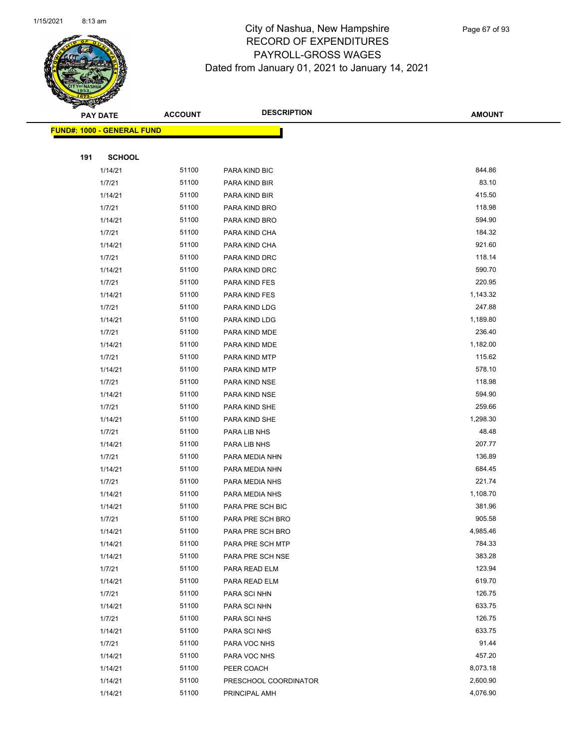

Page 67 of 93

|     | <b>PAY DATE</b>                   | <b>ACCOUNT</b> | <b>DESCRIPTION</b>           | <b>AMOUNT</b>    |
|-----|-----------------------------------|----------------|------------------------------|------------------|
|     | <b>FUND#: 1000 - GENERAL FUND</b> |                |                              |                  |
|     |                                   |                |                              |                  |
| 191 | <b>SCHOOL</b>                     |                |                              |                  |
|     | 1/14/21                           | 51100          | PARA KIND BIC                | 844.86           |
|     | 1/7/21                            | 51100          | PARA KIND BIR                | 83.10            |
|     | 1/14/21                           | 51100          | PARA KIND BIR                | 415.50           |
|     | 1/7/21                            | 51100          | PARA KIND BRO                | 118.98           |
|     | 1/14/21                           | 51100          | PARA KIND BRO                | 594.90           |
|     | 1/7/21                            | 51100          | PARA KIND CHA                | 184.32           |
|     | 1/14/21                           | 51100          | PARA KIND CHA                | 921.60           |
|     | 1/7/21                            | 51100          | PARA KIND DRC                | 118.14           |
|     | 1/14/21                           | 51100          | PARA KIND DRC                | 590.70           |
|     | 1/7/21                            | 51100          | PARA KIND FES                | 220.95           |
|     | 1/14/21                           | 51100          | PARA KIND FES                | 1,143.32         |
|     | 1/7/21                            | 51100          | PARA KIND LDG                | 247.88           |
|     | 1/14/21                           | 51100          | PARA KIND LDG                | 1,189.80         |
|     | 1/7/21                            | 51100          | PARA KIND MDE                | 236.40           |
|     | 1/14/21                           | 51100          | PARA KIND MDE                | 1,182.00         |
|     | 1/7/21                            | 51100          | PARA KIND MTP                | 115.62           |
|     | 1/14/21                           | 51100          | PARA KIND MTP                | 578.10           |
|     | 1/7/21                            | 51100          | PARA KIND NSE                | 118.98           |
|     | 1/14/21                           | 51100          | PARA KIND NSE                | 594.90           |
|     | 1/7/21                            | 51100          | PARA KIND SHE                | 259.66           |
|     | 1/14/21                           | 51100          | PARA KIND SHE                | 1,298.30         |
|     | 1/7/21                            | 51100          | PARA LIB NHS                 | 48.48            |
|     | 1/14/21                           | 51100          | PARA LIB NHS                 | 207.77           |
|     | 1/7/21                            | 51100          | PARA MEDIA NHN               | 136.89           |
|     | 1/14/21                           | 51100          | PARA MEDIA NHN               | 684.45           |
|     | 1/7/21                            | 51100          | PARA MEDIA NHS               | 221.74           |
|     | 1/14/21                           | 51100          | PARA MEDIA NHS               | 1,108.70         |
|     | 1/14/21                           | 51100          | PARA PRE SCH BIC             | 381.96           |
|     | 1/7/21                            | 51100          | PARA PRE SCH BRO             | 905.58           |
|     | 1/14/21                           | 51100          | PARA PRE SCH BRO             | 4,985.46         |
|     | 1/14/21                           | 51100          | PARA PRE SCH MTP             | 784.33           |
|     | 1/14/21                           | 51100          | PARA PRE SCH NSE             | 383.28           |
|     | 1/7/21                            | 51100          | PARA READ ELM                | 123.94<br>619.70 |
|     | 1/14/21                           | 51100<br>51100 | PARA READ ELM                | 126.75           |
|     | 1/7/21<br>1/14/21                 | 51100          | PARA SCI NHN                 | 633.75           |
|     | 1/7/21                            | 51100          | PARA SCI NHN                 | 126.75           |
|     | 1/14/21                           | 51100          | PARA SCI NHS<br>PARA SCI NHS | 633.75           |
|     | 1/7/21                            | 51100          |                              | 91.44            |
|     | 1/14/21                           | 51100          | PARA VOC NHS<br>PARA VOC NHS | 457.20           |
|     | 1/14/21                           | 51100          | PEER COACH                   | 8,073.18         |
|     | 1/14/21                           | 51100          | PRESCHOOL COORDINATOR        | 2,600.90         |
|     | 1/14/21                           | 51100          | PRINCIPAL AMH                | 4,076.90         |
|     |                                   |                |                              |                  |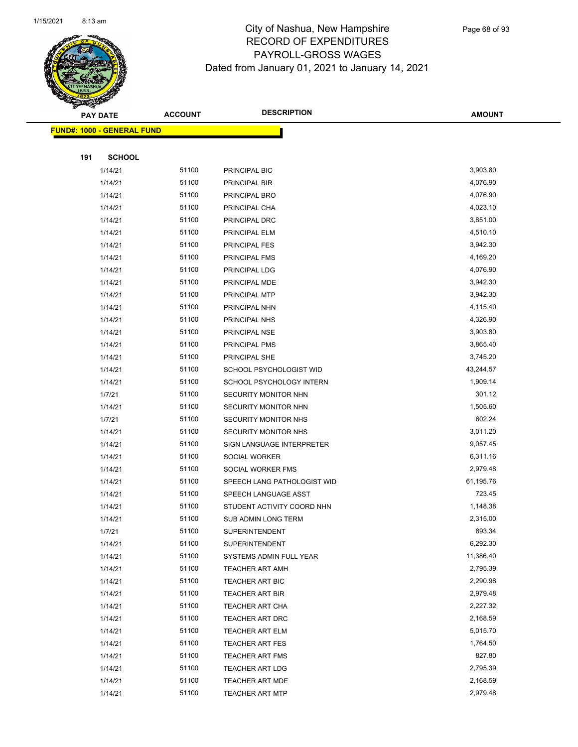

Page 68 of 93

|     | <b>PAY DATE</b>                   | <b>ACCOUNT</b> | <b>DESCRIPTION</b>                                | <b>AMOUNT</b>      |
|-----|-----------------------------------|----------------|---------------------------------------------------|--------------------|
|     | <b>FUND#: 1000 - GENERAL FUND</b> |                |                                                   |                    |
|     |                                   |                |                                                   |                    |
| 191 | <b>SCHOOL</b>                     |                |                                                   |                    |
|     | 1/14/21                           | 51100          | PRINCIPAL BIC                                     | 3,903.80           |
|     | 1/14/21                           | 51100          | PRINCIPAL BIR                                     | 4,076.90           |
|     | 1/14/21                           | 51100          | PRINCIPAL BRO                                     | 4,076.90           |
|     | 1/14/21                           | 51100          | PRINCIPAL CHA                                     | 4,023.10           |
|     | 1/14/21                           | 51100          | PRINCIPAL DRC                                     | 3,851.00           |
|     | 1/14/21                           | 51100          | PRINCIPAL ELM                                     | 4,510.10           |
|     | 1/14/21                           | 51100          | PRINCIPAL FES                                     | 3,942.30           |
|     | 1/14/21                           | 51100          | PRINCIPAL FMS                                     | 4,169.20           |
|     | 1/14/21                           | 51100          | PRINCIPAL LDG                                     | 4,076.90           |
|     | 1/14/21                           | 51100          | PRINCIPAL MDE                                     | 3,942.30           |
|     | 1/14/21                           | 51100          | PRINCIPAL MTP                                     | 3,942.30           |
|     | 1/14/21                           | 51100          | PRINCIPAL NHN                                     | 4,115.40           |
|     | 1/14/21                           | 51100          | PRINCIPAL NHS                                     | 4,326.90           |
|     | 1/14/21                           | 51100          | PRINCIPAL NSE                                     | 3,903.80           |
|     | 1/14/21                           | 51100          | PRINCIPAL PMS                                     | 3,865.40           |
|     | 1/14/21                           | 51100          | PRINCIPAL SHE                                     | 3,745.20           |
|     | 1/14/21                           | 51100          | SCHOOL PSYCHOLOGIST WID                           | 43,244.57          |
|     | 1/14/21                           | 51100          | SCHOOL PSYCHOLOGY INTERN                          | 1,909.14           |
|     | 1/7/21                            | 51100          | SECURITY MONITOR NHN                              | 301.12             |
|     | 1/14/21                           | 51100          | SECURITY MONITOR NHN                              | 1,505.60           |
|     | 1/7/21                            | 51100          | SECURITY MONITOR NHS                              | 602.24             |
|     | 1/14/21                           | 51100          | SECURITY MONITOR NHS                              | 3,011.20           |
|     | 1/14/21                           | 51100          | SIGN LANGUAGE INTERPRETER                         | 9,057.45           |
|     | 1/14/21                           | 51100          | SOCIAL WORKER                                     | 6,311.16           |
|     | 1/14/21                           | 51100          | SOCIAL WORKER FMS                                 | 2,979.48           |
|     | 1/14/21                           | 51100          | SPEECH LANG PATHOLOGIST WID                       | 61,195.76          |
|     | 1/14/21                           | 51100          | SPEECH LANGUAGE ASST                              | 723.45             |
|     | 1/14/21                           | 51100<br>51100 | STUDENT ACTIVITY COORD NHN<br>SUB ADMIN LONG TERM | 1,148.38           |
|     | 1/14/21<br>1/7/21                 | 51100          | <b>SUPERINTENDENT</b>                             | 2,315.00<br>893.34 |
|     | 1/14/21                           | 51100          | <b>SUPERINTENDENT</b>                             | 6,292.30           |
|     | 1/14/21                           | 51100          | SYSTEMS ADMIN FULL YEAR                           | 11,386.40          |
|     | 1/14/21                           | 51100          | <b>TEACHER ART AMH</b>                            | 2,795.39           |
|     | 1/14/21                           | 51100          | TEACHER ART BIC                                   | 2,290.98           |
|     | 1/14/21                           | 51100          | <b>TEACHER ART BIR</b>                            | 2,979.48           |
|     | 1/14/21                           | 51100          | TEACHER ART CHA                                   | 2,227.32           |
|     | 1/14/21                           | 51100          | <b>TEACHER ART DRC</b>                            | 2,168.59           |
|     | 1/14/21                           | 51100          | TEACHER ART ELM                                   | 5,015.70           |
|     | 1/14/21                           | 51100          | <b>TEACHER ART FES</b>                            | 1,764.50           |
|     | 1/14/21                           | 51100          | <b>TEACHER ART FMS</b>                            | 827.80             |
|     | 1/14/21                           | 51100          | TEACHER ART LDG                                   | 2,795.39           |
|     | 1/14/21                           | 51100          | <b>TEACHER ART MDE</b>                            | 2,168.59           |
|     | 1/14/21                           | 51100          | <b>TEACHER ART MTP</b>                            | 2,979.48           |
|     |                                   |                |                                                   |                    |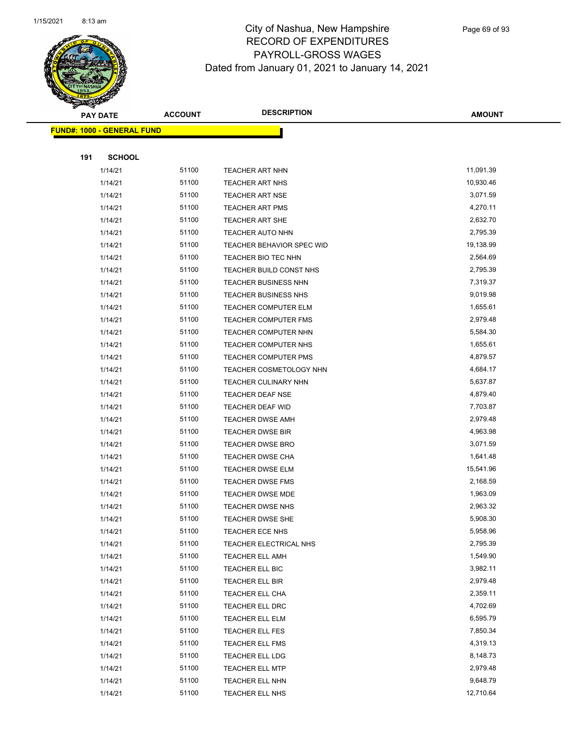

Page 69 of 93

| <b>PAY DATE</b> |                                   | <b>DESCRIPTION</b><br><b>ACCOUNT</b> |                                    | <b>AMOUNT</b>        |
|-----------------|-----------------------------------|--------------------------------------|------------------------------------|----------------------|
|                 | <b>FUND#: 1000 - GENERAL FUND</b> |                                      |                                    |                      |
|                 |                                   |                                      |                                    |                      |
| 191             | <b>SCHOOL</b>                     |                                      |                                    |                      |
|                 | 1/14/21                           | 51100                                | <b>TEACHER ART NHN</b>             | 11,091.39            |
|                 | 1/14/21                           | 51100                                | <b>TEACHER ART NHS</b>             | 10,930.46            |
|                 | 1/14/21                           | 51100                                | <b>TEACHER ART NSE</b>             | 3,071.59             |
|                 | 1/14/21                           | 51100                                | <b>TEACHER ART PMS</b>             | 4,270.11             |
|                 | 1/14/21                           | 51100                                | <b>TEACHER ART SHE</b>             | 2,632.70             |
|                 | 1/14/21                           | 51100                                | TEACHER AUTO NHN                   | 2,795.39             |
|                 | 1/14/21                           | 51100                                | TEACHER BEHAVIOR SPEC WID          | 19,138.99            |
|                 | 1/14/21                           | 51100                                | TEACHER BIO TEC NHN                | 2,564.69             |
|                 | 1/14/21                           | 51100                                | TEACHER BUILD CONST NHS            | 2,795.39             |
|                 | 1/14/21                           | 51100                                | TEACHER BUSINESS NHN               | 7,319.37             |
|                 | 1/14/21                           | 51100                                | <b>TEACHER BUSINESS NHS</b>        | 9,019.98             |
|                 | 1/14/21                           | 51100                                | <b>TEACHER COMPUTER ELM</b>        | 1,655.61             |
|                 | 1/14/21                           | 51100                                | <b>TEACHER COMPUTER FMS</b>        | 2,979.48             |
|                 | 1/14/21                           | 51100                                | TEACHER COMPUTER NHN               | 5,584.30             |
|                 | 1/14/21                           | 51100                                | <b>TEACHER COMPUTER NHS</b>        | 1,655.61             |
|                 | 1/14/21                           | 51100                                | <b>TEACHER COMPUTER PMS</b>        | 4,879.57             |
|                 | 1/14/21                           | 51100                                | TEACHER COSMETOLOGY NHN            | 4,684.17             |
|                 | 1/14/21                           | 51100                                | <b>TEACHER CULINARY NHN</b>        | 5,637.87             |
|                 | 1/14/21                           | 51100                                | <b>TEACHER DEAF NSE</b>            | 4,879.40             |
|                 | 1/14/21                           | 51100                                | TEACHER DEAF WID                   | 7,703.87             |
|                 | 1/14/21                           | 51100                                | <b>TEACHER DWSE AMH</b>            | 2,979.48             |
|                 | 1/14/21                           | 51100                                | <b>TEACHER DWSE BIR</b>            | 4,963.98             |
|                 | 1/14/21                           | 51100                                | <b>TEACHER DWSE BRO</b>            | 3,071.59             |
|                 | 1/14/21                           | 51100                                | <b>TEACHER DWSE CHA</b>            | 1,641.48             |
|                 | 1/14/21                           | 51100                                | <b>TEACHER DWSE ELM</b>            | 15,541.96            |
|                 | 1/14/21                           | 51100                                | <b>TEACHER DWSE FMS</b>            | 2,168.59             |
|                 | 1/14/21                           | 51100                                | <b>TEACHER DWSE MDE</b>            | 1,963.09             |
|                 | 1/14/21                           | 51100                                | <b>TEACHER DWSE NHS</b>            | 2,963.32             |
|                 | 1/14/21                           | 51100                                | <b>TEACHER DWSE SHE</b>            | 5,908.30             |
|                 | 1/14/21                           | 51100                                | TEACHER ECE NHS                    | 5,958.96             |
|                 | 1/14/21                           | 51100                                | TEACHER ELECTRICAL NHS             | 2,795.39             |
|                 | 1/14/21                           | 51100                                | <b>TEACHER ELL AMH</b>             | 1,549.90             |
|                 | 1/14/21                           | 51100                                | TEACHER ELL BIC                    | 3,982.11             |
|                 | 1/14/21                           | 51100<br>51100                       | TEACHER ELL BIR                    | 2,979.48<br>2,359.11 |
|                 | 1/14/21                           | 51100                                | TEACHER ELL CHA                    | 4,702.69             |
|                 | 1/14/21                           | 51100                                | TEACHER ELL DRC                    | 6,595.79             |
|                 | 1/14/21<br>1/14/21                | 51100                                | TEACHER ELL ELM<br>TEACHER ELL FES | 7,850.34             |
|                 | 1/14/21                           | 51100                                | TEACHER ELL FMS                    | 4,319.13             |
|                 | 1/14/21                           | 51100                                | TEACHER ELL LDG                    | 8,148.73             |
|                 | 1/14/21                           | 51100                                | TEACHER ELL MTP                    | 2,979.48             |
|                 | 1/14/21                           | 51100                                | TEACHER ELL NHN                    | 9,648.79             |
|                 | 1/14/21                           | 51100                                | TEACHER ELL NHS                    | 12,710.64            |
|                 |                                   |                                      |                                    |                      |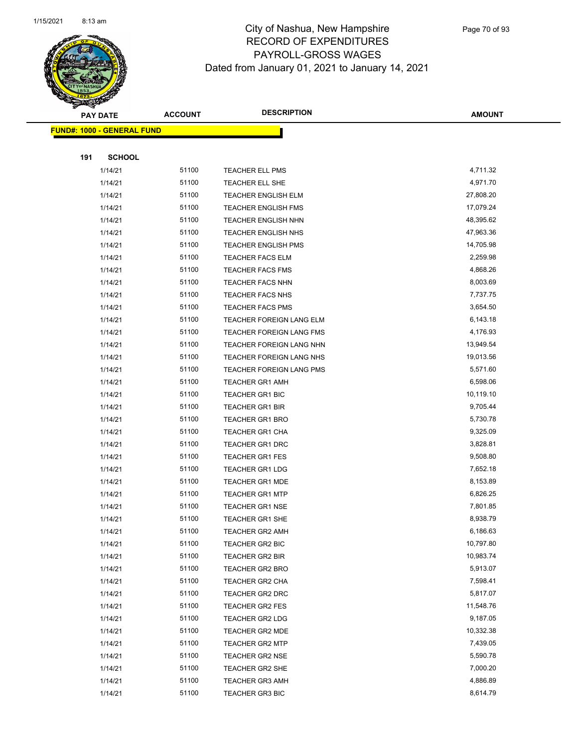

Page 70 of 93

| <b>PAY DATE</b>                   |               | <b>ACCOUNT</b> | <b>DESCRIPTION</b>         | <b>AMOUNT</b> |
|-----------------------------------|---------------|----------------|----------------------------|---------------|
| <b>FUND#: 1000 - GENERAL FUND</b> |               |                |                            |               |
|                                   |               |                |                            |               |
| 191                               | <b>SCHOOL</b> |                |                            |               |
|                                   | 1/14/21       | 51100          | <b>TEACHER ELL PMS</b>     | 4,711.32      |
|                                   | 1/14/21       | 51100          | TEACHER ELL SHE            | 4,971.70      |
|                                   | 1/14/21       | 51100          | <b>TEACHER ENGLISH ELM</b> | 27,808.20     |
|                                   | 1/14/21       | 51100          | <b>TEACHER ENGLISH FMS</b> | 17,079.24     |
|                                   | 1/14/21       | 51100          | <b>TEACHER ENGLISH NHN</b> | 48,395.62     |
|                                   | 1/14/21       | 51100          | <b>TEACHER ENGLISH NHS</b> | 47,963.36     |
|                                   | 1/14/21       | 51100          | <b>TEACHER ENGLISH PMS</b> | 14,705.98     |
|                                   | 1/14/21       | 51100          | <b>TEACHER FACS ELM</b>    | 2,259.98      |
|                                   | 1/14/21       | 51100          | <b>TEACHER FACS FMS</b>    | 4,868.26      |
|                                   | 1/14/21       | 51100          | <b>TEACHER FACS NHN</b>    | 8,003.69      |
|                                   | 1/14/21       | 51100          | <b>TEACHER FACS NHS</b>    | 7,737.75      |
|                                   | 1/14/21       | 51100          | <b>TEACHER FACS PMS</b>    | 3,654.50      |
|                                   | 1/14/21       | 51100          | TEACHER FOREIGN LANG ELM   | 6,143.18      |
|                                   | 1/14/21       | 51100          | TEACHER FOREIGN LANG FMS   | 4,176.93      |
|                                   | 1/14/21       | 51100          | TEACHER FOREIGN LANG NHN   | 13,949.54     |
|                                   | 1/14/21       | 51100          | TEACHER FOREIGN LANG NHS   | 19,013.56     |
|                                   | 1/14/21       | 51100          | TEACHER FOREIGN LANG PMS   | 5,571.60      |
|                                   | 1/14/21       | 51100          | <b>TEACHER GR1 AMH</b>     | 6,598.06      |
|                                   | 1/14/21       | 51100          | <b>TEACHER GR1 BIC</b>     | 10,119.10     |
|                                   | 1/14/21       | 51100          | <b>TEACHER GR1 BIR</b>     | 9,705.44      |
|                                   | 1/14/21       | 51100          | <b>TEACHER GR1 BRO</b>     | 5,730.78      |
|                                   | 1/14/21       | 51100          | <b>TEACHER GR1 CHA</b>     | 9,325.09      |
|                                   | 1/14/21       | 51100          | <b>TEACHER GR1 DRC</b>     | 3,828.81      |
|                                   | 1/14/21       | 51100          | <b>TEACHER GR1 FES</b>     | 9,508.80      |
|                                   | 1/14/21       | 51100          | <b>TEACHER GR1 LDG</b>     | 7,652.18      |
|                                   | 1/14/21       | 51100          | <b>TEACHER GR1 MDE</b>     | 8,153.89      |
|                                   | 1/14/21       | 51100          | <b>TEACHER GR1 MTP</b>     | 6,826.25      |
|                                   | 1/14/21       | 51100          | <b>TEACHER GR1 NSE</b>     | 7,801.85      |
|                                   | 1/14/21       | 51100          | TEACHER GR1 SHE            | 8,938.79      |
|                                   | 1/14/21       | 51100          | <b>TEACHER GR2 AMH</b>     | 6,186.63      |
|                                   | 1/14/21       | 51100          | TEACHER GR2 BIC            | 10,797.80     |
|                                   | 1/14/21       | 51100          | <b>TEACHER GR2 BIR</b>     | 10,983.74     |
|                                   | 1/14/21       | 51100          | <b>TEACHER GR2 BRO</b>     | 5,913.07      |
|                                   | 1/14/21       | 51100          | TEACHER GR2 CHA            | 7,598.41      |
|                                   | 1/14/21       | 51100          | TEACHER GR2 DRC            | 5,817.07      |
|                                   | 1/14/21       | 51100          | TEACHER GR2 FES            | 11,548.76     |
|                                   | 1/14/21       | 51100          | <b>TEACHER GR2 LDG</b>     | 9,187.05      |
|                                   | 1/14/21       | 51100          | <b>TEACHER GR2 MDE</b>     | 10,332.38     |
|                                   | 1/14/21       | 51100          | <b>TEACHER GR2 MTP</b>     | 7,439.05      |
|                                   | 1/14/21       | 51100          | <b>TEACHER GR2 NSE</b>     | 5,590.78      |
|                                   | 1/14/21       | 51100          | TEACHER GR2 SHE            | 7,000.20      |
|                                   | 1/14/21       | 51100          | <b>TEACHER GR3 AMH</b>     | 4,886.89      |
|                                   | 1/14/21       | 51100          | <b>TEACHER GR3 BIC</b>     | 8,614.79      |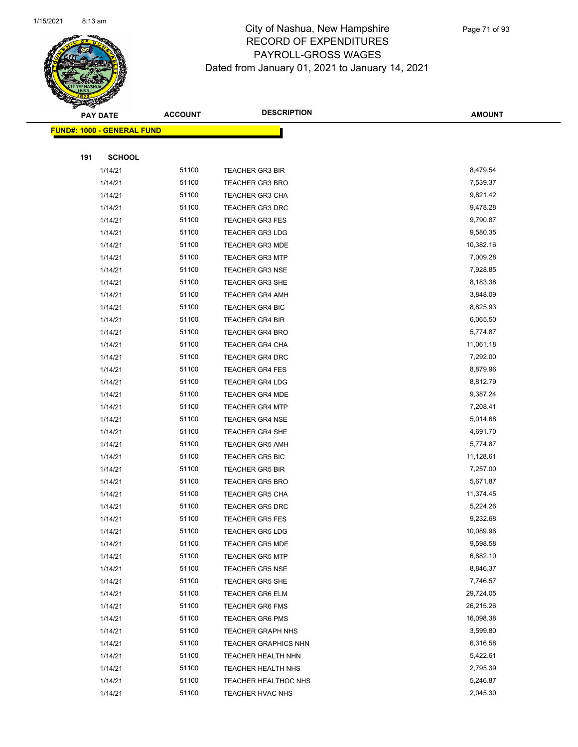

|     | <b>PAY DATE</b>                    | <b>ACCOUNT</b> | <b>DESCRIPTION</b>          | <b>AMOUNT</b> |
|-----|------------------------------------|----------------|-----------------------------|---------------|
|     | <u> FUND#: 1000 - GENERAL FUND</u> |                |                             |               |
|     |                                    |                |                             |               |
| 191 | <b>SCHOOL</b>                      |                |                             |               |
|     | 1/14/21                            | 51100          | <b>TEACHER GR3 BIR</b>      | 8,479.54      |
|     | 1/14/21                            | 51100          | <b>TEACHER GR3 BRO</b>      | 7,539.37      |
|     | 1/14/21                            | 51100          | <b>TEACHER GR3 CHA</b>      | 9,821.42      |
|     | 1/14/21                            | 51100          | <b>TEACHER GR3 DRC</b>      | 9,478.28      |
|     | 1/14/21                            | 51100          | <b>TEACHER GR3 FES</b>      | 9,790.87      |
|     | 1/14/21                            | 51100          | <b>TEACHER GR3 LDG</b>      | 9,580.35      |
|     | 1/14/21                            | 51100          | <b>TEACHER GR3 MDE</b>      | 10,382.16     |
|     | 1/14/21                            | 51100          | <b>TEACHER GR3 MTP</b>      | 7,009.28      |
|     | 1/14/21                            | 51100          | <b>TEACHER GR3 NSE</b>      | 7,928.85      |
|     | 1/14/21                            | 51100          | <b>TEACHER GR3 SHE</b>      | 8,183.38      |
|     | 1/14/21                            | 51100          | <b>TEACHER GR4 AMH</b>      | 3,848.09      |
|     | 1/14/21                            | 51100          | <b>TEACHER GR4 BIC</b>      | 8,825.93      |
|     | 1/14/21                            | 51100          | <b>TEACHER GR4 BIR</b>      | 6,065.50      |
|     | 1/14/21                            | 51100          | <b>TEACHER GR4 BRO</b>      | 5,774.87      |
|     | 1/14/21                            | 51100          | <b>TEACHER GR4 CHA</b>      | 11,061.18     |
|     | 1/14/21                            | 51100          | <b>TEACHER GR4 DRC</b>      | 7,292.00      |
|     | 1/14/21                            | 51100          | <b>TEACHER GR4 FES</b>      | 8,879.96      |
|     | 1/14/21                            | 51100          | <b>TEACHER GR4 LDG</b>      | 8,812.79      |
|     | 1/14/21                            | 51100          | <b>TEACHER GR4 MDE</b>      | 9,387.24      |
|     | 1/14/21                            | 51100          | <b>TEACHER GR4 MTP</b>      | 7,208.41      |
|     | 1/14/21                            | 51100          | <b>TEACHER GR4 NSE</b>      | 5,014.68      |
|     | 1/14/21                            | 51100          | <b>TEACHER GR4 SHE</b>      | 4,691.70      |
|     | 1/14/21                            | 51100          | <b>TEACHER GR5 AMH</b>      | 5,774.87      |
|     | 1/14/21                            | 51100          | <b>TEACHER GR5 BIC</b>      | 11,128.61     |
|     | 1/14/21                            | 51100          | <b>TEACHER GR5 BIR</b>      | 7,257.00      |
|     | 1/14/21                            | 51100          | <b>TEACHER GR5 BRO</b>      | 5,671.87      |
|     | 1/14/21                            | 51100          | <b>TEACHER GR5 CHA</b>      | 11,374.45     |
|     | 1/14/21                            | 51100          | <b>TEACHER GR5 DRC</b>      | 5,224.26      |
|     | 1/14/21                            | 51100          | <b>TEACHER GR5 FES</b>      | 9,232.68      |
|     | 1/14/21                            | 51100          | TEACHER GR5 LDG             | 10,089.96     |
|     | 1/14/21                            | 51100          | <b>TEACHER GR5 MDE</b>      | 9,598.58      |
|     | 1/14/21                            | 51100          | <b>TEACHER GR5 MTP</b>      | 6,882.10      |
|     | 1/14/21                            | 51100          | <b>TEACHER GR5 NSE</b>      | 8,846.37      |
|     | 1/14/21                            | 51100          | <b>TEACHER GR5 SHE</b>      | 7,746.57      |
|     | 1/14/21                            | 51100          | <b>TEACHER GR6 ELM</b>      | 29,724.05     |
|     | 1/14/21                            | 51100          | <b>TEACHER GR6 FMS</b>      | 26,215.26     |
|     | 1/14/21                            | 51100          | <b>TEACHER GR6 PMS</b>      | 16,098.38     |
|     | 1/14/21                            | 51100          | <b>TEACHER GRAPH NHS</b>    | 3,599.80      |
|     | 1/14/21                            | 51100          | <b>TEACHER GRAPHICS NHN</b> | 6,316.58      |
|     | 1/14/21                            | 51100          | <b>TEACHER HEALTH NHN</b>   | 5,422.61      |
|     | 1/14/21                            | 51100          | <b>TEACHER HEALTH NHS</b>   | 2,795.39      |
|     | 1/14/21                            | 51100          | TEACHER HEALTHOC NHS        | 5,246.87      |
|     | 1/14/21                            | 51100          | <b>TEACHER HVAC NHS</b>     | 2,045.30      |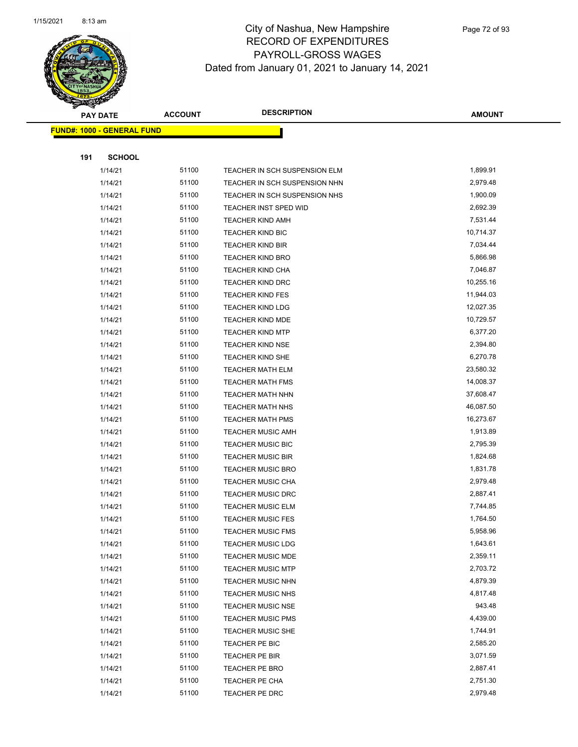

|     | <b>PAY DATE</b>                   | <b>ACCOUNT</b> | <b>DESCRIPTION</b>            | <b>AMOUNT</b> |
|-----|-----------------------------------|----------------|-------------------------------|---------------|
|     | <b>FUND#: 1000 - GENERAL FUND</b> |                |                               |               |
|     |                                   |                |                               |               |
| 191 | <b>SCHOOL</b>                     |                |                               |               |
|     | 1/14/21                           | 51100          | TEACHER IN SCH SUSPENSION ELM | 1,899.91      |
|     | 1/14/21                           | 51100          | TEACHER IN SCH SUSPENSION NHN | 2,979.48      |
|     | 1/14/21                           | 51100          | TEACHER IN SCH SUSPENSION NHS | 1,900.09      |
|     | 1/14/21                           | 51100          | TEACHER INST SPED WID         | 2,692.39      |
|     | 1/14/21                           | 51100          | <b>TEACHER KIND AMH</b>       | 7,531.44      |
|     | 1/14/21                           | 51100          | TEACHER KIND BIC              | 10,714.37     |
|     | 1/14/21                           | 51100          | <b>TEACHER KIND BIR</b>       | 7,034.44      |
|     | 1/14/21                           | 51100          | <b>TEACHER KIND BRO</b>       | 5,866.98      |
|     | 1/14/21                           | 51100          | TEACHER KIND CHA              | 7,046.87      |
|     | 1/14/21                           | 51100          | TEACHER KIND DRC              | 10,255.16     |
|     | 1/14/21                           | 51100          | <b>TEACHER KIND FES</b>       | 11,944.03     |
|     | 1/14/21                           | 51100          | <b>TEACHER KIND LDG</b>       | 12,027.35     |
|     | 1/14/21                           | 51100          | <b>TEACHER KIND MDE</b>       | 10,729.57     |
|     | 1/14/21                           | 51100          | <b>TEACHER KIND MTP</b>       | 6,377.20      |
|     | 1/14/21                           | 51100          | TEACHER KIND NSE              | 2,394.80      |
|     | 1/14/21                           | 51100          | TEACHER KIND SHE              | 6,270.78      |
|     | 1/14/21                           | 51100          | <b>TEACHER MATH ELM</b>       | 23,580.32     |
|     | 1/14/21                           | 51100          | <b>TEACHER MATH FMS</b>       | 14,008.37     |
|     | 1/14/21                           | 51100          | TEACHER MATH NHN              | 37,608.47     |
|     | 1/14/21                           | 51100          | TEACHER MATH NHS              | 46,087.50     |
|     | 1/14/21                           | 51100          | <b>TEACHER MATH PMS</b>       | 16,273.67     |
|     | 1/14/21                           | 51100          | <b>TEACHER MUSIC AMH</b>      | 1,913.89      |
|     | 1/14/21                           | 51100          | <b>TEACHER MUSIC BIC</b>      | 2,795.39      |
|     | 1/14/21                           | 51100          | <b>TEACHER MUSIC BIR</b>      | 1,824.68      |
|     | 1/14/21                           | 51100          | <b>TEACHER MUSIC BRO</b>      | 1,831.78      |
|     | 1/14/21                           | 51100          | <b>TEACHER MUSIC CHA</b>      | 2,979.48      |
|     | 1/14/21                           | 51100          | <b>TEACHER MUSIC DRC</b>      | 2,887.41      |
|     | 1/14/21                           | 51100          | <b>TEACHER MUSIC ELM</b>      | 7,744.85      |
|     | 1/14/21                           | 51100          | <b>TEACHER MUSIC FES</b>      | 1,764.50      |
|     | 1/14/21                           | 51100          | <b>TEACHER MUSIC FMS</b>      | 5,958.96      |
|     | 1/14/21                           | 51100          | <b>TEACHER MUSIC LDG</b>      | 1,643.61      |
|     | 1/14/21                           | 51100          | <b>TEACHER MUSIC MDE</b>      | 2,359.11      |
|     | 1/14/21                           | 51100          | <b>TEACHER MUSIC MTP</b>      | 2,703.72      |
|     | 1/14/21                           | 51100          | <b>TEACHER MUSIC NHN</b>      | 4,879.39      |
|     | 1/14/21                           | 51100          | <b>TEACHER MUSIC NHS</b>      | 4,817.48      |
|     | 1/14/21                           | 51100          | <b>TEACHER MUSIC NSE</b>      | 943.48        |
|     | 1/14/21                           | 51100          | <b>TEACHER MUSIC PMS</b>      | 4,439.00      |
|     | 1/14/21                           | 51100          | <b>TEACHER MUSIC SHE</b>      | 1,744.91      |
|     | 1/14/21                           | 51100          | TEACHER PE BIC                | 2,585.20      |
|     | 1/14/21                           | 51100          | TEACHER PE BIR                | 3,071.59      |
|     | 1/14/21                           | 51100          | TEACHER PE BRO                | 2,887.41      |
|     | 1/14/21                           | 51100          | TEACHER PE CHA                | 2,751.30      |
|     | 1/14/21                           | 51100          | TEACHER PE DRC                | 2,979.48      |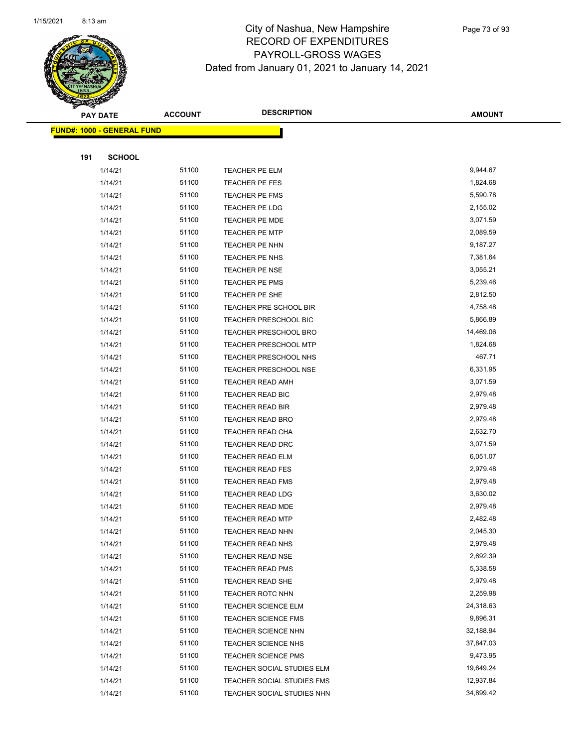

Page 73 of 93

|     | <b>PAY DATE</b>                   | <b>ACCOUNT</b> | <b>DESCRIPTION</b>           | <b>AMOUNT</b> |
|-----|-----------------------------------|----------------|------------------------------|---------------|
|     | <b>FUND#: 1000 - GENERAL FUND</b> |                |                              |               |
|     |                                   |                |                              |               |
| 191 | <b>SCHOOL</b>                     |                |                              |               |
|     | 1/14/21                           | 51100          | TEACHER PE ELM               | 9,944.67      |
|     | 1/14/21                           | 51100          | TEACHER PE FES               | 1,824.68      |
|     | 1/14/21                           | 51100          | TEACHER PE FMS               | 5,590.78      |
|     | 1/14/21                           | 51100          | TEACHER PE LDG               | 2,155.02      |
|     | 1/14/21                           | 51100          | <b>TEACHER PE MDE</b>        | 3,071.59      |
|     | 1/14/21                           | 51100          | <b>TEACHER PE MTP</b>        | 2,089.59      |
|     | 1/14/21                           | 51100          | TEACHER PE NHN               | 9,187.27      |
|     | 1/14/21                           | 51100          | TEACHER PE NHS               | 7,381.64      |
|     | 1/14/21                           | 51100          | TEACHER PE NSE               | 3,055.21      |
|     | 1/14/21                           | 51100          | <b>TEACHER PE PMS</b>        | 5,239.46      |
|     | 1/14/21                           | 51100          | TEACHER PE SHE               | 2,812.50      |
|     | 1/14/21                           | 51100          | TEACHER PRE SCHOOL BIR       | 4,758.48      |
|     | 1/14/21                           | 51100          | <b>TEACHER PRESCHOOL BIC</b> | 5,866.89      |
|     | 1/14/21                           | 51100          | <b>TEACHER PRESCHOOL BRO</b> | 14,469.06     |
|     | 1/14/21                           | 51100          | <b>TEACHER PRESCHOOL MTP</b> | 1,824.68      |
|     | 1/14/21                           | 51100          | <b>TEACHER PRESCHOOL NHS</b> | 467.71        |
|     | 1/14/21                           | 51100          | TEACHER PRESCHOOL NSE        | 6,331.95      |
|     | 1/14/21                           | 51100          | <b>TEACHER READ AMH</b>      | 3,071.59      |
|     | 1/14/21                           | 51100          | TEACHER READ BIC             | 2,979.48      |
|     | 1/14/21                           | 51100          | <b>TEACHER READ BIR</b>      | 2,979.48      |
|     | 1/14/21                           | 51100          | <b>TEACHER READ BRO</b>      | 2,979.48      |
|     | 1/14/21                           | 51100          | TEACHER READ CHA             | 2,632.70      |
|     | 1/14/21                           | 51100          | TEACHER READ DRC             | 3,071.59      |
|     | 1/14/21                           | 51100          | TEACHER READ ELM             | 6,051.07      |
|     | 1/14/21                           | 51100          | <b>TEACHER READ FES</b>      | 2,979.48      |
|     | 1/14/21                           | 51100          | <b>TEACHER READ FMS</b>      | 2,979.48      |
|     | 1/14/21                           | 51100          | <b>TEACHER READ LDG</b>      | 3,630.02      |
|     | 1/14/21                           | 51100          | <b>TEACHER READ MDE</b>      | 2,979.48      |
|     | 1/14/21                           | 51100          | <b>TEACHER READ MTP</b>      | 2,482.48      |
|     | 1/14/21                           | 51100          | <b>TEACHER READ NHN</b>      | 2,045.30      |
|     | 1/14/21                           | 51100          | <b>TEACHER READ NHS</b>      | 2,979.48      |
|     | 1/14/21                           | 51100          | <b>TEACHER READ NSE</b>      | 2,692.39      |
|     | 1/14/21                           | 51100          | <b>TEACHER READ PMS</b>      | 5,338.58      |
|     | 1/14/21                           | 51100          | <b>TEACHER READ SHE</b>      | 2,979.48      |
|     | 1/14/21                           | 51100          | TEACHER ROTC NHN             | 2,259.98      |
|     | 1/14/21                           | 51100          | <b>TEACHER SCIENCE ELM</b>   | 24,318.63     |
|     | 1/14/21                           | 51100          | <b>TEACHER SCIENCE FMS</b>   | 9,896.31      |
|     | 1/14/21                           | 51100          | TEACHER SCIENCE NHN          | 32,188.94     |
|     | 1/14/21                           | 51100          | <b>TEACHER SCIENCE NHS</b>   | 37,847.03     |
|     | 1/14/21                           | 51100          | <b>TEACHER SCIENCE PMS</b>   | 9,473.95      |
|     | 1/14/21                           | 51100          | TEACHER SOCIAL STUDIES ELM   | 19,649.24     |
|     | 1/14/21                           | 51100          | TEACHER SOCIAL STUDIES FMS   | 12,937.84     |
|     | 1/14/21                           | 51100          | TEACHER SOCIAL STUDIES NHN   | 34,899.42     |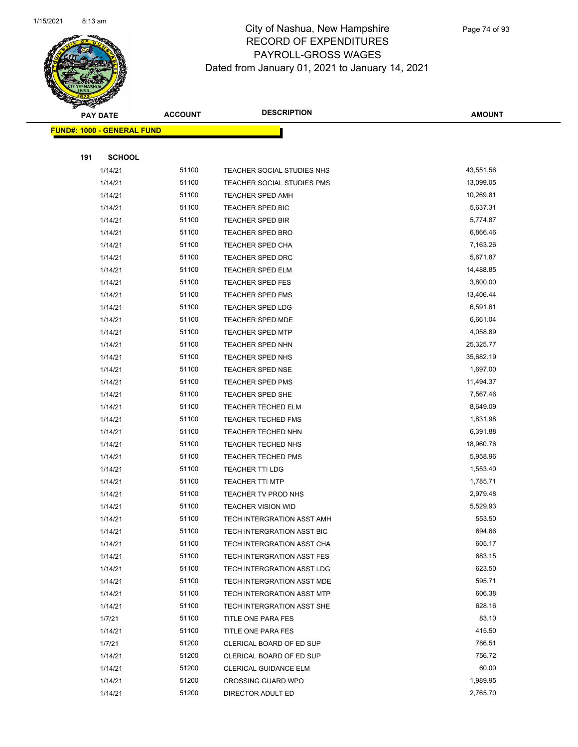

|     | <b>PAY DATE</b>                   | <b>ACCOUNT</b> | <b>DESCRIPTION</b>         | <b>AMOUNT</b> |
|-----|-----------------------------------|----------------|----------------------------|---------------|
|     | <b>FUND#: 1000 - GENERAL FUND</b> |                |                            |               |
|     |                                   |                |                            |               |
| 191 | <b>SCHOOL</b>                     |                |                            |               |
|     | 1/14/21                           | 51100          | TEACHER SOCIAL STUDIES NHS | 43,551.56     |
|     | 1/14/21                           | 51100          | TEACHER SOCIAL STUDIES PMS | 13,099.05     |
|     | 1/14/21                           | 51100          | <b>TEACHER SPED AMH</b>    | 10,269.81     |
|     | 1/14/21                           | 51100          | TEACHER SPED BIC           | 5,637.31      |
|     | 1/14/21                           | 51100          | <b>TEACHER SPED BIR</b>    | 5,774.87      |
|     | 1/14/21                           | 51100          | <b>TEACHER SPED BRO</b>    | 6,866.46      |
|     | 1/14/21                           | 51100          | <b>TEACHER SPED CHA</b>    | 7,163.26      |
|     | 1/14/21                           | 51100          | TEACHER SPED DRC           | 5,671.87      |
|     | 1/14/21                           | 51100          | <b>TEACHER SPED ELM</b>    | 14,488.85     |
|     | 1/14/21                           | 51100          | <b>TEACHER SPED FES</b>    | 3,800.00      |
|     | 1/14/21                           | 51100          | <b>TEACHER SPED FMS</b>    | 13,406.44     |
|     | 1/14/21                           | 51100          | <b>TEACHER SPED LDG</b>    | 6,591.61      |
|     | 1/14/21                           | 51100          | <b>TEACHER SPED MDE</b>    | 6,661.04      |
|     | 1/14/21                           | 51100          | <b>TEACHER SPED MTP</b>    | 4,058.89      |
|     | 1/14/21                           | 51100          | <b>TEACHER SPED NHN</b>    | 25,325.77     |
|     | 1/14/21                           | 51100          | TEACHER SPED NHS           | 35,682.19     |
|     | 1/14/21                           | 51100          | <b>TEACHER SPED NSE</b>    | 1,697.00      |
|     | 1/14/21                           | 51100          | <b>TEACHER SPED PMS</b>    | 11,494.37     |
|     | 1/14/21                           | 51100          | <b>TEACHER SPED SHE</b>    | 7,567.46      |
|     | 1/14/21                           | 51100          | <b>TEACHER TECHED ELM</b>  | 8,649.09      |
|     | 1/14/21                           | 51100          | <b>TEACHER TECHED FMS</b>  | 1,831.98      |
|     | 1/14/21                           | 51100          | <b>TEACHER TECHED NHN</b>  | 6,391.88      |
|     | 1/14/21                           | 51100          | <b>TEACHER TECHED NHS</b>  | 18,960.76     |
|     | 1/14/21                           | 51100          | <b>TEACHER TECHED PMS</b>  | 5,958.96      |
|     | 1/14/21                           | 51100          | <b>TEACHER TTI LDG</b>     | 1,553.40      |
|     | 1/14/21                           | 51100          | <b>TEACHER TTI MTP</b>     | 1,785.71      |
|     | 1/14/21                           | 51100          | TEACHER TV PROD NHS        | 2,979.48      |
|     | 1/14/21                           | 51100          | <b>TEACHER VISION WID</b>  | 5,529.93      |
|     | 1/14/21                           | 51100          | TECH INTERGRATION ASST AMH | 553.50        |
|     | 1/14/21                           | 51100          | TECH INTERGRATION ASST BIC | 694.66        |
|     | 1/14/21                           | 51100          | TECH INTERGRATION ASST CHA | 605.17        |
|     | 1/14/21                           | 51100          | TECH INTERGRATION ASST FES | 683.15        |
|     | 1/14/21                           | 51100          | TECH INTERGRATION ASST LDG | 623.50        |
|     | 1/14/21                           | 51100          | TECH INTERGRATION ASST MDE | 595.71        |
|     | 1/14/21                           | 51100          | TECH INTERGRATION ASST MTP | 606.38        |
|     | 1/14/21                           | 51100          | TECH INTERGRATION ASST SHE | 628.16        |
|     | 1/7/21                            | 51100          | TITLE ONE PARA FES         | 83.10         |
|     | 1/14/21                           | 51100          | TITLE ONE PARA FES         | 415.50        |
|     | 1/7/21                            | 51200          | CLERICAL BOARD OF ED SUP   | 786.51        |
|     | 1/14/21                           | 51200          | CLERICAL BOARD OF ED SUP   | 756.72        |
|     | 1/14/21                           | 51200          | CLERICAL GUIDANCE ELM      | 60.00         |
|     | 1/14/21                           | 51200          | <b>CROSSING GUARD WPO</b>  | 1,989.95      |
|     | 1/14/21                           | 51200          | DIRECTOR ADULT ED          | 2,765.70      |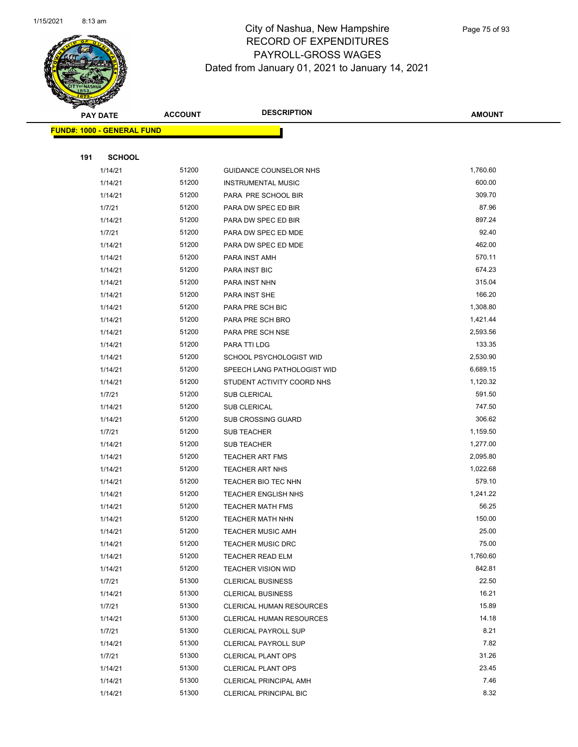

|     | <b>PAY DATE</b>                   | <b>ACCOUNT</b> | <b>DESCRIPTION</b>              | <b>AMOUNT</b> |
|-----|-----------------------------------|----------------|---------------------------------|---------------|
|     | <b>FUND#: 1000 - GENERAL FUND</b> |                |                                 |               |
|     |                                   |                |                                 |               |
| 191 | <b>SCHOOL</b>                     |                |                                 |               |
|     | 1/14/21                           | 51200          | GUIDANCE COUNSELOR NHS          | 1,760.60      |
|     | 1/14/21                           | 51200          | <b>INSTRUMENTAL MUSIC</b>       | 600.00        |
|     | 1/14/21                           | 51200          | PARA PRE SCHOOL BIR             | 309.70        |
|     | 1/7/21                            | 51200          | PARA DW SPEC ED BIR             | 87.96         |
|     | 1/14/21                           | 51200          | PARA DW SPEC ED BIR             | 897.24        |
|     | 1/7/21                            | 51200          | PARA DW SPEC ED MDE             | 92.40         |
|     | 1/14/21                           | 51200          | PARA DW SPEC ED MDE             | 462.00        |
|     | 1/14/21                           | 51200          | PARA INST AMH                   | 570.11        |
|     | 1/14/21                           | 51200          | PARA INST BIC                   | 674.23        |
|     | 1/14/21                           | 51200          | PARA INST NHN                   | 315.04        |
|     | 1/14/21                           | 51200          | PARA INST SHE                   | 166.20        |
|     | 1/14/21                           | 51200          | PARA PRE SCH BIC                | 1,308.80      |
|     | 1/14/21                           | 51200          | PARA PRE SCH BRO                | 1,421.44      |
|     | 1/14/21                           | 51200          | PARA PRE SCH NSE                | 2,593.56      |
|     | 1/14/21                           | 51200          | PARA TTI LDG                    | 133.35        |
|     | 1/14/21                           | 51200          | SCHOOL PSYCHOLOGIST WID         | 2,530.90      |
|     | 1/14/21                           | 51200          | SPEECH LANG PATHOLOGIST WID     | 6,689.15      |
|     | 1/14/21                           | 51200          | STUDENT ACTIVITY COORD NHS      | 1,120.32      |
|     | 1/7/21                            | 51200          | <b>SUB CLERICAL</b>             | 591.50        |
|     | 1/14/21                           | 51200          | <b>SUB CLERICAL</b>             | 747.50        |
|     | 1/14/21                           | 51200          | <b>SUB CROSSING GUARD</b>       | 306.62        |
|     | 1/7/21                            | 51200          | SUB TEACHER                     | 1,159.50      |
|     | 1/14/21                           | 51200          | <b>SUB TEACHER</b>              | 1,277.00      |
|     | 1/14/21                           | 51200          | <b>TEACHER ART FMS</b>          | 2,095.80      |
|     | 1/14/21                           | 51200          | <b>TEACHER ART NHS</b>          | 1,022.68      |
|     | 1/14/21                           | 51200          | TEACHER BIO TEC NHN             | 579.10        |
|     | 1/14/21                           | 51200          | <b>TEACHER ENGLISH NHS</b>      | 1,241.22      |
|     | 1/14/21                           | 51200          | <b>TEACHER MATH FMS</b>         | 56.25         |
|     | 1/14/21                           | 51200          | <b>TEACHER MATH NHN</b>         | 150.00        |
|     | 1/14/21                           | 51200          | <b>TEACHER MUSIC AMH</b>        | 25.00         |
|     | 1/14/21                           | 51200          | <b>TEACHER MUSIC DRC</b>        | 75.00         |
|     | 1/14/21                           | 51200          | <b>TEACHER READ ELM</b>         | 1,760.60      |
|     | 1/14/21                           | 51200          | <b>TEACHER VISION WID</b>       | 842.81        |
|     | 1/7/21                            | 51300          | <b>CLERICAL BUSINESS</b>        | 22.50         |
|     | 1/14/21                           | 51300          | <b>CLERICAL BUSINESS</b>        | 16.21         |
|     | 1/7/21                            | 51300          | CLERICAL HUMAN RESOURCES        | 15.89         |
|     | 1/14/21                           | 51300          | <b>CLERICAL HUMAN RESOURCES</b> | 14.18         |
|     | 1/7/21                            | 51300          | <b>CLERICAL PAYROLL SUP</b>     | 8.21          |
|     | 1/14/21                           | 51300          | <b>CLERICAL PAYROLL SUP</b>     | 7.82          |
|     | 1/7/21                            | 51300          | <b>CLERICAL PLANT OPS</b>       | 31.26         |
|     | 1/14/21                           | 51300          | <b>CLERICAL PLANT OPS</b>       | 23.45         |
|     | 1/14/21                           | 51300          | <b>CLERICAL PRINCIPAL AMH</b>   | 7.46          |
|     | 1/14/21                           | 51300          | <b>CLERICAL PRINCIPAL BIC</b>   | 8.32          |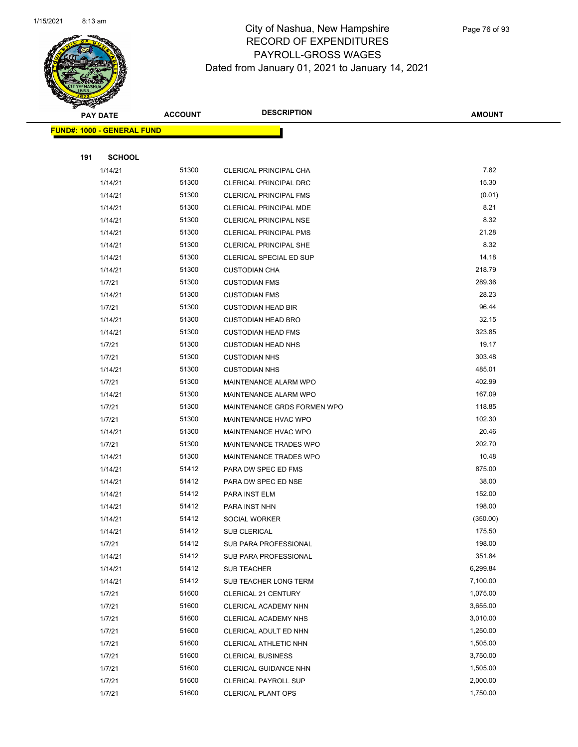

|     | <b>PAY DATE</b>                   | <b>ACCOUNT</b> | <b>DESCRIPTION</b>            | <b>AMOUNT</b> |
|-----|-----------------------------------|----------------|-------------------------------|---------------|
|     | <b>FUND#: 1000 - GENERAL FUND</b> |                |                               |               |
|     |                                   |                |                               |               |
| 191 | <b>SCHOOL</b>                     |                |                               |               |
|     | 1/14/21                           | 51300          | CLERICAL PRINCIPAL CHA        | 7.82          |
|     | 1/14/21                           | 51300          | <b>CLERICAL PRINCIPAL DRC</b> | 15.30         |
|     | 1/14/21                           | 51300          | <b>CLERICAL PRINCIPAL FMS</b> | (0.01)        |
|     | 1/14/21                           | 51300          | CLERICAL PRINCIPAL MDE        | 8.21          |
|     | 1/14/21                           | 51300          | <b>CLERICAL PRINCIPAL NSE</b> | 8.32          |
|     | 1/14/21                           | 51300          | <b>CLERICAL PRINCIPAL PMS</b> | 21.28         |
|     | 1/14/21                           | 51300          | <b>CLERICAL PRINCIPAL SHE</b> | 8.32          |
|     | 1/14/21                           | 51300          | CLERICAL SPECIAL ED SUP       | 14.18         |
|     | 1/14/21                           | 51300          | <b>CUSTODIAN CHA</b>          | 218.79        |
|     | 1/7/21                            | 51300          | <b>CUSTODIAN FMS</b>          | 289.36        |
|     | 1/14/21                           | 51300          | <b>CUSTODIAN FMS</b>          | 28.23         |
|     | 1/7/21                            | 51300          | <b>CUSTODIAN HEAD BIR</b>     | 96.44         |
|     | 1/14/21                           | 51300          | <b>CUSTODIAN HEAD BRO</b>     | 32.15         |
|     | 1/14/21                           | 51300          | <b>CUSTODIAN HEAD FMS</b>     | 323.85        |
|     | 1/7/21                            | 51300          | <b>CUSTODIAN HEAD NHS</b>     | 19.17         |
|     | 1/7/21                            | 51300          | <b>CUSTODIAN NHS</b>          | 303.48        |
|     | 1/14/21                           | 51300          | <b>CUSTODIAN NHS</b>          | 485.01        |
|     | 1/7/21                            | 51300          | <b>MAINTENANCE ALARM WPO</b>  | 402.99        |
|     | 1/14/21                           | 51300          | MAINTENANCE ALARM WPO         | 167.09        |
|     | 1/7/21                            | 51300          | MAINTENANCE GRDS FORMEN WPO   | 118.85        |
|     | 1/7/21                            | 51300          | MAINTENANCE HVAC WPO          | 102.30        |
|     | 1/14/21                           | 51300          | <b>MAINTENANCE HVAC WPO</b>   | 20.46         |
|     | 1/7/21                            | 51300          | <b>MAINTENANCE TRADES WPO</b> | 202.70        |
|     | 1/14/21                           | 51300          | MAINTENANCE TRADES WPO        | 10.48         |
|     | 1/14/21                           | 51412          | PARA DW SPEC ED FMS           | 875.00        |
|     | 1/14/21                           | 51412          | PARA DW SPEC ED NSE           | 38.00         |
|     | 1/14/21                           | 51412          | PARA INST ELM                 | 152.00        |
|     | 1/14/21                           | 51412          | PARA INST NHN                 | 198.00        |
|     | 1/14/21                           | 51412          | SOCIAL WORKER                 | (350.00)      |
|     | 1/14/21                           | 51412          | <b>SUB CLERICAL</b>           | 175.50        |
|     | 1/7/21                            | 51412          | SUB PARA PROFESSIONAL         | 198.00        |
|     | 1/14/21                           | 51412          | SUB PARA PROFESSIONAL         | 351.84        |
|     | 1/14/21                           | 51412          | <b>SUB TEACHER</b>            | 6,299.84      |
|     | 1/14/21                           | 51412          | SUB TEACHER LONG TERM         | 7,100.00      |
|     | 1/7/21                            | 51600          | CLERICAL 21 CENTURY           | 1,075.00      |
|     | 1/7/21                            | 51600          | CLERICAL ACADEMY NHN          | 3,655.00      |
|     | 1/7/21                            | 51600          | CLERICAL ACADEMY NHS          | 3,010.00      |
|     | 1/7/21                            | 51600          | CLERICAL ADULT ED NHN         | 1,250.00      |
|     | 1/7/21                            | 51600          | CLERICAL ATHLETIC NHN         | 1,505.00      |
|     | 1/7/21                            | 51600          | <b>CLERICAL BUSINESS</b>      | 3,750.00      |
|     | 1/7/21                            | 51600          | <b>CLERICAL GUIDANCE NHN</b>  | 1,505.00      |
|     | 1/7/21                            | 51600          | <b>CLERICAL PAYROLL SUP</b>   | 2,000.00      |
|     | 1/7/21                            | 51600          | <b>CLERICAL PLANT OPS</b>     | 1,750.00      |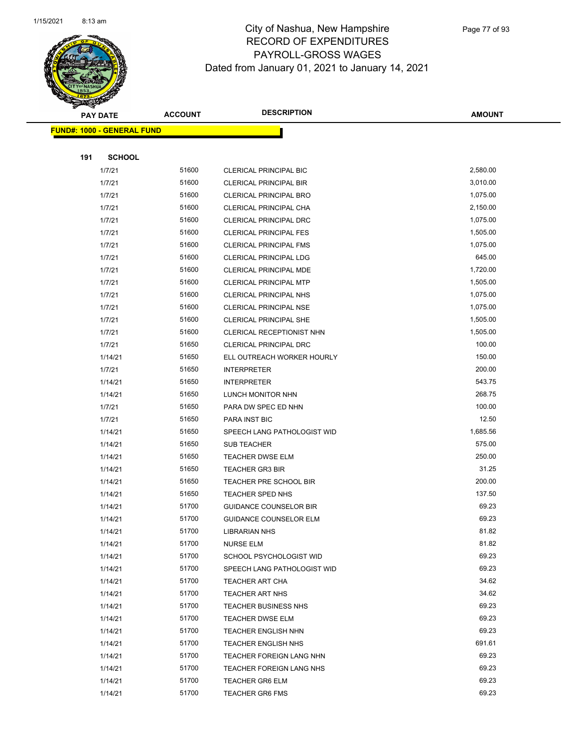

|     | <b>PAY DATE</b>                   | <b>ACCOUNT</b> | <b>DESCRIPTION</b>            | <b>AMOUNT</b> |
|-----|-----------------------------------|----------------|-------------------------------|---------------|
|     | <b>FUND#: 1000 - GENERAL FUND</b> |                |                               |               |
|     |                                   |                |                               |               |
| 191 | <b>SCHOOL</b>                     |                |                               |               |
|     | 1/7/21                            | 51600          | CLERICAL PRINCIPAL BIC        | 2,580.00      |
|     | 1/7/21                            | 51600          | <b>CLERICAL PRINCIPAL BIR</b> | 3,010.00      |
|     | 1/7/21                            | 51600          | <b>CLERICAL PRINCIPAL BRO</b> | 1,075.00      |
|     | 1/7/21                            | 51600          | CLERICAL PRINCIPAL CHA        | 2,150.00      |
|     | 1/7/21                            | 51600          | <b>CLERICAL PRINCIPAL DRC</b> | 1,075.00      |
|     | 1/7/21                            | 51600          | <b>CLERICAL PRINCIPAL FES</b> | 1,505.00      |
|     | 1/7/21                            | 51600          | <b>CLERICAL PRINCIPAL FMS</b> | 1,075.00      |
|     | 1/7/21                            | 51600          | CLERICAL PRINCIPAL LDG        | 645.00        |
|     | 1/7/21                            | 51600          | CLERICAL PRINCIPAL MDE        | 1,720.00      |
|     | 1/7/21                            | 51600          | <b>CLERICAL PRINCIPAL MTP</b> | 1,505.00      |
|     | 1/7/21                            | 51600          | CLERICAL PRINCIPAL NHS        | 1,075.00      |
|     | 1/7/21                            | 51600          | <b>CLERICAL PRINCIPAL NSE</b> | 1,075.00      |
|     | 1/7/21                            | 51600          | <b>CLERICAL PRINCIPAL SHE</b> | 1,505.00      |
|     | 1/7/21                            | 51600          | CLERICAL RECEPTIONIST NHN     | 1,505.00      |
|     | 1/7/21                            | 51650          | <b>CLERICAL PRINCIPAL DRC</b> | 100.00        |
|     | 1/14/21                           | 51650          | ELL OUTREACH WORKER HOURLY    | 150.00        |
|     | 1/7/21                            | 51650          | <b>INTERPRETER</b>            | 200.00        |
|     | 1/14/21                           | 51650          | <b>INTERPRETER</b>            | 543.75        |
|     | 1/14/21                           | 51650          | LUNCH MONITOR NHN             | 268.75        |
|     | 1/7/21                            | 51650          | PARA DW SPEC ED NHN           | 100.00        |
|     | 1/7/21                            | 51650          | PARA INST BIC                 | 12.50         |
|     | 1/14/21                           | 51650          | SPEECH LANG PATHOLOGIST WID   | 1,685.56      |
|     | 1/14/21                           | 51650          | <b>SUB TEACHER</b>            | 575.00        |
|     | 1/14/21                           | 51650          | <b>TEACHER DWSE ELM</b>       | 250.00        |
|     | 1/14/21                           | 51650          | <b>TEACHER GR3 BIR</b>        | 31.25         |
|     | 1/14/21                           | 51650          | TEACHER PRE SCHOOL BIR        | 200.00        |
|     | 1/14/21                           | 51650          | TEACHER SPED NHS              | 137.50        |
|     | 1/14/21                           | 51700          | <b>GUIDANCE COUNSELOR BIR</b> | 69.23         |
|     | 1/14/21                           | 51700          | <b>GUIDANCE COUNSELOR ELM</b> | 69.23         |
|     | 1/14/21                           | 51700          | <b>LIBRARIAN NHS</b>          | 81.82         |
|     | 1/14/21                           | 51700          | NURSE ELM                     | 81.82         |
|     | 1/14/21                           | 51700          | SCHOOL PSYCHOLOGIST WID       | 69.23         |
|     | 1/14/21                           | 51700          | SPEECH LANG PATHOLOGIST WID   | 69.23         |
|     | 1/14/21                           | 51700          | TEACHER ART CHA               | 34.62         |
|     | 1/14/21                           | 51700          | <b>TEACHER ART NHS</b>        | 34.62         |
|     | 1/14/21                           | 51700          | TEACHER BUSINESS NHS          | 69.23         |
|     | 1/14/21                           | 51700          | <b>TEACHER DWSE ELM</b>       | 69.23         |
|     | 1/14/21                           | 51700          | <b>TEACHER ENGLISH NHN</b>    | 69.23         |
|     | 1/14/21                           | 51700          | <b>TEACHER ENGLISH NHS</b>    | 691.61        |
|     | 1/14/21                           | 51700          | TEACHER FOREIGN LANG NHN      | 69.23         |
|     | 1/14/21                           | 51700          | TEACHER FOREIGN LANG NHS      | 69.23         |
|     | 1/14/21                           | 51700          | <b>TEACHER GR6 ELM</b>        | 69.23         |
|     | 1/14/21                           | 51700          | <b>TEACHER GR6 FMS</b>        | 69.23         |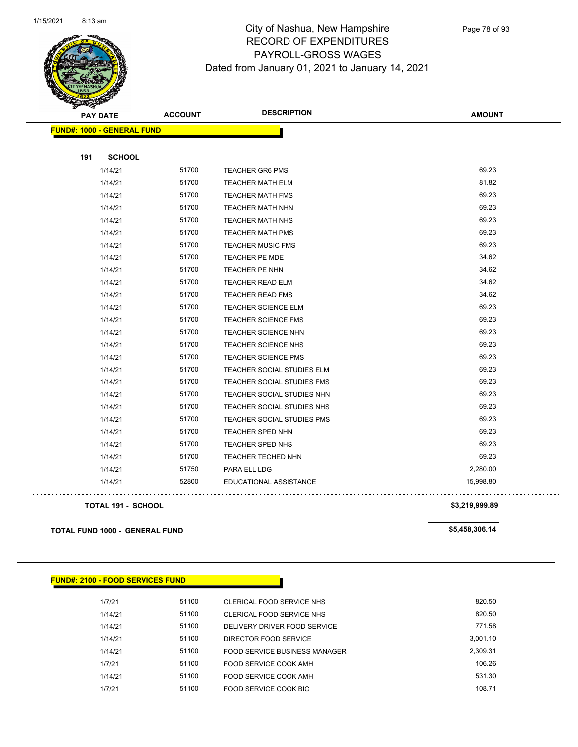

Page 78 of 93

|     | <b>PAY DATE</b>                       | <b>ACCOUNT</b> | <b>DESCRIPTION</b>         | <b>AMOUNT</b>  |
|-----|---------------------------------------|----------------|----------------------------|----------------|
|     | <b>FUND#: 1000 - GENERAL FUND</b>     |                |                            |                |
| 191 | <b>SCHOOL</b>                         |                |                            |                |
|     | 1/14/21                               | 51700          | <b>TEACHER GR6 PMS</b>     | 69.23          |
|     | 1/14/21                               | 51700          | <b>TEACHER MATH ELM</b>    | 81.82          |
|     | 1/14/21                               | 51700          | <b>TEACHER MATH FMS</b>    | 69.23          |
|     | 1/14/21                               | 51700          | <b>TEACHER MATH NHN</b>    | 69.23          |
|     | 1/14/21                               | 51700          | <b>TEACHER MATH NHS</b>    | 69.23          |
|     | 1/14/21                               | 51700          | <b>TEACHER MATH PMS</b>    | 69.23          |
|     | 1/14/21                               | 51700          | <b>TEACHER MUSIC FMS</b>   | 69.23          |
|     | 1/14/21                               | 51700          | TEACHER PE MDE             | 34.62          |
|     | 1/14/21                               | 51700          | TEACHER PE NHN             | 34.62          |
|     | 1/14/21                               | 51700          | <b>TEACHER READ ELM</b>    | 34.62          |
|     | 1/14/21                               | 51700          | <b>TEACHER READ FMS</b>    | 34.62          |
|     | 1/14/21                               | 51700          | TEACHER SCIENCE ELM        | 69.23          |
|     | 1/14/21                               | 51700          | <b>TEACHER SCIENCE FMS</b> | 69.23          |
|     | 1/14/21                               | 51700          | <b>TEACHER SCIENCE NHN</b> | 69.23          |
|     | 1/14/21                               | 51700          | <b>TEACHER SCIENCE NHS</b> | 69.23          |
|     | 1/14/21                               | 51700          | <b>TEACHER SCIENCE PMS</b> | 69.23          |
|     | 1/14/21                               | 51700          | TEACHER SOCIAL STUDIES ELM | 69.23          |
|     | 1/14/21                               | 51700          | TEACHER SOCIAL STUDIES FMS | 69.23          |
|     | 1/14/21                               | 51700          | TEACHER SOCIAL STUDIES NHN | 69.23          |
|     | 1/14/21                               | 51700          | TEACHER SOCIAL STUDIES NHS | 69.23          |
|     | 1/14/21                               | 51700          | TEACHER SOCIAL STUDIES PMS | 69.23          |
|     | 1/14/21                               | 51700          | TEACHER SPED NHN           | 69.23          |
|     | 1/14/21                               | 51700          | TEACHER SPED NHS           | 69.23          |
|     | 1/14/21                               | 51700          | <b>TEACHER TECHED NHN</b>  | 69.23          |
|     | 1/14/21                               | 51750          | PARA ELL LDG               | 2,280.00       |
|     | 1/14/21                               | 52800          | EDUCATIONAL ASSISTANCE     | 15,998.80      |
|     | TOTAL 191 - SCHOOL                    |                |                            | \$3,219,999.89 |
|     | <b>TOTAL FUND 1000 - GENERAL FUND</b> |                |                            | \$5,458,306.14 |

| <b>FUND#: 2100 - FOOD SERVICES FUND</b> |       |                               |          |
|-----------------------------------------|-------|-------------------------------|----------|
| 1/7/21                                  | 51100 | CLERICAL FOOD SERVICE NHS     | 820.50   |
| 1/14/21                                 | 51100 | CLERICAL FOOD SERVICE NHS     | 820.50   |
| 1/14/21                                 | 51100 | DELIVERY DRIVER FOOD SERVICE  | 771.58   |
| 1/14/21                                 | 51100 | DIRECTOR FOOD SERVICE         | 3.001.10 |
| 1/14/21                                 | 51100 | FOOD SERVICE BUSINESS MANAGER | 2.309.31 |
| 1/7/21                                  | 51100 | FOOD SERVICE COOK AMH         | 106.26   |
| 1/14/21                                 | 51100 | FOOD SERVICE COOK AMH         | 531.30   |
| 1/7/21                                  | 51100 | FOOD SERVICE COOK BIC         | 108.71   |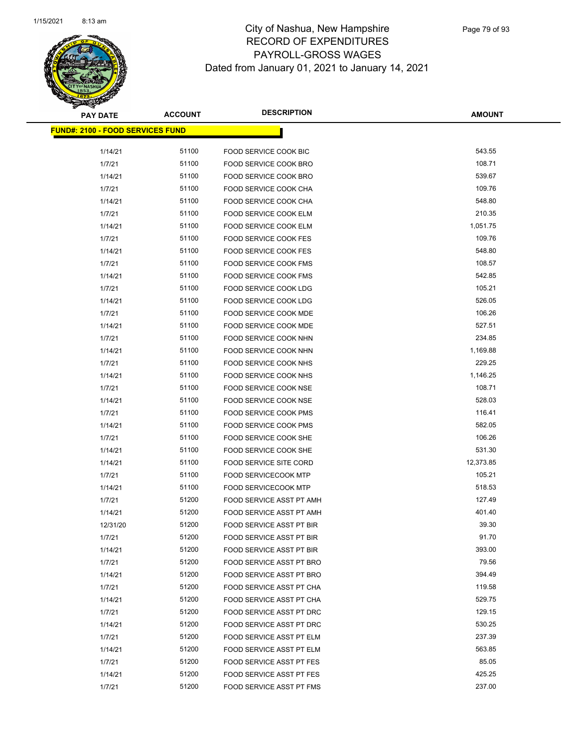

| <b>PAY DATE</b>                         | <b>ACCOUNT</b> | <b>DESCRIPTION</b>              | <b>AMOUNT</b> |
|-----------------------------------------|----------------|---------------------------------|---------------|
| <b>FUND#: 2100 - FOOD SERVICES FUND</b> |                |                                 |               |
|                                         |                |                                 |               |
| 1/14/21                                 | 51100          | FOOD SERVICE COOK BIC           | 543.55        |
| 1/7/21                                  | 51100          | FOOD SERVICE COOK BRO           | 108.71        |
| 1/14/21                                 | 51100          | <b>FOOD SERVICE COOK BRO</b>    | 539.67        |
| 1/7/21                                  | 51100          | FOOD SERVICE COOK CHA           | 109.76        |
| 1/14/21                                 | 51100          | FOOD SERVICE COOK CHA           | 548.80        |
| 1/7/21                                  | 51100          | <b>FOOD SERVICE COOK ELM</b>    | 210.35        |
| 1/14/21                                 | 51100          | FOOD SERVICE COOK ELM           | 1,051.75      |
| 1/7/21                                  | 51100          | <b>FOOD SERVICE COOK FES</b>    | 109.76        |
| 1/14/21                                 | 51100          | <b>FOOD SERVICE COOK FES</b>    | 548.80        |
| 1/7/21                                  | 51100          | FOOD SERVICE COOK FMS           | 108.57        |
| 1/14/21                                 | 51100          | <b>FOOD SERVICE COOK FMS</b>    | 542.85        |
| 1/7/21                                  | 51100          | FOOD SERVICE COOK LDG           | 105.21        |
| 1/14/21                                 | 51100          | FOOD SERVICE COOK LDG           | 526.05        |
| 1/7/21                                  | 51100          | <b>FOOD SERVICE COOK MDE</b>    | 106.26        |
| 1/14/21                                 | 51100          | FOOD SERVICE COOK MDE           | 527.51        |
| 1/7/21                                  | 51100          | FOOD SERVICE COOK NHN           | 234.85        |
| 1/14/21                                 | 51100          | FOOD SERVICE COOK NHN           | 1,169.88      |
| 1/7/21                                  | 51100          | FOOD SERVICE COOK NHS           | 229.25        |
| 1/14/21                                 | 51100          | FOOD SERVICE COOK NHS           | 1,146.25      |
| 1/7/21                                  | 51100          | FOOD SERVICE COOK NSE           | 108.71        |
| 1/14/21                                 | 51100          | FOOD SERVICE COOK NSE           | 528.03        |
| 1/7/21                                  | 51100          | FOOD SERVICE COOK PMS           | 116.41        |
| 1/14/21                                 | 51100          | FOOD SERVICE COOK PMS           | 582.05        |
| 1/7/21                                  | 51100          | FOOD SERVICE COOK SHE           | 106.26        |
| 1/14/21                                 | 51100          | FOOD SERVICE COOK SHE           | 531.30        |
| 1/14/21                                 | 51100          | <b>FOOD SERVICE SITE CORD</b>   | 12,373.85     |
| 1/7/21                                  | 51100          | <b>FOOD SERVICECOOK MTP</b>     | 105.21        |
| 1/14/21                                 | 51100          | <b>FOOD SERVICECOOK MTP</b>     | 518.53        |
| 1/7/21                                  | 51200          | <b>FOOD SERVICE ASST PT AMH</b> | 127.49        |
| 1/14/21                                 | 51200          | <b>FOOD SERVICE ASST PT AMH</b> | 401.40        |
| 12/31/20                                | 51200          | <b>FOOD SERVICE ASST PT BIR</b> | 39.30         |
| 1/7/21                                  | 51200          | <b>FOOD SERVICE ASST PT BIR</b> | 91.70         |
| 1/14/21                                 | 51200          | FOOD SERVICE ASST PT BIR        | 393.00        |
| 1/7/21                                  | 51200          | FOOD SERVICE ASST PT BRO        | 79.56         |
| 1/14/21                                 | 51200          | FOOD SERVICE ASST PT BRO        | 394.49        |
| 1/7/21                                  | 51200          | FOOD SERVICE ASST PT CHA        | 119.58        |
| 1/14/21                                 | 51200          | <b>FOOD SERVICE ASST PT CHA</b> | 529.75        |
| 1/7/21                                  | 51200          | FOOD SERVICE ASST PT DRC        | 129.15        |
| 1/14/21                                 | 51200          | FOOD SERVICE ASST PT DRC        | 530.25        |
| 1/7/21                                  | 51200          | FOOD SERVICE ASST PT ELM        | 237.39        |
| 1/14/21                                 | 51200          | FOOD SERVICE ASST PT ELM        | 563.85        |
| 1/7/21                                  | 51200          | FOOD SERVICE ASST PT FES        | 85.05         |
| 1/14/21                                 | 51200          | FOOD SERVICE ASST PT FES        | 425.25        |
| 1/7/21                                  | 51200          | FOOD SERVICE ASST PT FMS        | 237.00        |
|                                         |                |                                 |               |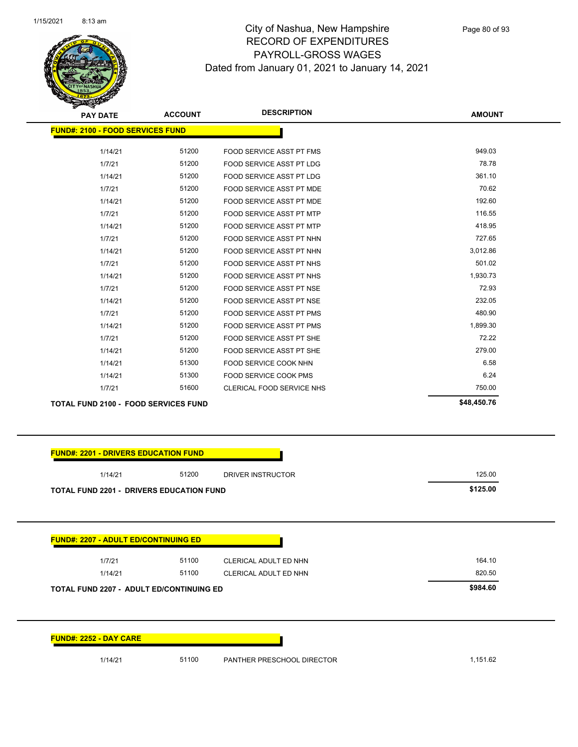

| <b>PAY DATE</b>                             | <b>ACCOUNT</b> | <b>DESCRIPTION</b>              | <b>AMOUNT</b> |
|---------------------------------------------|----------------|---------------------------------|---------------|
| <b>FUND#: 2100 - FOOD SERVICES FUND</b>     |                |                                 |               |
| 1/14/21                                     | 51200          | <b>FOOD SERVICE ASST PT FMS</b> | 949.03        |
| 1/7/21                                      | 51200          | FOOD SERVICE ASST PT LDG        | 78.78         |
| 1/14/21                                     | 51200          | <b>FOOD SERVICE ASST PT LDG</b> | 361.10        |
| 1/7/21                                      | 51200          | FOOD SERVICE ASST PT MDE        | 70.62         |
| 1/14/21                                     | 51200          | FOOD SERVICE ASST PT MDE        | 192.60        |
| 1/7/21                                      | 51200          | <b>FOOD SERVICE ASST PT MTP</b> | 116.55        |
| 1/14/21                                     | 51200          | <b>FOOD SERVICE ASST PT MTP</b> | 418.95        |
| 1/7/21                                      | 51200          | FOOD SERVICE ASST PT NHN        | 727.65        |
| 1/14/21                                     | 51200          | FOOD SERVICE ASST PT NHN        | 3,012.86      |
| 1/7/21                                      | 51200          | FOOD SERVICE ASST PT NHS        | 501.02        |
| 1/14/21                                     | 51200          | <b>FOOD SERVICE ASST PT NHS</b> | 1,930.73      |
| 1/7/21                                      | 51200          | FOOD SERVICE ASST PT NSE        | 72.93         |
| 1/14/21                                     | 51200          | FOOD SERVICE ASST PT NSE        | 232.05        |
| 1/7/21                                      | 51200          | <b>FOOD SERVICE ASST PT PMS</b> | 480.90        |
| 1/14/21                                     | 51200          | FOOD SERVICE ASST PT PMS        | 1,899.30      |
| 1/7/21                                      | 51200          | FOOD SERVICE ASST PT SHE        | 72.22         |
| 1/14/21                                     | 51200          | FOOD SERVICE ASST PT SHE        | 279.00        |
| 1/14/21                                     | 51300          | FOOD SERVICE COOK NHN           | 6.58          |
| 1/14/21                                     | 51300          | <b>FOOD SERVICE COOK PMS</b>    | 6.24          |
| 1/7/21                                      | 51600          | CLERICAL FOOD SERVICE NHS       | 750.00        |
| <b>TOTAL FUND 2100 - FOOD SERVICES FUND</b> |                |                                 | \$48,450.76   |

|                                                 | 51200 | DRIVER INSTRUCTOR     | 125.00   |
|-------------------------------------------------|-------|-----------------------|----------|
| <b>TOTAL FUND 2201 - DRIVERS EDUCATION FUND</b> |       |                       | \$125.00 |
|                                                 |       |                       |          |
|                                                 |       |                       |          |
| <b>FUND#: 2207 - ADULT ED/CONTINUING ED</b>     |       |                       |          |
| 1/7/21                                          | 51100 | CLERICAL ADULT ED NHN | 164.10   |
| 1/14/21                                         | 51100 | CLERICAL ADULT ED NHN | 820.50   |
|                                                 |       |                       | \$984.60 |
|                                                 |       |                       |          |
| <b>TOTAL FUND 2207 - ADULT ED/CONTINUING ED</b> |       |                       |          |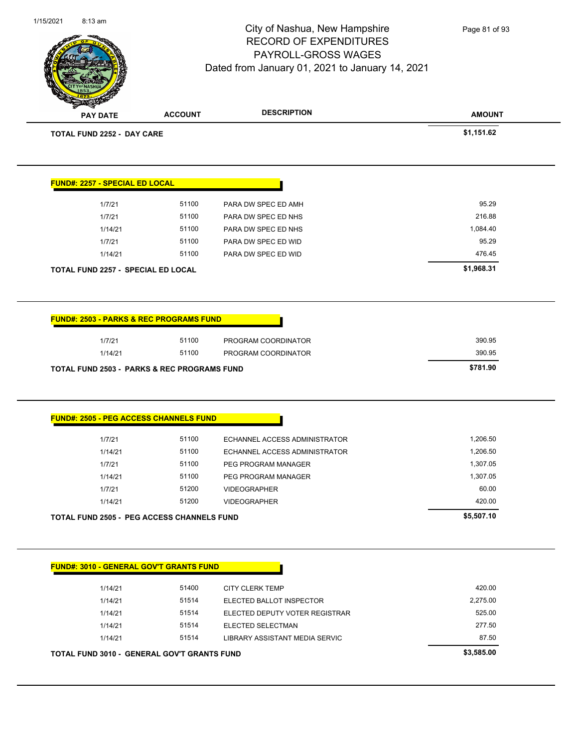

Page 81 of 93

**AMOUNT PAY DATE ACCOUNT DESCRIPTION TOTAL FUND 2252 - DAY CARE \$1,151.62 FUND#: 2257 - SPECIAL ED LOCAL** 1/7/21 51100 PARA DW SPEC ED AMH 95.29 1/7/21 51100 PARA DW SPEC ED NHS 216.88 1/14/21 51100 PARA DW SPEC ED NHS 1,084.40 1/7/21 51100 PARA DW SPEC ED WID 95.29 1/14/21 51100 PARA DW SPEC ED WID 6 176.45 **TOTAL FUND 2257 - SPECIAL ED LOCAL \$1,968.31 FUND#: 2503 - PARKS & REC PROGRAMS FUND** 1/7/21 51100 PROGRAM COORDINATOR 390.95 1/14/21 51100 PROGRAM COORDINATOR 390.95 **TOTAL FUND 2503 - PARKS & REC PROGRAMS FUND \$781.90 FUND#: 2505 - PEG ACCESS CHANNELS FUND** 1/7/21 51100 ECHANNEL ACCESS ADMINISTRATOR 1,206.50 1/14/21 51100 ECHANNEL ACCESS ADMINISTRATOR 1,206.50 1/7/21 51100 PEG PROGRAM MANAGER 1,307.05 1/14/21 51100 PEG PROGRAM MANAGER 1,307.05 1/7/21 51200 VIDEOGRAPHER 60.00 1/14/21 51200 VIDEOGRAPHER 420.00 **TOTAL FUND 2505 - PEG ACCESS CHANNELS FUND \$5,507.10 FUND#: 3010 - GENERAL GOV'T GRANTS FUND** 1/14/21 51400 CITY CLERK TEMP 420.00 1/14/21 51514 ELECTED BALLOT INSPECTOR 2,275.00 1/14/21 51514 ELECTED DEPUTY VOTER REGISTRAR 525.00 1/14/21 51514 ELECTED SELECTMAN 277.50 1/14/21 51514 LIBRARY ASSISTANT MEDIA SERVIC 87.50

**TOTAL FUND 3010 - GENERAL GOV'T GRANTS FUND \$3,585.00**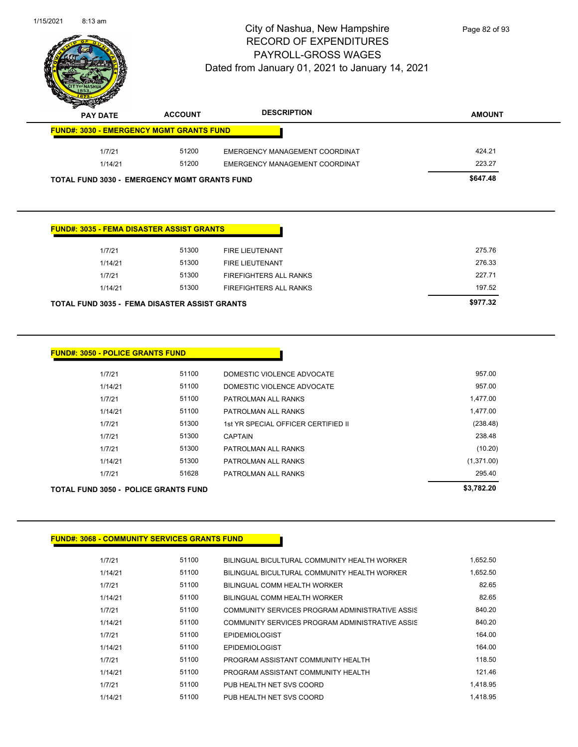

Page 82 of 93

| T<br>$\tilde{\phantom{a}}$<br><b>PAY DATE</b>       | <b>ACCOUNT</b> | <b>DESCRIPTION</b>             | <b>AMOUNT</b> |
|-----------------------------------------------------|----------------|--------------------------------|---------------|
| <b>FUND#: 3030 - EMERGENCY MGMT GRANTS FUND</b>     |                |                                |               |
| 1/7/21                                              | 51200          | EMERGENCY MANAGEMENT COORDINAT | 424.21        |
| 1/14/21                                             | 51200          | EMERGENCY MANAGEMENT COORDINAT | 223.27        |
| <b>TOTAL FUND 3030 - EMERGENCY MGMT GRANTS FUND</b> |                |                                | \$647.48      |

| <b>FUND#: 3035 - FEMA DISASTER ASSIST GRANTS</b>     |       |                               |
|------------------------------------------------------|-------|-------------------------------|
| 1/7/21                                               | 51300 | <b>FIRE LIEUTENANT</b>        |
| 1/14/21                                              | 51300 | <b>FIRE LIEUTENANT</b>        |
| 1/7/21                                               | 51300 | <b>FIREFIGHTERS ALL RANKS</b> |
| 1/14/21                                              | 51300 | <b>FIREFIGHTERS ALL RANKS</b> |
| <b>TOTAL FUND 3035 - FEMA DISASTER ASSIST GRANTS</b> |       |                               |

| <b>TOTAL FUND 3050 - POLICE GRANTS FUND</b> | \$3,782.20 |                                     |            |
|---------------------------------------------|------------|-------------------------------------|------------|
| 1/7/21                                      | 51628      | PATROLMAN ALL RANKS                 | 295.40     |
| 1/14/21                                     | 51300      | PATROLMAN ALL RANKS                 | (1,371.00) |
| 1/7/21                                      | 51300      | PATROLMAN ALL RANKS                 | (10.20)    |
| 1/7/21                                      | 51300      | <b>CAPTAIN</b>                      | 238.48     |
| 1/7/21                                      | 51300      | 1st YR SPECIAL OFFICER CERTIFIED II | (238.48)   |
| 1/14/21                                     | 51100      | PATROLMAN ALL RANKS                 | 1,477.00   |
| 1/7/21                                      | 51100      | PATROLMAN ALL RANKS                 | 1,477.00   |
| 1/14/21                                     | 51100      | DOMESTIC VIOLENCE ADVOCATE          | 957.00     |
| 1/7/21                                      | 51100      | DOMESTIC VIOLENCE ADVOCATE          | 957.00     |

### **FUND#: 3068 - COMMUNITY SERVICES GRANTS FUND**

| 1/7/21  | 51100 | BILINGUAL BICULTURAL COMMUNITY HEALTH WORKER    | 1.652.50 |
|---------|-------|-------------------------------------------------|----------|
| 1/14/21 | 51100 | BILINGUAL BICULTURAL COMMUNITY HEALTH WORKER    | 1.652.50 |
| 1/7/21  | 51100 | BILINGUAL COMM HEALTH WORKER                    | 82.65    |
| 1/14/21 | 51100 | BILINGUAL COMM HEALTH WORKER                    | 82.65    |
| 1/7/21  | 51100 | COMMUNITY SERVICES PROGRAM ADMINISTRATIVE ASSIS | 840.20   |
| 1/14/21 | 51100 | COMMUNITY SERVICES PROGRAM ADMINISTRATIVE ASSIS | 840.20   |
| 1/7/21  | 51100 | <b>EPIDEMIOLOGIST</b>                           | 164.00   |
| 1/14/21 | 51100 | <b>EPIDEMIOLOGIST</b>                           | 164.00   |
| 1/7/21  | 51100 | PROGRAM ASSISTANT COMMUNITY HEALTH              | 118.50   |
| 1/14/21 | 51100 | PROGRAM ASSISTANT COMMUNITY HEALTH              | 121.46   |
| 1/7/21  | 51100 | PUB HEALTH NET SVS COORD                        | 1.418.95 |
| 1/14/21 | 51100 | PUB HEALTH NET SVS COORD                        | 1.418.95 |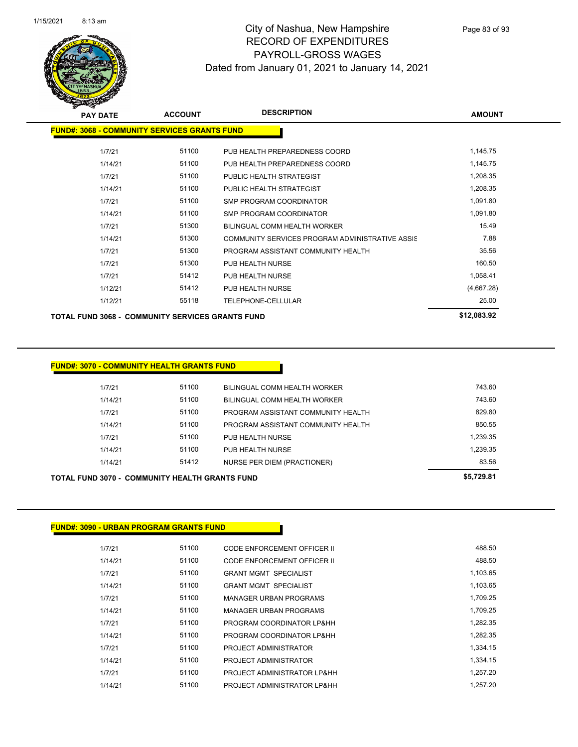

Page 83 of 93

| <b>PAY DATE</b>                                         | <b>ACCOUNT</b> | <b>DESCRIPTION</b>                              | <b>AMOUNT</b> |
|---------------------------------------------------------|----------------|-------------------------------------------------|---------------|
| <b>FUND#: 3068 - COMMUNITY SERVICES GRANTS FUND</b>     |                |                                                 |               |
| 1/7/21                                                  | 51100          | PUB HEALTH PREPAREDNESS COORD                   | 1,145.75      |
| 1/14/21                                                 | 51100          | PUB HEALTH PREPAREDNESS COORD                   | 1,145.75      |
| 1/7/21                                                  | 51100          | PUBLIC HEALTH STRATEGIST                        | 1,208.35      |
| 1/14/21                                                 | 51100          | PUBLIC HEALTH STRATEGIST                        | 1,208.35      |
| 1/7/21                                                  | 51100          | <b>SMP PROGRAM COORDINATOR</b>                  | 1,091.80      |
| 1/14/21                                                 | 51100          | <b>SMP PROGRAM COORDINATOR</b>                  | 1,091.80      |
| 1/7/21                                                  | 51300          | BILINGUAL COMM HEALTH WORKER                    | 15.49         |
| 1/14/21                                                 | 51300          | COMMUNITY SERVICES PROGRAM ADMINISTRATIVE ASSIS | 7.88          |
| 1/7/21                                                  | 51300          | PROGRAM ASSISTANT COMMUNITY HEALTH              | 35.56         |
| 1/7/21                                                  | 51300          | PUB HEALTH NURSE                                | 160.50        |
| 1/7/21                                                  | 51412          | PUB HEALTH NURSE                                | 1,058.41      |
| 1/12/21                                                 | 51412          | PUB HEALTH NURSE                                | (4,667.28)    |
| 1/12/21                                                 | 55118          | <b>TELEPHONE-CELLULAR</b>                       | 25.00         |
| <b>TOTAL FUND 3068 - COMMUNITY SERVICES GRANTS FUND</b> |                |                                                 | \$12,083.92   |

### **FUND#: 3070 - COMMUNITY HEALTH GRANTS FUND**

| TOTAL FUND 3070 -  COMMUNITY HEALTH GRANTS FUND |       |                                    |          |  |
|-------------------------------------------------|-------|------------------------------------|----------|--|
| 1/14/21                                         | 51412 | NURSE PER DIEM (PRACTIONER)        | 83.56    |  |
| 1/14/21                                         | 51100 | PUB HEALTH NURSE                   | 1,239.35 |  |
| 1/7/21                                          | 51100 | PUB HEALTH NURSE                   | 1.239.35 |  |
| 1/14/21                                         | 51100 | PROGRAM ASSISTANT COMMUNITY HEALTH | 850.55   |  |
| 1/7/21                                          | 51100 | PROGRAM ASSISTANT COMMUNITY HEALTH | 829.80   |  |
| 1/14/21                                         | 51100 | BILINGUAL COMM HEALTH WORKER       | 743.60   |  |
| 1/7/21                                          | 51100 | BILINGUAL COMM HEALTH WORKER       | 743.60   |  |
|                                                 |       |                                    |          |  |

### **FUND#: 3090 - URBAN PROGRAM GRANTS FUND**

| 1/7/21  | 51100 | CODE ENFORCEMENT OFFICER II   | 488.50   |
|---------|-------|-------------------------------|----------|
| 1/14/21 | 51100 | CODE ENFORCEMENT OFFICER II   | 488.50   |
| 1/7/21  | 51100 | <b>GRANT MGMT SPECIALIST</b>  | 1,103.65 |
| 1/14/21 | 51100 | <b>GRANT MGMT SPECIALIST</b>  | 1,103.65 |
| 1/7/21  | 51100 | <b>MANAGER URBAN PROGRAMS</b> | 1.709.25 |
| 1/14/21 | 51100 | <b>MANAGER URBAN PROGRAMS</b> | 1.709.25 |
| 1/7/21  | 51100 | PROGRAM COORDINATOR LP&HH     | 1.282.35 |
| 1/14/21 | 51100 | PROGRAM COORDINATOR LP&HH     | 1.282.35 |
| 1/7/21  | 51100 | PROJECT ADMINISTRATOR         | 1,334.15 |
| 1/14/21 | 51100 | PROJECT ADMINISTRATOR         | 1.334.15 |
| 1/7/21  | 51100 | PROJECT ADMINISTRATOR LP&HH   | 1.257.20 |
| 1/14/21 | 51100 | PROJECT ADMINISTRATOR LP&HH   | 1.257.20 |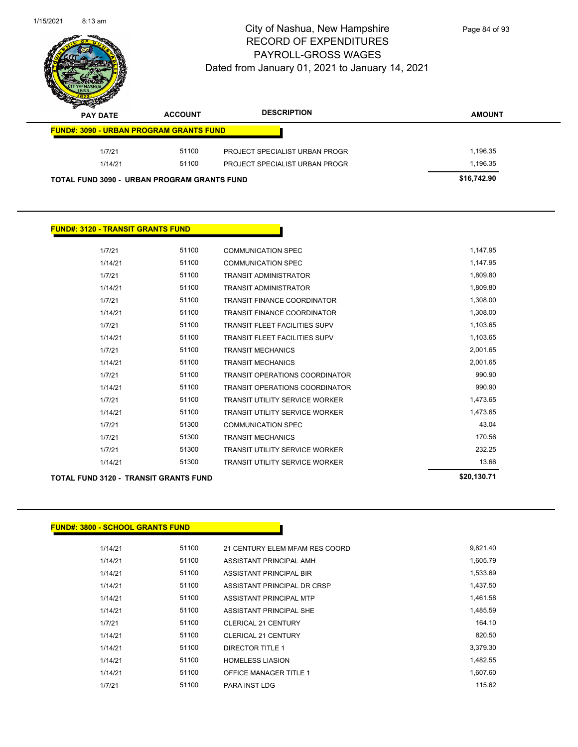| 1/15/2021 | $8:13 \text{ am}$                              |                | City of Nashua, New Hampshire<br><b>RECORD OF EXPENDITURES</b><br>PAYROLL-GROSS WAGES<br>Dated from January 01, 2021 to January 14, 2021 | Page 84 of 93 |
|-----------|------------------------------------------------|----------------|------------------------------------------------------------------------------------------------------------------------------------------|---------------|
|           | <b>PAY DATE</b>                                | <b>ACCOUNT</b> | <b>DESCRIPTION</b>                                                                                                                       | <b>AMOUNT</b> |
|           | <b>FUND#: 3090 - URBAN PROGRAM GRANTS FUND</b> |                |                                                                                                                                          |               |
|           | 1/7/21                                         | 51100          | PROJECT SPECIALIST URBAN PROGR                                                                                                           | 1,196.35      |
|           | 1/14/21                                        | 51100          | PROJECT SPECIALIST URBAN PROGR                                                                                                           | 1,196.35      |
|           | TOTAL FUND 3090 - URBAN PROGRAM GRANTS FUND    |                |                                                                                                                                          | \$16,742.90   |

 $\overline{\phantom{0}}$ 

| <b>TOTAL FUND 3120 - TRANSIT GRANTS FUND</b> |         | \$20,130.71 |                                       |          |
|----------------------------------------------|---------|-------------|---------------------------------------|----------|
|                                              | 1/14/21 | 51300       | <b>TRANSIT UTILITY SERVICE WORKER</b> | 13.66    |
|                                              | 1/7/21  | 51300       | <b>TRANSIT UTILITY SERVICE WORKER</b> | 232.25   |
|                                              | 1/7/21  | 51300       | <b>TRANSIT MECHANICS</b>              | 170.56   |
|                                              | 1/7/21  | 51300       | <b>COMMUNICATION SPEC</b>             | 43.04    |
|                                              | 1/14/21 | 51100       | <b>TRANSIT UTILITY SERVICE WORKER</b> | 1,473.65 |
|                                              | 1/7/21  | 51100       | <b>TRANSIT UTILITY SERVICE WORKER</b> | 1,473.65 |
|                                              | 1/14/21 | 51100       | <b>TRANSIT OPERATIONS COORDINATOR</b> | 990.90   |
|                                              | 1/7/21  | 51100       | <b>TRANSIT OPERATIONS COORDINATOR</b> | 990.90   |
|                                              | 1/14/21 | 51100       | <b>TRANSIT MECHANICS</b>              | 2,001.65 |
|                                              | 1/7/21  | 51100       | <b>TRANSIT MECHANICS</b>              | 2,001.65 |
|                                              | 1/14/21 | 51100       | <b>TRANSIT FLEET FACILITIES SUPV</b>  | 1,103.65 |
|                                              | 1/7/21  | 51100       | <b>TRANSIT FLEET FACILITIES SUPV</b>  | 1,103.65 |
|                                              | 1/14/21 | 51100       | <b>TRANSIT FINANCE COORDINATOR</b>    | 1,308.00 |
|                                              | 1/7/21  | 51100       | <b>TRANSIT FINANCE COORDINATOR</b>    | 1,308.00 |
|                                              | 1/14/21 | 51100       | <b>TRANSIT ADMINISTRATOR</b>          | 1,809.80 |
|                                              | 1/7/21  | 51100       | <b>TRANSIT ADMINISTRATOR</b>          | 1,809.80 |
|                                              | 1/14/21 | 51100       | <b>COMMUNICATION SPEC</b>             | 1,147.95 |
|                                              | 1/7/21  | 51100       | <b>COMMUNICATION SPEC</b>             | 1,147.95 |
|                                              |         |             |                                       |          |

**FUND#: 3800 - SCHOOL GRANTS FUND**

| 1/14/21 | 51100 | 21 CENTURY ELEM MFAM RES COORD | 9,821.40 |
|---------|-------|--------------------------------|----------|
| 1/14/21 | 51100 | ASSISTANT PRINCIPAL AMH        | 1,605.79 |
| 1/14/21 | 51100 | ASSISTANT PRINCIPAL BIR        | 1,533.69 |
| 1/14/21 | 51100 | ASSISTANT PRINCIPAL DR CRSP    | 1.437.50 |
| 1/14/21 | 51100 | ASSISTANT PRINCIPAL MTP        | 1.461.58 |
| 1/14/21 | 51100 | ASSISTANT PRINCIPAL SHE        | 1.485.59 |
| 1/7/21  | 51100 | <b>CLERICAL 21 CENTURY</b>     | 164.10   |
| 1/14/21 | 51100 | CLERICAL 21 CENTURY            | 820.50   |
| 1/14/21 | 51100 | DIRECTOR TITLE 1               | 3.379.30 |
| 1/14/21 | 51100 | <b>HOMELESS LIASION</b>        | 1.482.55 |
| 1/14/21 | 51100 | <b>OFFICE MANAGER TITLE 1</b>  | 1,607.60 |
| 1/7/21  | 51100 | <b>PARA INST LDG</b>           | 115.62   |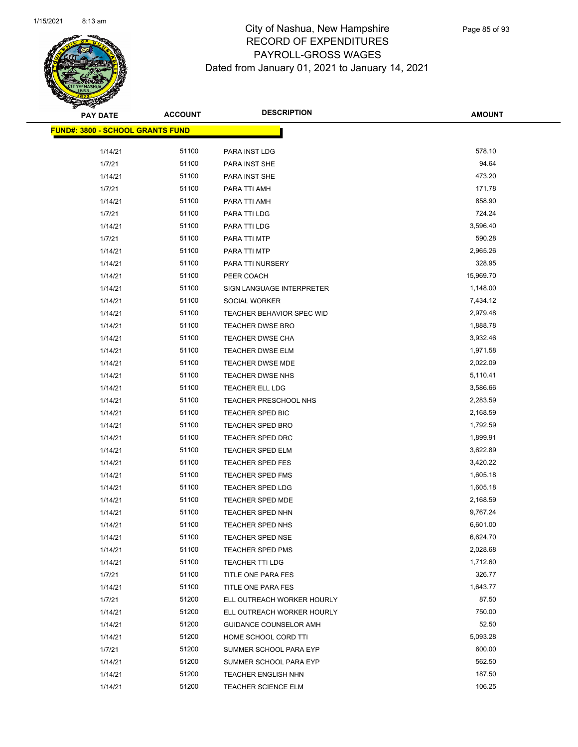

| <b>PAY DATE</b>                         | ACCOUNT | <b>DESCRIPTION</b>               | <b>AMOUNT</b> |
|-----------------------------------------|---------|----------------------------------|---------------|
| <b>FUND#: 3800 - SCHOOL GRANTS FUND</b> |         |                                  |               |
|                                         |         |                                  |               |
| 1/14/21                                 | 51100   | PARA INST LDG                    | 578.10        |
| 1/7/21                                  | 51100   | PARA INST SHE                    | 94.64         |
| 1/14/21                                 | 51100   | PARA INST SHE                    | 473.20        |
| 1/7/21                                  | 51100   | PARA TTI AMH                     | 171.78        |
| 1/14/21                                 | 51100   | PARA TTI AMH                     | 858.90        |
| 1/7/21                                  | 51100   | PARA TTI LDG                     | 724.24        |
| 1/14/21                                 | 51100   | PARA TTI LDG                     | 3,596.40      |
| 1/7/21                                  | 51100   | PARA TTI MTP                     | 590.28        |
| 1/14/21                                 | 51100   | PARA TTI MTP                     | 2,965.26      |
| 1/14/21                                 | 51100   | PARA TTI NURSERY                 | 328.95        |
| 1/14/21                                 | 51100   | PEER COACH                       | 15,969.70     |
| 1/14/21                                 | 51100   | SIGN LANGUAGE INTERPRETER        | 1,148.00      |
| 1/14/21                                 | 51100   | SOCIAL WORKER                    | 7,434.12      |
| 1/14/21                                 | 51100   | <b>TEACHER BEHAVIOR SPEC WID</b> | 2,979.48      |
| 1/14/21                                 | 51100   | TEACHER DWSE BRO                 | 1,888.78      |
| 1/14/21                                 | 51100   | TEACHER DWSE CHA                 | 3,932.46      |
| 1/14/21                                 | 51100   | TEACHER DWSE ELM                 | 1,971.58      |
| 1/14/21                                 | 51100   | TEACHER DWSE MDE                 | 2,022.09      |
| 1/14/21                                 | 51100   | <b>TEACHER DWSE NHS</b>          | 5,110.41      |
| 1/14/21                                 | 51100   | TEACHER ELL LDG                  | 3,586.66      |
| 1/14/21                                 | 51100   | TEACHER PRESCHOOL NHS            | 2,283.59      |
| 1/14/21                                 | 51100   | TEACHER SPED BIC                 | 2,168.59      |
| 1/14/21                                 | 51100   | <b>TEACHER SPED BRO</b>          | 1,792.59      |
| 1/14/21                                 | 51100   | <b>TEACHER SPED DRC</b>          | 1,899.91      |
| 1/14/21                                 | 51100   | <b>TEACHER SPED ELM</b>          | 3,622.89      |
| 1/14/21                                 | 51100   | <b>TEACHER SPED FES</b>          | 3,420.22      |
| 1/14/21                                 | 51100   | <b>TEACHER SPED FMS</b>          | 1,605.18      |
| 1/14/21                                 | 51100   | <b>TEACHER SPED LDG</b>          | 1,605.18      |
| 1/14/21                                 | 51100   | <b>TEACHER SPED MDE</b>          | 2,168.59      |
| 1/14/21                                 | 51100   | <b>TEACHER SPED NHN</b>          | 9,767.24      |
| 1/14/21                                 | 51100   | <b>TEACHER SPED NHS</b>          | 6,601.00      |
| 1/14/21                                 | 51100   | <b>TEACHER SPED NSE</b>          | 6,624.70      |
| 1/14/21                                 | 51100   | <b>TEACHER SPED PMS</b>          | 2,028.68      |
| 1/14/21                                 | 51100   | TEACHER TTI LDG                  | 1,712.60      |
| 1/7/21                                  | 51100   | TITLE ONE PARA FES               | 326.77        |
| 1/14/21                                 | 51100   | TITLE ONE PARA FES               | 1,643.77      |
| 1/7/21                                  | 51200   | ELL OUTREACH WORKER HOURLY       | 87.50         |
| 1/14/21                                 | 51200   | ELL OUTREACH WORKER HOURLY       | 750.00        |
| 1/14/21                                 | 51200   | GUIDANCE COUNSELOR AMH           | 52.50         |
| 1/14/21                                 | 51200   | HOME SCHOOL CORD TTI             | 5,093.28      |
| 1/7/21                                  | 51200   | SUMMER SCHOOL PARA EYP           | 600.00        |
| 1/14/21                                 | 51200   | SUMMER SCHOOL PARA EYP           | 562.50        |
| 1/14/21                                 | 51200   | <b>TEACHER ENGLISH NHN</b>       | 187.50        |
| 1/14/21                                 | 51200   | <b>TEACHER SCIENCE ELM</b>       | 106.25        |
|                                         |         |                                  |               |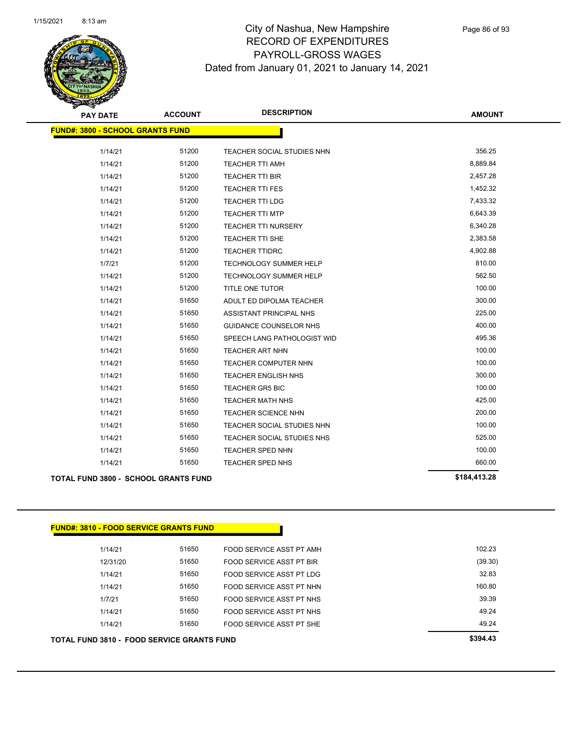

| <b>PAY DATE</b>                         | <b>ACCOUNT</b> | <b>DESCRIPTION</b>            | <b>AMOUNT</b> |
|-----------------------------------------|----------------|-------------------------------|---------------|
| <b>FUND#: 3800 - SCHOOL GRANTS FUND</b> |                |                               |               |
| 1/14/21                                 | 51200          | TEACHER SOCIAL STUDIES NHN    | 356.25        |
| 1/14/21                                 | 51200          | <b>TEACHER TTI AMH</b>        | 8,889.84      |
| 1/14/21                                 | 51200          | <b>TEACHER TTI BIR</b>        | 2,457.28      |
| 1/14/21                                 | 51200          | <b>TEACHER TTI FES</b>        | 1,452.32      |
| 1/14/21                                 | 51200          | <b>TEACHER TTI LDG</b>        | 7,433.32      |
| 1/14/21                                 | 51200          | <b>TEACHER TTI MTP</b>        | 6,643.39      |
| 1/14/21                                 | 51200          | <b>TEACHER TTI NURSERY</b>    | 6,340.28      |
| 1/14/21                                 | 51200          | <b>TEACHER TTI SHE</b>        | 2,383.58      |
| 1/14/21                                 | 51200          | <b>TEACHER TTIDRC</b>         | 4,902.88      |
| 1/7/21                                  | 51200          | <b>TECHNOLOGY SUMMER HELP</b> | 810.00        |
| 1/14/21                                 | 51200          | <b>TECHNOLOGY SUMMER HELP</b> | 562.50        |
| 1/14/21                                 | 51200          | TITLE ONE TUTOR               | 100.00        |
| 1/14/21                                 | 51650          | ADULT ED DIPOLMA TEACHER      | 300.00        |
| 1/14/21                                 | 51650          | ASSISTANT PRINCIPAL NHS       | 225.00        |
| 1/14/21                                 | 51650          | <b>GUIDANCE COUNSELOR NHS</b> | 400.00        |
| 1/14/21                                 | 51650          | SPEECH LANG PATHOLOGIST WID   | 495.36        |
| 1/14/21                                 | 51650          | TEACHER ART NHN               | 100.00        |
| 1/14/21                                 | 51650          | <b>TEACHER COMPUTER NHN</b>   | 100.00        |
| 1/14/21                                 | 51650          | <b>TEACHER ENGLISH NHS</b>    | 300.00        |
| 1/14/21                                 | 51650          | <b>TEACHER GR5 BIC</b>        | 100.00        |
| 1/14/21                                 | 51650          | TEACHER MATH NHS              | 425.00        |
| 1/14/21                                 | 51650          | TEACHER SCIENCE NHN           | 200.00        |
| 1/14/21                                 | 51650          | TEACHER SOCIAL STUDIES NHN    | 100.00        |
| 1/14/21                                 | 51650          | TEACHER SOCIAL STUDIES NHS    | 525.00        |
| 1/14/21                                 | 51650          | TEACHER SPED NHN              | 100.00        |
| 1/14/21                                 | 51650          | TEACHER SPED NHS              | 660.00        |
|                                         |                |                               |               |

**TOTAL FUND 3800 - SCHOOL GRANTS FUND \$184,413.28** 

## **FUND#: 3810 - FOOD SERVICE GRANTS FUND**

| TOTAL FUND 3810 - FOOD SERVICE GRANTS FUND | \$394.43 |                          |         |
|--------------------------------------------|----------|--------------------------|---------|
| 1/14/21                                    | 51650    | FOOD SERVICE ASST PT SHE | 49.24   |
| 1/14/21                                    | 51650    | FOOD SERVICE ASST PT NHS | 49.24   |
| 1/7/21                                     | 51650    | FOOD SERVICE ASST PT NHS | 39.39   |
| 1/14/21                                    | 51650    | FOOD SERVICE ASST PT NHN | 160.80  |
| 1/14/21                                    | 51650    | FOOD SERVICE ASST PT LDG | 32.83   |
| 12/31/20                                   | 51650    | FOOD SERVICE ASST PT BIR | (39.30) |
| 1/14/21                                    | 51650    | FOOD SERVICE ASST PT AMH | 102.23  |
|                                            |          |                          |         |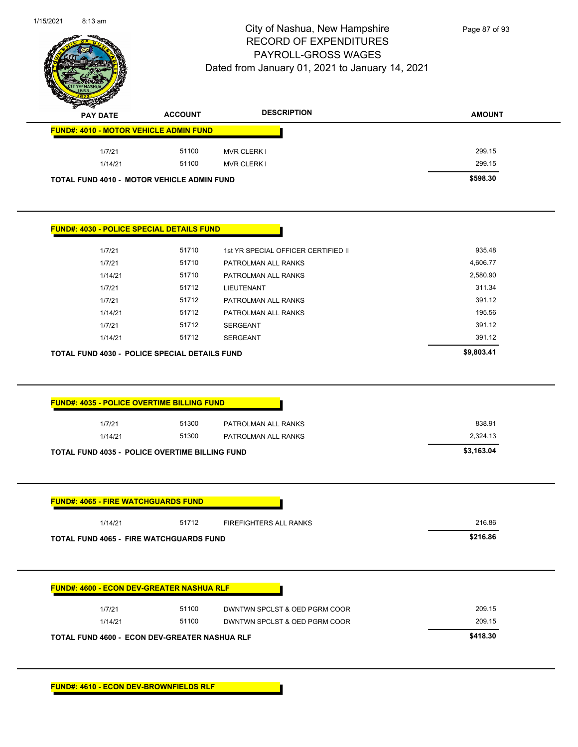|                                                                                                                                                                                                     |                | Dated from January 01, 2021 to January 14, 2021 |               |
|-----------------------------------------------------------------------------------------------------------------------------------------------------------------------------------------------------|----------------|-------------------------------------------------|---------------|
| <b>PAY DATE</b>                                                                                                                                                                                     | <b>ACCOUNT</b> | <b>DESCRIPTION</b>                              | <b>AMOUNT</b> |
| <b>FUND#: 4010 - MOTOR VEHICLE ADMIN FUND</b>                                                                                                                                                       |                |                                                 |               |
| 1/7/21                                                                                                                                                                                              | 51100          | <b>MVR CLERK I</b>                              | 299.15        |
| 1/14/21                                                                                                                                                                                             | 51100          | <b>MVR CLERK I</b>                              | 299.15        |
| TOTAL FUND 4010 - MOTOR VEHICLE ADMIN FUND                                                                                                                                                          |                |                                                 | \$598.30      |
| <b>FUND#: 4030 - POLICE SPECIAL DETAILS FUND</b>                                                                                                                                                    |                |                                                 |               |
| 1/7/21                                                                                                                                                                                              | 51710          | 1st YR SPECIAL OFFICER CERTIFIED II             | 935.48        |
| 1/7/21                                                                                                                                                                                              | 51710          | PATROLMAN ALL RANKS                             | 4,606.77      |
| 1/14/21                                                                                                                                                                                             | 51710          | PATROLMAN ALL RANKS                             | 2,580.90      |
| 1/7/21                                                                                                                                                                                              | 51712          | LIEUTENANT                                      | 311.34        |
| 1/7/21                                                                                                                                                                                              | 51712          | PATROLMAN ALL RANKS                             | 391.12        |
| 1/14/21                                                                                                                                                                                             | 51712          | PATROLMAN ALL RANKS                             | 195.56        |
| 1/7/21                                                                                                                                                                                              | 51712          | SERGEANT                                        | 391.12        |
| 1/14/21                                                                                                                                                                                             | 51712          | <b>SERGEANT</b>                                 | 391.12        |
| TOTAL FUND 4030 - POLICE SPECIAL DETAILS FUND                                                                                                                                                       |                |                                                 | \$9,803.41    |
|                                                                                                                                                                                                     |                |                                                 |               |
|                                                                                                                                                                                                     |                |                                                 |               |
| 1/7/21                                                                                                                                                                                              | 51300          | PATROLMAN ALL RANKS                             | 838.91        |
| 1/14/21                                                                                                                                                                                             | 51300          | PATROLMAN ALL RANKS                             | 2,324.13      |
|                                                                                                                                                                                                     |                |                                                 | \$3,163.04    |
|                                                                                                                                                                                                     |                |                                                 |               |
| 1/14/21                                                                                                                                                                                             | 51712          | <b>FIREFIGHTERS ALL RANKS</b>                   | 216.86        |
| <b>FUND#: 4035 - POLICE OVERTIME BILLING FUND</b><br><b>TOTAL FUND 4035 - POLICE OVERTIME BILLING FUND</b><br><b>FUND#: 4065 - FIRE WATCHGUARDS FUND</b><br>TOTAL FUND 4065 - FIRE WATCHGUARDS FUND |                |                                                 | \$216.86      |
|                                                                                                                                                                                                     |                |                                                 |               |
| <b>FUND#: 4600 - ECON DEV-GREATER NASHUA RLF</b>                                                                                                                                                    |                |                                                 |               |
| 1/7/21                                                                                                                                                                                              | 51100          | DWNTWN SPCLST & OED PGRM COOR                   | 209.15        |

1/15/2021 8:13 am

Ĭ.

 $\sim$ 

 $\overline{a}$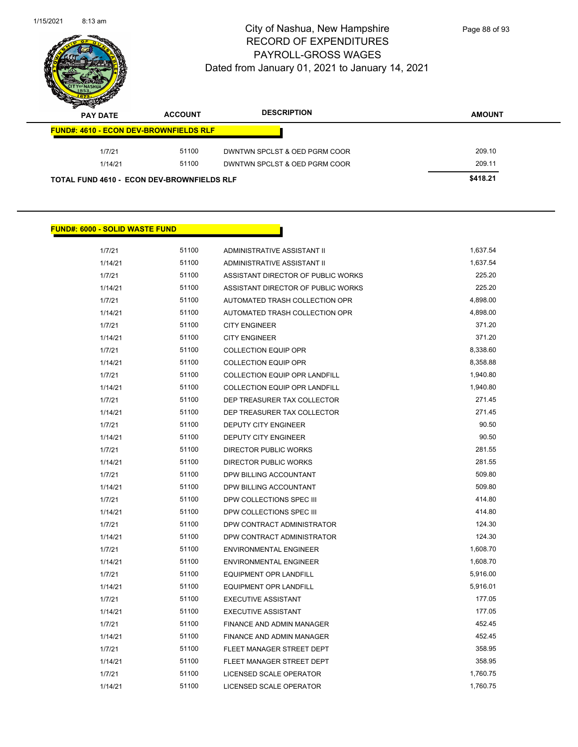$\overline{\phantom{a}}$ 



## City of Nashua, New Hampshire RECORD OF EXPENDITURES PAYROLL-GROSS WAGES Dated from January 01, 2021 to January 14, 2021

Page 88 of 93

| s<br>$\tilde{\phantom{a}}$<br><b>PAY DATE</b>     | <b>ACCOUNT</b> | <b>DESCRIPTION</b>            | <b>AMOUNT</b> |
|---------------------------------------------------|----------------|-------------------------------|---------------|
| <b>FUND#: 4610 - ECON DEV-BROWNFIELDS RLF</b>     |                |                               |               |
| 1/7/21                                            | 51100          | DWNTWN SPCLST & OED PGRM COOR | 209.10        |
| 1/14/21                                           | 51100          | DWNTWN SPCLST & OED PGRM COOR | 209.11        |
| <b>TOTAL FUND 4610 - ECON DEV-BROWNFIELDS RLF</b> |                |                               | \$418.21      |

## **FUND#: 6000 - SOLID WASTE FUND**

| 1/7/21  | 51100 | ADMINISTRATIVE ASSISTANT II          | 1,637.54 |
|---------|-------|--------------------------------------|----------|
| 1/14/21 | 51100 | ADMINISTRATIVE ASSISTANT II          | 1,637.54 |
| 1/7/21  | 51100 | ASSISTANT DIRECTOR OF PUBLIC WORKS   | 225.20   |
| 1/14/21 | 51100 | ASSISTANT DIRECTOR OF PUBLIC WORKS   | 225.20   |
| 1/7/21  | 51100 | AUTOMATED TRASH COLLECTION OPR       | 4,898.00 |
| 1/14/21 | 51100 | AUTOMATED TRASH COLLECTION OPR       | 4,898.00 |
| 1/7/21  | 51100 | <b>CITY ENGINEER</b>                 | 371.20   |
| 1/14/21 | 51100 | <b>CITY ENGINEER</b>                 | 371.20   |
| 1/7/21  | 51100 | <b>COLLECTION EQUIP OPR</b>          | 8,338.60 |
| 1/14/21 | 51100 | <b>COLLECTION EQUIP OPR</b>          | 8,358.88 |
| 1/7/21  | 51100 | <b>COLLECTION EQUIP OPR LANDFILL</b> | 1,940.80 |
| 1/14/21 | 51100 | COLLECTION EQUIP OPR LANDFILL        | 1,940.80 |
| 1/7/21  | 51100 | DEP TREASURER TAX COLLECTOR          | 271.45   |
| 1/14/21 | 51100 | DEP TREASURER TAX COLLECTOR          | 271.45   |
| 1/7/21  | 51100 | <b>DEPUTY CITY ENGINEER</b>          | 90.50    |
| 1/14/21 | 51100 | <b>DEPUTY CITY ENGINEER</b>          | 90.50    |
| 1/7/21  | 51100 | <b>DIRECTOR PUBLIC WORKS</b>         | 281.55   |
| 1/14/21 | 51100 | <b>DIRECTOR PUBLIC WORKS</b>         | 281.55   |
| 1/7/21  | 51100 | DPW BILLING ACCOUNTANT               | 509.80   |
| 1/14/21 | 51100 | DPW BILLING ACCOUNTANT               | 509.80   |
| 1/7/21  | 51100 | DPW COLLECTIONS SPEC III             | 414.80   |
| 1/14/21 | 51100 | DPW COLLECTIONS SPEC III             | 414.80   |
| 1/7/21  | 51100 | DPW CONTRACT ADMINISTRATOR           | 124.30   |
| 1/14/21 | 51100 | DPW CONTRACT ADMINISTRATOR           | 124.30   |
| 1/7/21  | 51100 | <b>ENVIRONMENTAL ENGINEER</b>        | 1,608.70 |
| 1/14/21 | 51100 | <b>ENVIRONMENTAL ENGINEER</b>        | 1,608.70 |
| 1/7/21  | 51100 | EQUIPMENT OPR LANDFILL               | 5,916.00 |
| 1/14/21 | 51100 | <b>EQUIPMENT OPR LANDFILL</b>        | 5,916.01 |
| 1/7/21  | 51100 | <b>EXECUTIVE ASSISTANT</b>           | 177.05   |
| 1/14/21 | 51100 | <b>EXECUTIVE ASSISTANT</b>           | 177.05   |
| 1/7/21  | 51100 | FINANCE AND ADMIN MANAGER            | 452.45   |
| 1/14/21 | 51100 | <b>FINANCE AND ADMIN MANAGER</b>     | 452.45   |
| 1/7/21  | 51100 | FLEET MANAGER STREET DEPT            | 358.95   |
| 1/14/21 | 51100 | FLEET MANAGER STREET DEPT            | 358.95   |
| 1/7/21  | 51100 | LICENSED SCALE OPERATOR              | 1,760.75 |
| 1/14/21 | 51100 | LICENSED SCALE OPERATOR              | 1,760.75 |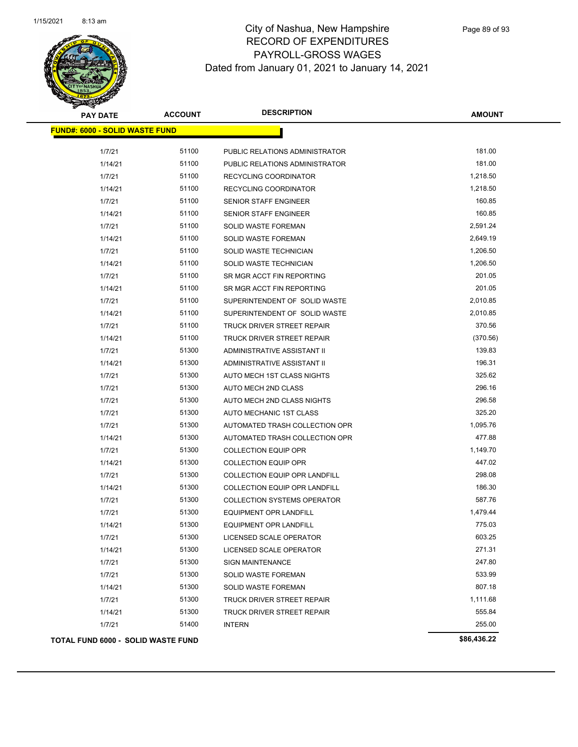

| <b>PAY DATE</b>                       | <b>ACCOUNT</b> | <b>DESCRIPTION</b>                 | <b>AMOUNT</b> |
|---------------------------------------|----------------|------------------------------------|---------------|
| <b>FUND#: 6000 - SOLID WASTE FUND</b> |                |                                    |               |
| 1/7/21                                | 51100          | PUBLIC RELATIONS ADMINISTRATOR     | 181.00        |
| 1/14/21                               | 51100          | PUBLIC RELATIONS ADMINISTRATOR     | 181.00        |
| 1/7/21                                | 51100          | RECYCLING COORDINATOR              | 1,218.50      |
| 1/14/21                               | 51100          | RECYCLING COORDINATOR              | 1,218.50      |
| 1/7/21                                | 51100          | SENIOR STAFF ENGINEER              | 160.85        |
| 1/14/21                               | 51100          | <b>SENIOR STAFF ENGINEER</b>       | 160.85        |
| 1/7/21                                | 51100          | SOLID WASTE FOREMAN                | 2,591.24      |
| 1/14/21                               | 51100          | <b>SOLID WASTE FOREMAN</b>         | 2,649.19      |
| 1/7/21                                | 51100          | SOLID WASTE TECHNICIAN             | 1,206.50      |
| 1/14/21                               | 51100          | SOLID WASTE TECHNICIAN             | 1,206.50      |
| 1/7/21                                | 51100          | SR MGR ACCT FIN REPORTING          | 201.05        |
| 1/14/21                               | 51100          | SR MGR ACCT FIN REPORTING          | 201.05        |
| 1/7/21                                | 51100          | SUPERINTENDENT OF SOLID WASTE      | 2,010.85      |
| 1/14/21                               | 51100          | SUPERINTENDENT OF SOLID WASTE      | 2,010.85      |
| 1/7/21                                | 51100          | TRUCK DRIVER STREET REPAIR         | 370.56        |
| 1/14/21                               | 51100          | TRUCK DRIVER STREET REPAIR         | (370.56)      |
| 1/7/21                                | 51300          | <b>ADMINISTRATIVE ASSISTANT II</b> | 139.83        |
| 1/14/21                               | 51300          | ADMINISTRATIVE ASSISTANT II        | 196.31        |
| 1/7/21                                | 51300          | AUTO MECH 1ST CLASS NIGHTS         | 325.62        |
| 1/7/21                                | 51300          | AUTO MECH 2ND CLASS                | 296.16        |
| 1/7/21                                | 51300          | AUTO MECH 2ND CLASS NIGHTS         | 296.58        |
| 1/7/21                                | 51300          | AUTO MECHANIC 1ST CLASS            | 325.20        |
| 1/7/21                                | 51300          | AUTOMATED TRASH COLLECTION OPR     | 1,095.76      |
| 1/14/21                               | 51300          | AUTOMATED TRASH COLLECTION OPR     | 477.88        |
| 1/7/21                                | 51300          | <b>COLLECTION EQUIP OPR</b>        | 1,149.70      |
| 1/14/21                               | 51300          | <b>COLLECTION EQUIP OPR</b>        | 447.02        |
| 1/7/21                                | 51300          | COLLECTION EQUIP OPR LANDFILL      | 298.08        |
| 1/14/21                               | 51300          | COLLECTION EQUIP OPR LANDFILL      | 186.30        |
| 1/7/21                                | 51300          | <b>COLLECTION SYSTEMS OPERATOR</b> | 587.76        |
| 1/7/21                                | 51300          | EQUIPMENT OPR LANDFILL             | 1,479.44      |
| 1/14/21                               | 51300          | <b>EQUIPMENT OPR LANDFILL</b>      | 775.03        |
| 1/7/21                                | 51300          | LICENSED SCALE OPERATOR            | 603.25        |
| 1/14/21                               | 51300          | LICENSED SCALE OPERATOR            | 271.31        |
| 1/7/21                                | 51300          | <b>SIGN MAINTENANCE</b>            | 247.80        |
| 1/7/21                                | 51300          | <b>SOLID WASTE FOREMAN</b>         | 533.99        |
| 1/14/21                               | 51300          | SOLID WASTE FOREMAN                | 807.18        |
| 1/7/21                                | 51300          | TRUCK DRIVER STREET REPAIR         | 1,111.68      |
| 1/14/21                               | 51300          | TRUCK DRIVER STREET REPAIR         | 555.84        |
| 1/7/21                                | 51400          | <b>INTERN</b>                      | 255.00        |
| TOTAL FUND 6000 - SOLID WASTE FUND    |                |                                    | \$86,436.22   |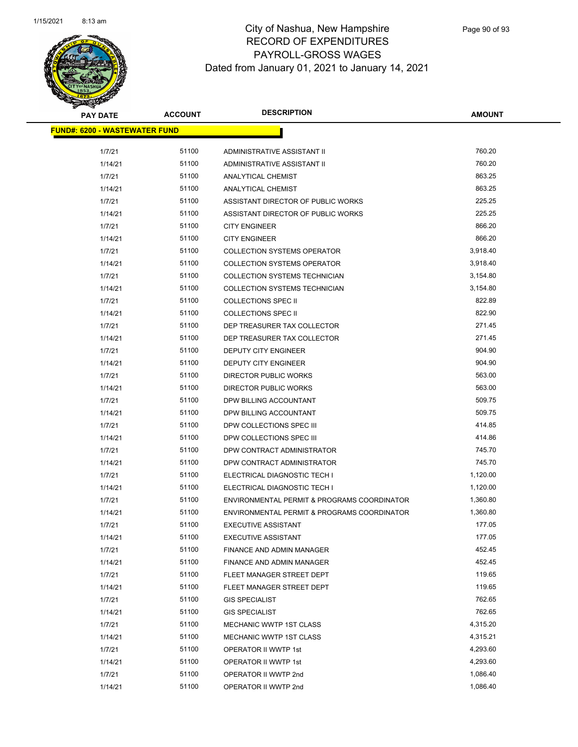

| <b>PAY DATE</b>                      | <b>ACCOUNT</b> | <b>DESCRIPTION</b>                          | <b>AMOUNT</b> |  |
|--------------------------------------|----------------|---------------------------------------------|---------------|--|
| <b>FUND#: 6200 - WASTEWATER FUND</b> |                |                                             |               |  |
|                                      |                |                                             |               |  |
| 1/7/21                               | 51100          | ADMINISTRATIVE ASSISTANT II                 | 760.20        |  |
| 1/14/21                              | 51100          | ADMINISTRATIVE ASSISTANT II                 | 760.20        |  |
| 1/7/21                               | 51100          | ANALYTICAL CHEMIST                          | 863.25        |  |
| 1/14/21                              | 51100          | ANALYTICAL CHEMIST                          | 863.25        |  |
| 1/7/21                               | 51100          | ASSISTANT DIRECTOR OF PUBLIC WORKS          | 225.25        |  |
| 1/14/21                              | 51100          | ASSISTANT DIRECTOR OF PUBLIC WORKS          | 225.25        |  |
| 1/7/21                               | 51100          | <b>CITY ENGINEER</b>                        | 866.20        |  |
| 1/14/21                              | 51100          | <b>CITY ENGINEER</b>                        | 866.20        |  |
| 1/7/21                               | 51100          | <b>COLLECTION SYSTEMS OPERATOR</b>          | 3,918.40      |  |
| 1/14/21                              | 51100          | <b>COLLECTION SYSTEMS OPERATOR</b>          | 3,918.40      |  |
| 1/7/21                               | 51100          | COLLECTION SYSTEMS TECHNICIAN               | 3,154.80      |  |
| 1/14/21                              | 51100          | COLLECTION SYSTEMS TECHNICIAN               | 3,154.80      |  |
| 1/7/21                               | 51100          | <b>COLLECTIONS SPEC II</b>                  | 822.89        |  |
| 1/14/21                              | 51100          | <b>COLLECTIONS SPEC II</b>                  | 822.90        |  |
| 1/7/21                               | 51100          | DEP TREASURER TAX COLLECTOR                 | 271.45        |  |
| 1/14/21                              | 51100          | DEP TREASURER TAX COLLECTOR                 | 271.45        |  |
| 1/7/21                               | 51100          | <b>DEPUTY CITY ENGINEER</b>                 | 904.90        |  |
| 1/14/21                              | 51100          | DEPUTY CITY ENGINEER                        | 904.90        |  |
| 1/7/21                               | 51100          | <b>DIRECTOR PUBLIC WORKS</b>                | 563.00        |  |
| 1/14/21                              | 51100          | <b>DIRECTOR PUBLIC WORKS</b>                | 563.00        |  |
| 1/7/21                               | 51100          | DPW BILLING ACCOUNTANT                      | 509.75        |  |
| 1/14/21                              | 51100          | DPW BILLING ACCOUNTANT                      | 509.75        |  |
| 1/7/21                               | 51100          | DPW COLLECTIONS SPEC III                    | 414.85        |  |
| 1/14/21                              | 51100          | DPW COLLECTIONS SPEC III                    | 414.86        |  |
| 1/7/21                               | 51100          | DPW CONTRACT ADMINISTRATOR                  | 745.70        |  |
| 1/14/21                              | 51100          | DPW CONTRACT ADMINISTRATOR                  | 745.70        |  |
| 1/7/21                               | 51100          | ELECTRICAL DIAGNOSTIC TECH I                | 1,120.00      |  |
| 1/14/21                              | 51100          | ELECTRICAL DIAGNOSTIC TECH I                | 1,120.00      |  |
| 1/7/21                               | 51100          | ENVIRONMENTAL PERMIT & PROGRAMS COORDINATOR | 1,360.80      |  |
| 1/14/21                              | 51100          | ENVIRONMENTAL PERMIT & PROGRAMS COORDINATOR | 1,360.80      |  |
| 1/7/21                               | 51100          | <b>EXECUTIVE ASSISTANT</b>                  | 177.05        |  |
| 1/14/21                              | 51100          | <b>EXECUTIVE ASSISTANT</b>                  | 177.05        |  |
| 1/7/21                               | 51100          | FINANCE AND ADMIN MANAGER                   | 452.45        |  |
| 1/14/21                              | 51100          | FINANCE AND ADMIN MANAGER                   | 452.45        |  |
| 1/7/21                               | 51100          | FLEET MANAGER STREET DEPT                   | 119.65        |  |
| 1/14/21                              | 51100          | FLEET MANAGER STREET DEPT                   | 119.65        |  |
| 1/7/21                               | 51100          | <b>GIS SPECIALIST</b>                       | 762.65        |  |
| 1/14/21                              | 51100          | <b>GIS SPECIALIST</b>                       | 762.65        |  |
| 1/7/21                               | 51100          | <b>MECHANIC WWTP 1ST CLASS</b>              | 4,315.20      |  |
| 1/14/21                              | 51100          | MECHANIC WWTP 1ST CLASS                     | 4,315.21      |  |
| 1/7/21                               | 51100          | OPERATOR II WWTP 1st                        | 4,293.60      |  |
| 1/14/21                              | 51100          | OPERATOR II WWTP 1st                        | 4,293.60      |  |
| 1/7/21                               | 51100          | OPERATOR II WWTP 2nd                        | 1,086.40      |  |
| 1/14/21                              | 51100          | OPERATOR II WWTP 2nd                        | 1,086.40      |  |
|                                      |                |                                             |               |  |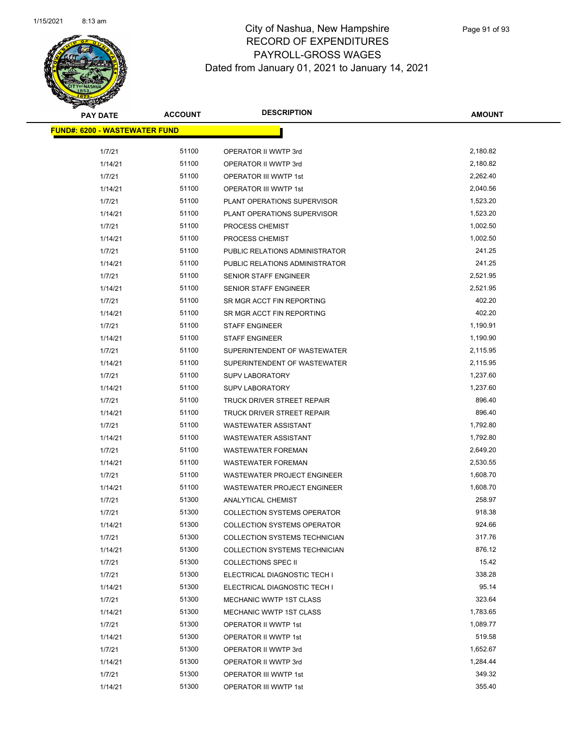

| <b>PAY DATE</b>                      | <b>ACCOUNT</b> | <b>DESCRIPTION</b>                   | <b>AMOUNT</b> |
|--------------------------------------|----------------|--------------------------------------|---------------|
| <b>FUND#: 6200 - WASTEWATER FUND</b> |                |                                      |               |
| 1/7/21                               | 51100          | OPERATOR II WWTP 3rd                 | 2,180.82      |
| 1/14/21                              | 51100          | OPERATOR II WWTP 3rd                 | 2,180.82      |
| 1/7/21                               | 51100          | OPERATOR III WWTP 1st                | 2,262.40      |
| 1/14/21                              | 51100          | OPERATOR III WWTP 1st                | 2,040.56      |
| 1/7/21                               | 51100          | PLANT OPERATIONS SUPERVISOR          | 1,523.20      |
| 1/14/21                              | 51100          | PLANT OPERATIONS SUPERVISOR          | 1,523.20      |
| 1/7/21                               | 51100          | PROCESS CHEMIST                      | 1,002.50      |
| 1/14/21                              | 51100          | PROCESS CHEMIST                      | 1,002.50      |
| 1/7/21                               | 51100          | PUBLIC RELATIONS ADMINISTRATOR       | 241.25        |
| 1/14/21                              | 51100          | PUBLIC RELATIONS ADMINISTRATOR       | 241.25        |
| 1/7/21                               | 51100          | SENIOR STAFF ENGINEER                | 2,521.95      |
| 1/14/21                              | 51100          | SENIOR STAFF ENGINEER                | 2,521.95      |
| 1/7/21                               | 51100          | SR MGR ACCT FIN REPORTING            | 402.20        |
| 1/14/21                              | 51100          | SR MGR ACCT FIN REPORTING            | 402.20        |
| 1/7/21                               | 51100          | <b>STAFF ENGINEER</b>                | 1,190.91      |
| 1/14/21                              | 51100          | <b>STAFF ENGINEER</b>                | 1,190.90      |
| 1/7/21                               | 51100          | SUPERINTENDENT OF WASTEWATER         | 2,115.95      |
| 1/14/21                              | 51100          | SUPERINTENDENT OF WASTEWATER         | 2,115.95      |
| 1/7/21                               | 51100          | <b>SUPV LABORATORY</b>               | 1,237.60      |
| 1/14/21                              | 51100          | <b>SUPV LABORATORY</b>               | 1,237.60      |
| 1/7/21                               | 51100          | TRUCK DRIVER STREET REPAIR           | 896.40        |
| 1/14/21                              | 51100          | TRUCK DRIVER STREET REPAIR           | 896.40        |
| 1/7/21                               | 51100          | <b>WASTEWATER ASSISTANT</b>          | 1,792.80      |
| 1/14/21                              | 51100          | <b>WASTEWATER ASSISTANT</b>          | 1,792.80      |
| 1/7/21                               | 51100          | <b>WASTEWATER FOREMAN</b>            | 2,649.20      |
| 1/14/21                              | 51100          | <b>WASTEWATER FOREMAN</b>            | 2,530.55      |
| 1/7/21                               | 51100          | WASTEWATER PROJECT ENGINEER          | 1,608.70      |
| 1/14/21                              | 51100          | WASTEWATER PROJECT ENGINEER          | 1,608.70      |
| 1/7/21                               | 51300          | ANALYTICAL CHEMIST                   | 258.97        |
| 1/7/21                               | 51300          | <b>COLLECTION SYSTEMS OPERATOR</b>   | 918.38        |
| 1/14/21                              | 51300          | <b>COLLECTION SYSTEMS OPERATOR</b>   | 924.66        |
| 1/7/21                               | 51300          | <b>COLLECTION SYSTEMS TECHNICIAN</b> | 317.76        |
| 1/14/21                              | 51300          | COLLECTION SYSTEMS TECHNICIAN        | 876.12        |
| 1/7/21                               | 51300          | <b>COLLECTIONS SPEC II</b>           | 15.42         |
| 1/7/21                               | 51300          | ELECTRICAL DIAGNOSTIC TECH I         | 338.28        |
| 1/14/21                              | 51300          | ELECTRICAL DIAGNOSTIC TECH I         | 95.14         |
| 1/7/21                               | 51300          | MECHANIC WWTP 1ST CLASS              | 323.64        |
| 1/14/21                              | 51300          | <b>MECHANIC WWTP 1ST CLASS</b>       | 1,783.65      |
| 1/7/21                               | 51300          | OPERATOR II WWTP 1st                 | 1,089.77      |
| 1/14/21                              | 51300          | OPERATOR II WWTP 1st                 | 519.58        |
| 1/7/21                               | 51300          | OPERATOR II WWTP 3rd                 | 1,652.67      |
| 1/14/21                              | 51300          | OPERATOR II WWTP 3rd                 | 1,284.44      |
| 1/7/21                               | 51300          | OPERATOR III WWTP 1st                | 349.32        |
| 1/14/21                              | 51300          | OPERATOR III WWTP 1st                | 355.40        |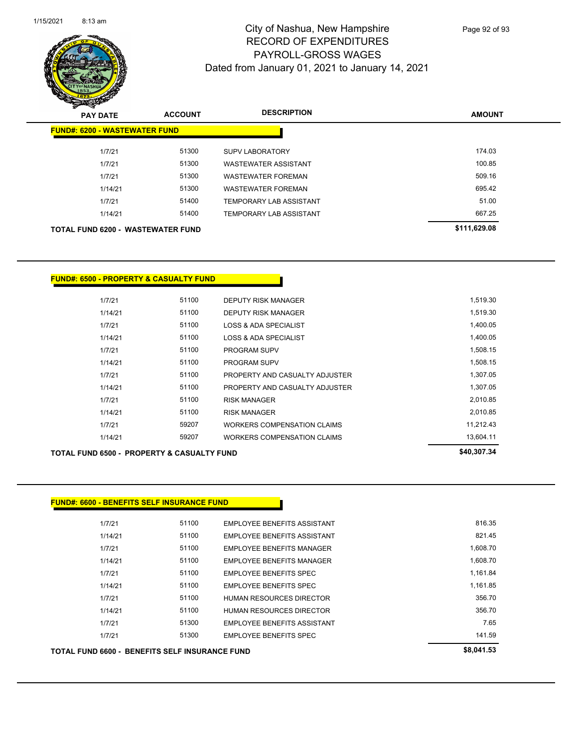

**AMOUNT PAY DATE ACCOUNT DESCRIPTION FUND#: 6200 - WASTEWATER FUND** 1/7/21 51300 SUPV LABORATORY 174.03 1/7/21 51300 WASTEWATER ASSISTANT 100.85 1/7/21 51300 WASTEWATER FOREMAN 509.16 1/14/21 51300 WASTEWATER FOREMAN 695.42 1/7/21 51400 TEMPORARY LAB ASSISTANT 51.00 1/14/21 51400 TEMPORARY LAB ASSISTANT 667.25 **TOTAL FUND 6200 - WASTEWATER FUND \$111,629.08** 

**FUND#: 6500 - PROPERTY & CASUALTY FUND**

| 1/7/21                                                | 59207 | WORKERS COMPENSATION CLAIMS | 11.212.43   |
|-------------------------------------------------------|-------|-----------------------------|-------------|
| 1/14/21                                               | 59207 | WORKERS COMPENSATION CLAIMS | 13.604.11   |
| <b>TOTAL FUND 6500 - PROPERTY &amp; CASUALTY FUND</b> |       |                             | \$40,307.34 |
|                                                       |       |                             |             |
|                                                       |       |                             |             |
|                                                       |       |                             |             |
| <b>FUND#: 6600 - BENEFITS SELF INSURANCE FUND</b>     |       |                             |             |

| TOTAL FUND 6600 -  BENEFITS SELF INSURANCE FUND |       |                                    | \$8,041.53 |
|-------------------------------------------------|-------|------------------------------------|------------|
| 1/7/21                                          | 51300 | EMPLOYEE BENEFITS SPEC             | 141.59     |
| 1/7/21                                          | 51300 | EMPLOYEE BENEFITS ASSISTANT        | 7.65       |
| 1/14/21                                         | 51100 | HUMAN RESOURCES DIRECTOR           | 356.70     |
| 1/7/21                                          | 51100 | HUMAN RESOURCES DIRECTOR           | 356.70     |
| 1/14/21                                         | 51100 | <b>EMPLOYEE BENEFITS SPEC</b>      | 1.161.85   |
| 1/7/21                                          | 51100 | EMPLOYEE BENEFITS SPEC             | 1,161.84   |
| 1/14/21                                         | 51100 | <b>EMPLOYEE BENEFITS MANAGER</b>   | 1,608.70   |
| 1/7/21                                          | 51100 | EMPLOYEE BENEFITS MANAGER          | 1,608.70   |
| 1/14/21                                         | 51100 | <b>EMPLOYEE BENEFITS ASSISTANT</b> | 821.45     |
| 1/7/21                                          | 51100 | EMPLOYEE BENEFITS ASSISTANT        | 816.35     |